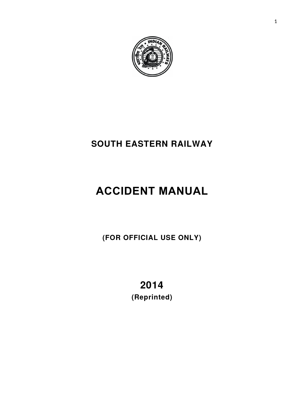

# **SOUTH EASTERN RAILWAY**

# **ACCIDENT MANUAL**

**(FOR OFFICIAL USE ONLY)**

**2014 (Reprinted)**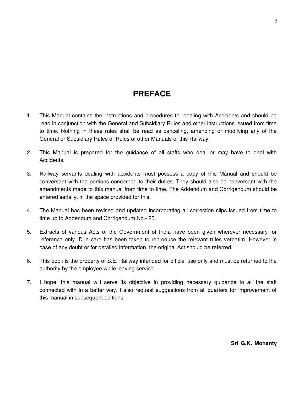# **PREFACE**

- 1. This Manual contains the instructions and procedures for dealing with Accidents and should be read in conjunction with the General and Subsidiary Rules and other instructions issued from time to time. Nothing in these rules shall be read as canceling, amending or modifying any of the General or Subsidiary Rules or Rules of other Manuals of this Railway.
- 2. This Manual is prepared for the guidance of all staffs who deal or may have to deal with Accidents.
- 3. Railway servants dealing with accidents must possess a copy of this Manual and should be conversant with the portions concerned to their duties. They should also be conversant with the amendments made to this manual from time to time. The Addendum and Corrigendum should be entered serially, in the space provided for this.
- 4. The Manual has been revised and updated incorporating all correction slips issued from time to time up to Addendum and Corrigendum No.- 25.
- 5. Extracts of various Acts of the Government of India have been given wherever necessary for reference only. Due care has been taken to reproduce the relevant rules verbatim. However in case of any doubt or for detailed information, the original Act should be referred.
- 6. This book is the property of S.E. Railway intended for official use only and must be returned to the authority by the employee while leaving service.
- 7. I hope, this manual will serve its objective in providing necessary guidance to all the staff connected with in a better way. I also request suggestions from all quarters for improvement of this manual in subsequent editions.

**Sri G.K. Mohanty**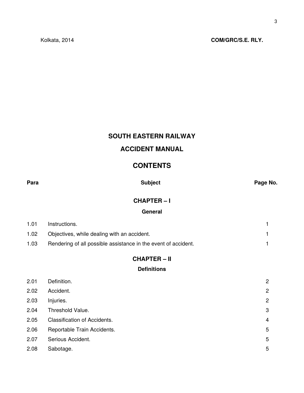# **SOUTH EASTERN RAILWAY ACCIDENT MANUAL**

# **CONTENTS**

|--|

**Para Subject Page No.**

# **CHAPTER – I**

# **General**

| 1.01              | Instructions.                                                  |  |
|-------------------|----------------------------------------------------------------|--|
| 1.02 <sub>1</sub> | Objectives, while dealing with an accident.                    |  |
| 1.03              | Rendering of all possible assistance in the event of accident. |  |

# **CHAPTER – II**

# **Definitions**

| 2.01 | Definition.                         | $\overline{2}$ |
|------|-------------------------------------|----------------|
| 2.02 | Accident.                           | $\overline{2}$ |
| 2.03 | Injuries.                           | $\overline{2}$ |
| 2.04 | Threshold Value.                    | 3              |
| 2.05 | <b>Classification of Accidents.</b> | $\overline{4}$ |
| 2.06 | Reportable Train Accidents.         | 5              |
| 2.07 | Serious Accident.                   | 5              |
| 2.08 | Sabotage.                           | 5              |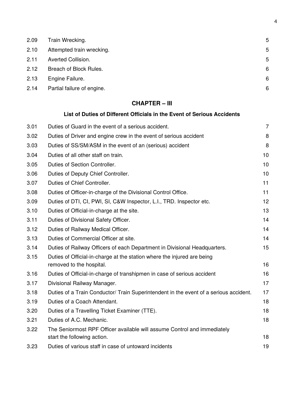| 2.09 | Train Wrecking.            | 5 |
|------|----------------------------|---|
| 2.10 | Attempted train wrecking.  | 5 |
| 2.11 | Averted Collision.         | 5 |
| 2.12 | Breach of Block Rules.     | 6 |
| 2.13 | Engine Failure.            | 6 |
| 2.14 | Partial failure of engine. | 6 |

# **CHAPTER – III**

# **List of Duties of Different Officials in the Event of Serious Accidents**

| 3.01 | Duties of Guard in the event of a serious accident.                                                 | $\overline{7}$ |
|------|-----------------------------------------------------------------------------------------------------|----------------|
| 3.02 | Duties of Driver and engine crew in the event of serious accident                                   | 8              |
| 3.03 | Duties of SS/SM/ASM in the event of an (serious) accident                                           | 8              |
| 3.04 | Duties of all other staff on train.                                                                 | 10             |
| 3.05 | Duties of Section Controller.                                                                       | 10             |
| 3.06 | Duties of Deputy Chief Controller.                                                                  | 10             |
| 3.07 | Duties of Chief Controller.                                                                         | 11             |
| 3.08 | Duties of Officer-in-charge of the Divisional Control Office.                                       | 11             |
| 3.09 | Duties of DTI, CI, PWI, SI, C&W Inspector, L.I., TRD. Inspector etc.                                | 12             |
| 3.10 | Duties of Official-in-charge at the site.                                                           | 13             |
| 3.11 | Duties of Divisional Safety Officer.                                                                | 14             |
| 3.12 | Duties of Railway Medical Officer.                                                                  | 14             |
| 3.13 | Duties of Commercial Officer at site.                                                               | 14             |
| 3.14 | Duties of Railway Officers of each Department in Divisional Headquarters.                           | 15             |
| 3.15 | Duties of Official-in-charge at the station where the injured are being<br>removed to the hospital. | 16             |
| 3.16 | Duties of Official-in-charge of transhipmen in case of serious accident                             | 16             |
| 3.17 | Divisional Railway Manager.                                                                         | 17             |
| 3.18 | Duties of a Train Conductor/ Train Superintendent in the event of a serious accident.               | 17             |
| 3.19 | Duties of a Coach Attendant.                                                                        | 18             |
| 3.20 | Duties of a Travelling Ticket Examiner (TTE).                                                       | 18             |
| 3.21 | Duties of A.C. Mechanic.                                                                            | 18             |
| 3.22 | The Seniormost RPF Officer available will assume Control and immediately                            |                |
|      | start the following action.                                                                         | 18             |
| 3.23 | Duties of various staff in case of untoward incidents                                               | 19             |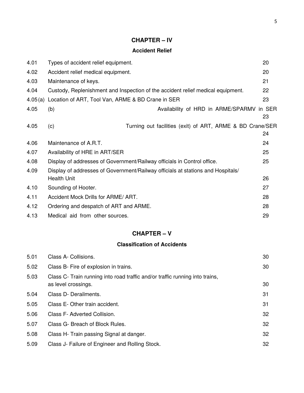# **CHAPTER – IV**

# **Accident Relief**

| 4.01    | Types of accident relief equipment.                                             |                                                           | 20 |
|---------|---------------------------------------------------------------------------------|-----------------------------------------------------------|----|
| 4.02    | Accident relief medical equipment.                                              |                                                           | 20 |
| 4.03    | Maintenance of keys.                                                            |                                                           | 21 |
| 4.04    | Custody, Replenishment and Inspection of the accident relief medical equipment. |                                                           | 22 |
| 4.05(a) | Location of ART, Tool Van, ARME & BD Crane in SER                               |                                                           | 23 |
| 4.05    | (b)                                                                             | Availability of HRD in ARME/SPARMV in SER                 |    |
|         |                                                                                 |                                                           | 23 |
| 4.05    | (c)                                                                             | Turning out facilities (exit) of ART, ARME & BD Crane/SER |    |
|         |                                                                                 |                                                           | 24 |
| 4.06    | Maintenance of A.R.T.                                                           |                                                           | 24 |
| 4.07    | Availability of HRE in ART/SER                                                  |                                                           | 25 |
| 4.08    | Display of addresses of Government/Railway officials in Control office.         |                                                           | 25 |
| 4.09    | Display of addresses of Government/Railway officials at stations and Hospitals/ |                                                           |    |
|         | Health Unit                                                                     |                                                           | 26 |
| 4.10    | Sounding of Hooter.                                                             |                                                           | 27 |
| 4.11    | Accident Mock Drills for ARME/ART.                                              |                                                           | 28 |
| 4.12    | Ordering and despatch of ART and ARME.                                          |                                                           | 28 |
| 4.13    | Medical aid from other sources.                                                 |                                                           | 29 |

# **CHAPTER – V**

# **Classification of Accidents**

| 5.01 | Class A- Collisions.                                                                                | 30 |
|------|-----------------------------------------------------------------------------------------------------|----|
| 5.02 | Class B- Fire of explosion in trains.                                                               | 30 |
| 5.03 | Class C- Train running into road traffic and/or traffic running into trains,<br>as level crossings. | 30 |
| 5.04 | Class D- Derailments.                                                                               | 31 |
| 5.05 | Class E-Other train accident.                                                                       | 31 |
| 5.06 | Class F- Adverted Collision.                                                                        | 32 |
| 5.07 | Class G- Breach of Block Rules.                                                                     | 32 |
| 5.08 | Class H- Train passing Signal at danger.                                                            | 32 |
| 5.09 | Class J- Failure of Engineer and Rolling Stock.                                                     | 32 |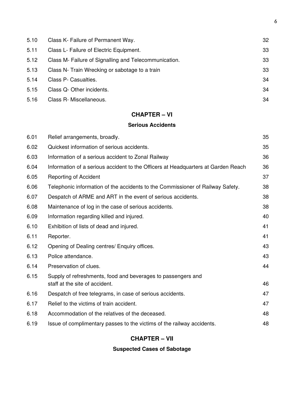| 5.10 | Class K- Failure of Permanent Way.                    | 32 |
|------|-------------------------------------------------------|----|
| 5.11 | Class L- Failure of Electric Equipment.               | 33 |
| 5.12 | Class M- Failure of Signalling and Telecommunication. | 33 |
| 5.13 | Class N- Train Wrecking or sabotage to a train        | 33 |
| 5.14 | Class P- Casualties.                                  | 34 |
| 5.15 | Class Q- Other incidents.                             | 34 |
| 5.16 | Class R- Miscellaneous.                               | 34 |

# **CHAPTER – VI**

# **Serious Accidents**

| 6.01 | Relief arrangements, broadly.                                                     | 35 |
|------|-----------------------------------------------------------------------------------|----|
| 6.02 | Quickest information of serious accidents.                                        | 35 |
| 6.03 | Information of a serious accident to Zonal Railway                                | 36 |
| 6.04 | Information of a serious accident to the Officers at Headquarters at Garden Reach | 36 |
| 6.05 | Reporting of Accident                                                             | 37 |
| 6.06 | Telephonic information of the accidents to the Commissioner of Railway Safety.    | 38 |
| 6.07 | Despatch of ARME and ART in the event of serious accidents.                       | 38 |
| 6.08 | Maintenance of log in the case of serious accidents.                              | 38 |
| 6.09 | Information regarding killed and injured.                                         | 40 |
| 6.10 | Exhibition of lists of dead and injured.                                          | 41 |
| 6.11 | Reporter.                                                                         | 41 |
| 6.12 | Opening of Dealing centres/ Enquiry offices.                                      | 43 |
| 6.13 | Police attendance.                                                                | 43 |
| 6.14 | Preservation of clues.                                                            | 44 |
| 6.15 | Supply of refreshments, food and beverages to passengers and                      |    |
|      | staff at the site of accident.                                                    | 46 |
| 6.16 | Despatch of free telegrams, in case of serious accidents.                         | 47 |
| 6.17 | Relief to the victims of train accident.                                          | 47 |
| 6.18 | Accommodation of the relatives of the deceased.                                   | 48 |
| 6.19 | Issue of complimentary passes to the victims of the railway accidents.            | 48 |

# **CHAPTER – VII**

# **Suspected Cases of Sabotage**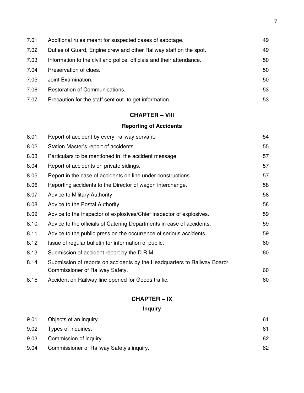| 7.01 | Additional rules meant for suspected cases of sabotage.             | 49 |
|------|---------------------------------------------------------------------|----|
| 7.02 | Duties of Guard, Engine crew and other Railway staff on the spot.   | 49 |
| 7.03 | Information to the civil and police officials and their attendance. | 50 |
| 7.04 | Preservation of clues.                                              | 50 |
| 7.05 | Joint Examination.                                                  | 50 |
| 7.06 | Restoration of Communications.                                      | 53 |
| 7.07 | Precaution for the staff sent out to get information.               | 53 |

# **CHAPTER – VIII**

# **Reporting of Accidents**

| 8.01 | Report of accident by every railway servant.                             | 54 |
|------|--------------------------------------------------------------------------|----|
| 8.02 | Station Master's report of accidents.                                    | 55 |
| 8.03 | Particulars to be mentioned in the accident message.                     | 57 |
| 8.04 | Report of accidents on private sidings.                                  | 57 |
| 8.05 | Report in the case of accidents on line under constructions.             | 57 |
| 8.06 | Reporting accidents to the Director of wagon interchange.                | 58 |
| 8.07 | Advice to Military Authority.                                            | 58 |
| 8.08 | Advice to the Postal Authority.                                          | 58 |
| 8.09 | Advice to the Inspector of explosives/Chief Inspector of explosives.     | 59 |
| 8.10 | Advice to the officials of Catering Departments in case of accidents.    | 59 |
| 8.11 | Advice to the public press on the occurrence of serious accidents.       | 59 |
| 8.12 | Issue of regular bulletin for information of public.                     | 60 |
| 8.13 | Submission of accident report by the D.R.M.                              | 60 |
| 8.14 | Submission of reports on accidents by the Headquarters to Railway Board/ |    |
|      | Commissioner of Railway Safety.                                          | 60 |
| 8.15 | Accident on Railway line opened for Goods traffic.                       | 60 |

# **CHAPTER – IX**

# **Inquiry**

| 9.01 | Objects of an inquiry.                    | 61 |
|------|-------------------------------------------|----|
| 9.02 | Types of inquiries.                       | 61 |
| 9.03 | Commission of inquiry.                    | 62 |
| 9.04 | Commissioner of Railway Safety's inquiry. | 62 |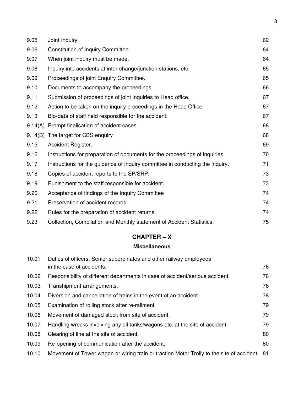| 9.05    | Joint Inquiry.                                                                | 62 |
|---------|-------------------------------------------------------------------------------|----|
| 9.06    | Constitution of Inquiry Committee.                                            | 64 |
| 9.07    | When joint inquiry must be made.                                              | 64 |
| 9.08    | Inquiry into accidents at inter-change/junction stations, etc.                | 65 |
| 9.09    | Proceedings of joint Enquiry Committee.                                       | 65 |
| 9.10    | Documents to accompany the proceedings.                                       | 66 |
| 9.11    | Submission of proceedings of joint inquiries to Head office.                  | 67 |
| 9.12    | Action to be taken on the inquiry proceedings in the Head Office.             | 67 |
| 9.13    | Bio-data of staff held responsible for the accident.                          | 67 |
| 9.14(A) | Prompt finalisation of accident cases.                                        | 68 |
|         | 9.14(B) The target for CBS enquiry                                            | 68 |
| 9.15    | Accident Register.                                                            | 69 |
| 9.16    | Instructions for preparation of documents for the proceedings of inquiries.   | 70 |
| 9.17    | Instructions for the guidence of Inquiry committee in conducting the inquiry. | 71 |
| 9.18    | Copies of accident reports to the SP/SRP.                                     | 73 |
| 9.19    | Punishment to the staff responsible for accident.                             | 73 |
| 9.20    | Acceptance of findings of the Inquiry Committee                               | 74 |
| 9.21    | Preservation of accident records.                                             | 74 |
| 9.22    | Rules for the preparation of accident returns.                                | 74 |
| 9.23    | Collection, Compilation and Monthly statement of Accident Statistics.         | 75 |
|         |                                                                               |    |

# **CHAPTER – X**

# **Miscellaneous**

| 10.01 | Duties of officers, Senior subordinates and other railway employees                          |    |  |
|-------|----------------------------------------------------------------------------------------------|----|--|
|       | in the case of accidents.                                                                    | 76 |  |
| 10.02 | Responsibility of different departments in case of accident/serious accident.                | 76 |  |
| 10.03 | Transhipment arrangements.                                                                   | 78 |  |
| 10.04 | Diversion and cancellation of trains in the event of an accident.                            | 78 |  |
| 10.05 | Examination of rolling stock after re-railment.                                              | 79 |  |
| 10.06 | Movement of damaged stock from site of accident.                                             | 79 |  |
| 10.07 | Handling wrecks involving any oil tanks/wagons etc. at the site of accident.                 | 79 |  |
| 10.08 | Clearing of line at the site of accident.                                                    | 80 |  |
| 10.09 | Re-opening of communication after the accident.                                              | 80 |  |
| 10.10 | Movement of Tower wagon or wiring train or traction Motor Trolly to the site of accident. 81 |    |  |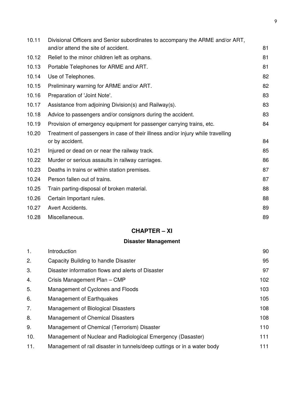| 10.11<br>Divisional Officers and Senior subordinates to accompany the ARME and/or ART, |                                                                                 |    |  |
|----------------------------------------------------------------------------------------|---------------------------------------------------------------------------------|----|--|
|                                                                                        | and/or attend the site of accident.                                             | 81 |  |
| 10.12                                                                                  | Relief to the minor children left as orphans.                                   | 81 |  |
| 10.13                                                                                  | Portable Telephones for ARME and ART.                                           | 81 |  |
| 10.14                                                                                  | Use of Telephones.                                                              | 82 |  |
| 10.15                                                                                  | Preliminary warning for ARME and/or ART.                                        | 82 |  |
| 10.16                                                                                  | Preparation of 'Joint Note'.                                                    | 83 |  |
| 10.17                                                                                  | Assistance from adjoining Division(s) and Railway(s).                           | 83 |  |
| 10.18                                                                                  | Advice to passengers and/or consignors during the accident.                     | 83 |  |
| 10.19                                                                                  | Provision of emergency equipment for passenger carrying trains, etc.            | 84 |  |
| 10.20                                                                                  | Treatment of passengers in case of their illness and/or injury while travelling |    |  |
|                                                                                        | or by accident.                                                                 | 84 |  |
| 10.21                                                                                  | Injured or dead on or near the railway track.                                   | 85 |  |
| 10.22                                                                                  | Murder or serious assaults in railway carriages.                                | 86 |  |
| 10.23                                                                                  | Deaths in trains or within station premises.                                    | 87 |  |
| 10.24                                                                                  | Person fallen out of trains.                                                    | 87 |  |
| 10.25                                                                                  | Train parting-disposal of broken material.                                      | 88 |  |
| 10.26                                                                                  | Certain Important rules.                                                        | 88 |  |
| 10.27                                                                                  | Avert Accidents.                                                                | 89 |  |
| 10.28                                                                                  | Miscellaneous.                                                                  | 89 |  |

# **CHAPTER – XI**

# **Disaster Management**

| 1.  | Introduction                                                            | 90  |
|-----|-------------------------------------------------------------------------|-----|
| 2.  | Capacity Building to handle Disaster                                    | 95  |
| 3.  | Disaster information flows and alerts of Disaster                       | 97  |
| 4.  | Crisis Management Plan - CMP                                            | 102 |
| 5.  | Management of Cyclones and Floods                                       | 103 |
| 6.  | Management of Earthquakes                                               | 105 |
| 7.  | Management of Biological Disasters                                      | 108 |
| 8.  | Management of Chemical Disasters                                        | 108 |
| 9.  | Management of Chemical (Terrorism) Disaster                             | 110 |
| 10. | Management of Nuclear and Radiological Emergency (Dasaster)             | 111 |
| 11. | Management of rail disaster in tunnels/deep cuttings or in a water body | 111 |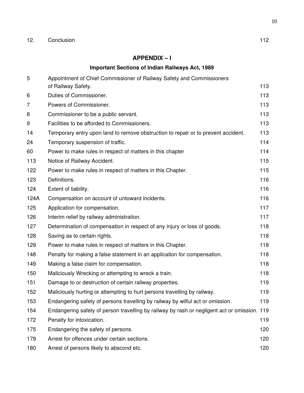# **APPENDIX – I**

# **Important Sections of Indian Railways Act, 1989**

| 5              | Appointment of Chief Commissioner of Railway Safety and Commissioners<br>of Railway Safety. | 113 |
|----------------|---------------------------------------------------------------------------------------------|-----|
| 6              | Duties of Commissioner.                                                                     | 113 |
|                |                                                                                             |     |
| $\overline{7}$ | Powers of Commissioner.                                                                     | 113 |
| 8              | Commissioner to be a public servant.                                                        | 113 |
| 9              | Facilities to be afforded to Commissioners.                                                 | 113 |
| 14             | Temporary entry upon land to remove obstruction to repair or to prevent accident.           | 113 |
| 24             | Temporary suspension of traffic.                                                            | 114 |
| 60             | Power to make rules in respect of matters in this chapter                                   | 114 |
| 113            | Notice of Railway Accident.                                                                 | 115 |
| 122            | Power to make rules in respect of matters in this Chapter.                                  | 115 |
| 123            | Definitions.                                                                                | 116 |
| 124            | Extent of liability.                                                                        | 116 |
| 124A           | Compensation on account of untoward incidents.                                              | 116 |
| 125            | Application for compensation.                                                               | 117 |
| 126            | Interim relief by railway administration.                                                   | 117 |
| 127            | Determination of compensation in respect of any injury or loss of goods.                    | 118 |
| 128            | Saving as to certain rights.                                                                | 118 |
| 129            | Power to make rules in respect of matters in this Chapter.                                  | 118 |
| 148            | Penalty for making a false statement in an application for compensation.                    | 118 |
| 149            | Making a false claim for compensation.                                                      | 118 |
| 150            | Maliciously Wrecking or attempting to wreck a train.                                        | 118 |
| 151            | Damage to or destruction of certain railway properties.                                     | 119 |
| 152            | Maliciously hurting or attempting to hurt persons travelling by railway.                    | 119 |
| 153            | Endangering safety of persons travelling by railway by wilful act or omission.              | 119 |
| 154            | Endangering safety of person travelling by railway by rash or negligent act or omission.    | 119 |
| 172            | Penalty for intoxication.                                                                   | 119 |
| 175            | Endangering the safety of persons.                                                          | 120 |
| 179            | Arrest for offences under certain sections.                                                 | 120 |
| 180            | Arrest of persons likely to abscond etc.                                                    | 120 |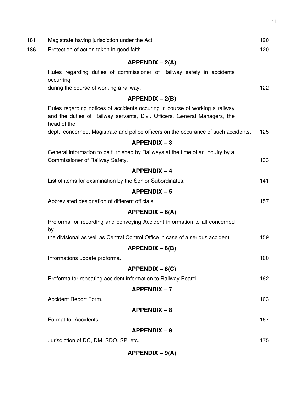| 181 | Magistrate having jurisdiction under the Act.                                                                                                                            | 120 |
|-----|--------------------------------------------------------------------------------------------------------------------------------------------------------------------------|-----|
| 186 | Protection of action taken in good faith.                                                                                                                                | 120 |
|     | $APPENDIX - 2(A)$                                                                                                                                                        |     |
|     | Rules regarding duties of commissioner of Railway safety in accidents<br>occurring                                                                                       |     |
|     | during the course of working a railway.                                                                                                                                  | 122 |
|     | $APPENDIX - 2(B)$                                                                                                                                                        |     |
|     | Rules regarding notices of accidents occuring in course of working a railway<br>and the duties of Railway servants, Divl. Officers, General Managers, the<br>head of the |     |
|     | deptt. concerned, Magistrate and police officers on the occurance of such accidents.                                                                                     | 125 |
|     | $APPENDIX - 3$                                                                                                                                                           |     |
|     | General information to be furnished by Railways at the time of an inquiry by a<br>Commissioner of Railway Safety.                                                        | 133 |
|     | $APPENDIX - 4$                                                                                                                                                           |     |
|     | List of items for examination by the Senior Subordinates.                                                                                                                | 141 |
|     | $APPENDIX - 5$                                                                                                                                                           |     |
|     | Abbreviated designation of different officials.                                                                                                                          | 157 |
|     | $APPENDIX - 6(A)$                                                                                                                                                        |     |
|     | Proforma for recording and conveying Accident information to all concerned<br>by                                                                                         |     |
|     | the divisional as well as Central Control Office in case of a serious accident.                                                                                          | 159 |
|     | $APPENDIX - 6(B)$                                                                                                                                                        |     |
|     | Informations update proforma.                                                                                                                                            | 160 |
|     | $APPENDIX - 6(C)$                                                                                                                                                        |     |
|     | Proforma for repeating accident information to Railway Board.                                                                                                            | 162 |
|     | <b>APPENDIX-7</b>                                                                                                                                                        |     |
|     | Accident Report Form.                                                                                                                                                    | 163 |
|     | $APPENDIX - 8$                                                                                                                                                           |     |
|     | Format for Accidents.                                                                                                                                                    | 167 |
|     | <b>APPENDIX-9</b>                                                                                                                                                        |     |
|     | Jurisdiction of DC, DM, SDO, SP, etc.                                                                                                                                    | 175 |
|     | $APPENDIX - 9(A)$                                                                                                                                                        |     |
|     |                                                                                                                                                                          |     |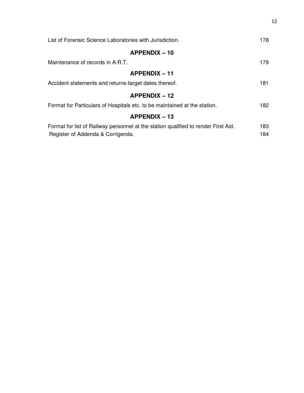| List of Forensic Science Laboratories with Jurisdiction.                           |     |
|------------------------------------------------------------------------------------|-----|
| $APPENDIX - 10$                                                                    |     |
| Maintenance of records in A.R.T.                                                   | 179 |
| $APPENDIX - 11$                                                                    |     |
| Accident statements and returns-target dates thereof.                              |     |
| $APPENDIX - 12$                                                                    |     |
| Format for Particulars of Hospitals etc. to be maintained at the station.          | 182 |
| $APPENDIX - 13$                                                                    |     |
| Format for list of Railway personnel at the station qualified to render First Aid. | 183 |
| Register of Addenda & Corrigenda.                                                  | 184 |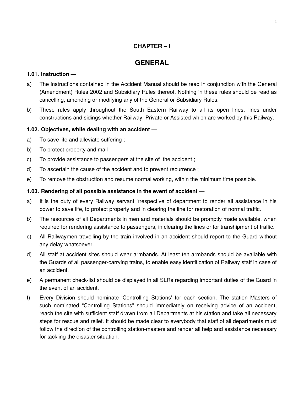# **CHAPTER – I**

# **GENERAL**

### **1.01. Instruction —**

- a) The instructions contained in the Accident Manual should be read in conjunction with the General (Amendment) Rules 2002 and Subsidiary Rules thereof. Nothing in these rules should be read as cancelling, amending or modifying any of the General or Subsidiary Rules.
- b) These rules apply throughout the South Eastern Railway to all its open lines, lines under constructions and sidings whether Railway, Private or Assisted which are worked by this Railway.

# **1.02. Objectives, while dealing with an accident —**

- a) To save life and alleviate suffering ;
- b) To protect property and mail;
- c) To provide assistance to passengers at the site of the accident ;
- d) To ascertain the cause of the accident and to prevent recurrence ;
- e) To remove the obstruction and resume normal working, within the minimum time possible.

# **1.03. Rendering of all possible assistance in the event of accident —**

- a) It is the duty of every Railway servant irrespective of department to render all assistance in his power to save life, to protect property and in clearing the line for restoration of normal traffic.
- b) The resources of all Departments in men and materials should be promptly made available, when required for rendering assistance to passengers, in clearing the lines or for transhipment of traffic.
- c) All Railwaymen travelling by the train involved in an accident should report to the Guard without any delay whatsoever.
- d) All staff at accident sites should wear armbands. At least ten armbands should be available with the Guards of all passenger-carrying trains, to enable easy identification of Railway staff in case of an accident.
- e) A permanent check-list should be displayed in all SLRs regarding important duties of the Guard in the event of an accident.
- f) Every Division should nominate 'Controlling Stations' for each section. The station Masters of such nominated "Controlling Stations" should immediately on receiving advice of an accident, reach the site with sufficient staff drawn from all Departments at his station and take all necessary steps for rescue and relief. It should be made clear to everybody that staff of all departments must follow the direction of the controlling station-masters and render all help and assistance necessary for tackling the disaster situation.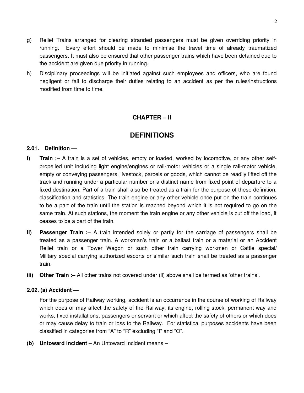- g) Relief Trains arranged for clearing stranded passengers must be given overriding priority in running. Every effort should be made to minimise the travel time of already traumatized passengers. It must also be ensured that other passenger trains which have been detained due to the accident are given due priority in running.
- h) Disciplinary proceedings will be initiated against such employees and officers, who are found negligent or fail to discharge their duties relating to an accident as per the rules/instructions modified from time to time.

# **CHAPTER – II**

# **DEFINITIONS**

#### **2.01. Definition —**

- **i) Train :–** A train is a set of vehicles, empty or loaded, worked by locomotive, or any other selfpropelled unit including light engine/engines or rail-motor vehicles or a single rail-motor vehicle, empty or conveying passengers, livestock, parcels or goods, which cannot be readily lifted off the track and running under a particular number or a distinct name from fixed point of departure to a fixed destination. Part of a train shall also be treated as a train for the purpose of these definition, classification and statistics. The train engine or any other vehicle once put on the train continues to be a part of the train until the station is reached beyond which it is not required to go on the same train. At such stations, the moment the train engine or any other vehicle is cut off the load, it ceases to be a part of the train.
- **ii) Passenger Train :–** A train intended solely or partly for the carriage of passengers shall be treated as a passenger train. A workman's train or a ballast train or a material or an Accident Relief train or a Tower Wagon or such other train carrying workmen or Cattle special/ Military special carrying authorized escorts or similar such train shall be treated as a passenger train.
- **iii) Other Train :–** All other trains not covered under (ii) above shall be termed as 'other trains'.

### **2.02. (a) Accident —**

For the purpose of Railway working, accident is an occurrence in the course of working of Railway which does or may affect the safety of the Railway, its engine, rolling stock, permanent way and works, fixed installations, passengers or servant or which affect the safety of others or which does or may cause delay to train or loss to the Railway. For statistical purposes accidents have been classified in categories from "A" to "R" excluding "I" and "O".

**(b) Untoward Incident –** An Untoward Incident means –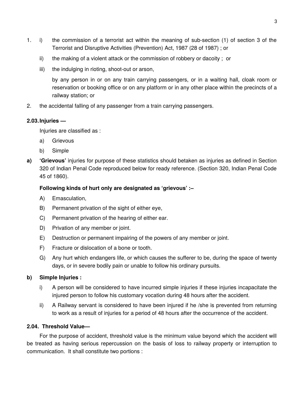- 1. i) the commission of a terrorist act within the meaning of sub-section (1) of section 3 of the Terrorist and Disruptive Activities (Prevention) Act, 1987 (28 of 1987) ; or
	- ii) the making of a violent attack or the commission of robbery or dacoity ; or
	- iii) the indulging in rioting, shoot-out or arson,

by any person in or on any train carrying passengers, or in a waiting hall, cloak room or reservation or booking office or on any platform or in any other place within the precincts of a railway station; or

2. the accidental falling of any passenger from a train carrying passengers.

### **2.03.Injuries —**

Injuries are classified as :

- a) Grievous
- b) Simple
- **a) 'Grievous'** injuries for purpose of these statistics should betaken as injuries as defined in Section 320 of Indian Penal Code reproduced below for ready reference. (Section 320, Indian Penal Code 45 of 1860).

# **Following kinds of hurt only are designated as 'grievous' :–**

- A) Emasculation,
- B) Permanent privation of the sight of either eye,
- C) Permanent privation of the hearing of either ear.
- D) Privation of any member or joint.
- E) Destruction or permanent impairing of the powers of any member or joint.
- F) Fracture or dislocation of a bone or tooth.
- G) Any hurt which endangers life, or which causes the sufferer to be, during the space of twenty days, or in severe bodily pain or unable to follow his ordinary pursuits.

# **b) Simple Injuries :**

- i) A person will be considered to have incurred simple injuries if these injuries incapacitate the injured person to follow his customary vocation during 48 hours after the accident.
- ii) A Railway servant is considered to have been injured if he /she is prevented from returning to work as a result of injuries for a period of 48 hours after the occurrence of the accident.

### **2.04. Threshold Value—**

For the purpose of accident, threshold value is the minimum value beyond which the accident will be treated as having serious repercussion on the basis of loss to railway property or interruption to communication. It shall constitute two portions :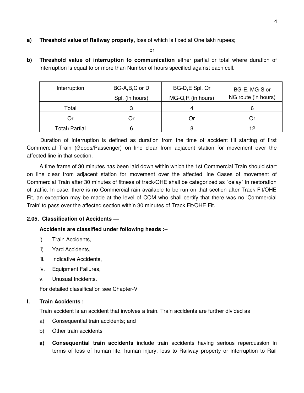**a) Threshold value of Railway property,** loss of which is fixed at One lakh rupees;

or

**b) Threshold value of interruption to communication** either partial or total where duration of interruption is equal to or more than Number of hours specified against each cell.

| Interruption  | BG-A,B,C or D<br>Spl. (in hours) | BG-D,E Spl. Or<br>MG-Q,R (in hours) | BG-E, MG-S or<br>NG route (in hours) |
|---------------|----------------------------------|-------------------------------------|--------------------------------------|
| Total         |                                  |                                     |                                      |
| Or            | J٢                               | ( )r                                |                                      |
| Total+Partial | 6                                | 8                                   | ⊂ ו                                  |

Duration of interruption is defined as duration from the time of accident till starting of first Commercial Train (Goods/Passenger) on line clear from adjacent station for movement over the affected line in that section.

A time frame of 30 minutes has been laid down within which the 1st Commercial Train should start on line clear from adjacent station for movement over the affected line Cases of movement of Commercial Train after 30 minutes of fitness of track/OHE shall be categorized as "delay" in restoration of traffic. In case, there is no Commercial rain available to be run on that section after Track Fit/OHE Fit, an exception may be made at the level of COM who shall certify that there was no 'Commercial Train' to pass over the affected section within 30 minutes of Track Fit/OHE Fit.

# **2.05. Classification of Accidents —**

### **Accidents are classified under following heads :–**

- i) Train Accidents,
- ii) Yard Accidents,
- iii. Indicative Accidents,
- iv. Equipment Failures,
- v. Unusual Incidents.

For detailed classification see Chapter-V

### **I. Train Accidents :**

Train accident is an accident that involves a train. Train accidents are further divided as

- a) Consequential train accidents; and
- b) Other train accidents
- **a) Consequential train accidents** include train accidents having serious repercussion in terms of loss of human life, human injury, loss to Railway property or interruption to Rail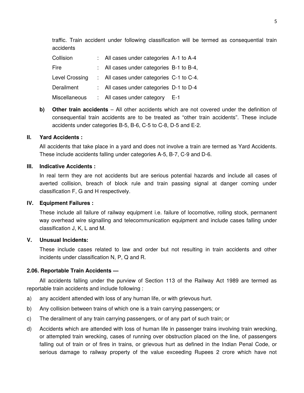traffic. Train accident under following classification will be termed as consequential train accidents

| Collision      | : All cases under categories A-1 to A-4  |       |
|----------------|------------------------------------------|-------|
| Fire           | All cases under categories B-1 to B-4,   |       |
| Level Crossing | : All cases under categories C-1 to C-4. |       |
| Derailment     | All cases under categories D-1 to D-4    |       |
| Miscellaneous  | : All cases under category               | - E-1 |

**b) Other train accidents** – All other accidents which are not covered under the definition of consequential train accidents are to be treated as "other train accidents". These include accidents under categories B-5, B-6, C-5 to C-8, D-5 and E-2.

#### **II. Yard Accidents :**

All accidents that take place in a yard and does not involve a train are termed as Yard Accidents. These include accidents falling under categories A-5, B-7, C-9 and D-6.

#### **III. Indicative Accidents :**

In real term they are not accidents but are serious potential hazards and include all cases of averted collision, breach of block rule and train passing signal at danger coming under classification F, G and H respectively.

#### **IV. Equipment Failures :**

These include all failure of railway equipment i.e. failure of locomotive, rolling stock, permanent way overhead wire signalling and telecommunication equipment and include cases falling under classification J, K, L and M.

#### **V. Unusual Incidents:**

These include cases related to law and order but not resulting in train accidents and other incidents under classification N, P, Q and R.

#### **2.06. Reportable Train Accidents —**

All accidents falling under the purview of Section 113 of the Railway Act 1989 are termed as reportable train accidents and include following :

- a) any accident attended with loss of any human life, or with grievous hurt.
- b) Any collision between trains of which one is a train carrying passengers; or
- c) The derailment of any train carrying passengers, or of any part of such train; or
- d) Accidents which are attended with loss of human life in passenger trains involving train wrecking, or attempted train wrecking, cases of running over obstruction placed on the line, of passengers falling out of train or of fires in trains, or grievous hurt as defined in the Indian Penal Code, or serious damage to railway property of the value exceeding Rupees 2 crore which have not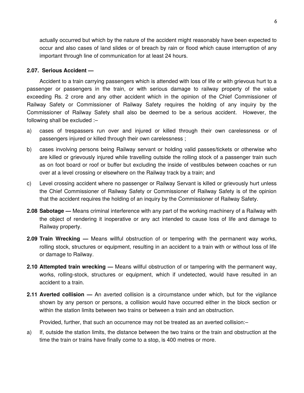actually occurred but which by the nature of the accident might reasonably have been expected to occur and also cases of land slides or of breach by rain or flood which cause interruption of any important through line of communication for at least 24 hours.

#### **2.07. Serious Accident —**

Accident to a train carrying passengers which is attended with loss of life or with grievous hurt to a passenger or passengers in the train, or with serious damage to railway property of the value exceeding Rs. 2 crore and any other accident which in the opinion of the Chief Commissioner of Railway Safety or Commissioner of Railway Safety requires the holding of any inquiry by the Commissioner of Railway Safety shall also be deemed to be a serious accident. However, the following shall be excluded :–

- a) cases of trespassers run over and injured or killed through their own carelessness or of passengers injured or killed through their own carelessness ;
- b) cases involving persons being Railway servant or holding valid passes/tickets or otherwise who are killed or grievously injured while travelling outside the rolling stock of a passenger train such as on foot board or roof or buffer but excluding the inside of vestibules between coaches or run over at a level crossing or elsewhere on the Railway track by a train; and
- c) Level crossing accident where no passenger or Railway Servant is killed or grievously hurt unless the Chief Commissioner of Railway Safety or Commissioner of Railway Safety is of the opinion that the accident requires the holding of an inquiry by the Commissioner of Railway Safety.
- **2.08 Sabotage —** Means criminal interference with any part of the working machinery of a Railway with the object of rendering it inoperative or any act intended to cause loss of life and damage to Railway property.
- **2.09 Train Wrecking —** Means willful obstruction of or tempering with the permanent way works, rolling stock, structures or equipment, resulting in an accident to a train with or without loss of life or damage to Railway.
- **2.10 Attempted train wrecking —** Means willful obstruction of or tampering with the permanent way, works, rolling-stock, structures or equipment, which if undetected, would have resulted in an accident to a train.
- **2.11 Averted collision —** An averted collision is a circumstance under which, but for the vigilance shown by any person or persons, a collision would have occurred either in the block section or within the station limits between two trains or between a train and an obstruction.

Provided, further, that such an occurrence may not be treated as an averted collision:–

a) If, outside the station limits, the distance between the two trains or the train and obstruction at the time the train or trains have finally come to a stop, is 400 metres or more.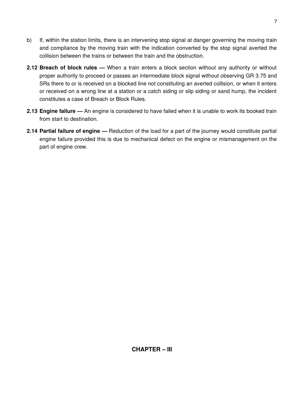- b) If, within the station limits, there is an intervening stop signal at danger governing the moving train and compliance by the moving train with the indication converted by the stop signal averted the collision between the trains or between the train and the obstruction.
- **2.12 Breach of block rules —** When a train enters a block section without any authority or without proper authority to proceed or passes an intermediate block signal without observing GR 3.75 and SRs there to or is received on a blocked line not constituting an averted collision, or when it enters or received on a wrong line at a station or a catch siding or slip siding or sand hump, the incident constitutes a case of Breach or Block Rules.
- **2.13 Engine failure —** An engine is considered to have failed when it is unable to work its booked train from start to destination.
- **2.14 Partial failure of engine —** Reduction of the load for a part of the journey would constitute partial engine failure provided this is due to mechanical defect on the engine or mismanagement on the part of engine crew.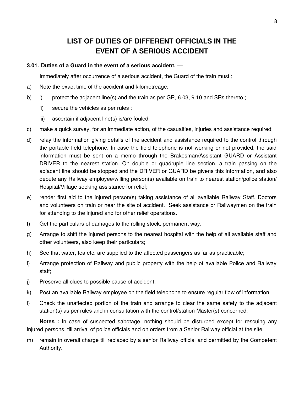# **LIST OF DUTIES OF DIFFERENT OFFICIALS IN THE EVENT OF A SERIOUS ACCIDENT**

#### **3.01. Duties of a Guard in the event of a serious accident. —**

Immediately after occurrence of a serious accident, the Guard of the train must ;

- a) Note the exact time of the accident and kilometreage;
- b) i) protect the adjacent line(s) and the train as per GR, 6.03, 9.10 and SRs thereto;
	- ii) secure the vehicles as per rules ;
	- iii) ascertain if adjacent line(s) is/are fouled;
- c) make a quick survey, for an immediate action, of the casualties, injuries and assistance required;
- d) relay the information giving details of the accident and assistance required to the control through the portable field telephone. In case the field telephone is not working or not provided; the said information must be sent on a memo through the Brakesman/Assistant GUARD or Assistant DRIVER to the nearest station. On double or quadruple line section, a train passing on the adjacent line should be stopped and the DRIVER or GUARD be givens this information, and also depute any Railway employee/willing person(s) available on train to nearest station/police station/ Hospital/Village seeking assistance for relief;
- e) render first aid to the injured person(s) taking assistance of all available Railway Staff, Doctors and volunteers on train or near the site of accident. Seek assistance or Railwaymen on the train for attending to the injured and for other relief operations.
- f) Get the particulars of damages to the rolling stock, permanent way,
- g) Arrange to shift the injured persons to the nearest hospital with the help of all available staff and other volunteers, also keep their particulars;
- h) See that water, tea etc. are supplied to the affected passengers as far as practicable;
- i) Arrange protection of Railway and public property with the help of available Police and Railway staff;
- j) Preserve all clues to possible cause of accident;
- k) Post an available Railway employee on the field telephone to ensure regular flow of information.
- l) Check the unaffected portion of the train and arrange to clear the same safety to the adjacent station(s) as per rules and in consultation with the control/station Master(s) concerned;

**Notes :** In case of suspected sabotage, nothing should be disturbed except for rescuing any injured persons, till arrival of police officials and on orders from a Senior Railway official at the site.

m) remain in overall charge till replaced by a senior Railway official and permitted by the Competent Authority.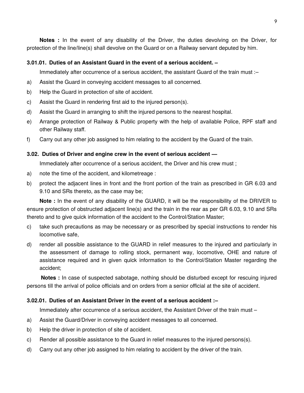**Notes :** In the event of any disability of the Driver, the duties devolving on the Driver, for protection of the line/line(s) shall devolve on the Guard or on a Railway servant deputed by him.

### **3.01.01. Duties of an Assistant Guard in the event of a serious accident. –**

Immediately after occurrence of a serious accident, the assistant Guard of the train must :–

- a) Assist the Guard in conveying accident messages to all concerned.
- b) Help the Guard in protection of site of accident.
- c) Assist the Guard in rendering first aid to the injured person(s).
- d) Assist the Guard in arranging to shift the injured persons to the nearest hospital.
- e) Arrange protection of Railway & Public property with the help of available Police, RPF staff and other Railway staff.
- f) Carry out any other job assigned to him relating to the accident by the Guard of the train.

#### **3.02. Duties of Driver and engine crew in the event of serious accident —**

Immediately after occurrence of a serious accident, the Driver and his crew must ;

- a) note the time of the accident, and kilometreage :
- b) protect the adjacent lines in front and the front portion of the train as prescribed in GR 6.03 and 9.10 and SRs thereto, as the case may be;

**Note :** In the event of any disability of the GUARD, it will be the responsibility of the DRIVER to ensure protection of obstructed adjacent line(s) and the train in the rear as per GR 6.03, 9.10 and SRs thereto and to give quick information of the accident to the Control/Station Master;

- c) take such precautions as may be necessary or as prescribed by special instructions to render his locomotive safe,
- d) render all possible assistance to the GUARD in relief measures to the injured and particularly in the assessment of damage to rolling stock, permanent way, locomotive, OHE and nature of assistance required and in given quick information to the Control/Station Master regarding the accident;

**Notes :** In case of suspected sabotage, nothing should be disturbed except for rescuing injured persons till the arrival of police officials and on orders from a senior official at the site of accident.

### **3.02.01. Duties of an Assistant Driver in the event of a serious accident :–**

Immediately after occurrence of a serious accident, the Assistant Driver of the train must –

- a) Assist the Guard/Driver in conveying accident messages to all concerned.
- b) Help the driver in protection of site of accident.
- c) Render all possible assistance to the Guard in relief measures to the injured persons(s).
- d) Carry out any other job assigned to him relating to accident by the driver of the train.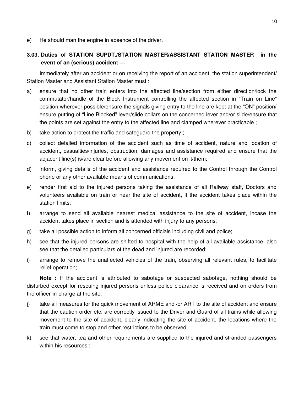e) He should man the engine in absence of the driver.

# **3.03. Duties of STATION SUPDT./STATION MASTER/ASSISTANT STATION MASTER in the event of an (serious) accident —**

Immediately after an accident or on receiving the report of an accident, the station superintendent/ Station Master and Assistant Station Master must :

- a) ensure that no other train enters into the affected line/section from either direction/lock the commutator/handle of the Block Instrument controlling the affected section in "Train on Line" position wherever possible/ensure the signals giving entry to the line are kept at the "ON" position/ ensure putting of "Line Blocked" lever/slide collars on the concerned lever and/or slide/ensure that the points are set against the entry to the affected line and clamped wherever practicable ;
- b) take action to protect the traffic and safeguard the property ;
- c) collect detailed information of the accident such as time of accident, nature and location of accident, casualties/injuries, obstruction, damages and assistance required and ensure that the adjacent line(s) is/are clear before allowing any movement on it/them;
- d) inform, giving details of the accident and assistance required to the Control through the Control phone or any other available means of communications;
- e) render first aid to the injured persons taking the assistance of all Railway staff, Doctors and volunteers available on train or near the site of accident, if the accident takes place within the station limits;
- f) arrange to send all available nearest medical assistance to the site of accident, incase the accident takes place in section and is attended with injury to any persons;
- g) take all possible action to inform all concerned officials including civil and police;
- h) see that the injured persons are shifted to hospital with the help of all available assistance, also see that the detailed particulars of the dead and injured are recorded;
- i) arrange to remove the unaffected vehicles of the train, observing all relevant rules, to facilitate relief operation;

**Note :** If the accident is attributed to sabotage or suspected sabotage, nothing should be disturbed except for rescuing injured persons unless police clearance is received and on orders from the officer-in-charge at the site.

- j) take all measures for the quick movement of ARME and /or ART to the site of accident and ensure that the caution order etc. are correctly issued to the Driver and Guard of all trains while allowing movement to the site of accident, clearly indicating the site of accident, the locations where the train must come to stop and other restrictions to be observed;
- k) see that water, tea and other requirements are supplied to the injured and stranded passengers within his resources ;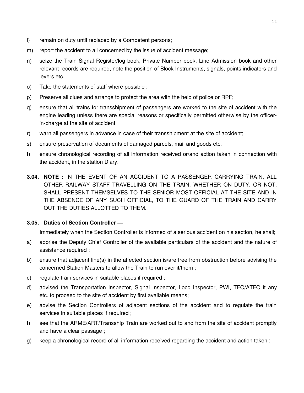- l) remain on duty until replaced by a Competent persons;
- m) report the accident to all concerned by the issue of accident message;
- n) seize the Train Signal Register/log book, Private Number book, Line Admission book and other relevant records are required, note the position of Block Instruments, signals, points indicators and levers etc.
- o) Take the statements of staff where possible ;
- p) Preserve all clues and arrange to protect the area with the help of police or RPF;
- q) ensure that all trains for transshipment of passengers are worked to the site of accident with the engine leading unless there are special reasons or specifically permitted otherwise by the officerin-charge at the site of accident;
- r) warn all passengers in advance in case of their transshipment at the site of accident;
- s) ensure preservation of documents of damaged parcels, mail and goods etc.
- t) ensure chronological recording of all information received or/and action taken in connection with the accident, in the station Diary.
- **3.04. NOTE :** IN THE EVENT OF AN ACCIDENT TO A PASSENGER CARRYING TRAIN, ALL OTHER RAILWAY STAFF TRAVELLING ON THE TRAIN, WHETHER ON DUTY, OR NOT, SHALL PRESENT THEMSELVES TO THE SENIOR MOST OFFICIAL AT THE SITE AND IN THE ABSENCE OF ANY SUCH OFFICIAL, TO THE GUARD OF THE TRAIN AND CARRY OUT THE DUTIES ALLOTTED TO THEM.

### **3.05. Duties of Section Controller —**

Immediately when the Section Controller is informed of a serious accident on his section, he shall;

- a) apprise the Deputy Chief Controller of the available particulars of the accident and the nature of assistance required ;
- b) ensure that adjacent line(s) in the affected section is/are free from obstruction before advising the concerned Station Masters to allow the Train to run over it/them ;
- c) regulate train services in suitable places if required ;
- d) advised the Transportation Inspector, Signal Inspector, Loco Inspector, PWI, TFO/ATFO it any etc. to proceed to the site of accident by first available means;
- e) advise the Section Controllers of adjacent sections of the accident and to regulate the train services in suitable places if required ;
- f) see that the ARME/ART/Transship Train are worked out to and from the site of accident promptly and have a clear passage ;
- g) keep a chronological record of all information received regarding the accident and action taken ;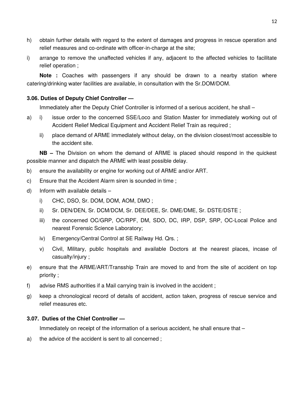- h) obtain further details with regard to the extent of damages and progress in rescue operation and relief measures and co-ordinate with officer-in-charge at the site;
- i) arrange to remove the unaffected vehicles if any, adjacent to the affected vehicles to facilitate relief operation ;

**Note :** Coaches with passengers if any should be drawn to a nearby station where catering/drinking water facilities are available, in consultation with the Sr.DOM/DOM.

# **3.06. Duties of Deputy Chief Controller —**

Immediately after the Deputy Chief Controller is informed of a serious accident, he shall –

- a) i) issue order to the concerned SSE/Loco and Station Master for immediately working out of Accident Relief Medical Equipment and Accident Relief Train as required ;
	- ii) place demand of ARME immediately without delay, on the division closest/most accessible to the accident site.

**NB –** The Division on whom the demand of ARME is placed should respond in the quickest possible manner and dispatch the ARME with least possible delay.

- b) ensure the availability or engine for working out of ARME and/or ART.
- c) Ensure that the Accident Alarm siren is sounded in time ;
- d) Inform with available details
	- i) CHC, DSO, Sr. DOM, DOM, AOM, DMO ;
	- ii) Sr. DEN/DEN, Sr. DCM/DCM, Sr. DEE/DEE, Sr. DME/DME, Sr. DSTE/DSTE ;
	- iii) the concerned OC/GRP, OC/RPF, DM, SDO, DC, IRP, DSP, SRP, OC-Local Police and nearest Forensic Science Laboratory;
	- iv) Emergency/Central Control at SE Railway Hd. Qrs. ;
	- v) Civil, Military, public hospitals and available Doctors at the nearest places, incase of casualty/injury ;
- e) ensure that the ARME/ART/Transship Train are moved to and from the site of accident on top priority ;
- f) advise RMS authorities if a Mail carrying train is involved in the accident ;
- g) keep a chronological record of details of accident, action taken, progress of rescue service and relief measures etc.

#### **3.07. Duties of the Chief Controller —**

Immediately on receipt of the information of a serious accident, he shall ensure that –

a) the advice of the accident is sent to all concerned ;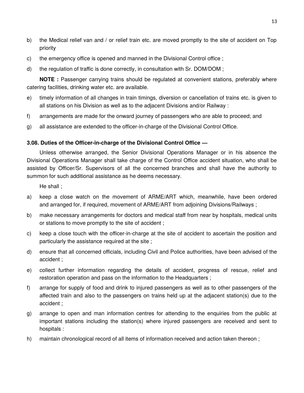- b) the Medical relief van and / or relief train etc. are moved promptly to the site of accident on Top priority
- c) the emergency office is opened and manned in the Divisional Control office ;
- d) the regulation of traffic is done correctly, in consultation with Sr. DOM/DOM ;

**NOTE :** Passenger carrying trains should be regulated at convenient stations, preferably where catering facilities, drinking water etc. are available.

- e) timely information of all changes in train timings, diversion or cancellation of trains etc. is given to all stations on his Division as well as to the adjacent Divisions and/or Railway :
- f) arrangements are made for the onward journey of passengers who are able to proceed; and
- g) all assistance are extended to the officer-in-charge of the Divisional Control Office.

# **3.08. Duties of the Officer-in-charge of the Divisional Control Office —**

Unless otherwise arranged, the Senior Divisional Operations Manager or in his absence the Divisional Operations Manager shall take charge of the Control Office accident situation, who shall be assisted by Officer/Sr. Supervisors of all the concerned branches and shall have the authority to summon for such additional assistance as he deems necessary.

He shall ;

- a) keep a close watch on the movement of ARME/ART which, meanwhile, have been ordered and arranged for, if required, movement of ARME/ART from adjoining Divisions/Railways ;
- b) make necessary arrangements for doctors and medical staff from near by hospitals, medical units or stations to move promptly to the site of accident ;
- c) keep a close touch with the officer-in-charge at the site of accident to ascertain the position and particularly the assistance required at the site ;
- d) ensure that all concerned officials, including Civil and Police authorities, have been advised of the accident ;
- e) collect further information regarding the details of accident, progress of rescue, relief and restoration operation and pass on the information to the Headquarters ;
- f) arrange for supply of food and drink to injured passengers as well as to other passengers of the affected train and also to the passengers on trains held up at the adjacent station(s) due to the accident ;
- g) arrange to open and man information centres for attending to the enquiries from the public at important stations including the station(s) where injured passengers are received and sent to hospitals :
- h) maintain chronological record of all items of information received and action taken thereon ;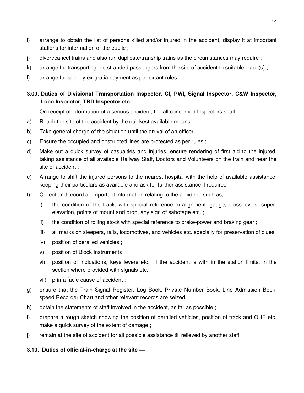- i) arrange to obtain the list of persons killed and/or injured in the accident, display it at important stations for information of the public ;
- j) divert/cancel trains and also run duplicate/tranship trains as the circumstances may require ;
- k) arrange for transporting the stranded passengers from the site of accident to suitable place(s) ;
- l) arrange for speedy ex-gratia payment as per extant rules.

# **3.09. Duties of Divisional Transportation Inspector, CI, PWI, Signal Inspector, C&W Inspector, Loco Inspector, TRD Inspector etc. —**

On receipt of information of a serious accident, the all concerned Inspectors shall –

- a) Reach the site of the accident by the quickest available means;
- b) Take general charge of the situation until the arrival of an officer;
- c) Ensure the occupied and obstructed lines are protected as per rules ;
- d) Make out a quick survey of casualties and injuries, ensure rendering of first aid to the injured, taking assistance of all available Railway Staff, Doctors and Volunteers on the train and near the site of accident ;
- e) Arrange to shift the injured persons to the nearest hospital with the help of available assistance, keeping their particulars as available and ask for further assistance if required ;
- f) Collect and record all important information relating to the accident, such as,
	- i) the condition of the track, with special reference to alignment, gauge, cross-levels, superelevation, points of mount and drop, any sign of sabotage etc. ;
	- ii) the condition of rolling stock with special reference to brake-power and braking gear ;
	- iii) all marks on sleepers, rails, locomotives, and vehicles etc. specially for preservation of clues;
	- iv) position of derailed vehicles ;
	- v) position of Block Instruments ;
	- vi) position of indications, keys levers etc. if the accident is with in the station limits, in the section where provided with signals etc.
	- vii) prima facie cause of accident ;
- g) ensure that the Train Signal Register, Log Book, Private Number Book, Line Admission Book, speed Recorder Chart and other relevant records are seized,
- h) obtain the statements of staff involved in the accident, as far as possible ;
- i) prepare a rough sketch showing the position of derailed vehicles, position of track and OHE etc. make a quick survey of the extent of damage ;
- j) remain at the site of accident for all possible assistance till relieved by another staff.

# **3.10. Duties of official-in-charge at the site —**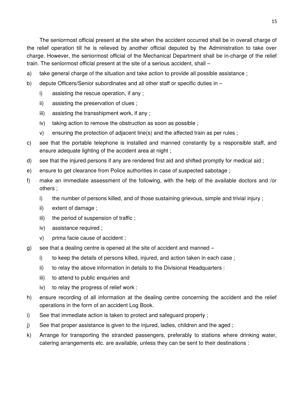The seniormost official present at the site when the accident occurred shall be in overall charge of the relief operation till he is relieved by another official deputed by the Administration to take over charge. However, the seniormost official of the Mechanical Department shall be in-charge of the relief train. The seniormost official present at the site of a serious accident, shall –

- a) take general charge of the situation and take action to provide all possible assistance ;
- b) depute Officers/Senior subordinates and all other staff or specific duties in
	- i) assisting the rescue operation, if any ;
	- ii) assisting the preservation of clues ;
	- iii) assisting the transshipment work, if any ;
	- iv) taking action to remove the obstruction as soon as possible ;
	- v) ensuring the protection of adjacent line(s) and the affected train as per rules ;
- c) see that the portable telephone is installed and manned constantly by a responsible staff, and ensure adequate lighting of the accident area at night ;
- d) see that the injured persons if any are rendered first aid and shifted promptly for medical aid ;
- e) ensure to get clearance from Police authorities in case of suspected sabotage ;
- f) make an immediate assessment of the following, with the help of the available doctors and /or others ;
	- i) the number of persons killed, and of those sustaining grievous, simple and trivial injury ;
	- ii) extent of damage ;
	- iii) the period of suspension of traffic;
	- iv) assistance required ;
	- v) prima facie cause of accident ;
- g) see that a dealing centre is opened at the site of accident and manned
	- i) to keep the details of persons killed, injured, and action taken in each case ;
	- ii) to relay the above information in details to the Divisional Headquarters :
	- iii) to attend to public enquiries and
	- iv) to relay the progress of relief work :
- h) ensure recording of all information at the dealing centre concerning the accident and the relief operations in the form of an accident Log Book.
- i) See that immediate action is taken to protect and safeguard property ;
- j) See that proper assistance is given to the injured, ladies, children and the aged ;
- k) Arrange for transporting the stranded passengers, preferably to stations where drinking water, catering arrangements etc. are available, unless they can be sent to their destinations :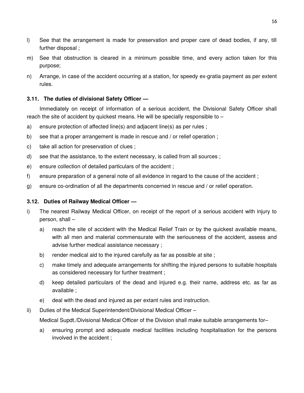- l) See that the arrangement is made for preservation and proper care of dead bodies, if any, till further disposal ;
- m) See that obstruction is cleared in a minimum possible time, and every action taken for this purpose;
- n) Arrange, in case of the accident occurring at a station, for speedy ex-gratia payment as per extent rules.

# **3.11. The duties of divisional Safety Officer —**

Immediately on receipt of information of a serious accident, the Divisional Safety Officer shall reach the site of accident by quickest means. He will be specially responsible to –

- a) ensure protection of affected line(s) and adjacent line(s) as per rules ;
- b) see that a proper arrangement is made in rescue and / or relief operation;
- c) take all action for preservation of clues ;
- d) see that the assistance, to the extent necessary, is called from all sources ;
- e) ensure collection of detailed particulars of the accident ;
- f) ensure preparation of a general note of all evidence in regard to the cause of the accident ;
- g) ensure co-ordination of all the departments concerned in rescue and / or relief operation.

### **3.12. Duties of Railway Medical Officer —**

- i) The nearest Railway Medical Officer, on receipt of the report of a serious accident with injury to person, shall –
	- a) reach the site of accident with the Medical Relief Train or by the quickest available means, with all men and material commensurate with the seriousness of the accident, assess and advise further medical assistance necessary ;
	- b) render medical aid to the injured carefully as far as possible at site ;
	- c) make timely and adequate arrangements for shifting the injured persons to suitable hospitals as considered necessary for further treatment ;
	- d) keep detailed particulars of the dead and injured e.g. their name, address etc. as far as available ;
	- e) deal with the dead and injured as per extant rules and instruction.
- ii) Duties of the Medical Superintendent/Divisional Medical Officer –

Medical Supdt./Divisional Medical Officer of the Division shall make suitable arrangements for–

a) ensuring prompt and adequate medical facilities including hospitalisation for the persons involved in the accident ;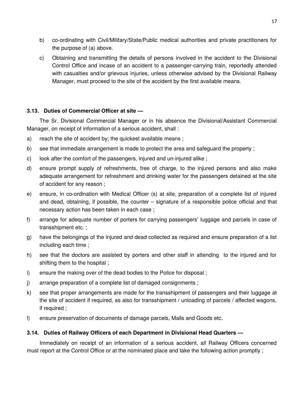- b) co-ordinating with Civil/Military/State/Public medical authorities and private practitioners for the purpose of (a) above.
- c) Obtaining and transmitting the details of persons involved in the accident to the Divisional Control Office and incase of an accident to a passenger-carrying train, reportedly attended with casualties and/or grievous injuries, unless otherwise advised by the Divisional Railway Manager, must proceed to the site of the accident by the first available means.

### **3.13. Duties of Commercial Officer at site —**

The Sr. Divisional Commercial Manager or in his absence the Divisional/Assistant Commercial Manager, on receipt of information of a serious accident, shall :

- a) reach the site of accident by; the quickest available means ;
- b) see that immediate arrangement is made to protect the area and safeguard the property ;
- c) look after the comfort of the passengers, injured and un-injured alike ;
- d) ensure prompt supply of refreshments, free of charge, to the injured persons and also make adequate arrangement for refreshment and drinking water for the passengers detained at the site of accident for any reason ;
- e) ensure, in co-ordination with Medical Officer (s) at site, preparation of a complete list of injured and dead, obtaining, if possible, the counter – signature of a responsible police official and that necessary action has been taken in each case ;
- f) arrange for adequate number of porters for carrying passengers' luggage and parcels in case of transshipment etc. ;
- g) have the belongings of the injured and dead collected as required and ensure preparation of a list including each time ;
- h) see that the doctors are assisted by porters and other staff in attending to the injured and for shifting them to the hospital ;
- i) ensure the making over of the dead bodies to the Police for disposal ;
- j) arrange preparation of a complete list of damaged consignments ;
- k) see that proper arrangements are made for the transshipment of passengers and their luggage at the site of accident if required, as also for transshipment / unloading of parcels / affected wagons, if required ;
- l) ensure preservation of documents of damage parcels, Mails and Goods etc.

### **3.14. Duties of Railway Officers of each Department in Divisional Head Quarters —**

Immediately on receipt of an information of a serious accident, all Railway Officers concerned must report at the Control Office or at the nominated place and take the following action promptly ;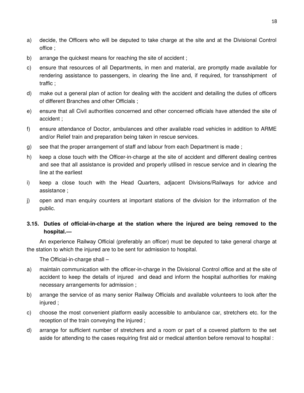- a) decide, the Officers who will be deputed to take charge at the site and at the Divisional Control office ;
- b) arrange the quickest means for reaching the site of accident ;
- c) ensure that resources of all Departments, in men and material, are promptly made available for rendering assistance to passengers, in clearing the line and, if required, for transshipment of traffic ;
- d) make out a general plan of action for dealing with the accident and detailing the duties of officers of different Branches and other Officials ;
- e) ensure that all Civil authorities concerned and other concerned officials have attended the site of accident ;
- f) ensure attendance of Doctor, ambulances and other available road vehicles in addition to ARME and/or Relief train and preparation being taken in rescue services.
- g) see that the proper arrangement of staff and labour from each Department is made ;
- h) keep a close touch with the Officer-in-charge at the site of accident and different dealing centres and see that all assistance is provided and properly utilised in rescue service and in clearing the line at the earliest
- i) keep a close touch with the Head Quarters, adjacent Divisions/Railways for advice and assistance ;
- j) open and man enquiry counters at important stations of the division for the information of the public.

# **3.15. Duties of official-in-charge at the station where the injured are being removed to the hospital.—**

An experience Railway Official (preferably an officer) must be deputed to take general charge at the station to which the injured are to be sent for admission to hospital.

The Official-in-charge shall –

- a) maintain communication with the officer-in-charge in the Divisional Control office and at the site of accident to keep the details of injured and dead and inform the hospital authorities for making necessary arrangements for admission ;
- b) arrange the service of as many senior Railway Officials and available volunteers to look after the injured ;
- c) choose the most convenient platform easily accessible to ambulance car, stretchers etc. for the reception of the train conveying the injured ;
- d) arrange for sufficient number of stretchers and a room or part of a covered platform to the set aside for attending to the cases requiring first aid or medical attention before removal to hospital :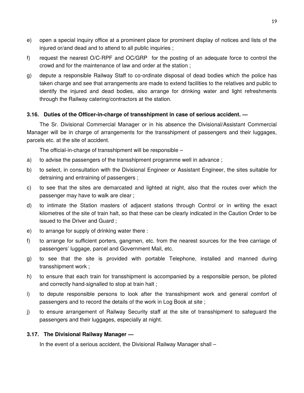- e) open a special inquiry office at a prominent place for prominent display of notices and lists of the injured or/and dead and to attend to all public inquiries ;
- f) request the nearest O/C-RPF and OC/GRP for the posting of an adequate force to control the crowd and for the maintenance of law and order at the station ;
- g) depute a responsible Railway Staff to co-ordinate disposal of dead bodies which the police has taken charge and see that arrangements are made to extend facilities to the relatives and public to identify the injured and dead bodies, also arrange for drinking water and light refreshments through the Railway catering/contractors at the station.

### **3.16. Duties of the Officer-in-charge of transshipment in case of serious accident. —**

The Sr. Divisional Commercial Manager or in his absence the Divisional/Assistant Commercial Manager will be in charge of arrangements for the transshipment of passengers and their luggages, parcels etc. at the site of accident.

The official-in-charge of transshipment will be responsible –

- a) to advise the passengers of the transshipment programme well in advance ;
- b) to select, in consultation with the Divisional Engineer or Assistant Engineer, the sites suitable for detraining and entraining of passengers ;
- c) to see that the sites are demarcated and lighted at night, also that the routes over which the passenger may have to walk are clear ;
- d) to intimate the Station masters of adjacent stations through Control or in writing the exact kilometres of the site of train halt, so that these can be clearly indicated in the Caution Order to be issued to the Driver and Guard ;
- e) to arrange for supply of drinking water there :
- f) to arrange for sufficient porters, gangmen, etc. from the nearest sources for the free carriage of passengers' luggage, parcel and Government Mail, etc.
- g) to see that the site is provided with portable Telephone, installed and manned during transshipment work ;
- h) to ensure that each train for transshipment is accompanied by a responsible person, be piloted and correctly hand-signalled to stop at train halt ;
- i) to depute responsible persons to look after the transshipment work and general comfort of passengers and to record the details of the work in Log Book at site ;
- j) to ensure arrangement of Railway Security staff at the site of transshipment to safeguard the passengers and their luggages, especially at night.

### **3.17. The Divisional Railway Manager —**

In the event of a serious accident, the Divisional Railway Manager shall –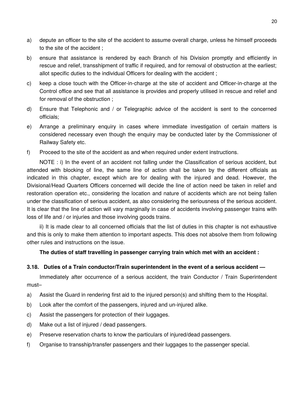- a) depute an officer to the site of the accident to assume overall charge, unless he himself proceeds to the site of the accident ;
- b) ensure that assistance is rendered by each Branch of his Division promptly and efficiently in rescue and relief, transshipment of traffic if required, and for removal of obstruction at the earliest; allot specific duties to the individual Officers for dealing with the accident ;
- c) keep a close touch with the Officer-in-charge at the site of accident and Officer-in-charge at the Control office and see that all assistance is provides and properly utilised in rescue and relief and for removal of the obstruction ;
- d) Ensure that Telephonic and / or Telegraphic advice of the accident is sent to the concerned officials;
- e) Arrange a preliminary enquiry in cases where immediate investigation of certain matters is considered necessary even though the enquiry may be conducted later by the Commissioner of Railway Safety etc.
- f) Proceed to the site of the accident as and when required under extent instructions.

NOTE : i) In the event of an accident not falling under the Classification of serious accident, but attended with blocking of line, the same line of action shall be taken by the different officials as indicated in this chapter, except which are for dealing with the injured and dead. However, the Divisional/Head Quarters Officers concerned will decide the line of action need be taken in relief and restoration operation etc., considering the location and nature of accidents which are not being fallen under the classification of serious accident, as also considering the seriousness of the serious accident. It is clear that the line of action will vary marginally in case of accidents involving passenger trains with loss of life and / or injuries and those involving goods trains.

ii) It is made clear to all concerned officials that the list of duties in this chapter is not exhaustive and this is only to make them attention to important aspects. This does not absolve them from following other rules and instructions on the issue.

#### **The duties of staff travelling in passenger carrying train which met with an accident :**

#### **3.18. Duties of a Train conductor/Train superintendent in the event of a serious accident —**

Immediately after occurrence of a serious accident, the train Conductor / Train Superintendent must–

- a) Assist the Guard in rendering first aid to the injured person(s) and shifting them to the Hospital.
- b) Look after the comfort of the passengers, injured and un-injured alike.
- c) Assist the passengers for protection of their luggages.
- d) Make out a list of injured / dead passengers.
- e) Preserve reservation charts to know the particulars of injured/dead passengers.
- f) Organise to transship/transfer passengers and their luggages to the passenger special.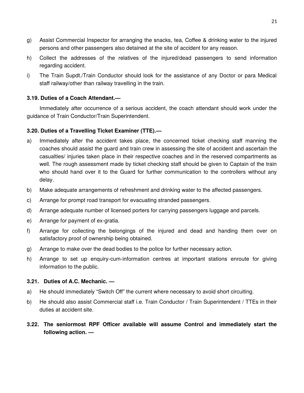- g) Assist Commercial Inspector for arranging the snacks, tea, Coffee & drinking water to the injured persons and other passengers also detained at the site of accident for any reason.
- h) Collect the addresses of the relatives of the injured/dead passengers to send information regarding accident.
- i) The Train Supdt./Train Conductor should look for the assistance of any Doctor or para Medical staff railway/other than railway travelling in the train.

# **3.19. Duties of a Coach Attendant.—**

Immediately after occurrence of a serious accident, the coach attendant should work under the guidance of Train Conductor/Train Superintendent.

# **3.20. Duties of a Travelling Ticket Examiner (TTE).—**

- a) Immediately after the accident takes place, the concerned ticket checking staff manning the coaches should assist the guard and train crew in assessing the site of accident and ascertain the casualties/ injuries taken place in their respective coaches and in the reserved compartments as well. The rough assessment made by ticket checking staff should be given to Captain of the train who should hand over it to the Guard for further communication to the controllers without any delay.
- b) Make adequate arrangements of refreshment and drinking water to the affected passengers.
- c) Arrange for prompt road transport for evacuating stranded passengers.
- d) Arrange adequate number of licensed porters for carrying passengers luggage and parcels.
- e) Arrange for payment of ex-gratia.
- f) Arrange for collecting the belongings of the injured and dead and handing them over on satisfactory proof of ownership being obtained.
- g) Arrange to make over the dead bodies to the police for further necessary action.
- h) Arrange to set up enquiry-cum-information centres at important stations enroute for giving information to the public.

### **3.21. Duties of A.C. Mechanic. —**

- a) He should immediately "Switch Off" the current where necessary to avoid short circuiting.
- b) He should also assist Commercial staff i.e. Train Conductor / Train Superintendent / TTEs in their duties at accident site.
- **3.22. The seniormost RPF Officer available will assume Control and immediately start the following action. —**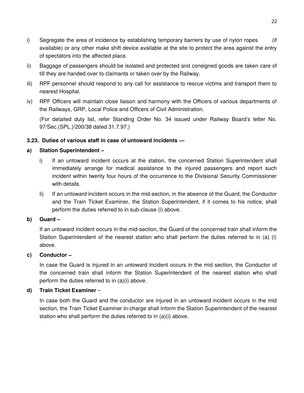- i) Segregate the area of incidence by establishing temporary barriers by use of nylon ropes (if available) or any other make shift device available at the site to protect the area against the entry of spectators into the affected place.
- ii) Baggage of passengers should be isolated and protected and consigned goods are taken care of till they are handed over to claimants or taken over by the Railway.
- iii) RPF personnel should respond to any call for assistance to rescue victims and transport them to nearest Hospital.
- iv) RPF Officers will maintain close liaison and harmony with the Officers of various departments of the Railways, GRP, Local Police and Officers of Civil Administration.

(For detailed duty list, refer Standing Order No. 34 issued under Railway Board's letter No. 97/Sec.(SPL.)/200/38 dated 31.7.97.)

# **3.23. Duties of various staff in case of untoward incidents —**

### **a) Station Superintendent –**

- i) If an untoward incident occurs at the station, the concerned Station Superintendent shall immediately arrange for medical assistance to the injured passengers and report such incident within twenty four hours of the occurrence to the Divisional Security Commissioner with details.
- ii) If an untoward incident occurs in the mid-section, in the absence of the Guard; the Conductor and the Train Ticket Examiner, the Station Superintendent, if it comes to his notice, shall perform the duties referred to in sub-clause (i) above.

### **b) Guard –**

If an untoward incident occurs in the mid-section, the Guard of the concerned train shall inform the Station Superintendent of the nearest station who shall perform the duties referred to in (a) (i) above.

### **c) Conductor –**

In case the Guard is injured in an untoward incident occurs in the mid section, the Conductor of the concerned train shall inform the Station Superintendent of the nearest station who shall perform the duties referred to in (a)(i) above.

# **d) Train Ticket Examiner** –

In case both the Guard and the conductor are injured in an untoward incident occurs in the mid section, the Train Ticket Examiner in-charge shall inform the Station Superintendent of the nearest station who shall perform the duties referred to in (a)(i) above.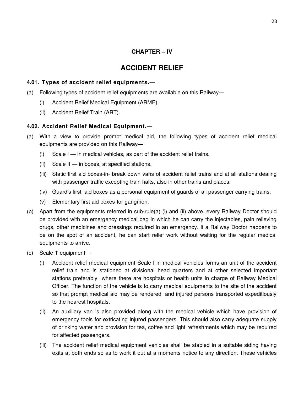# **CHAPTER – IV**

# **ACCIDENT RELIEF**

# **4.01. Types of accident relief equipments.—**

- (a) Following types of accident relief equipments are available on this Railway—
	- (i) Accident Relief Medical Equipment (ARME).
	- (ii) Accident Relief Train (ART).

# **4.02. Accident Relief Medical Equipment.—**

- (a) With a view to provide prompt medical aid, the following types of accident relief medical equipments are provided on this Railway—
	- $(i)$  Scale I in medical vehicles, as part of the accident relief trains.
	- (ii) Scale II in boxes, at specified stations.
	- (iii) Static first aid boxes-in- break down vans of accident relief trains and at all stations dealing with passenger traffic excepting train halts, also in other trains and places.
	- (iv) Guard's first aid boxes-as a personal equipment of guards of all passenger carrying trains.
	- (v) Elementary first aid boxes-for gangmen.
- (b) Apart from the equipments referred in sub-rule(a) (i) and (ii) above, every Railway Doctor should be provided with an emergency medical bag in which he can carry the injectables, pain relieving drugs, other medicines and dressings required in an emergency. If a Railway Doctor happens to be on the spot of an accident, he can start relief work without waiting for the regular medical equipments to arrive.
- (c) Scale 'I' equipment—
	- (i) Accident relief medical equipment Scale-I in medical vehicles forms an unit of the accident relief train and is stationed at divisional head quarters and at other selected important stations preferably where there are hospitals or health units in charge of Railway Medical Officer. The function of the vehicle is to carry medical equipments to the site of the accident so that prompt medical aid may be rendered and injured persons transported expeditiously to the nearest hospitals.
	- (ii) An auxiliary van is also provided along with the medical vehicle which have provision of emergency tools for extricating injured passengers. This should also carry adequate supply of drinking water and provision for tea, coffee and light refreshments which may be required for affected passengers.
	- (iii) The accident relief medical equipment vehicles shall be stabled in a suitable siding having exits at both ends so as to work it out at a moments notice to any direction. These vehicles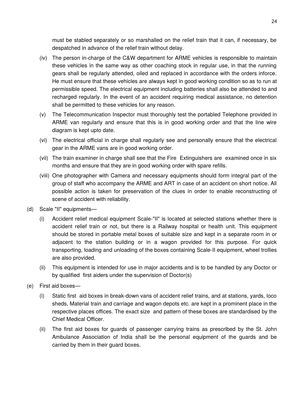must be stabled separately or so marshalled on the relief train that it can, if necessary, be despatched in advance of the relief train without delay.

- (iv) The person in-charge of the C&W department for ARME vehicles is responsible to maintain these vehicles in the same way as other coaching stock in regular use, in that the running gears shall be regularly attended, oiled and replaced in accordance with the orders inforce. He must ensure that these vehicles are always kept in good working condition so as to run at permissible speed. The electrical equipment including batteries shall also be attended to and recharged regularly. In the event of an accident requiring medical assistance, no detention shall be permitted to these vehicles for any reason.
- (v) The Telecommunication Inspector must thoroughly test the portabled Telephone provided in ARME van regularly and ensure that this is in good working order and that the line wire diagram is kept upto date.
- (vi) The electrical official in charge shall regularly see and personally ensure that the electrical gear in the ARME vans are in good working order.
- (vii) The train examiner in charge shall see that the Fire Extinguishers are examined once in six months and ensure that they are in good working order with spare refills.
- (viii) One photographer with Camera and necessary equipments should form integral part of the group of staff who accompany the ARME and ART in case of an accident on short notice. All possible action is taken for preservation of the clues in order to enable reconstructing of scene of accident with reliability.
- (d) Scale "II" equipments—
	- (i) Accident relief medical equipment Scale-"II" is located at selected stations whether there is accident relief train or not, but there is a Railway hospital or health unit. This equipment should be stored in portable metal boxes of suitable size and kept in a separate room in or adjacent to the station building or in a wagon provided for this purpose. For quick transporting, loading and unloading of the boxes containing Scale-II equipment, wheel trollies are also provided.
	- (ii) This equipment is intended for use in major accidents and is to be handled by any Doctor or by qualified first aiders under the supervision of Doctor(s)
- (e) First aid boxes—
	- (i) Static first aid boxes in break-down vans of accident relief trains, and at stations, yards, loco sheds, Material train and carriage and wagon depots etc. are kept in a prominent place in the respective places offices. The exact size and pattern of these boxes are standardised by the Chief Medical Officer.
	- (ii) The first aid boxes for guards of passenger carrying trains as prescribed by the St. John Ambulance Association of India shall be the personal equipment of the guards and be carried by them in their guard boxes.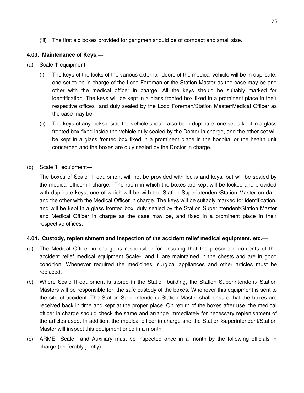(iii) The first aid boxes provided for gangmen should be of compact and small size.

### **4.03. Maintenance of Keys.—**

- (a) Scale 'I' equipment.
	- (i) The keys of the locks of the various external doors of the medical vehicle will be in duplicate, one set to be in charge of the Loco Foreman or the Station Master as the case may be and other with the medical officer in charge. All the keys should be suitably marked for identification. The keys will be kept in a glass fronted box fixed in a prominent place in their respective offices and duly sealed by the Loco Foreman/Station Master/Medical Officer as the case may be.
	- (ii) The keys of any locks inside the vehicle should also be in duplicate, one set is kept in a glass fronted box fixed inside the vehicle duly sealed by the Doctor in charge, and the other set will be kept in a glass fronted box fixed in a prominent place in the hospital or the health unit concerned and the boxes are duly sealed by the Doctor in charge.
- (b) Scale 'II' equipment—

The boxes of Scale-'II' equipment will not be provided with locks and keys, but will be sealed by the medical officer in charge. The room in which the boxes are kept will be locked and provided with duplicate keys, one of which will be with the Station Superintendent/Station Master on date and the other with the Medical Officer in charge. The keys will be suitably marked for identification, and will be kept in a glass fronted box, duly sealed by the Station Superintendent/Station Master and Medical Officer in charge as the case may be, and fixed in a prominent place in their respective offices.

### **4.04. Custody, replenishment and inspection of the accident relief medical equipment, etc.—**

- (a) The Medical Officer in charge is responsible for ensuring that the prescribed contents of the accident relief medical equipment Scale-I and II are maintained in the chests and are in good condition. Whenever required the medicines, surgical appliances and other articles must be replaced.
- (b) Where Scale II equipment is stored in the Station building, the Station Superintendent/ Station Masters will be responsible for the safe custody of the boxes. Whenever this equipment is sent to the site of accident. The Station Superintendent/ Station Master shall ensure that the boxes are received back in time and kept at the proper place. On return of the boxes after use, the medical officer in charge should check the same and arrange immediately for necessary replenishment of the articles used. In addition, the medical officer in charge and the Station Superintendent/Station Master will inspect this equipment once in a month.
- (c) ARME Scale-I and Auxiliary must be inspected once in a month by the following officials in charge (preferably jointly)–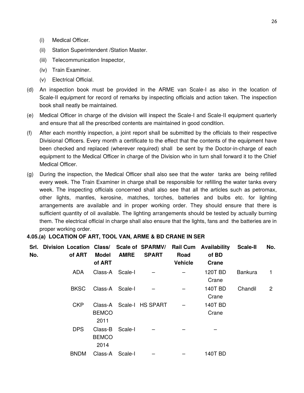- (i) Medical Officer.
- (ii) Station Superintendent /Station Master.
- (iii) Telecommunication Inspector,
- (iv) Train Examiner.
- (v) Electrical Official.
- (d) An inspection book must be provided in the ARME van Scale-I as also in the location of Scale-II equipment for record of remarks by inspecting officials and action taken. The inspection book shall neatly be maintained.
- (e) Medical Officer in charge of the division will inspect the Scale-I and Scale-II equipment quarterly and ensure that all the prescribed contents are maintained in good condition.
- (f) After each monthly inspection, a joint report shall be submitted by the officials to their respective Divisional Officers. Every month a certificate to the effect that the contents of the equipment have been checked and replaced (wherever required) shall be sent by the Doctor-in-charge of each equipment to the Medical Officer in charge of the Division who in turn shall forward it to the Chief Medical Officer.
- (g) During the inspection, the Medical Officer shall also see that the water tanks are being refilled every week. The Train Examiner in charge shall be responsible for refilling the water tanks every week. The inspecting officials concerned shall also see that all the articles such as petromax, other lights, mantles, kerosine, matches, torches, batteries and bulbs etc. for lighting arrangements are available and in proper working order. They should ensure that there is sufficient quantity of oil available. The lighting arrangements should be tested by actually burning them. The electrical official in charge shall also ensure that the lights, fans and the batteries are in proper working order.

#### **4.05.(a) LOCATION OF ART, TOOL VAN, ARME & BD CRANE IN SER**

| Srl.<br>No. | Division Location Class/ Scale of SPARMV/<br>of ART | Model<br>of ART                 | <b>AMRE</b> | <b>SPART</b>             | Road<br><b>Vehicle</b> | <b>Rail Cum Availability</b><br>of BD<br><b>Crane</b> | <b>Scale-II</b> | No.            |
|-------------|-----------------------------------------------------|---------------------------------|-------------|--------------------------|------------------------|-------------------------------------------------------|-----------------|----------------|
|             | ADA                                                 | Class-A Scale-I                 |             |                          |                        | 120T BD<br>Crane                                      | <b>Bankura</b>  | 1              |
|             | <b>BKSC</b>                                         | Class-A Scale-I                 |             |                          |                        | <b>140T BD</b><br>Crane                               | Chandil         | $\overline{2}$ |
|             | <b>CKP</b>                                          | <b>BEMCO</b><br>2011            |             | Class-A Scale-I HS SPART |                        | <b>140T BD</b><br>Crane                               |                 |                |
|             | <b>DPS</b>                                          | Class-B<br><b>BEMCO</b><br>2014 | Scale-I     |                          |                        |                                                       |                 |                |
|             | <b>BNDM</b>                                         | Class-A                         | Scale-I     |                          |                        | 140T BD                                               |                 |                |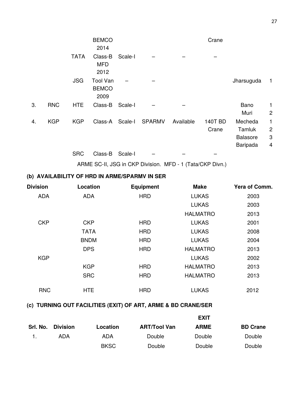|    |            |             | <b>BEMCO</b><br>2014                    |         |               |           | Crane                   |                                                  |                               |
|----|------------|-------------|-----------------------------------------|---------|---------------|-----------|-------------------------|--------------------------------------------------|-------------------------------|
|    |            | <b>TATA</b> | Class-B<br><b>MFD</b><br>2012           | Scale-I |               |           |                         |                                                  |                               |
|    |            | <b>JSG</b>  | <b>Tool Van</b><br><b>BEMCO</b><br>2009 |         |               |           |                         | Jharsuguda                                       | $\vert$ 1                     |
| 3. | <b>RNC</b> | <b>HTE</b>  | Class-B                                 | Scale-I |               |           |                         | Bano<br>Muri                                     | 1<br>$\overline{c}$           |
| 4. | <b>KGP</b> | <b>KGP</b>  | Class-A                                 | Scale-I | <b>SPARMV</b> | Available | <b>140T BD</b><br>Crane | Mecheda<br>Tamluk<br><b>Balasore</b><br>Baripada | 1<br>$\overline{c}$<br>3<br>4 |
|    |            | <b>SRC</b>  | Class-B                                 | Scale-I |               |           |                         |                                                  |                               |

ARME SC-II, JSG in CKP Division. MFD - 1 (Tata/CKP Divn.)

# **(b) AVAILABILITY OF HRD IN ARME/SPARMV IN SER**

| <b>Division</b> | <b>Location</b> | <b>Equipment</b> | <b>Make</b>     | Yera of Comm. |
|-----------------|-----------------|------------------|-----------------|---------------|
| <b>ADA</b>      | <b>ADA</b>      | <b>HRD</b>       | <b>LUKAS</b>    | 2003          |
|                 |                 |                  | <b>LUKAS</b>    | 2003          |
|                 |                 |                  | <b>HALMATRO</b> | 2013          |
| <b>CKP</b>      | <b>CKP</b>      | <b>HRD</b>       | <b>LUKAS</b>    | 2001          |
|                 | <b>TATA</b>     | <b>HRD</b>       | <b>LUKAS</b>    | 2008          |
|                 | <b>BNDM</b>     | <b>HRD</b>       | <b>LUKAS</b>    | 2004          |
|                 | <b>DPS</b>      | <b>HRD</b>       | <b>HALMATRO</b> | 2013          |
| <b>KGP</b>      |                 |                  | <b>LUKAS</b>    | 2002          |
|                 | <b>KGP</b>      | <b>HRD</b>       | <b>HALMATRO</b> | 2013          |
|                 | <b>SRC</b>      | <b>HRD</b>       | <b>HALMATRO</b> | 2013          |
| <b>RNC</b>      | <b>HTE</b>      | <b>HRD</b>       | <b>LUKAS</b>    | 2012          |

# **(c) TURNING OUT FACILITIES (EXIT) OF ART, ARME & BD CRANE/SER**

|          |                 |             |                     | <b>EXIT</b> |                 |
|----------|-----------------|-------------|---------------------|-------------|-----------------|
| Srl. No. | <b>Division</b> | Location    | <b>ART/Tool Van</b> | <b>ARME</b> | <b>BD Crane</b> |
|          | ADA             | ADA         | Double              | Double      | Double          |
|          |                 | <b>BKSC</b> | Double              | Double      | Double          |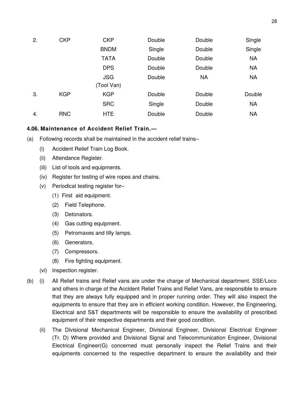| 2. | <b>CKP</b> | <b>CKP</b>  | Double | Double    | Single    |
|----|------------|-------------|--------|-----------|-----------|
|    |            | <b>BNDM</b> | Single | Double    | Single    |
|    |            | <b>TATA</b> | Double | Double    | <b>NA</b> |
|    |            | <b>DPS</b>  | Double | Double    | <b>NA</b> |
|    |            | <b>JSG</b>  | Double | <b>NA</b> | <b>NA</b> |
|    |            | (Tool Van)  |        |           |           |
| 3. | <b>KGP</b> | <b>KGP</b>  | Double | Double    | Double    |
|    |            | <b>SRC</b>  | Single | Double    | <b>NA</b> |
| 4. | <b>RNC</b> | <b>HTE</b>  | Double | Double    | <b>NA</b> |

### **4.06. Maintenance of Accident Relief Train.—**

- (a) Following records shall be maintained in the accident relief trains–
	- (i) Accident Relief Train Log Book.
	- (ii) Attendance Register.
	- (iii) List of tools and equipments.
	- (iv) Register for testing of wire ropes and chains.
	- (v) Periodical testing register for–
		- (1) First aid equipment.
		- (2) Field Telephone.
		- (3) Detonators.
		- (4) Gas cutting equipment.
		- (5) Petromaxes and tilly lamps.
		- (6) Generators.
		- (7) Compressors.
		- (8) Fire fighting equipment.
	- (vi) Inspection register.
- (b) (i) All Relief trains and Relief vans are under the charge of Mechanical department. SSE/Loco and others in charge of the Accident Relief Trains and Relief Vans, are responsible to ensure that they are always fully equipped and in proper running order. They will also inspect the equipments to ensure that they are in efficient working condition. However, the Engineering, Electrical and S&T departments will be responsible to ensure the availability of prescribed equipment of their respective departments and their good condition.
	- (ii) The Divisional Mechanical Engineer, Divisional Engineer, Divisional Electrical Engineer (Tr. D) Where provided and Divisional Signal and Telecommunication Engineer, Divisional Electrical Engineer(G) concerned must personally inspect the Relief Trains and their equipments concerned to the respective department to ensure the availability and their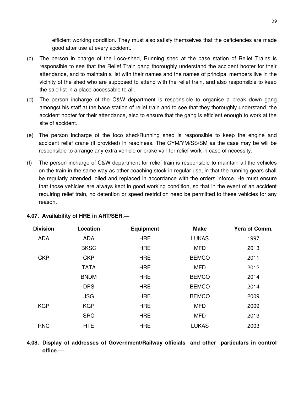efficient working condition. They must also satisfy themselves that the deficiencies are made good after use at every accident.

- (c) The person in charge of the Loco-shed, Running shed at the base station of Relief Trains is responsible to see that the Relief Train gang thoroughly understand the accident hooter for their attendance, and to maintain a list with their names and the names of principal members live in the vicinity of the shed who are supposed to attend with the relief train, and also responsible to keep the said list in a place accessable to all.
- (d) The person incharge of the C&W department is responsible to organise a break down gang amongst his staff at the base station of relief train and to see that they thoroughly understand the accident hooter for their attendance, also to ensure that the gang is efficient enough to work at the site of accident.
- (e) The person incharge of the loco shed/Running shed is responsible to keep the engine and accident relief crane (if provided) in readiness. The CYM/YM/SS/SM as the case may be will be responsible to arrange any extra vehicle or brake van for relief work in case of necessity.
- (f) The person incharge of C&W department for relief train is responsible to maintain all the vehicles on the train in the same way as other coaching stock in regular use, in that the running gears shall be regularly attended, oiled and replaced in accordance with the orders inforce. He must ensure that those vehicles are always kept in good working condition, so that in the event of an accident requiring relief train, no detention or speed restriction need be permitted to these vehicles for any reason.

| <b>Division</b> | Location    | <b>Equipment</b> | <b>Make</b>  | Yera of Comm. |
|-----------------|-------------|------------------|--------------|---------------|
| <b>ADA</b>      | <b>ADA</b>  | <b>HRE</b>       | <b>LUKAS</b> | 1997          |
|                 | <b>BKSC</b> | <b>HRE</b>       | <b>MFD</b>   | 2013          |
| <b>CKP</b>      | <b>CKP</b>  | <b>HRE</b>       | <b>BEMCO</b> | 2011          |
|                 | <b>TATA</b> | <b>HRE</b>       | <b>MFD</b>   | 2012          |
|                 | <b>BNDM</b> | <b>HRE</b>       | <b>BEMCO</b> | 2014          |
|                 | <b>DPS</b>  | <b>HRE</b>       | <b>BEMCO</b> | 2014          |
|                 | <b>JSG</b>  | <b>HRE</b>       | <b>BEMCO</b> | 2009          |
| <b>KGP</b>      | <b>KGP</b>  | <b>HRE</b>       | <b>MFD</b>   | 2009          |
|                 | <b>SRC</b>  | <b>HRE</b>       | <b>MFD</b>   | 2013          |
| <b>RNC</b>      | <b>HTE</b>  | <b>HRE</b>       | <b>LUKAS</b> | 2003          |
|                 |             |                  |              |               |

### **4.07. Availability of HRE in ART/SER.—**

**4.08. Display of addresses of Government/Railway officials and other particulars in control office.—**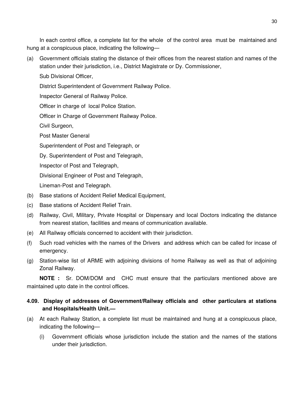In each control office, a complete list for the whole of the control area must be maintained and hung at a conspicuous place, indicating the following—

(a) Government officials stating the distance of their offices from the nearest station and names of the station under their jurisdiction, i.e., District Magistrate or Dy. Commissioner,

Sub Divisional Officer,

District Superintendent of Government Railway Police.

Inspector General of Railway Police.

Officer in charge of local Police Station.

Officer in Charge of Government Railway Police.

Civil Surgeon,

Post Master General

Superintendent of Post and Telegraph, or

Dy. Superintendent of Post and Telegraph,

Inspector of Post and Telegraph,

Divisional Engineer of Post and Telegraph,

Lineman-Post and Telegraph.

- (b) Base stations of Accident Relief Medical Equipment,
- (c) Base stations of Accident Relief Train.
- (d) Railway, Civil, Military, Private Hospital or Dispensary and local Doctors indicating the distance from nearest station, facilities and means of communication available.
- (e) All Railway officials concerned to accident with their jurisdiction.
- (f) Such road vehicles with the names of the Drivers and address which can be called for incase of emergency.
- (g) Station-wise list of ARME with adjoining divisions of home Railway as well as that of adjoining Zonal Railway.

**NOTE :** Sr. DOM/DOM and CHC must ensure that the particulars mentioned above are maintained upto date in the control offices.

# **4.09. Display of addresses of Government/Railway officials and other particulars at stations and Hospitals/Health Unit.—**

- (a) At each Railway Station, a complete list must be maintained and hung at a conspicuous place, indicating the following—
	- (i) Government officials whose jurisdiction include the station and the names of the stations under their jurisdiction.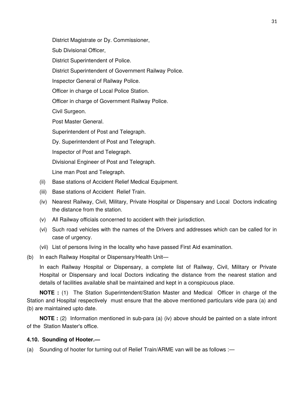District Magistrate or Dy. Commissioner,

Sub Divisional Officer,

District Superintendent of Police.

District Superintendent of Government Railway Police.

Inspector General of Railway Police.

Officer in charge of Local Police Station.

Officer in charge of Government Railway Police.

Civil Surgeon.

Post Master General.

Superintendent of Post and Telegraph.

Dy. Superintendent of Post and Telegraph.

Inspector of Post and Telegraph.

Divisional Engineer of Post and Telegraph.

Line man Post and Telegraph.

- (ii) Base stations of Accident Relief Medical Equipment.
- (iii) Base stations of Accident Relief Train.
- (iv) Nearest Railway, Civil, Military, Private Hospital or Dispensary and Local Doctors indicating the distance from the station.
- (v) All Railway officials concerned to accident with their jurisdiction.
- (vi) Such road vehicles with the names of the Drivers and addresses which can be called for in case of urgency.
- (vii) List of persons living in the locality who have passed First Aid examination.
- (b) In each Railway Hospital or Dispensary/Health Unit—

In each Railway Hospital or Dispensary, a complete list of Railway, Civil, Military or Private Hospital or Dispensary and local Doctors indicating the distance from the nearest station and details of facilities available shall be maintained and kept in a conspicuous place.

**NOTE :** (1) The Station Superintendent/Station Master and Medical Officer in charge of the Station and Hospital respectively must ensure that the above mentioned particulars vide para (a) and (b) are maintained upto date.

**NOTE :** (2) Information mentioned in sub-para (a) (iv) above should be painted on a slate infront of the Station Master's office.

#### **4.10. Sounding of Hooter.—**

(a) Sounding of hooter for turning out of Relief Train/ARME van will be as follows :—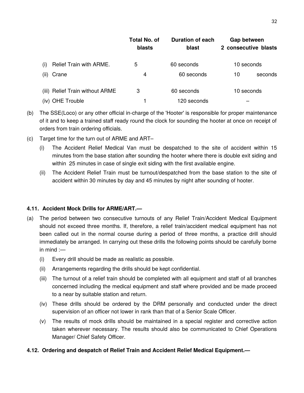|                                 | Total No. of<br><b>blasts</b> | <b>Duration of each</b><br>blast | Gap between<br>2 consecutive blasts |
|---------------------------------|-------------------------------|----------------------------------|-------------------------------------|
| Relief Train with ARME.<br>(i)  | 5                             | 60 seconds                       | 10 seconds                          |
| Crane<br>(ii)                   | 4                             | 60 seconds                       | 10<br>seconds                       |
| (iii) Relief Train without ARME | 3                             | 60 seconds                       | 10 seconds                          |
| (iv) OHE Trouble                |                               | 120 seconds                      |                                     |

- (b) The SSE(Loco) or any other official in-charge of the 'Hooter' is responsible for proper maintenance of it and to keep a trained staff ready round the clock for sounding the hooter at once on receipt of orders from train ordering officials.
- (c) Target time for the turn out of ARME and ART–
	- (i) The Accident Relief Medical Van must be despatched to the site of accident within 15 minutes from the base station after sounding the hooter where there is double exit siding and within 25 minutes in case of single exit siding with the first available engine.
	- (ii) The Accident Relief Train must be turnout/despatched from the base station to the site of accident within 30 minutes by day and 45 minutes by night after sounding of hooter.

### **4.11. Accident Mock Drills for ARME/ART.—**

- (a) The period between two consecutive turnouts of any Relief Train/Accident Medical Equipment should not exceed three months. If, therefore, a relief train/accident medical equipment has not been called out in the normal course during a period of three months, a practice drill should immediately be arranged. In carrying out these drills the following points should be carefully borne in mind :—
	- (i) Every drill should be made as realistic as possible.
	- (ii) Arrangements regarding the drills should be kept confidential.
	- (iii) The turnout of a relief train should be completed with all equipment and staff of all branches concerned including the medical equipment and staff where provided and be made proceed to a near by suitable station and return.
	- (iv) These drills should be ordered by the DRM personally and conducted under the direct supervision of an officer not lower in rank than that of a Senior Scale Officer.
	- (v) The results of mock drills should be maintained in a special register and corrective action taken wherever necessary. The results should also be communicated to Chief Operations Manager/ Chief Safety Officer.

### **4.12. Ordering and despatch of Relief Train and Accident Relief Medical Equipment.—**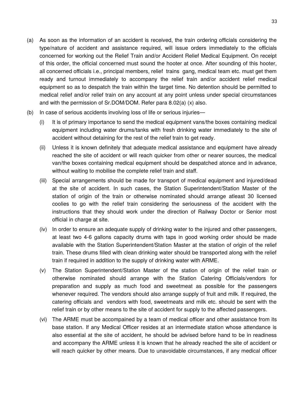- (a) As soon as the information of an accident is received, the train ordering officials considering the type/nature of accident and assistance required, will issue orders immediately to the officials concerned for working out the Relief Train and/or Accident Relief Medical Equipment. On receipt of this order, the official concerned must sound the hooter at once. After sounding of this hooter, all concerned officials i.e., principal members, relief trains gang, medical team etc. must get them ready and turnout immediately to accompany the relief train and/or accident relief medical equipment so as to despatch the train within the target time. No detention should be permitted to medical relief and/or relief train on any account at any point unless under special circumstances and with the permission of Sr.DOM/DOM. Refer para 8.02(a) (x) also.
- (b) In case of serious accidents involving loss of life or serious injuries—
	- (i) It is of primary importance to send the medical equipment vans/the boxes containing medical equipment including water drums/tanks with fresh drinking water immediately to the site of accident without detaining for the rest of the relief train to get ready.
	- (ii) Unless it is known definitely that adequate medical assistance and equipment have already reached the site of accident or will reach quicker from other or nearer sources, the medical van/the boxes containing medical equipment should be despatched atonce and in advance, without waiting to mobilise the complete relief train and staff.
	- (iii) Special arrangements should be made for transport of medical equipment and injured/dead at the site of accident. In such cases, the Station Superintendent/Station Master of the station of origin of the train or otherwise nominated should arrange atleast 30 licensed coolies to go with the relief train considering the seriousness of the accident with the instructions that they should work under the direction of Railway Doctor or Senior most official in charge at site.
	- (iv) In order to ensure an adequate supply of drinking water to the injured and other passengers, at least two 4-6 gallons capacity drums with taps in good working order should be made available with the Station Superintendent/Station Master at the station of origin of the relief train. These drums filled with clean drinking water should be transported along with the relief train if required in addition to the supply of drinking water with ARME.
	- (v) The Station Superintendent/Station Master of the station of origin of the relief train or otherwise nominated should arrange with the Station Catering Officials/vendors for preparation and supply as much food and sweetmeat as possible for the passengers whenever required. The vendors should also arrange supply of fruit and milk. If required, the catering officials and vendors with food, sweetmeats and milk etc. should be sent with the relief train or by other means to the site of accident for supply to the affected passengers.
	- (vi) The ARME must be accompained by a team of medical officer and other assistance from its base station. If any Medical Officer resides at an intermediate station whose attendance is also essential at the site of accident, he should be advised before hand to be in readiness and accompany the ARME unless it is known that he already reached the site of accident or will reach quicker by other means. Due to unavoidable circumstances, if any medical officer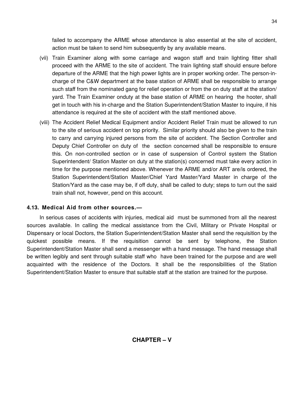failed to accompany the ARME whose attendance is also essential at the site of accident, action must be taken to send him subsequently by any available means.

- (vii) Train Examiner along with some carriage and wagon staff and train lighting fitter shall proceed with the ARME to the site of accident. The train lighting staff should ensure before departure of the ARME that the high power lights are in proper working order. The person-incharge of the C&W department at the base station of ARME shall be responsible to arrange such staff from the nominated gang for relief operation or from the on duty staff at the station/ yard. The Train Examiner onduty at the base station of ARME on hearing the hooter, shall get in touch with his in-charge and the Station Superintendent/Station Master to inquire, if his attendance is required at the site of accident with the staff mentioned above.
- (viii) The Accident Relief Medical Equipment and/or Accident Relief Train must be allowed to run to the site of serious accident on top priority. Similar priority should also be given to the train to carry and carrying injured persons from the site of accident. The Section Controller and Deputy Chief Controller on duty of the section concerned shall be responsible to ensure this. On non-controlled section or in case of suspension of Control system the Station Superintendent/ Station Master on duty at the station(s) concerned must take every action in time for the purpose mentioned above. Whenever the ARME and/or ART are/is ordered, the Station Superintendent/Station Master/Chief Yard Master/Yard Master in charge of the Station/Yard as the case may be, if off duty, shall be called to duty; steps to turn out the said train shall not, however, pend on this account.

### **4.13. Medical Aid from other sources.—**

In serious cases of accidents with injuries, medical aid must be summoned from all the nearest sources available. In calling the medical assistance from the Civil, Military or Private Hospital or Dispensary or local Doctors, the Station Superintendent/Station Master shall send the requisition by the quickest possible means. If the requisition cannot be sent by telephone, the Station Superintendent/Station Master shall send a messenger with a hand message. The hand message shall be written legibly and sent through suitable staff who have been trained for the purpose and are well acquainted with the residence of the Doctors. It shall be the responsibilities of the Station Superintendent/Station Master to ensure that suitable staff at the station are trained for the purpose.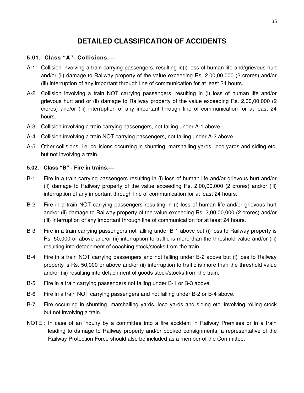# **DETAILED CLASSIFICATION OF ACCIDENTS**

### **5.01. Class "A"- Collisions.—**

- A-1 Collision involving a train carrying passengers, resulting in(i) loss of human life and/grievous hurt and/or (ii) damage to Railway property of the value exceeding Rs. 2,00,00,000 (2 crores) and/or (iii) interruption of any important through line of communication for at least 24 hours.
- A-2 Collision involving a train NOT carrying passengers, resulting in (i) loss of human life and/or grievous hurt and or (ii) damage to Railway property of the value exceeding Rs. 2,00,00,000 (2 crores) and/or (iii) interruption of any important through line of communication for at least 24 hours.
- A-3 Collision involving a train carrying passengers, not falling under A-1 above.
- A-4 Collision involving a train NOT carrying passengers, not falling under A-2 above.
- A-5 Other collisions, i.e. collisions occurring in shunting, marshalling yards, loco yards and siding etc. but not involving a train.

### **5.02. Class "B" - Fire in trains.—**

- B-1 Fire in a train carrying passengers resulting in (i) loss of human life and/or grievous hurt and/or (ii) damage to Railway property of the value exceeding Rs. 2,00,00,000 (2 crores) and/or (iii) interruption of any important through line of communication for at least 24 hours.
- B-2 Fire in a train NOT carrying passengers resulting in (i) loss of human life and/or grievous hurt and/or (ii) damage to Railway property of the value exceeding Rs. 2,00,00,000 (2 crores) and/or (iii) interruption of any important through line of communication for at least 24 hours.
- B-3 Fire in a train carrying passengers not falling under B-1 above but (i) loss to Railway property is Rs. 50,000 or above and/or (ii) interruption to traffic is more than the threshold value and/or (iii) resulting into detachment of coaching stock/stocks from the train.
- B-4 Fire in a train NOT carrying passengers and not falling under B-2 above but (i) loss to Railway property is Rs. 50,000 or above and/or (ii) interruption to traffic is more than the threshold value and/or (iii) resulting into detachment of goods stock/stocks from the train.
- B-5 Fire in a train carrying passengers not falling under B-1 or B-3 above.
- B-6 Fire in a train NOT carrying passengers and not falling under B-2 or B-4 above.
- B-7 Fire occurring in shunting, marshalling yards, loco yards and siding etc. involving rolling stock but not involving a train.
- NOTE : In case of an inquiry by a committee into a fire accident in Railway Premises or in a train leading to damage to Railway property and/or booked consignments, a representative of the Railway Protection Force should also be included as a member of the Committee.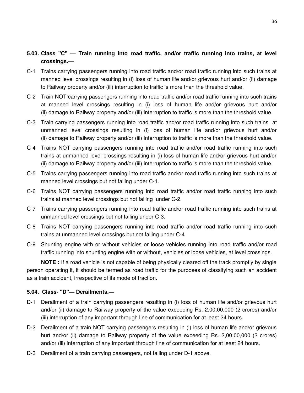# **5.03. Class "C" — Train running into road traffic, and/or traffic running into trains, at level crossings.—**

- C-1 Trains carrying passengers running into road traffic and/or road traffic running into such trains at manned level crossings resulting in (i) loss of human life and/or grievous hurt and/or (ii) damage to Railway property and/or (iii) interruption to traffic is more than the threshold value.
- C-2 Train NOT carrying passengers running into road traffic and/or road traffic running into such trains at manned level crossings resulting in (i) loss of human life and/or grievous hurt and/or (ii) damage to Railway property and/or (iii) interruption to traffic is more than the threshold value.
- C-3 Train carrying passengers running into road traffic and/or road traffic running into such trains at unmanned level crossings resulting in (i) loss of human life and/or grievous hurt and/or (ii) damage to Railway property and/or (iii) interruption to traffic is more than the threshold value.
- C-4 Trains NOT carrying passengers running into road traffic and/or road traffic running into such trains at unmanned level crossings resulting in (i) loss of human life and/or grievous hurt and/or (ii) damage to Railway property and/or (iii) interruption to traffic is more than the threshold value.
- C-5 Trains carrying passengers running into road traffic and/or road traffic running into such trains at manned level crossings but not falling under C-1.
- C-6 Trains NOT carrying passengers running into road traffic and/or road traffic running into such trains at manned level crossings but not falling under C-2.
- C-7 Trains carrying passengers running into road traffic and/or road traffic running into such trains at unmanned level crossings but not falling under C-3.
- C-8 Trains NOT carrying passengers running into road traffic and/or road traffic running into such trains at unmanned level crossings but not falling under C-4
- C-9 Shunting engine with or without vehicles or loose vehicles running into road traffic and/or road traffic running into shunting engine with or without, vehicles or loose vehicles, at level crossings.

**NOTE :** If a road vehicle is not capable of being physically cleared off the track promptly by single person operating it, it should be termed as road traffic for the purposes of classifying such an accident as a train accident, irrespective of its mode of traction.

### **5.04. Class- "D"— Derailments.—**

- D-1 Derailment of a train carrying passengers resulting in (i) loss of human life and/or grievous hurt and/or (ii) damage to Railway property of the value exceeding Rs. 2,00,00,000 (2 crores) and/or (iii) interruption of any important through line of communication for at least 24 hours.
- D-2 Derailment of a train NOT carrying passengers resulting in (i) loss of human life and/or grievous hurt and/or (ii) damage to Railway property of the value exceeding Rs. 2,00,00,000 (2 crores) and/or (iii) interruption of any important through line of communication for at least 24 hours.
- D-3 Derailment of a train carrying passengers, not falling under D-1 above.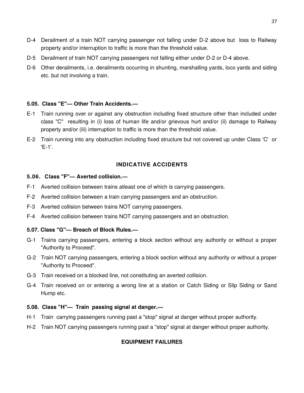- D-4 Derailment of a train NOT carrying passenger not falling under D-2 above but loss to Railway property and/or interruption to traffic is more than the threshold value.
- D-5 Derailment of train NOT carrying passengers not falling either under D-2 or D-4 above.
- D-6 Other derailments, i.e. derailments occurring in shunting, marshalling yards, loco yards and siding etc. but not involving a train.

### **5.05. Class "E"— Other Train Accidents.—**

- E-1 Train running over or against any obstruction including fixed structure other than included under class "C" resulting in (i) loss of human life and/or grievous hurt and/or (ii) damage to Railway property and/or (iii) interruption to traffic is more than the threshold value.
- E-2 Train running into any obstruction including fixed structure but not covered up under Class 'C' or 'E-1'.

### **INDICATIVE ACCIDENTS**

#### **5.06. Class "F"— Averted collision.—**

- F-1 Averted collision between trains atleast one of which is carrying passengers.
- F-2 Averted collision between a train carrying passengers and an obstruction.
- F-3 Averted collision between trains NOT carrying passengers.
- F-4 Averted collision between trains NOT carrying passengers and an obstruction.

### **5.07. Class "G"— Breach of Block Rules.—**

- G-1 Trains carrying passengers, entering a block section without any authority or without a proper "Authority to Proceed".
- G-2 Train NOT carrying passengers, entering a block section without any authority or without a proper "Authority to Proceed".
- G-3 Train received on a blocked line, not constituting an averted collision.
- G-4 Train received on or entering a wrong line at a station or Catch Siding or Slip Siding or Sand Hump etc.

### **5.08. Class "H"— Train passing signal at danger.—**

- H-1 Train carrying passengers running past a "stop" signal at danger without proper authority.
- H-2 Train NOT carrying passengers running past a "stop" signal at danger without proper authority.

### **EQUIPMENT FAILURES**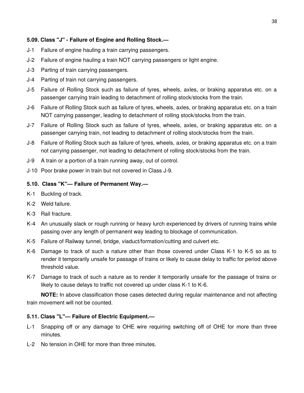### **5.09. Class "J" - Failure of Engine and Rolling Stock.—**

- J-1 Failure of engine hauling a train carrying passengers.
- J-2 Failure of engine hauling a train NOT carrying passengers or light engine.
- J-3 Parting of train carrying passengers.
- J-4 Parting of train not carrying passengers.
- J-5 Failure of Rolling Stock such as failure of tyres, wheels, axles, or braking apparatus etc. on a passenger carrying train leading to detachment of rolling stock/stocks from the train.
- J-6 Failure of Rolling Stock such as failure of tyres, wheels, axles, or braking apparatus etc. on a train NOT carrying passenger, leading to detachment of rolling stock/stocks from the train.
- J-7 Failure of Rolling Stock such as failure of tyres, wheels, axles, or braking apparatus etc. on a passenger carrying train, not leading to detachment of rolling stock/stocks from the train.
- J-8 Failure of Rolling Stock such as failure of tyres, wheels, axles, or braking apparatus etc. on a train not carrying passenger, not leading to detachment of rolling stock/stocks from the train.
- J-9 A train or a portion of a train running away, out of control.
- J-10 Poor brake power in train but not covered in Class J-9.

#### **5.10. Class "K"— Failure of Permanent Way.—**

- K-1 Buckling of track.
- K-2 Weld failure.
- K-3 Rail fracture.
- K-4 An unusually slack or rough running or heavy lurch experienced by drivers of running trains while passing over any length of permanent way leading to blockage of communication.
- K-5 Failure of Railway tunnel, bridge, viaduct/formation/cutting and culvert etc.
- K-6 Damage to track of such a nature other than those covered under Class K-1 to K-5 so as to render it temporarily unsafe for passage of trains or likely to cause delay to traffic for period above threshold value.
- K-7 Damage to track of such a nature as to render it temporarily unsafe for the passage of trains or likely to cause delays to traffic not covered up under class K-1 to K-6.

**NOTE:** In above classification those cases detected during regular maintenance and not affecting train movement will not be counted.

### **5.11. Class "L"— Failure of Electric Equipment.—**

- L-1 Snapping off or any damage to OHE wire requiring switching off of OHE for more than three minutes.
- L-2 No tension in OHE for more than three minutes.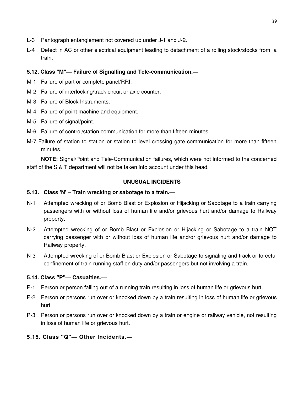- L-3 Pantograph entanglement not covered up under J-1 and J-2.
- L-4 Defect in AC or other electrical equipment leading to detachment of a rolling stock/stocks from a train.

## **5.12. Class "M"— Failure of Signalling and Tele-communication.—**

- M-1 Failure of part or complete panel/RRI.
- M-2 Failure of interlocking/track circuit or axle counter.
- M-3 Failure of Block Instruments.
- M-4 Failure of point machine and equipment.
- M-5 Failure of signal/point.
- M-6 Failure of control/station communication for more than fifteen minutes.
- M-7 Failure of station to station or station to level crossing gate communication for more than fifteen minutes.

**NOTE:** Signal/Point and Tele-Communication failures, which were not informed to the concerned staff of the S & T department will not be taken into account under this head.

### **UNUSUAL INCIDENTS**

### **5.13. Class 'N' – Train wrecking or sabotage to a train.—**

- N-1 Attempted wrecking of or Bomb Blast or Explosion or Hijacking or Sabotage to a train carrying passengers with or without loss of human life and/or grievous hurt and/or damage to Railway property.
- N-2 Attempted wrecking of or Bomb Blast or Explosion or Hijacking or Sabotage to a train NOT carrying passenger with or without loss of human life and/or grievous hurt and/or damage to Railway property.
- N-3 Attempted wrecking of or Bomb Blast or Explosion or Sabotage to signaling and track or forceful confinement of train running staff on duty and/or passengers but not involving a train.

### **5.14. Class "P"— Casualties.—**

- P-1 Person or person falling out of a running train resulting in loss of human life or grievous hurt.
- P-2 Person or persons run over or knocked down by a train resulting in loss of human life or grievous hurt.
- P-3 Person or persons run over or knocked down by a train or engine or railway vehicle, not resulting in loss of human life or grievous hurt.
- **5.15. Class "Q"— Other Incidents.—**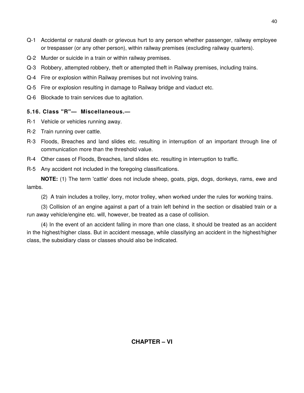- Q-1 Accidental or natural death or grievous hurt to any person whether passenger, railway employee or trespasser (or any other person), within railway premises (excluding railway quarters).
- Q-2 Murder or suicide in a train or within railway premises.
- Q-3 Robbery, attempted robbery, theft or attempted theft in Railway premises, including trains.
- Q-4 Fire or explosion within Railway premises but not involving trains.
- Q-5 Fire or explosion resulting in damage to Railway bridge and viaduct etc.
- Q-6 Blockade to train services due to agitation.

# **5.16. Class "R"— Miscellaneous.—**

- R-1 Vehicle or vehicles running away.
- R-2 Train running over cattle.
- R-3 Floods, Breaches and land slides etc. resulting in interruption of an important through line of communication more than the threshold value.
- R-4 Other cases of Floods, Breaches, land slides etc. resulting in interruption to traffic.
- R-5 Any accident not included in the foregoing classifications.

**NOTE:** (1) The term 'cattle' does not include sheep, goats, pigs, dogs, donkeys, rams, ewe and lambs.

(2) A train includes a trolley, lorry, motor trolley, when worked under the rules for working trains.

(3) Collision of an engine against a part of a train left behind in the section or disabled train or a run away vehicle/engine etc. will, however, be treated as a case of collision.

(4) In the event of an accident falling in more than one class, it should be treated as an accident in the highest/higher class. But in accident message, while classifying an accident in the highest/higher class, the subsidiary class or classes should also be indicated.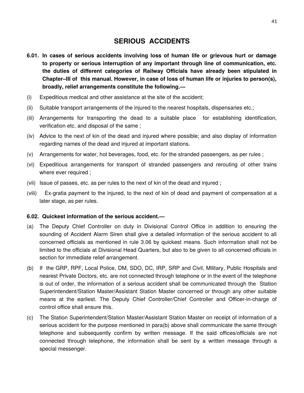# **SERIOUS ACCIDENTS**

- **6.01. In cases of serious accidents involving loss of human life or grievous hurt or damage to property or serious interruption of any important through line of communication, etc. the duties of different categories of Railway Officials have already been stipulated in Chapter–III of this manual. However, in case of loss of human life or injuries to person(s), broadly, relief arrangements constitute the following.—**
- (i) Expeditious medical and other assistance at the site of the accident;
- (ii) Suitable transport arrangements of the injured to the nearest hospitals, dispensaries etc.;
- (iii) Arrangements for transporting the dead to a suitable place for establishing identification, verification etc. and disposal of the same ;
- (iv) Advice to the next of kin of the dead and injured where possible; and also display of information regarding names of the dead and injured at important stations.
- (v) Arrangements for water, hot beverages, food, etc. for the stranded passengers, as per rules ;
- (vi) Expeditious arrangements for transport of stranded passengers and rerouting of other trains where ever required ;
- (vii) Issue of passes, etc. as per rules to the next of kin of the dead and injured ;
- (viii) Ex-gratia payment to the injured, to the next of kin of dead and payment of compensation at a later stage, as per rules.

#### **6.02. Quickest information of the serious accident.—**

- (a) The Deputy Chief Controller on duty in Divisional Control Office in addition to ensuring the sounding of Accident Alarm Siren shall give a detailed information of the serious accident to all concerned officials as mentioned in rule 3.06 by quickest means. Such information shall not be limited to the officials at Divisional Head Quarters, but also to be given to all concerned officials in section for immediate relief arrangement.
- (b) If the GRP, RPF, Local Police, DM, SDO, DC, IRP, SRP and Civil, Military, Public Hospitals and nearest Private Doctors, etc. are not connected through telephone or in the event of the telephone is out of order, the information of a serious accident shall be communicated through the Station Superintendent/Station Master/Assistant Station Master concerned or through any other suitable means at the earliest. The Deputy Chief Controller/Chief Controller and Officer-in-charge of control office shall ensure this.
- (c) The Station Superintendent/Station Master/Assistant Station Master on receipt of information of a serious accident for the purpose mentioned in para(b) above shall communicate the same through telephone and subsequently confirm by written message. If the said offices/officials are not connected through telephone, the information shall be sent by a written message through a special messenger.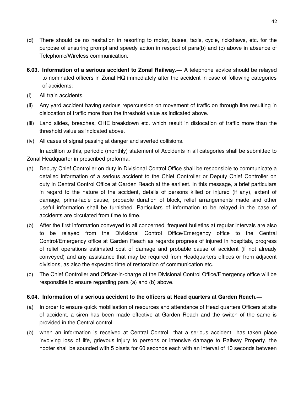- (d) There should be no hesitation in resorting to motor, buses, taxis, cycle, rickshaws, etc. for the purpose of ensuring prompt and speedy action in respect of para(b) and (c) above in absence of Telephonic/Wireless communication.
- **6.03. Information of a serious accident to Zonal Railway.—** A telephone advice should be relayed to nominated officers in Zonal HQ immediately after the accident in case of following categories of accidents:–
- (i) All train accidents.
- (ii) Any yard accident having serious repercussion on movement of traffic on through line resulting in dislocation of traffic more than the threshold value as indicated above.
- (iii) Land slides, breaches, OHE breakdown etc. which result in dislocation of traffic more than the threshold value as indicated above.
- (iv) All cases of signal passing at danger and averted collisions.

In addition to this, periodic (monthly) statement of Accidents in all categories shall be submitted to Zonal Headquarter in prescribed proforma.

- (a) Deputy Chief Controller on duty in Divisional Control Office shall be responsible to communicate a detailed information of a serious accident to the Chief Controller or Deputy Chief Controller on duty in Central Control Office at Garden Reach at the earliest. In this message, a brief particulars in regard to the nature of the accident, details of persons killed or injured (if any), extent of damage, prima-facie cause, probable duration of block, relief arrangements made and other useful information shall be furnished. Particulars of information to be relayed in the case of accidents are circulated from time to time.
- (b) After the first information conveyed to all concerned, frequent bulletins at regular intervals are also to be relayed from the Divisional Control Office/Emergency office to the Central Control/Emergency office at Garden Reach as regards progress of injured in hospitals, progress of relief operations estimated cost of damage and probable cause of accident (if not already conveyed) and any assistance that may be required from Headquarters offices or from adjacent divisions, as also the expected time of restoration of communication etc.
- (c) The Chief Controller and Officer-in-charge of the Divisional Control Office/Emergency office will be responsible to ensure regarding para (a) and (b) above.

#### **6.04. Information of a serious accident to the officers at Head quarters at Garden Reach.—**

- (a) In order to ensure quick mobilisation of resources and attendance of Head quarters Officers at site of accident, a siren has been made effective at Garden Reach and the switch of the same is provided in the Central control.
- (b) when an information is received at Central Control that a serious accident has taken place involving loss of life, grievous injury to persons or intensive damage to Railway Property, the hooter shall be sounded with 5 blasts for 60 seconds each with an interval of 10 seconds between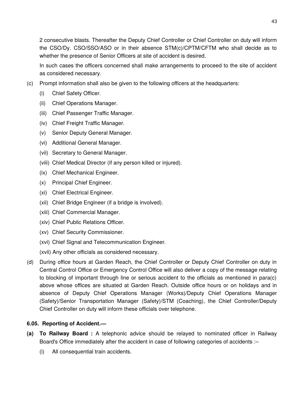2 consecutive blasts. Thereafter the Deputy Chief Controller or Chief Controller on duty will inform the CSO/Dy. CSO/SSO/ASO or in their absence STM(c)/CPTM/CFTM who shall decide as to whether the presence of Senior Officers at site of accident is desired.

In such cases the officers concerned shall make arrangements to proceed to the site of accident as considered necessary.

- (c) Prompt information shall also be given to the following officers at the headquarters:
	- (i) Chief Safety Officer.
	- (ii) Chief Operations Manager.
	- (iii) Chief Passenger Traffic Manager.
	- (iv) Chief Freight Traffic Manager.
	- (v) Senior Deputy General Manager.
	- (vi) Additional General Manager.
	- (vii) Secretary to General Manager.
	- (viii) Chief Medical Director (if any person killed or injured).
	- (ix) Chief Mechanical Engineer.
	- (x) Principal Chief Engineer.
	- (xi) Chief Electrical Engineer.
	- (xii) Chief Bridge Engineer (if a bridge is involved).
	- (xiii) Chief Commercial Manager.
	- (xiv) Chief Public Relations Officer.
	- (xv) Chief Security Commissioner.
	- (xvi) Chief Signal and Telecommunication Engineer.
	- (xvii) Any other officials as considered necessary.
- (d) During office hours at Garden Reach, the Chief Controller or Deputy Chief Controller on duty in Central Control Office or Emergency Control Office will also deliver a copy of the message relating to blocking of important through line or serious accident to the officials as mentioned in para(c) above whose offices are situated at Garden Reach. Outside office hours or on holidays and in absence of Deputy Chief Operations Manager (Works)/Deputy Chief Operations Manager (Safety)/Senior Transportation Manager (Safety)/STM (Coaching), the Chief Controller/Deputy Chief Controller on duty will inform these officials over telephone.

### **6.05. Reporting of Accident.—**

- **(a) To Railway Board :** A telephonic advice should be relayed to nominated officer in Railway Board's Office immediately after the accident in case of following categories of accidents :–
	- (i) All consequential train accidents.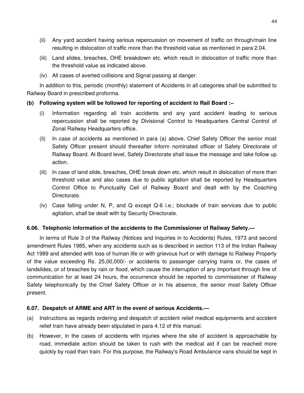- (ii) Any yard accident having serious repercussion on movement of traffic on through/main line resulting in dislocation of traffic more than the threshold value as mentioned in para 2.04.
- (iii) Land slides, breaches, OHE breakdown etc. which result in dislocation of traffic more than the threshold value as indicated above.
- (iv) All cases of averted collisions and Signal passing at danger.

In addition to this, periodic (monthly) statement of Accidents in all categories shall be submitted to Railway Board in prescribed proforma.

### **(b) Following system will be followed for reporting of accident to Rail Board :–**

- (i) Information regarding all train accidents and any yard accident leading to serious repercussion shall be reported by Divisional Control to Headquarters Central Control of Zonal Railway Headquarters office.
- (ii) In case of accidents as mentioned in para (a) above, Chief Safety Officer the senior most Safety Officer present should thereafter inform nominated officer of Safety Directorate of Railway Board. At Board level, Safety Directorate shall issue the message and take follow up action.
- (iii) In case of land slide, breaches, OHE break down etc. which result in dislocation of more than threshold value and also cases due to public agitation shall be reported by Headquarters Control Office to Punctuality Cell of Railway Board and dealt with by the Coaching Directorate.
- (iv) Case falling under N, P, and Q except Q-6 i.e.; blockade of train services due to public agitation, shall be dealt with by Security Directorate.

#### **6.06. Telephonic information of the accidents to the Commissioner of Railway Safety.—**

In terms of Rule 3 of the Railway (Notices and Inquiries in to Accidents) Rules, 1973 and second amendment Rules 1985, when any accidents such as is described in section 113 of the Indian Railway Act 1989 and attended with loss of human life or with grievous hurt or with damage to Railway Property of the value exceeding Rs. 25,00,000/- or accidents to passenger carrying trains or, the cases of landslides, or of breaches by rain or flood, which cause the interruption of any important through line of communication for at least 24 hours, the occurrence should be reported to commissioner of Railway Safety telephonically by the Chief Safety Officer or in his absence, the senior most Safety Officer present.

### **6.07. Despatch of ARME and ART in the event of serious Accidents.—**

- (a) Instructions as regards ordering and despatch of accident relief medical equipments and accident relief train have already been stipulated in para 4.12 of this manual.
- (b) However, in the cases of accidents with injuries where the site of accident is approachable by road, immediate action should be taken to rush with the medical aid if can be reached more quickly by road than train. For this purpose, the Railway's Road Ambulance vans should be kept in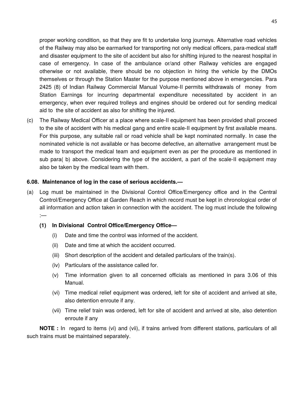proper working condition, so that they are fit to undertake long journeys. Alternative road vehicles of the Railway may also be earmarked for transporting not only medical officers, para-medical staff and disaster equipment to the site of accident but also for shifting injured to the nearest hospital in case of emergency. In case of the ambulance or/and other Railway vehicles are engaged otherwise or not available, there should be no objection in hiring the vehicle by the DMOs themselves or through the Station Master for the purpose mentioned above in emergencies. Para 2425 (8) of Indian Railway Commercial Manual Volume-II permits withdrawals of money from Station Earnings for incurring departmental expenditure necessitated by accident in an emergency, when ever required trolleys and engines should be ordered out for sending medical aid to the site of accident as also for shifting the injured.

(c) The Railway Medical Officer at a place where scale-II equipment has been provided shall proceed to the site of accident with his medical gang and entire scale-II equipment by first available means. For this purpose, any suitable rail or road vehicle shall be kept nominated normally. In case the nominated vehicle is not available or has become defective, an alternative arrangement must be made to transport the medical team and equipment even as per the procedure as mentioned in sub para( b) above. Considering the type of the accident, a part of the scale-II equipment may also be taken by the medical team with them.

#### **6.08. Maintenance of log in the case of serious accidents.—**

(a) Log must be maintained in the Divisional Control Office/Emergency office and in the Central Control/Emergency Office at Garden Reach in which record must be kept in chronological order of all information and action taken in connection with the accident. The log must include the following :—

#### **(1) In Divisional Control Office/Emergency Office—**

- (i) Date and time the control was informed of the accident.
- (ii) Date and time at which the accident occurred.
- (iii) Short description of the accident and detailed particulars of the train(s).
- (iv) Particulars of the assistance called for.
- (v) Time information given to all concerned officials as mentioned in para 3.06 of this Manual.
- (vi) Time medical relief equipment was ordered, left for site of accident and arrived at site, also detention enroute if any.
- (vii) Time relief train was ordered, left for site of accident and arrived at site, also detention enroute if any

**NOTE :** In regard to items (vi) and (vii), if trains arrived from different stations, particulars of all such trains must be maintained separately.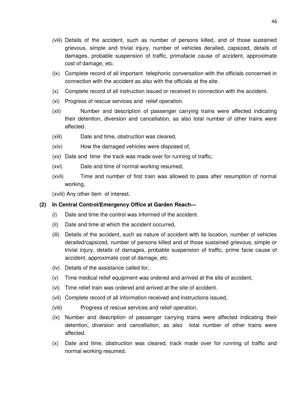- (viii) Details of the accident, such as number of persons killed, and of those sustained grievous, simple and trivial injury, number of vehicles derailed, capsized, details of damages, probable suspension of traffic, primafacie cause of accident, approximate cost of damage, etc.
- (ix) Complete record of all important telephonic conversation with the officials concerned in connection with the accident as also with the officials at the site.
- (x) Complete record of all instruction issued or received in connection with the accident.
- (xi) Progress of rescue services and relief operation.
- (xii) Number and description of passenger carrying trains were affected indicating their detention, diversion and cancellation, as also total number of other trains were affected.
- (xiii) Date and time, obstruction was cleared,
- (xiv) How the damaged vehicles were disposed of,
- (xv) Date and time the track was made over for running of traffic,
- (xvi) Date and time of normal working resumed,
- (xvii) Time and number of first train was allowed to pass after resumption of normal working,

(xviii) Any other item of interest.

### **(2) In Central Control/Emergency Office at Garden Reach—**

- (i) Date and time the control was informed of the accident.
- (ii) Date and time at which the accident occurred,
- (iii) Details of the accident, such as nature of accident with its location, number of vehicles derailed/capsized, number of persons killed and of those sustained grievous, simple or trivial injury, details of damages, probable suspension of traffic, prime facie cause of accident, approximate cost of damage, etc.
- (iv) Details of the assistance called for,
- (v) Time medical relief equipment was ordered and arrived at the site of accident,
- (vi) Time relief train was ordered and arrived at the site of accident.
- (vii) Complete record of all information received and instructions issued,
- (viii) Progress of rescue services and relief operation,
- (ix) Number and description of passenger carrying trains were affected indicating their detention, diversion and cancellation, as also total number of other trains were affected.
- (x) Date and time, obstruction was cleared, track made over for running of traffic and normal working resumed.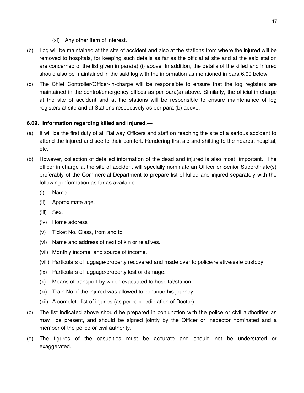- (xi) Any other item of interest.
- (b) Log will be maintained at the site of accident and also at the stations from where the injured will be removed to hospitals, for keeping such details as far as the official at site and at the said station are concerned of the list given in para(a) (i) above. In addition, the details of the killed and injured should also be maintained in the said log with the information as mentioned in para 6.09 below.
- (c) The Chief Controller/Officer-in-charge will be responsible to ensure that the log registers are maintained in the control/emergency offices as per para(a) above. Similarly, the official-in-charge at the site of accident and at the stations will be responsible to ensure maintenance of log registers at site and at Stations respectively as per para (b) above.

### **6.09. Information regarding killed and injured.—**

- (a) It will be the first duty of all Railway Officers and staff on reaching the site of a serious accident to attend the injured and see to their comfort. Rendering first aid and shifting to the nearest hospital, etc.
- (b) However, collection of detailed information of the dead and injured is also most important. The officer in charge at the site of accident will specially nominate an Officer or Senior Subordinate(s) preferably of the Commercial Department to prepare list of killed and injured separately with the following information as far as available.
	- (i) Name.
	- (ii) Approximate age.
	- (iii) Sex.
	- (iv) Home address
	- (v) Ticket No. Class, from and to
	- (vi) Name and address of next of kin or relatives.
	- (vii) Monthly income and source of income.
	- (viii) Particulars of luggage/property recovered and made over to police/relative/safe custody.
	- (ix) Particulars of luggage/property lost or damage.
	- (x) Means of transport by which evacuated to hospital/station,
	- (xi) Train No. if the injured was allowed to continue his journey
	- (xii) A complete list of injuries (as per report/dictation of Doctor).
- (c) The list indicated above should be prepared in conjunction with the police or civil authorities as may be present, and should be signed jointly by the Officer or Inspector nominated and a member of the police or civil authority.
- (d) The figures of the casualties must be accurate and should not be understated or exaggerated.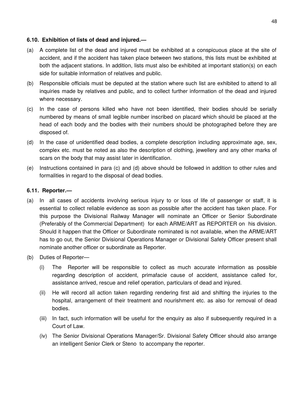### **6.10. Exhibition of lists of dead and injured.—**

- (a) A complete list of the dead and injured must be exhibited at a conspicuous place at the site of accident, and if the accident has taken place between two stations, this lists must be exhibited at both the adjacent stations. In addition, lists must also be exhibited at important station(s) on each side for suitable information of relatives and public.
- (b) Responsible officials must be deputed at the station where such list are exhibited to attend to all inquiries made by relatives and public, and to collect further information of the dead and injured where necessary.
- (c) In the case of persons killed who have not been identified, their bodies should be serially numbered by means of small legible number inscribed on placard which should be placed at the head of each body and the bodies with their numbers should be photographed before they are disposed of.
- (d) In the case of unidentified dead bodies, a complete description including approximate age, sex, complex etc. must be noted as also the description of clothing, jewellery and any other marks of scars on the body that may assist later in identification.
- (e) Instructions contained in para (c) and (d) above should be followed in addition to other rules and formalities in regard to the disposal of dead bodies.

### **6.11. Reporter.—**

- (a) In all cases of accidents involving serious injury to or loss of life of passenger or staff, it is essential to collect reliable evidence as soon as possible after the accident has taken place. For this purpose the Divisional Railway Manager will nominate an Officer or Senior Subordinate (Preferably of the Commercial Department) for each ARME/ART as REPORTER on his division. Should it happen that the Officer or Subordinate nominated is not available, when the ARME/ART has to go out, the Senior Divisional Operations Manager or Divisional Safety Officer present shall nominate another officer or subordinate as Reporter.
- (b) Duties of Reporter—
	- (i) The Reporter will be responsible to collect as much accurate information as possible regarding description of accident, primafacie cause of accident, assistance called for, assistance arrived, rescue and relief operation, particulars of dead and injured.
	- (ii) He will record all action taken regarding rendering first aid and shifting the injuries to the hospital, arrangement of their treatment and nourishment etc. as also for removal of dead bodies.
	- (iii) In fact, such information will be useful for the enquiry as also if subsequently required in a Court of Law.
	- (iv) The Senior Divisional Operations Manager/Sr. Divisional Safety Officer should also arrange an intelligent Senior Clerk or Steno to accompany the reporter.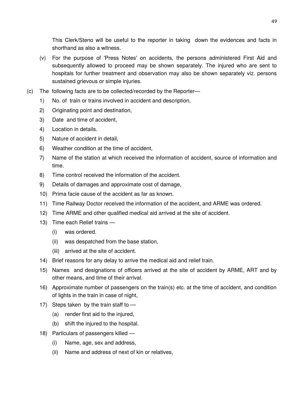This Clerk/Steno will be useful to the reporter in taking down the evidences and facts in shorthand as also a witness.

- (v) For the purpose of 'Press Notes' on accidents, the persons administered First Aid and subsequently allowed to proceed may be shown separately. The injured who are sent to hospitals for further treatment and observation may also be shown separately viz. persons sustained grievous or simple injuries.
- (c) The following facts are to be collected/recorded by the Reporter—
	- 1) No. of train or trains involved in accident and description,
	- 2) Originating point and destination,
	- 3) Date and time of accident,
	- 4) Location in details.
	- 5) Nature of accident in detail,
	- 6) Weather condition at the time of accident,
	- 7) Name of the station at which received the information of accident, source of information and time.
	- 8) Time control received the information of the accident.
	- 9) Details of damages and approximate cost of damage,
	- 10) Prima facie cause of the accident as far as known.
	- 11) Time Railway Doctor received the information of the accident, and ARME was ordered.
	- 12) Time ARME and other qualified medical aid arrived at the site of accident.
	- 13) Time each Relief trains
		- (i) was ordered.
		- (ii) was despatched from the base station,
		- (iii) arrived at the site of accident.
	- 14) Brief reasons for any delay to arrive the medical aid and relief train.
	- 15) Names and designations of officers arrived at the site of accident by ARME, ART and by other means, and time of their arrival.
	- 16) Approximate number of passengers on the train(s) etc. at the time of accident, and condition of lights in the train in case of night,
	- 17) Steps taken by the train staff to
		- (a) render first aid to the injured,
		- (b) shift the injured to the hospital.
	- 18) Particulars of passengers killed
		- (i) Name, age, sex and address,
		- (ii) Name and address of next of kin or relatives,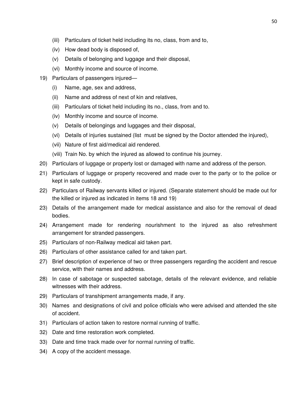- (iii) Particulars of ticket held including its no, class, from and to,
- (iv) How dead body is disposed of,
- (v) Details of belonging and luggage and their disposal,
- (vi) Monthly income and source of income.
- 19) Particulars of passengers injured—
	- (i) Name, age, sex and address,
	- (ii) Name and address of next of kin and relatives,
	- (iii) Particulars of ticket held including its no., class, from and to.
	- (iv) Monthly income and source of income.
	- (v) Details of belongings and luggages and their disposal,
	- (vi) Details of injuries sustained (list must be signed by the Doctor attended the injured),
	- (vii) Nature of first aid/medical aid rendered.
	- (viii) Train No. by which the injured as allowed to continue his journey.
- 20) Particulars of luggage or property lost or damaged with name and address of the person.
- 21) Particulars of luggage or property recovered and made over to the party or to the police or kept in safe custody.
- 22) Particulars of Railway servants killed or injured. (Separate statement should be made out for the killed or injured as indicated in items 18 and 19)
- 23) Details of the arrangement made for medical assistance and also for the removal of dead bodies.
- 24) Arrangement made for rendering nourishment to the injured as also refreshment arrangement for stranded passengers.
- 25) Particulars of non-Railway medical aid taken part.
- 26) Particulars of other assistance called for and taken part.
- 27) Brief description of experience of two or three passengers regarding the accident and rescue service, with their names and address.
- 28) In case of sabotage or suspected sabotage, details of the relevant evidence, and reliable witnesses with their address.
- 29) Particulars of transhipment arrangements made, if any.
- 30) Names and designations of civil and police officials who were advised and attended the site of accident.
- 31) Particulars of action taken to restore normal running of traffic.
- 32) Date and time restoration work completed.
- 33) Date and time track made over for normal running of traffic.
- 34) A copy of the accident message.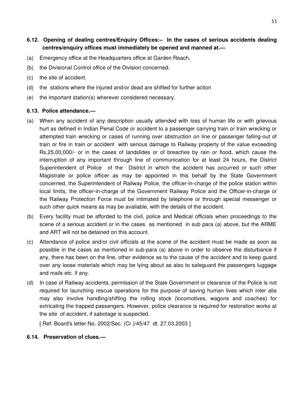**6.12. Opening of dealing centres/Enquiry Offices:– In the cases of serious accidents dealing centres/enquiry offices must immediately be opened and manned at.—**

- (a) Emergency office at the Headquarters office at Garden Reach,
- (b) the Divisional Control office of the Division concerned.
- (c) the site of accident.
- (d) the stations where the injured and/or dead are shifted for further action
- (e) the important station(s) wherever considered necessary.

#### **6.13. Police attendance.—**

- (a) When any accident of any description usually attended with loss of human life or with grievous hurt as defined in Indian Penal Code or accident to a passenger carrying train or train wrecking or attempted train wrecking or cases of running over obstruction on line or passenger falling-out of train or fire in train or accident with serious damage to Railway property of the value exceeding Rs.25,00,000/- or in the cases of landslides or of breaches by rain or flood, which cause the interruption of any important through line of communication for at least 24 hours, the District Superintendent of Police of the District in which the accident has occurred or such other Magistrate or police officer as may be appointed in this behalf by the State Government concerned, the Superintendent of Railway Police, the officer-in-charge of the police station within local limits, the officer-in-charge of the Government Railway Police and the Officer-in-charge or the Railway Protection Force must be intimated by telephone or through special messenger or such other quick means as may be available, with the details of the accident.
- (b) Every facility must be afforded to the civil, police and Medical officials when proceedings to the scene of a serious accident or in the cases as mentioned in sub para (a) above, but the ARME and ART will not be detained on this account.
- (c) Attendance of police and/or civil officials at the scene of the accident must be made as soon as possible in the cases as mentioned in sub-para (a) above in order to observe the disturbance if any, there has been on the line, other evidence as to the cause of the accident and to keep guard over any loose materials which may be lying about as also to safeguard the passengers luggage and mails etc. if any.
- (d) In case of Railway accidents, permission of the State Government or clearance of the Police is not required for launching rescue operations for the purpose of saving human lives which inter alia may also involve handling/shifting the rolling stock (locomotives, wagons and coaches) for extricating the trapped passengers. However, police clearance is required for restoration works at the site of accident, if sabotage is suspected.

[ Ref: Board's letter No. 2002/Sec. (Cr.)/45/47 dt. 27.03.2003 ]

#### **6.14. Preservation of clues.—**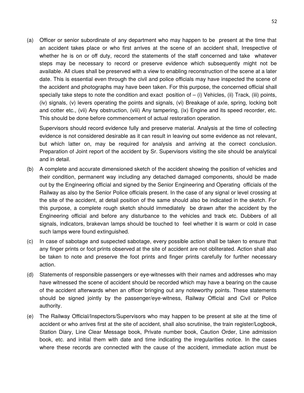(a) Officer or senior subordinate of any department who may happen to be present at the time that an accident takes place or who first arrives at the scene of an accident shall, Irrespective of whether he is on or off duty, record the statements of the staff concerned and take whatever steps may be necessary to record or preserve evidence which subsequently might not be available. All clues shall be preserved with a view to enabling reconstruction of the scene at a later date. This is essential even through the civil and police officials may have inspected the scene of the accident and photographs may have been taken. For this purpose, the concerned official shall specially take steps to note the condition and exact position of  $-$  (i) Vehicles, (ii) Track, (iii) points, (iv) signals, (v) levers operating the points and signals, (vi) Breakage of axle, spring, locking bolt and cotter etc., (vii) Any obstruction, (viii) Any tampering, (ix) Engine and its speed recorder, etc. This should be done before commencement of actual restoration operation.

Supervisors should record evidence fully and preserve material. Analysis at the time of collecting evidence is not considered desirable as it can result in leaving out some evidence as not relevant, but which latter on, may be required for analysis and arriving at the correct conclusion. Preparation of Joint report of the accident by Sr. Supervisors visiting the site should be analytical and in detail.

- (b) A complete and accurate dimensioned sketch of the accident showing the position of vehicles and their condition, permanent way including any detached damaged components, should be made out by the Engineering official and signed by the Senior Engineering and Operating officials of the Railway as also by the Senior Police officials present. In the case of any signal or level crossing at the site of the accident, at detail position of the same should also be indicated in the sketch. For this purpose, a complete rough sketch should immediately be drawn after the accident by the Engineering official and before any disturbance to the vehicles and track etc. Dubbers of all signals, indicators, brakevan lamps should be touched to feel whether it is warm or cold in case such lamps were found extinguished.
- (c) In case of sabotage and suspected sabotage, every possible action shall be taken to ensure that any finger prints or foot prints observed at the site of accident are not obliterated. Action shall also be taken to note and preserve the foot prints and finger prints carefully for further necessary action.
- (d) Statements of responsible passengers or eye-witnesses with their names and addresses who may have witnessed the scene of accident should be recorded which may have a bearing on the cause of the accident afterwards when an officer bringing out any noteworthy points. These statements should be signed jointly by the passenger/eye-witness, Railway Official and Civil or Police authority.
- (e) The Railway Official/Inspectors/Supervisors who may happen to be present at site at the time of accident or who arrives first at the site of accident, shall also scrutinise, the train register/Logbook, Station Diary, Line Clear Message book, Private number book, Caution Order, Line admission book, etc. and initial them with date and time indicating the irregularities notice. In the cases where these records are connected with the cause of the accident, immediate action must be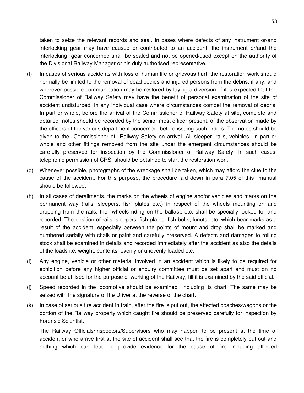taken to seize the relevant records and seal. In cases where defects of any instrument or/and interlocking gear may have caused or contributed to an accident, the instrument or/and the interlocking gear concerned shall be sealed and not be opened/used except on the authority of the Divisional Railway Manager or his duly authorised representative.

- (f) In cases of serious accidents with loss of human life or grievous hurt, the restoration work should normally be limited to the removal of dead bodies and injured persons from the debris, if any, and wherever possible communication may be restored by laying a diversion, if it is expected that the Commissioner of Railway Safety may have the benefit of personal examination of the site of accident undisturbed. In any individual case where circumstances compel the removal of debris. In part or whole, before the arrival of the Commissioner of Railway Safety at site, complete and detailed notes should be recorded by the senior most officer present, of the observation made by the officers of the various department concerned, before issuing such orders. The notes should be given to the Commissioner of Railway Safety on arrival. All sleeper, rails, vehicles in part or whole and other fittings removed from the site under the emergent circumstances should be carefully preserved for inspection by the Commissioner of Railway Safety. In such cases, telephonic permission of CRS should be obtained to start the restoration work.
- (g) Whenever possible, photographs of the wreckage shall be taken, which may afford the clue to the cause of the accident. For this purpose, the procedure laid down in para 7.05 of this manual should be followed.
- (h) In all cases of derailments, the marks on the wheels of engine and/or vehicles and marks on the permanent way (rails, sleepers, fish plates etc.) in respect of the wheels mounting on and dropping from the rails, the wheels riding on the ballast, etc. shall be specially looked for and recorded. The position of rails, sleepers, fish plates, fish bolts, lunuts, etc. which bear marks as a result of the accident, especially between the points of mount and drop shall be marked and numbered serially with chalk or paint and carefully preserved. A defects and damages to rolling stock shall be examined in details and recorded immediately after the accident as also the details of the loads i.e. weight, contents, evenly or unevenly loaded etc.
- (i) Any engine, vehicle or other material involved in an accident which is likely to be required for exhibition before any higher official or enquiry committee must be set apart and must on no account be utilised for the purpose of working of the Railway, till it is examined by the said official.
- (j) Speed recorded in the locomotive should be examined including its chart. The same may be seized with the signature of the Driver at the reverse of the chart.
- (k) In case of serious fire accident in train, after the fire is put out, the affected coaches/wagons or the portion of the Railway property which caught fire should be preserved carefully for inspection by Forensic Scientist.

The Railway Officials/Inspectors/Supervisors who may happen to be present at the time of accident or who arrive first at the site of accident shall see that the fire is completely put out and nothing which can lead to provide evidence for the cause of fire including affected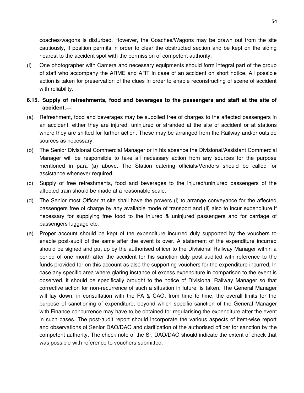coaches/wagons is disturbed. However, the Coaches/Wagons may be drawn out from the site cautiously, if position permits in order to clear the obstructed section and be kept on the siding nearest to the accident spot with the permission of competent authority.

(l) One photographer with Camera and necessary equipments should form integral part of the group of staff who accompany the ARME and ART in case of an accident on short notice. All possible action is taken for preservation of the clues in order to enable reconstructing of scene of accident with reliability.

### **6.15. Supply of refreshments, food and beverages to the passengers and staff at the site of accident.—**

- (a) Refreshment, food and beverages may be supplied free of charges to the affected passengers in an accident, either they are injured, uninjured or stranded at the site of accident or at stations where they are shifted for further action. These may be arranged from the Railway and/or outside sources as necessary.
- (b) The Senior Divisional Commercial Manager or in his absence the Divisional/Assistant Commercial Manager will be responsible to take all necessary action from any sources for the purpose mentioned in para (a) above. The Station catering officials/Vendors should be called for assistance whenever required.
- (c) Supply of free refreshments, food and beverages to the injured/uninjured passengers of the affected train should be made at a reasonable scale.
- (d) The Senior most Officer at site shall have the powers (i) to arrange conveyance for the affected passengers free of charge by any available mode of transport and (ii) also to incur expenditure if necessary for supplying free food to the injured & uninjured passengers and for carriage of passengers luggage etc.
- (e) Proper account should be kept of the expenditure incurred duly supported by the vouchers to enable post-audit of the same after the event is over. A statement of the expenditure incurred should be signed and put up by the authorised officer to the Divisional Railway Manager within a period of one month after the accident for his sanction duly post-audited with reference to the funds provided for on this account as also the supporting vouchers for the expenditure incurred. In case any specific area where glaring instance of excess expenditure in comparison to the event is observed, it should be specifically brought to the notice of Divisional Railway Manager so that corrective action for non-recurrence of such a situation in future, is taken. The General Manager will lay down, in consultation with the FA & CAO, from time to time, the overall limits for the purpose of sanctioning of expenditure, beyond which specific sanction of the General Manager with Finance concurrence may have to be obtained for regularising the expenditure after the event in such cases. The post-audit report should incorporate the various aspects of item-wise report and observations of Senior DAO/DAO and clarification of the authorised officer for sanction by the competent authority. The check note of the Sr. DAO/DAO should indicate the extent of check that was possible with reference to vouchers submitted.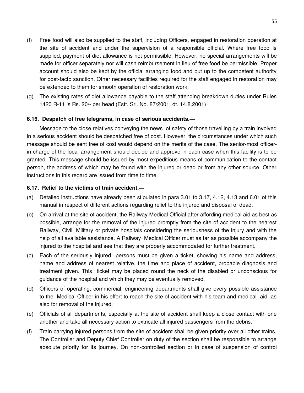- (f) Free food will also be supplied to the staff, including Officers, engaged in restoration operation at the site of accident and under the supervision of a responsible official. Where free food is supplied, payment of diet allowance is not permissible. However, no special arrangements will be made for officer separately nor will cash reimbursement in lieu of free food be permissible. Proper account should also be kept by the official arranging food and put up to the competent authority for post-facto sanction. Other necessary facilities required for the staff engaged in restoration may be extended to them for smooth operation of restoration work.
- (g) The existing rates of diet allowance payable to the staff attending breakdown duties under Rules 1420 R-11 is Rs. 20/- per head (Estt. Srl. No. 87/2001, dt. 14.8.2001)

### **6.16. Despatch of free telegrams, in case of serious accidents.—**

Message to the close relatives conveying the news of safety of those travelling by a train involved in a serious accident should be despatched free of cost. However, the circumstances under which such message should be sent free of cost would depend on the merits of the case. The senior-most officerin-charge of the local arrangement should decide and approve in each case when this facility is to be granted. This message should be issued by most expeditious means of communication to the contact person, the address of which may be found with the injured or dead or from any other source. Other instructions in this regard are issued from time to time.

#### **6.17. Relief to the victims of train accident.—**

- (a) Detailed instructions have already been stipulated in para 3.01 to 3.17, 4.12, 4.13 and 6.01 of this manual in respect of different actions regarding relief to the injured and disposal of dead.
- (b) On arrival at the site of accident, the Railway Medical Official after affording medical aid as best as possible, arrange for the removal of the injured promptly from the site of accident to the nearest Railway, Civil, Military or private hospitals considering the seriousness of the injury and with the help of all available assistance. A Railway Medical Officer must as far as possible accompany the injured to the hospital and see that they are properly accommodated for further treatment.
- (c) Each of the seriously injured persons must be given a ticket, showing his name and address, name and address of nearest relative, the time and place of accident, probable diagnosis and treatment given. This ticket may be placed round the neck of the disabled or unconscious for guidance of the hospital and which they may be eventually removed.
- (d) Officers of operating, commercial, engineering departments shall give every possible assistance to the Medical Officer in his effort to reach the site of accident with his team and medical aid as also for removal of the injured.
- (e) Officials of all departments, especially at the site of accident shall keep a close contact with one another and take all necessary action to extricate all injured passengers from the debris.
- (f) Train carrying injured persons from the site of accident shall be given priority over all other trains. The Controller and Deputy Chief Controller on duty of the section shall be responsible to arrange absolute priority for its journey. On non-controlled section or in case of suspension of control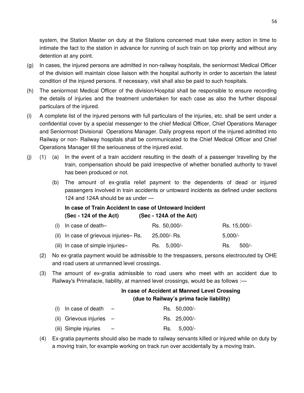system, the Station Master on duty at the Stations concerned must take every action in time to intimate the fact to the station in advance for running of such train on top priority and without any detention at any point.

- (g) In cases, the injured persons are admitted in non-railway hospitals, the seniormost Medical Officer of the division will maintain close liaison with the hospital authority in order to ascertain the latest condition of the injured persons. If necessary, visit shall also be paid to such hospitals.
- (h) The seniormost Medical Officer of the division/Hospital shall be responsible to ensure recording the details of injuries and the treatment undertaken for each case as also the further disposal particulars of the injured.
- (i) A complete list of the injured persons with full particulars of the injuries, etc. shall be sent under a confidential cover by a special messenger to the chief Medical Officer, Chief Operations Manager and Seniormost Divisional Operations Manager. Daily progress report of the injured admitted into Railway or non- Railway hospitals shall be communicated to the Chief Medical Officer and Chief Operations Manager till the seriousness of the injured exist.
- (j) (1) (a) In the event of a train accident resulting in the death of a passenger travelling by the train, compensation should be paid irrespective of whether bonafied authority to travel has been produced or not.
	- (b) The amount of ex-gratia relief payment to the dependents of dead or injured passengers involved in train accidents or untoward incidents as defined under sections 124 and 124A should be as under —

# **In case of Train Accident In case of Untoward Incident (Sec - 124 of the Act) (Sec - 124A of the Act)**

| $(i)$ In case of death-               | Rs. 50,000/- | Rs. 15,000/- |        |
|---------------------------------------|--------------|--------------|--------|
| (ii) In case of grievous injuries-Rs. | 25,000/- Rs. | $5,000/$ -   |        |
| (iii) In case of simple injuries-     | Rs. 5,000/-  | Rs.          | -500/- |

- (2) No ex-gratia payment would be admissible to the trespassers, persons electrocuted by OHE and road users at unmanned level crossings.
- (3) The amount of ex-gratia admissible to road users who meet with an accident due to Railway's Primafacie, liability, at manned level crossings, would be as follows :-

# **In case of Accident at Manned Level Crossing (due to Railway's prima facie liability)**

| (i) In case of death       |  | Rs. 50,000/- |
|----------------------------|--|--------------|
| (ii) Grievous injuries $-$ |  | Rs. 25,000/- |
| (iii) Simple injuries      |  | Rs. 5,000/-  |

(4) Ex-gratia payments should also be made to railway servants killed or injured while on duty by a moving train, for example working on track run over accidentally by a moving train.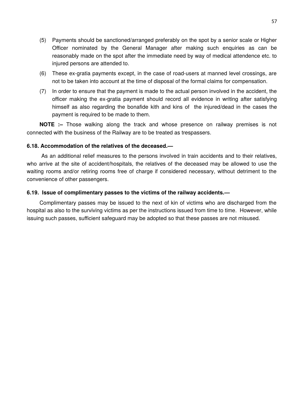- (5) Payments should be sanctioned/arranged preferably on the spot by a senior scale or Higher Officer nominated by the General Manager after making such enquiries as can be reasonably made on the spot after the immediate need by way of medical attendence etc. to injured persons are attended to.
- (6) These ex-gratia payments except, in the case of road-users at manned level crossings, are not to be taken into account at the time of disposal of the formal claims for compensation.
- (7) In order to ensure that the payment is made to the actual person involved in the accident, the officer making the ex-gratia payment should record all evidence in writing after satisfying himself as also regarding the bonafide kith and kins of the injured/dead in the cases the payment is required to be made to them.

**NOTE :–** Those walking along the track and whose presence on railway premises is not connected with the business of the Railway are to be treated as trespassers.

#### **6.18. Accommodation of the relatives of the deceased.—**

 As an additional relief measures to the persons involved in train accidents and to their relatives, who arrive at the site of accident/hospitals, the relatives of the deceased may be allowed to use the waiting rooms and/or retiring rooms free of charge if considered necessary, without detriment to the convenience of other passengers.

#### **6.19. Issue of complimentary passes to the victims of the railway accidents.—**

Complimentary passes may be issued to the next of kin of victims who are discharged from the hospital as also to the surviving victims as per the instructions issued from time to time. However, while issuing such passes, sufficient safeguard may be adopted so that these passes are not misused.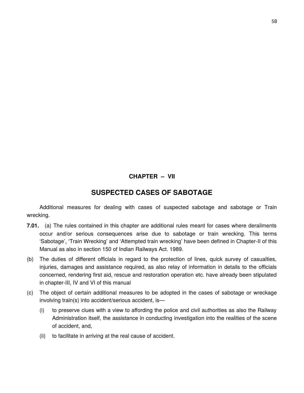### **CHAPTER – VII**

# **SUSPECTED CASES OF SABOTAGE**

Additional measures for dealing with cases of suspected sabotage and sabotage or Train wrecking.

- **7.01.** (a) The rules contained in this chapter are additional rules meant for cases where derailments occur and/or serious consequences arise due to sabotage or train wrecking. This terms 'Sabotage', 'Train Wrecking' and 'Attempted train wrecking' have been defined in Chapter-II of this Manual as also in section 150 of Indian Railways Act. 1989.
- (b) The duties of different officials in regard to the protection of lines, quick survey of casualties, injuries, damages and assistance required, as also relay of information in details to the officials concerned, rendering first aid, rescue and restoration operation etc. have already been stipulated in chapter-III, IV and VI of this manual
- (c) The object of certain additional measures to be adopted in the cases of sabotage or wreckage involving train(s) into accident/serious accident, is—
	- (i) to preserve clues with a view to affording the police and civil authorities as also the Railway Administration itself, the assistance in conducting investigation into the realities of the scene of accident, and,
	- (ii) to facilitate in arriving at the real cause of accident.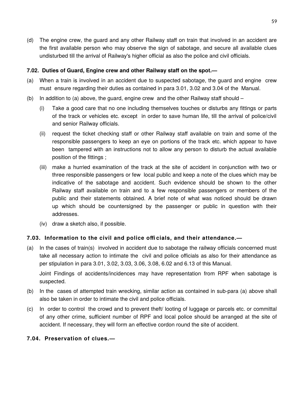(d) The engine crew, the guard and any other Railway staff on train that involved in an accident are the first available person who may observe the sign of sabotage, and secure all available clues undisturbed till the arrival of Railway's higher official as also the police and civil officials.

### **7.02. Duties of Guard, Engine crew and other Railway staff on the spot.—**

- (a) When a train is involved in an accident due to suspected sabotage, the guard and engine crew must ensure regarding their duties as contained in para 3.01, 3.02 and 3.04 of the Manual.
- (b) In addition to (a) above, the guard, engine crew and the other Railway staff should
	- (i) Take a good care that no one including themselves touches or disturbs any fittings or parts of the track or vehicles etc. except in order to save human life, till the arrival of police/civil and senior Railway officials.
	- (ii) request the ticket checking staff or other Railway staff available on train and some of the responsible passengers to keep an eye on portions of the track etc. which appear to have been tampered with an instructions not to allow any person to disturb the actual available position of the fittings ;
	- (iii) make a hurried examination of the track at the site of accident in conjunction with two or three responsible passengers or few local public and keep a note of the clues which may be indicative of the sabotage and accident. Such evidence should be shown to the other Railway staff available on train and to a few responsible passengers or members of the public and their statements obtained. A brief note of what was noticed should be drawn up which should be countersigned by the passenger or public in question with their addresses.
	- (iv) draw a sketch also, if possible.

### **7.03. Information to the civil and police offi cials, and their attendance.—**

(a) In the cases of train(s) involved in accident due to sabotage the railway officials concerned must take all necessary action to intimate the civil and police officials as also for their attendance as per stipulation in para 3.01, 3.02, 3.03, 3.06, 3.08, 6.02 and 6.13 of this Manual.

Joint Findings of accidents/incidences may have representation from RPF when sabotage is suspected.

- (b) In the cases of attempted train wrecking, similar action as contained in sub-para (a) above shall also be taken in order to intimate the civil and police officials.
- (c) In order to control the crowd and to prevent theft/ looting of luggage or parcels etc. or committal of any other crime, sufficient number of RPF and local police should be arranged at the site of accident. If necessary, they will form an effective cordon round the site of accident.

### **7.04. Preservation of clues.—**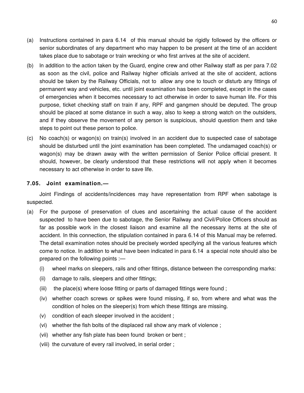- (a) Instructions contained in para 6.14 of this manual should be rigidly followed by the officers or senior subordinates of any department who may happen to be present at the time of an accident takes place due to sabotage or train wrecking or who first arrives at the site of accident.
- (b) ln addition to the action taken by the Guard, engine crew and other Railway staff as per para 7.02 as soon as the civil, police and Railway higher officials arrived at the site of accident, actions should be taken by the Railway Officials, not to allow any one to touch or disturb any fittings of permanent way and vehicles, etc. until joint examination has been completed, except in the cases of emergencies when it becomes necessary to act otherwise in order to save human life. For this purpose, ticket checking staff on train if any, RPF and gangmen should be deputed. The group should be placed at some distance in such a way, also to keep a strong watch on the outsiders, and if they observe the movement of any person is suspicious, should question them and take steps to point out these person to police.
- (c) No coach(s) or wagon(s) on train(s) involved in an accident due to suspected case of sabotage should be disturbed until the joint examination has been completed. The undamaged coach(s) or wagon(s) may be drawn away with the written permission of Senior Police official present. It should, however, be clearly understood that these restrictions will not apply when it becomes necessary to act otherwise in order to save life.

### **7.05. Joint examination.—**

Joint Findings of accidents/incidences may have representation from RPF when sabotage is suspected.

- (a) For the purpose of preservation of clues and ascertaining the actual cause of the accident suspected to have been due to sabotage, the Senior Railway and Civil/Police Officers should as far as possible work in the closest liaison and examine all the necessary items at the site of accident. In this connection, the stipulation contained in para 6.14 of this Manual may be referred. The detail examination notes should be precisely worded specifying all the various features which come to notice. In addition to what have been indicated in para 6.14 a special note should also be prepared on the following points :—
	- (i) wheel marks on sleepers, rails and other fittings, distance between the corresponding marks:
	- (ii) damage to rails, sleepers and other fittings;
	- (iii) the place(s) where loose fitting or parts of damaged fittings were found;
	- (iv) whether coach screws or spikes were found missing, if so, from where and what was the condition of holes on the sleeper(s) from which these fittings are missing.
	- (v) condition of each sleeper involved in the accident ;
	- (vi) whether the fish bolts of the displaced rail show any mark of violence ;
	- (vii) whether any fish plate has been found broken or bent ;
	- (viii) the curvature of every rail involved, in serial order ;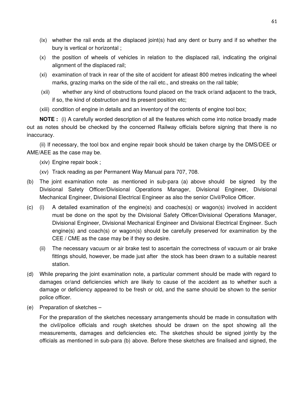- (ix) whether the rail ends at the displaced joint(s) had any dent or burry and if so whether the bury is vertical or horizontal ;
- (x) the position of wheels of vehicles in relation to the displaced rail, indicating the original alignment of the displaced rail;
- (xi) examination of track in rear of the site of accident for atleast 800 metres indicating the wheel marks, grazing marks on the side of the rail etc., and streaks on the rail table;
- (xii) whether any kind of obstructions found placed on the track or/and adjacent to the track, if so, the kind of obstruction and its present position etc;
- (xiii) condition of engine in details and an inventory of the contents of engine tool box;

**NOTE :** (i) A carefully worded description of all the features which come into notice broadly made out as notes should be checked by the concerned Railway officials before signing that there is no inaccuracy.

(ii) If necessary, the tool box and engine repair book should be taken charge by the DMS/DEE or AME/AEE as the case may be.

- (xiv) Engine repair book ;
- (xv) Track reading as per Permanent Way Manual para 707, 708.
- (b) The joint examination note as mentioned in sub-para (a) above should be signed by the Divisional Safety Officer/Divisional Operations Manager, Divisional Engineer, Divisional Mechanical Engineer, Divisional Electrical Engineer as also the senior Civil/Police Officer.
- (c) (i) A detailed examination of the engine(s) and coaches(s) or wagon(s) involved in accident must be done on the spot by the Divisional Safety Officer/Divisional Operations Manager, Divisional Engineer, Divisional Mechanical Engineer and Divisional Electrical Engineer. Such engine(s) and coach(s) or wagon(s) should be carefully preserved for examination by the CEE / CME as the case may be if they so desire.
	- (ii) The necessary vacuum or air brake test to ascertain the correctness of vacuum or air brake fittings should, however, be made just after the stock has been drawn to a suitable nearest station.
- (d) While preparing the joint examination note, a particular comment should be made with regard to damages or/and deficiencies which are likely to cause of the accident as to whether such a damage or deficiency appeared to be fresh or old, and the same should be shown to the senior police officer.
- (e) Preparation of sketches –

For the preparation of the sketches necessary arrangements should be made in consultation with the civil/police officials and rough sketches should be drawn on the spot showing all the measurements, damages and deficiencies etc. The sketches should be signed jointly by the officials as mentioned in sub-para (b) above. Before these sketches are finalised and signed, the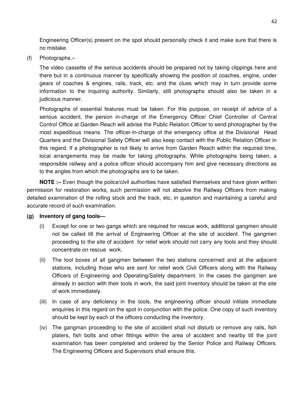Engineering Officer(s) present on the spot should personally check it and make sure that there is no mistake.

(f) Photographs.–

The video cassette of the serious accidents should be prepared not by taking clippings here and there but in a continuous manner by specifically showing the position of coaches, engine, under gears of coaches & engines, rails, track, etc. and the clues which may in turn provide some information to the inquiring authority. Similarly, still photographs should also be taken in a judicious manner.

Photographs of essential features must be taken. For this purpose, on receipt of advice of a serious accident, the person in-charge of the Emergency Office/ Chief Controller of Central Control Office at Garden Reach will advise the Public Relation Officer to send photographer by the most expeditious means. The officer-in-charge of the emergency office at the Divisional Head Quarters and the Divisional Safety Officer will also keep contact with the Public Relation Officer in this regard. If a photographer is not likely to arrive from Garden Reach within the required time, local arrangements may be made for taking photographs. While photographs being taken, a responsible railway and a police officer should accompany him and give necessary directions as to the angles from which the photographs are to be taken.

**NOTE :–** Even though the police/civil authorities have satisfied themselves and have given written permission for restoration works, such permission will not absolve the Railway Officers from making detailed examination of the rolling stock and the track, etc, in question and maintaining a careful and accurate record of such examination.

#### **(g) Inventory of gang tools—**

- (i) Except for one or two gangs which are required for rescue work, additional gangmen should not be called till the arrival of Engineering Officer at the site of accident. The gangmen proceeding to the site of accident for relief work should not carry any tools and they should concentrate on rescue work.
- (ii) The tool boxes of all gangmen between the two stations concerned and at the adjacent stations, including those who are sent for relief work Civil Officers along with the Railway Officers of Engineering and Operating/Safety department. In the cases the gangmen are already in section with their tools in work, the said joint inventory should be taken at the site of work immediately.
- (iii) In case of any deficiency in the tools, the engineering officer should initiate immediate enquiries in this regard on the spot in conjunction with the police. One copy of such inventory should be kept by each of the officers conducting the inventory.
- (iv) The gangman proceeding to the site of accident shall not disturb or remove any rails, fish platers, fish bolts and other fittings within the area of accident and nearby till the joint examination has been completed and ordered by the Senior Police and Railway Officers. The Engineering Officers and Supervisors shall ensure this.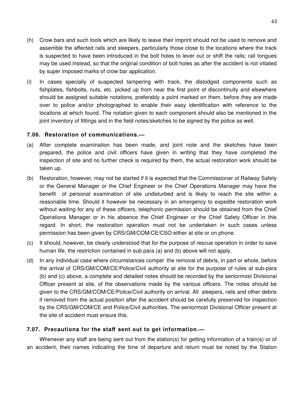- (h) Crow bars and such tools which are likely to leave their imprint should not be used to remove and assemble the affected rails and sleepers, particularly those close to the locations where the track is suspected to have been introduced in the bolt holes to lever out or shift the rails; rail tongues may be used instead, so that the original condition of bolt holes as after the accident is not vitiated by super imposed marks of crow bar application.
- (i) In cases specially of suspected tampering with track, the dislodged components such as fishplates, fishbolts, nuts, etc. picked up from near the first point of discontinuity and elsewhere should be assigned suitable notations, preferably a point marked on them, before they are made over to police and/or photographed to enable their easy identification with reference to the locations at which found. The notation given to each component should also be mentioned in the joint inventory of fittings and in the field notes/sketches to be signed by the police as well.

# **7.06. Restoration of communications.—**

- (a) After complete examination has been made, and joint note and the sketches have been prepared, the police and civil officers have given in writing that they have completed the inspection of site and no further check is required by them, the actual restoration work should be taken up.
- (b) Restoration, however, may not be started if it is expected that the Commissioner of Railway Safety or the General Manager or the Chief Engineer or the Chief Operations Manager may have the benefit of personal examination of site undisturbed and is likely to reach the site within a reasonable time. Should it however be necessary in an emergency to expedite restoration work without waiting for any of these officers, telephonic permission should be obtained from the Chief Operations Manager or in his absence the Chief Engineer or the Chief Safety Officer in this regard. In short, the restoration operation must not be undertaken in such cases unless permission has been given by CRS/GM/COM/CE/CSO either at site or on phone.
- (c) It should, however, be clearly understood that for the purpose of rescue operation in order to save human life, the restriction contained in sub para (a) and (b) above will not apply.
- (d) In any individual case where circumstances compel the removal of debris, in part or whole, before the arrival of CRS/GM/COM/CE/Police/Civil authority at site for the purpose of rules at sub-para (b) and (c) above, a complete and detailed notes should be recorded by the seniormost Divisional Officer present at site, of the observations made by the various officers. The notes should be given to the CRS/GM/COM/CE/Police/Civil authority on arrival. All sleepers, rails and other debris if removed from the actual position after the accident should be carefully preserved for inspection by the CRS/GM/COM/CE and Police/Civil authorities. The seniormost Divisional Officer present at the site of accident must ensure this.

# **7.07. Precautions for the staff sent out to get information.—**

Whenever any staff are being sent out from the station(s) for getting information of a train(s) or of an accident, their names indicating the time of departure and return must be noted by the Station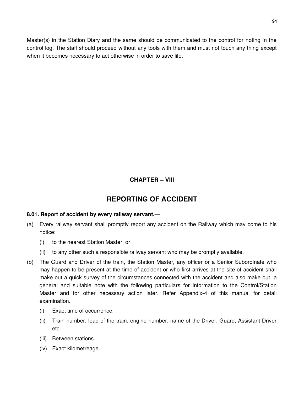Master(s) in the Station Diary and the same should be communicated to the control for noting in the control log. The staff should proceed without any tools with them and must not touch any thing except when it becomes necessary to act otherwise in order to save life.

# **CHAPTER – VIII**

# **REPORTING OF ACCIDENT**

# **8.01. Report of accident by every railway servant.—**

- (a) Every railway servant shall promptly report any accident on the Railway which may come to his notice:
	- (i) to the nearest Station Master, or
	- (ii) to any other such a responsible railway servant who may be promptly available.
- (b) The Guard and Driver of the train, the Station Master, any officer or a Senior Subordinate who may happen to be present at the time of accident or who first arrives at the site of accident shall make out a quick survey of the circumstances connected with the accident and also make out a general and suitable note with the following particulars for information to the Control/Station Master and for other necessary action later. Refer Appendix-4 of this manual for detail examination.
	- (i) Exact time of occurrence.
	- (ii) Train number, load of the train, engine number, name of the Driver, Guard, Assistant Driver etc.
	- (iii) Between stations.
	- (iv) Exact kilometreage.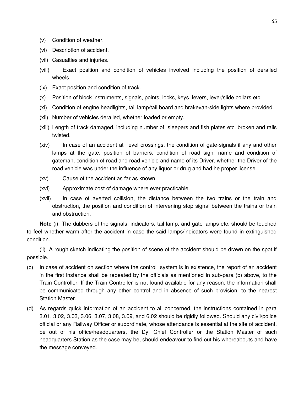- (v) Condition of weather.
- (vi) Description of accident.
- (vii) Casualties and injuries.
- (viii) Exact position and condition of vehicles involved including the position of derailed wheels.
- (ix) Exact position and condition of track.
- (x) Position of block instruments, signals, points, locks, keys, levers, lever/slide collars etc.
- (xi) Condition of engine headlights, tail lamp/tail board and brakevan-side lights where provided.
- (xii) Number of vehicles derailed, whether loaded or empty.
- (xiii) Length of track damaged, including number of sleepers and fish plates etc. broken and rails twisted.
- (xiv) In case of an accident at level crossings, the condition of gate-signals if any and other lamps at the gate, position of barriers, condition of road sign, name and condition of gateman, condition of road and road vehicle and name of its Driver, whether the Driver of the road vehicle was under the influence of any liquor or drug and had he proper license.
- (xv) Cause of the accident as far as known,
- (xvi) Approximate cost of damage where ever practicable.
- (xvii) In case of averted collision, the distance between the two trains or the train and obstruction, the position and condition of intervening stop signal between the trains or train and obstruction.

**Note** (i) The dubbers of the signals, indicators, tail lamp, and gate lamps etc. should be touched to feel whether warm after the accident in case the said lamps/indicators were found in extinguished condition.

(ii) A rough sketch indicating the position of scene of the accident should be drawn on the spot if possible.

- (c) In case of accident on section where the control system is in existence, the report of an accident in the first instance shall be repeated by the officials as mentioned in sub-para (b) above, to the Train Controller. If the Train Controller is not found available for any reason, the information shall be communicated through any other control and in absence of such provision, to the nearest Station Master.
- (d) As regards quick information of an accident to all concerned, the instructions contained in para 3.01, 3.02, 3.03, 3.06, 3.07, 3.08, 3.09, and 6.02 should be rigidly followed. Should any civil/police official or any Railway Officer or subordinate, whose attendance is essential at the site of accident, be out of his office/headquarters, the Dy. Chief Controller or the Station Master of such headquarters Station as the case may be, should endeavour to find out his whereabouts and have the message conveyed.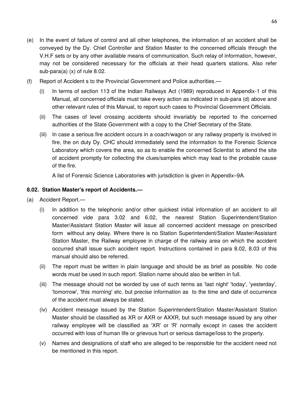- (e) In the event of failure of control and all other telephones, the information of an accident shall be conveyed by the Dy. Chief Controller and Station Master to the concerned officials through the V.H.F sets or by any other available means of communication. Such relay of information, however, may not be considered necessary for the officials at their head quarters stations. Also refer sub-para(a) (x) of rule 8.02.
- (f) Report of Accident s to the Provincial Government and Police authorities.—
	- (i) In terms of section 113 of the Indian Railways Act (1989) reproduced in Appendix-1 of this Manual, all concerned officials must take every action as indicated in sub-para (d) above and other relevant rules of this Manual, to report such cases to Provincial Government Officials.
	- (ii) The cases of level crossing accidents should invariably be reported to the concerned authorities of the State Government with a copy to the Chief Secretary of the State.
	- (iii) In case a serious fire accident occurs in a coach/wagon or any railway property is involved in fire, the on duty Dy. CHC should immediately send the information to the Forensic Science Laboratory which covers the area, so as to enable the concerned Scientist to attend the site of accident promptly for collecting the clues/samples which may lead to the probable cause of the fire.

A list of Forensic Science Laboratories with jurisdiction is given in Appendix–9A.

# **8.02. Station Master's report of Accidents.—**

- (a) Accident Report.—
	- (i) In addition to the telephonic and/or other quickest initial information of an accident to all concerned vide para 3.02 and 6.02, the nearest Station Superintendent/Station Master/Assistant Station Master will issue all concerned accident message on prescribed form without any delay. Where there is no Station Superintendent/Station Master/Assistant Station Master, the Railway employee in charge of the railway area on which the accident occurred shall issue such accident report. Instructions contained in para 8.02, 8.03 of this manual should also be referred.
	- (ii) The report must be written in plain language and should be as brief as possible. No code words must be used in such report. Station name should also be written in full.
	- (iii) The message should not be worded by use of such terms as 'last night' 'today', 'yesterday', 'tomorrow', 'this morning' etc. but precise information as to the time and date of occurrence of the accident must always be stated.
	- (iv) Accident message issued by the Station Superintendent/Station Master/Assistant Station Master should be classified as XR or AXR or AXXR, but such message issued by any other railway employee will be classified as 'XR' or 'R' normally except in cases the accident occurred with loss of human life or grievous hurt or serious damage/loss to the property.
	- (v) Names and designations of staff who are alleged to be responsible for the accident need not be mentioned in this report.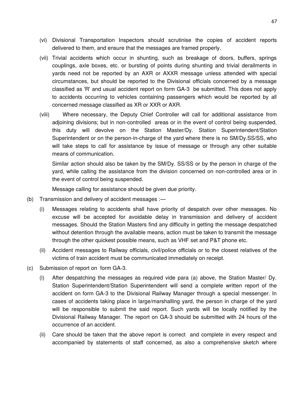- (vi) Divisional Transportation Inspectors should scrutinise the copies of accident reports delivered to them, and ensure that the messages are framed properly.
- (vii) Trivial accidents which occur in shunting, such as breakage of doors, buffers, springs couplings, axle boxes, etc. or bursting of points during shunting and trivial derailments in yards need not be reported by an AXR or AXXR message unless attended with special circumstances, but should be reported to the Divisional officials concerned by a message classified as 'R' and usual accident report on form GA-3 be submitted. This does not apply to accidents occurring to vehicles containing passengers which would be reported by all concerned message classified as XR or XXR or AXR.
- (viii) Where necessary, the Deputy Chief Controller will call for additional assistance from adjoining divisions; but in non-controlled areas or in the event of control being suspended, this duty will devolve on the Station Master/Dy. Station Superintendent/Station Superintendent or on the person-in-charge of the yard where there is no SM/Dy.SS/SS, who will take steps to call for assistance by issue of message or through any other suitable means of communication.

Similar action should also be taken by the SM/Dy. SS/SS or by the person in charge of the yard, while calling the assistance from the division concerned on non-controlled area or in the event of control being suspended.

Message calling for assistance should be given due priority.

- (b) Transmission and delivery of accident messages :—
	- (i) Messages relating to accidents shall have priority of despatch over other messages. No excuse will be accepted for avoidable delay in transmission and delivery of accident messages. Should the Station Masters find any difficulty in getting the message despatched without detention through the available means, action must be taken to transmit the message through the other quickest possible means, such as VHF set and P&T phone etc.
	- (ii) Accident messages to Railway officials, civil/police officials or to the closest relatives of the victims of train accident must be communicated immediately on receipt.
- (c) Submission of report on form GA-3.
	- (i) After despatching the messages as required vide para (a) above, the Station Master/ Dy. Station Superintendent/Station Superintendent will send a complete written report of the accident on form GA-3 to the Divisional Railway Manager through a special messenger. In cases of accidents taking place in large/marshalling yard, the person in charge of the yard will be responsible to submit the said report. Such yards will be locally notified by the Divisional Railway Manager. The report on GA-3 should be submitted with 24 hours of the occurrence of an accident.
	- (ii) Care should be taken that the above report is correct and complete in every respect and accompanied by statements of staff concerned, as also a comprehensive sketch where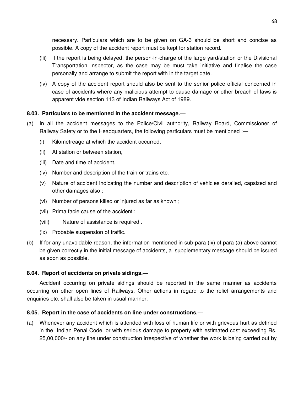necessary. Particulars which are to be given on GA-3 should be short and concise as possible. A copy of the accident report must be kept for station record.

- (iii) If the report is being delayed, the person-in-charge of the large yard/station or the Divisional Transportation Inspector, as the case may be must take initiative and finalise the case personally and arrange to submit the report with in the target date.
- (iv) A copy of the accident report should also be sent to the senior police official concerned in case of accidents where any malicious attempt to cause damage or other breach of laws is apparent vide section 113 of Indian Railways Act of 1989.

# **8.03. Particulars to be mentioned in the accident message.—**

- (a) In all the accident messages to the Police/Civil authority, Railway Board, Commissioner of Railway Safety or to the Headquarters, the following particulars must be mentioned :-
	- (i) Kilometreage at which the accident occurred,
	- (ii) At station or between station,
	- (iii) Date and time of accident,
	- (iv) Number and description of the train or trains etc.
	- (v) Nature of accident indicating the number and description of vehicles derailed, capsized and other damages also :
	- (vi) Number of persons killed or injured as far as known ;
	- (vii) Prima facie cause of the accident ;
	- (viii) Nature of assistance is required .
	- (ix) Probable suspension of traffic.
- (b) If for any unavoidable reason, the information mentioned in sub-para (ix) of para (a) above cannot be given correctly in the initial message of accidents, a supplementary message should be issued as soon as possible.

### **8.04. Report of accidents on private sidings.—**

Accident occurring on private sidings should be reported in the same manner as accidents occurring on other open lines of Railways. Other actions in regard to the relief arrangements and enquiries etc. shall also be taken in usual manner.

### **8.05. Report in the case of accidents on line under constructions.—**

(a) Whenever any accident which is attended with loss of human life or with grievous hurt as defined in the Indian Penal Code, or with serious damage to property with estimated cost exceeding Rs. 25,00,000/- on any line under construction irrespective of whether the work is being carried out by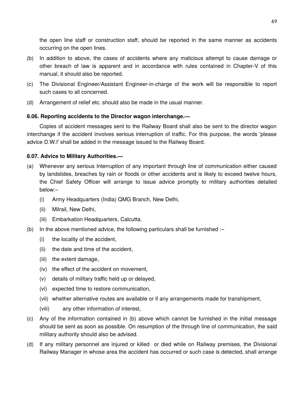the open line staff or construction staff, should be reported in the same manner as accidents occurring on the open lines.

- (b) In addition to above, the cases of accidents where any malicious attempt to cause damage or other breach of law is apparent and in accordance with rules contained in Chapter-V of this manual, it should also be reported.
- (c) The Divisional Engineer/Assistant Engineer-in-charge of the work will be responsible to report such cases to all concerned.
- (d) Arrangement of relief etc. should also be made in the usual manner.

# **8.06. Reporting accidents to the Director wagon interchange.—**

Copies of accident messages sent to the Railway Board shall also be sent to the director wagon interchange if the accident involves serious interruption of traffic. For this purpose, the words 'please advice D.W.I' shall be added in the message issued to the Railway Board.

# **8.07. Advice to Military Authorities.—**

- (a) Whenever any serious Interruption of any important through line of communication either caused by landslides, breaches by rain or floods or other accidents and is likely to exceed twelve hours, the Chief Safety Officer will arrange to issue advice promptly to military authorities detailed below:–
	- (i) Army Headquarters (India) QMG Branch, New Delhi,
	- (ii) Milrail, New Delhi,
	- (iii) Embarkation Headquarters, Calcutta.
- (b) In the above mentioned advice, the following particulars shall be furnished :–
	- (i) the locality of the accident,
	- (ii) the date and time of the accident,
	- (iii) the extent damage,
	- (iv) the effect of the accident on movement,
	- (v) details of military traffic held up or delayed,
	- (vi) expected time to restore communication,
	- (vii) whether alternative routes are available or if any arrangements made for transhipment,
	- (viii) any other information of interest,
- (c) Any of the information contained in (b) above which cannot be furnished in the initial message should be sent as soon as possible. On resumption of the through line of communication, the said military authority should also be advised.
- (d) If any military personnel are injured or killed or died while on Railway premises, the Divisional Railway Manager in whose area the accident has occurred or such case is detected, shall arrange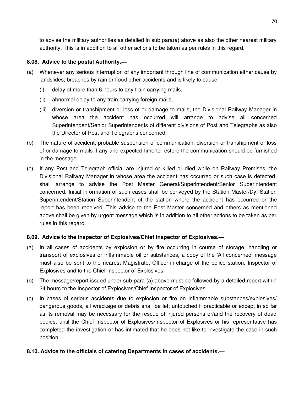to advise the military authorities as detailed in sub para(a) above as also the other nearest military authority. This is in addition to all other actions to be taken as per rules in this regard.

# **8.08. Advice to the postal Authority.—**

- (a) Whenever any serious interruption of any important through line of communication either cause by landslides, breaches by rain or flood other accidents and is likely to cause–
	- (i) delay of more than 6 hours to any train carrying mails,
	- (ii) abnormal delay to any train carrying foreign mails,
	- (iii) diversion or transhipment or loss of or damage to mails, the Divisional Railway Manager in whose area the accident has occurred will arrange to advise all concerned Superintendent/Senior Superintendents of different divisions of Post and Telegraphs as also the Director of Post and Telegraphs concerned.
- (b) The nature of accident, probable suspension of communication, diversion or transhipment or loss of or damage to mails if any and expected time to restore the communication should be furnished in the message.
- (c) If any Post and Telegraph official are injured or killed or died while on Railway Premises, the Divisional Railway Manager in whose area the accident has occurred or such case is detected, shall arrange to advise the Post Master General/Superintendent/Senior Superintendent concerned. Initial information of such cases shall be conveyed by the Station Master/Dy. Station Superintendent/Station Superintendent of the station where the accident has occurred or the report has been received. This advise to the Post Master concerned and others as mentioned above shall be given by urgent message which is in addition to all other actions to be taken as per rules in this regard.

### **8.09. Advice to the Inspector of Explosives/Chief Inspector of Explosives.—**

- (a) In all cases of accidents by explosion or by fire occurring in course of storage, handling or transport of explosives or inflammable oil or substances, a copy of the 'All concerned' message must also be sent to the nearest Magistrate, Officer-in-charge of the police station, Inspector of Explosives and to the Chief Inspector of Explosives.
- (b) The message/report issued under sub-para (a) above must be followed by a detailed report within 24 hours to the Inspector of Explosives/Chief Inspector of Explosives.
- (c) In cases of serious accidents due to explosion or fire on inflammable substances/explosives/ dangerous goods, all wreckage or debris shall be left untouched if practicable or except in so far as its removal may be necessary for the rescue of injured persons or/and the recovery of dead bodies, until the Chief Inspector of Explosives/Inspector of Explosives or his representative has completed the investigation or has intimated that he does not like to investigate the case in such position.

# **8.10. Advice to the officials of catering Departments in cases of accidents.—**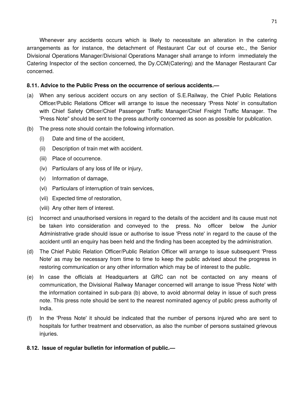Whenever any accidents occurs which is likely to necessitate an alteration in the catering arrangements as for instance, the detachment of Restaurant Car out of course etc., the Senior Divisional Operations Manager/Divisional Operations Manager shall arrange to inform immediately the Catering Inspector of the section concerned, the Dy.CCM(Catering) and the Manager Restaurant Car concerned.

# **8.11. Advice to the Public Press on the occurrence of serious accidents.—**

- (a) When any serious accident occurs on any section of S.E.Railway, the Chief Public Relations Officer/Public Relations Officer will arrange to issue the necessary 'Press Note' in consultation with Chief Safety Officer/Chief Passenger Traffic Manager/Chief Freight Traffic Manager. The 'Press Note" should be sent to the press authority concerned as soon as possible for publication.
- (b) The press note should contain the following information.
	- (i) Date and time of the accident,
	- (ii) Description of train met with accident.
	- (iii) Place of occurrence.
	- (iv) Particulars of any loss of life or injury,
	- (v) Information of damage,
	- (vi) Particulars of interruption of train services,
	- (vii) Expected time of restoration,
	- (viii) Any other item of interest.
- (c) Incorrect and unauthorised versions in regard to the details of the accident and its cause must not be taken into consideration and conveyed to the press. No officer below the Junior Administrative grade should issue or authorise to issue 'Press note' in regard to the cause of the accident until an enquiry has been held and the finding has been accepted by the administration.
- (d) The Chief Public Relation Officer/Public Relation Officer will arrange to issue subsequent 'Press Note' as may be necessary from time to time to keep the public advised about the progress in restoring communication or any other information which may be of interest to the public.
- (e) In case the officials at Headquarters at GRC can not be contacted on any means of communication, the Divisional Railway Manager concerned will arrange to issue 'Press Note' with the information contained in sub-para (b) above, to avoid abnormal delay in issue of such press note. This press note should be sent to the nearest nominated agency of public press authority of India.
- (f) In the 'Press Note' it should be indicated that the number of persons injured who are sent to hospitals for further treatment and observation, as also the number of persons sustained grievous injuries.

### **8.12. Issue of regular bulletin for information of public.—**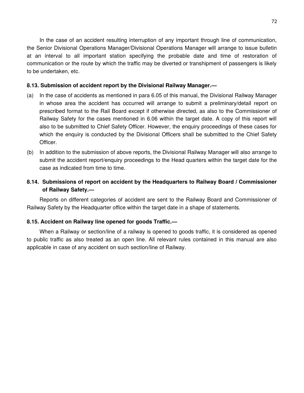In the case of an accident resulting interruption of any important through line of communication, the Senior Divisional Operations Manager/Divisional Operations Manager will arrange to issue bulletin at an interval to all important station specifying the probable date and time of restoration of communication or the route by which the traffic may be diverted or transhipment of passengers is likely to be undertaken, etc.

### **8.13. Submission of accident report by the Divisional Railway Manager.—**

- (a) In the case of accidents as mentioned in para 6.05 of this manual, the Divisional Railway Manager in whose area the accident has occurred will arrange to submit a preliminary/detail report on prescribed format to the Rail Board except if otherwise directed, as also to the Commissioner of Railway Safety for the cases mentioned in 6.06 within the target date. A copy of this report will also to be submitted to Chief Safety Officer. However, the enquiry proceedings of these cases for which the enquiry is conducted by the Divisional Officers shall be submitted to the Chief Safety Officer.
- (b) In addition to the submission of above reports, the Divisional Railway Manager will also arrange to submit the accident report/enquiry proceedings to the Head quarters within the target date for the case as indicated from time to time.

# **8.14. Submissions of report on accident by the Headquarters to Railway Board / Commissioner of Railway Safety.—**

Reports on different categories of accident are sent to the Railway Board and Commissioner of Railway Safety by the Headquarter office within the target date in a shape of statements.

# **8.15. Accident on Railway line opened for goods Traffic.—**

When a Railway or section/line of a railway is opened to goods traffic, it is considered as opened to public traffic as also treated as an open line. All relevant rules contained in this manual are also applicable in case of any accident on such section/line of Railway.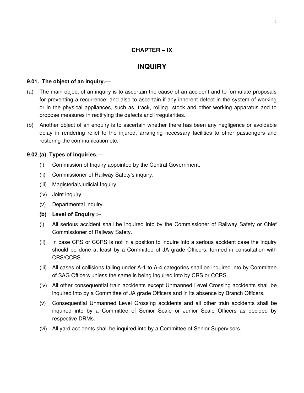# **CHAPTER – IX**

# **INQUIRY**

# **9.01. The object of an inquiry.—**

- (a) The main object of an inquiry is to ascertain the cause of an accident and to formulate proposals for preventing a recurrence; and also to ascertain if any inherent defect in the system of working or in the physical appliances, such as, track, rolling stock and other working apparatus and to propose measures in rectifying the defects and irregularities.
- (b) Another object of an enquiry is to ascertain whether there has been any negligence or avoidable delay in rendering relief to the injured, arranging necessary facilities to other passengers and restoring the communication etc.

# **9.02.(a) Types of inquiries.—**

- (i) Commission of Inquiry appointed by the Central Government.
- (ii) Commissioner of Railway Safety's inquiry.
- (iii) Magisterial/Judicial Inquiry.
- (iv) Joint inquiry.
- (v) Departmental inquiry.
- **(b) Level of Enquiry :–**
- (i) All serious accident shall be inquired into by the Commissioner of Railway Safety or Chief Commissioner of Railway Safety.
- (ii) In case CRS or CCRS is not in a position to inquire into a serious accident case the inquiry should be done at least by a Committee of JA grade Officers, formed in consultation with CRS/CCRS.
- (iii) All cases of collisions falling under A-1 to A-4 categories shall be inquired into by Committee of SAG Officers unless the same is being inquired into by CRS or CCRS.
- (iv) All other consequential train accidents except Unmanned Level Crossing accidents shall be inquired into by a Committee of JA grade Officers and in its absence by Branch Officers.
- (v) Consequential Unmanned Level Crossing accidents and all other train accidents shall be inquired into by a Committee of Senior Scale or Junior Scale Officers as decided by respective DRMs.
- (vi) All yard accidents shall be inquired into by a Committee of Senior Supervisors.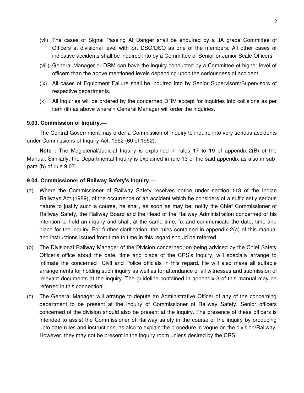- (vii) The cases of Signal Passing At Danger shall be enquired by a JA grade Committee of Officers at divisional level with Sr. DSO/DSO as one of the members. All other cases of indicative accidents shall be inquired into by a Committee of Senior or Junior Scale Officers.
- (viii) General Manager or DRM can have the inquiry conducted by a Committee of higher level of officers than the above mentioned levels depending upon the seriousness of accident.
- (ix) All cases of Equipment Failure shall be inquired into by Senior Supervisors/Supervisors of respective departments.
- (x) All inquiries will be ordered by the concerned DRM except for inquiries into collisions as per item (iii) as above wherein General Manager will order the inquiries.

### **9.03. Commission of Inquiry.—**

The Central Government may order a Commission of Inquiry to inquire into very serious accidents under Commissions of Inquiry Act, 1952 (60 of 1952).

**Note :** The Magisterial/Judicial Inquiry is explained in rules 17 to 19 of appendix-2(B) of the Manual. Similarly, the Departmental Inquiry is explained in rule 13 of the said appendix as also in subpara (b) of rule 9.07.

### **9.04. Commissioner of Railway Safety's Inquiry.—**

- (a) Where the Commissioner of Railway Safety receives notice under section 113 of the Indian Railways Act (1989), of the occurrence of an accident which he considers of a sufficiently serious nature to justify such a course, he shall, as soon as may be, notify the Chief Commissioner of Railway Safety, the Railway Board and the Head of the Railway Administration concerned of his intention to hold an inquiry and shall, at the same time, fix and communicate the date, time and place for the inquiry. For further clarification, the rules contained in appendix-2(a) of this manual and instructions issued from time to time in this regard should be referred.
- (b) The Divisional Railway Manager of the Division concerned, on being advised by the Chief Safety Officer's office about the date, time and place of the CRS's inquiry, will specially arrange to intimate the concerned Civil and Police officials in this regard. He will also make all suitable arrangements for holding such inquiry as well as for attendance of all witnesses and submission of relevant documents at the inquiry. The guideline contained in appendix-3 of this manual may be referred in this connection.
- (c) The General Manager will arrange to depute an Administrative Officer of any of the concerning department to be present at the inquiry of Commissioner of Railway Safety. Senior officers concerned of the division should also be present at the inquiry. The presence of these officers is intended to assist the Commissioner of Railway safety in the course of the inquiry by producing upto date rules and instructions, as also to explain the procedure in vogue on the division/Railway. However, they may not be present in the inquiry room unless desired by the CRS.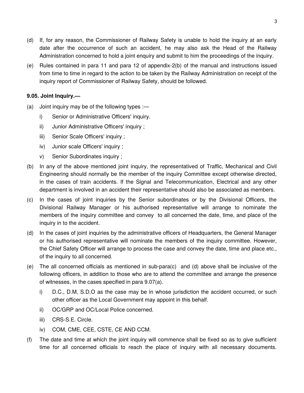- (d) If, for any reason, the Commissioner of Railway Safety is unable to hold the inquiry at an early date after the occurrence of such an accident, he may also ask the Head of the Railway Administration concerned to hold a joint enquiry and submit to him the proceedings of the inquiry.
- (e) Rules contained in para 11 and para 12 of appendix-2(b) of the manual and instructions issued from time to time in regard to the action to be taken by the Railway Administration on receipt of the inquiry report of Commissioner of Railway Safety, should be followed.

# **9.05. Joint Inquiry.—**

- (a) Joint inquiry may be of the following types :
	- i) Senior or Administrative Officers' inquiry.
	- ii) Junior Administrative Officers' inquiry ;
	- iii) Senior Scale Officers' inquiry ;
	- iv) Junior scale Officers' inquiry ;
	- v) Senior Subordinates inquiry ;
- (b) In any of the above mentioned joint inquiry, the representatived of Traffic, Mechanical and Civil Engineering should normally be the member of the inquiry Committee except otherwise directed, in the cases of train accidents. If the Signal and Telecommunication, Electrical and any other department is involved in an accident their representative should also be associated as members.
- (c) In the cases of joint inquiries by the Senior subordinates or by the Divisional Officers, the Divisional Railway Manager or his authorised representative will arrange to nominate the members of the inquiry committee and convey to all concerned the date, time, and place of the inquiry in to the accident.
- (d) In the cases of joint inquiries by the administrative officers of Headquarters, the General Manager or his authorised representative will nominate the members of the inquiry committee. However, the Chief Safety Officer will arrange to process the case and convey the date, time and place etc., of the inquiry to all concerned.
- (e) The all concerned officials as mentioned in sub-para(c) and (d) above shall be inclusive of the following officers, in addition to those who are to attend the committee and arrange the presence of witnesses, in the cases specified in para 9.07(a).
	- i) D.C., D.M, S.D.O as the case may be in whose jurisdiction the accident occurred, or such other officer as the Local Government may appoint in this behalf.
	- ii) OC/GRP and OC/Local Police concerned.
	- iii) CRS-S.E. Circle.
	- iv) COM, CME, CEE, CSTE, CE AND CCM.
- (f) The date and time at which the joint inquiry will commence shall be fixed so as to give sufficient time for all concerned officials to reach the place of inquiry with all necessary documents.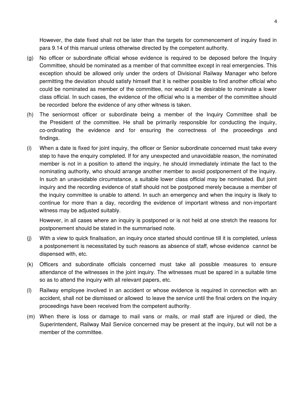However, the date fixed shall not be later than the targets for commencement of inquiry fixed in para 9.14 of this manual unless otherwise directed by the competent authority.

- (g) No officer or subordinate official whose evidence is required to be deposed before the Inquiry Committee, should be nominated as a member of that committee except in real emergencies. This exception should be allowed only under the orders of Divisional Railway Manager who before permitting the deviation should satisfy himself that it is neither possible to find another official who could be nominated as member of the committee, nor would it be desirable to nominate a lower class official. In such cases, the evidence of the official who is a member of the committee should be recorded before the evidence of any other witness is taken.
- (h) The seniormost officer or subordinate being a member of the Inquiry Committee shall be the President of the committee. He shall be primarily responsible for conducting the inquiry, co-ordinating the evidence and for ensuring the correctness of the proceedings and findings.
- (i) When a date is fixed for joint inquiry, the officer or Senior subordinate concerned must take every step to have the enquiry completed. If for any unexpected and unavoidable reason, the nominated member is not in a position to attend the inquiry, he should immediately intimate the fact to the nominating authority, who should arrange another member to avoid postponement of the inquiry. In such an unavoidable circumstance, a suitable lower class official may be nominated. But joint inquiry and the recording evidence of staff should not be postponed merely because a member of the inquiry committee is unable to attend. In such an emergency and when the inquiry is likely to continue for more than a day, recording the evidence of important witness and non-important witness may be adjusted suitably.

However, in all cases where an inquiry is postponed or is not held at one stretch the reasons for postponement should be stated in the summarised note.

- (j) With a view to quick finalisation, an inquiry once started should continue till it is completed, unless a postponement is necessitated by such reasons as absence of staff, whose evidence cannot be dispensed with, etc.
- (k) Officers and subordinate officials concerned must take all possible measures to ensure attendance of the witnesses in the joint inquiry. The witnesses must be spared in a suitable time so as to attend the inquiry with all relevant papers, etc.
- (l) Railway employee involved in an accident or whose evidence is required in connection with an accident, shall not be dismissed or allowed to leave the service until the final orders on the inquiry proceedings have been received from the competent authority.
- (m) When there is loss or damage to mail vans or mails, or mail staff are injured or died, the Superintendent, Railway Mail Service concerned may be present at the inquiry, but will not be a member of the committee.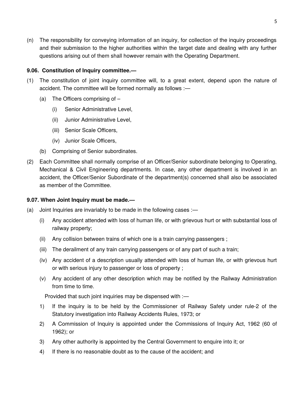(n) The responsibility for conveying information of an inquiry, for collection of the inquiry proceedings and their submission to the higher authorities within the target date and dealing with any further questions arising out of them shall however remain with the Operating Department.

# **9.06. Constitution of Inquiry committee.—**

- (1) The constitution of joint inquiry committee will, to a great extent, depend upon the nature of accident. The committee will be formed normally as follows :—
	- (a) The Officers comprising of
		- (i) Senior Administrative Level,
		- (ii) Junior Administrative Level,
		- (iii) Senior Scale Officers,
		- (iv) Junior Scale Officers,
	- (b) Comprising of Senior subordinates.
- (2) Each Committee shall normally comprise of an Officer/Senior subordinate belonging to Operating, Mechanical & Civil Engineering departments. In case, any other department is involved in an accident, the Officer/Senior Subordinate of the department(s) concerned shall also be associated as member of the Committee.

### **9.07. When Joint Inquiry must be made.—**

- (a) Joint Inquiries are invariably to be made in the following cases :—
	- (i) Any accident attended with loss of human life, or with grievous hurt or with substantial loss of railway property;
	- (ii) Any collision between trains of which one is a train carrying passengers ;
	- (iii) The derailment of any train carrying passengers or of any part of such a train;
	- (iv) Any accident of a description usually attended with loss of human life, or with grievous hurt or with serious injury to passenger or loss of property ;
	- (v) Any accident of any other description which may be notified by the Railway Administration from time to time.

Provided that such joint inquiries may be dispensed with :—

- 1) If the inquiry is to be held by the Commissioner of Railway Safety under rule-2 of the Statutory investigation into Railway Accidents Rules, 1973; or
- 2) A Commission of Inquiry is appointed under the Commissions of Inquiry Act, 1962 (60 of 1962); or
- 3) Any other authority is appointed by the Central Government to enquire into it; or
- 4) If there is no reasonable doubt as to the cause of the accident; and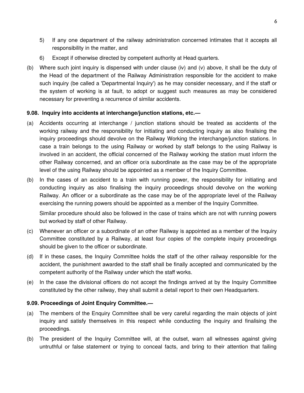- 5) If any one department of the railway administration concerned intimates that it accepts all responsibility in the matter, and
- 6) Except if otherwise directed by competent authority at Head quarters.
- (b) Where such joint inquiry is dispensed with under clause (iv) and (v) above, it shall be the duty of the Head of the department of the Railway Administration responsible for the accident to make such inquiry (be called a 'Departmental Inquiry') as he may consider necessary, and if the staff or the system of working is at fault, to adopt or suggest such measures as may be considered necessary for preventing a recurrence of similar accidents.

# **9.08. Inquiry into accidents at interchange/junction stations, etc.—**

- (a) Accidents occurring at interchange / junction stations should be treated as accidents of the working railway and the responsibility for initiating and conducting inquiry as also finalising the inquiry proceedings should devolve on the Railway Working the interchange/junction stations. In case a train belongs to the using Railway or worked by staff belongs to the using Railway is involved in an accident, the official concerned of the Railway working the station must inform the other Railway concerned, and an officer or/a subordinate as the case may be of the appropriate level of the using Railway should be appointed as a member of the Inquiry Committee.
- (b) In the cases of an accident to a train with running power, the responsibility for initiating and conducting inquiry as also finalising the inquiry proceedings should devolve on the working Railway. An officer or a subordinate as the case may be of the appropriate level of the Railway exercising the running powers should be appointed as a member of the Inquiry Committee.

Similar procedure should also be followed in the case of trains which are not with running powers but worked by staff of other Railway.

- (c) Whenever an officer or a subordinate of an other Railway is appointed as a member of the Inquiry Committee constituted by a Railway, at least four copies of the complete inquiry proceedings should be given to the officer or subordinate.
- (d) If in these cases, the Inquiry Committee holds the staff of the other railway responsible for the accident, the punishment awarded to the staff shall be finally accepted and communicated by the competent authority of the Railway under which the staff works.
- (e) In the case the divisional officers do not accept the findings arrived at by the Inquiry Committee constituted by the other railway, they shall submit a detail report to their own Headquarters.

# **9.09. Proceedings of Joint Enquiry Committee.—**

- (a) The members of the Enquiry Committee shall be very careful regarding the main objects of joint inquiry and satisfy themselves in this respect while conducting the inquiry and finalising the proceedings.
- (b) The president of the Inquiry Committee will, at the outset, warn all witnesses against giving untruthful or false statement or trying to conceal facts, and bring to their attention that failing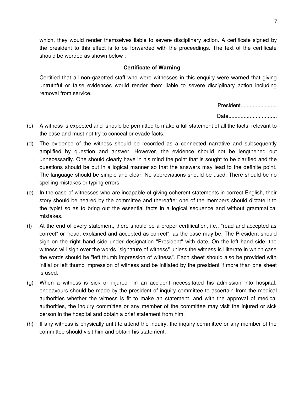which, they would render themselves liable to severe disciplinary action. A certificate signed by the president to this effect is to be forwarded with the proceedings. The text of the certificate should be worded as shown below :—

#### **Certificate of Warning**

Certified that all non-gazetted staff who were witnesses in this enquiry were warned that giving untruthful or false evidences would render them liable to severe disciplinary action including removal from service.

President........................

Date..................................

- (c) A witness is expected and should be permitted to make a full statement of all the facts, relevant to the case and must not try to conceal or evade facts.
- (d) The evidence of the witness should be recorded as a connected narrative and subsequently amplified by question and answer. However, the evidence should not be lengthened out unnecessarily. One should clearly have in his mind the point that is sought to be clarified and the questions should be put in a logical manner so that the answers may lead to the definite point. The language should be simple and clear. No abbreviations should be used. There should be no spelling mistakes or typing errors.
- (e) In the case of witnesses who are incapable of giving coherent statements in correct English, their story should be heared by the committee and thereafter one of the members should dictate it to the typist so as to bring out the essential facts in a logical sequence and without grammatical mistakes.
- (f) At the end of every statement, there should be a proper certification, i.e., "read and accepted as correct" or "read, explained and accepted as correct", as the case may be. The President should sign on the right hand side under designation "President" with date. On the left hand side, the witness will sign over the words "signature of witness" unless the witness is illiterate in which case the words should be "left thumb impression of witness". Each sheet should also be provided with initial or left thumb impression of witness and be initiated by the president if more than one sheet is used.
- (g) When a witness is sick or injured in an accident necessitated his admission into hospital, endeavours should be made by the president of inquiry committee to ascertain from the medical authorities whether the witness is fit to make an statement, and with the approval of medical authorities, the inquiry committee or any member of the committee may visit the injured or sick person in the hospital and obtain a brief statement from him.
- (h) If any witness is physically unfit to attend the inquiry, the inquiry committee or any member of the committee should visit him and obtain his statement.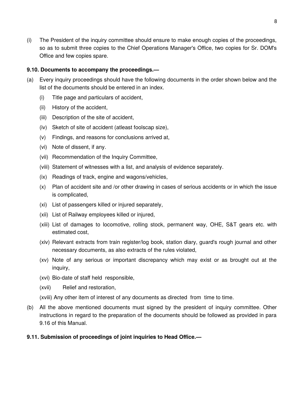(i) The President of the inquiry committee should ensure to make enough copies of the proceedings, so as to submit three copies to the Chief Operations Manager's Office, two copies for Sr. DOM's Office and few copies spare.

# **9.10. Documents to accompany the proceedings.—**

- (a) Every inquiry proceedings should have the following documents in the order shown below and the list of the documents should be entered in an index.
	- (i) Title page and particulars of accident,
	- (ii) History of the accident,
	- (iii) Description of the site of accident,
	- (iv) Sketch of site of accident (atleast foolscap size),
	- (v) Findings, and reasons for conclusions arrived at,
	- (vi) Note of dissent, if any.
	- (vii) Recommendation of the Inquiry Committee,
	- (viii) Statement of witnesses with a list, and analysis of evidence separately.
	- (ix) Readings of track, engine and wagons/vehicles,
	- (x) Plan of accident site and /or other drawing in cases of serious accidents or in which the issue is complicated,
	- (xi) List of passengers killed or injured separately,
	- (xii) List of Railway employees killed or injured,
	- (xiii) List of damages to locomotive, rolling stock, permanent way, OHE, S&T gears etc. with estimated cost,
	- (xiv) Relevant extracts from train register/log book, station diary, guard's rough journal and other necessary documents, as also extracts of the rules violated,
	- (xv) Note of any serious or important discrepancy which may exist or as brought out at the inquiry,
	- (xvi) Bio-date of staff held responsible,
	- (xvii) Relief and restoration,
	- (xviii) Any other item of interest of any documents as directed from time to time.
- (b) All the above mentioned documents must signed by the president of inquiry committee. Other instructions in regard to the preparation of the documents should be followed as provided in para 9.16 of this Manual.
- **9.11. Submission of proceedings of joint inquiries to Head Office.—**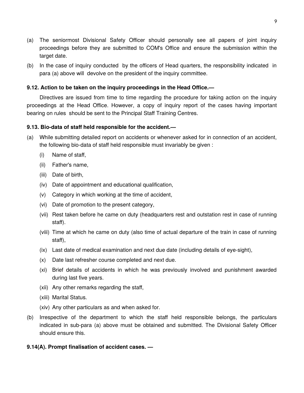- (a) The seniormost Divisional Safety Officer should personally see all papers of joint inquiry proceedings before they are submitted to COM's Office and ensure the submission within the target date.
- (b) In the case of inquiry conducted by the officers of Head quarters, the responsibility indicated in para (a) above will devolve on the president of the inquiry committee.

# **9.12. Action to be taken on the inquiry proceedings in the Head Office.—**

Directives are issued from time to time regarding the procedure for taking action on the inquiry proceedings at the Head Office. However, a copy of inquiry report of the cases having important bearing on rules should be sent to the Principal Staff Training Centres.

### **9.13. Bio-data of staff held responsible for the accident.—**

- (a) While submitting detailed report on accidents or whenever asked for in connection of an accident, the following bio-data of staff held responsible must invariably be given :
	- (i) Name of staff,
	- (ii) Father's name,
	- (iii) Date of birth,
	- (iv) Date of appointment and educational qualification,
	- (v) Category in which working at the time of accident,
	- (vi) Date of promotion to the present category,
	- (vii) Rest taken before he came on duty (headquarters rest and outstation rest in case of running staff).
	- (viii) Time at which he came on duty (also time of actual departure of the train in case of running staff),
	- (ix) Last date of medical examination and next due date (including details of eye-sight),
	- (x) Date last refresher course completed and next due.
	- (xi) Brief details of accidents in which he was previously involved and punishment awarded during last five years.
	- (xii) Any other remarks regarding the staff,
	- (xiii) Marital Status.
	- (xiv) Any other particulars as and when asked for.
- (b) Irrespective of the department to which the staff held responsible belongs, the particulars indicated in sub-para (a) above must be obtained and submitted. The Divisional Safety Officer should ensure this.

### **9.14(A). Prompt finalisation of accident cases. —**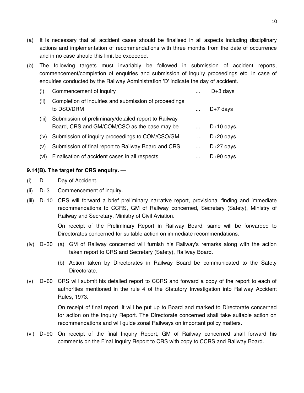- (a) It is necessary that all accident cases should be finalised in all aspects including disciplinary actions and implementation of recommendations with three months from the date of occurrence and in no case should this limit be exceeded.
- (b) The following targets must invariably be followed in submission of accident reports, commencement/completion of enquiries and submission of inquiry proceedings etc. in case of enquiries conducted by the Railway Administration 'D' indicate the day of accident.

| (i)   | Commencement of inquiry                                                                              |          | $D+3$ days   |
|-------|------------------------------------------------------------------------------------------------------|----------|--------------|
| (ii)  | Completion of inquiries and submission of proceedings<br>to DSO/DRM                                  |          | $D+7$ days   |
| (iii) | Submission of preliminary/detailed report to Railway<br>Board, CRS and GM/COM/CSO as the case may be |          | $D+10$ days. |
| (iv)  | Submission of inquiry proceedings to COM/CSO/GM                                                      |          | $D+20$ days  |
| (v)   | Submission of final report to Railway Board and CRS                                                  | $\cdots$ | $D+27$ days  |
| (vi)  | Finalisation of accident cases in all respects                                                       |          | $D+90$ days  |

# **9.14(B). The target for CRS enquiry. —**

- (i) D Day of Accident.
- (ii) D+3 Commencement of inquiry.
- (iii) D+10 CRS will forward a brief preliminary narrative report, provisional finding and immediate recommendations to CCRS, GM of Railway concerned, Secretary (Safety), Ministry of Railway and Secretary, Ministry of Civil Aviation.

On receipt of the Preliminary Report in Railway Board, same will be forwarded to Directorates concerned for suitable action on immediate recommendations.

- (iv) D+30 (a) GM of Railway concerned will furnish his Railway's remarks along with the action taken report to CRS and Secretary (Safety), Railway Board.
	- (b) Action taken by Directorates in Railway Board be communicated to the Safety Directorate.
- (v) D+60 CRS will submit his detailed report to CCRS and forward a copy of the report to each of authorities mentioned in the rule 4 of the Statutory Investigation into Railway Accident Rules, 1973.

On receipt of final report, it will be put up to Board and marked to Directorate concerned for action on the Inquiry Report. The Directorate concerned shall take suitable action on recommendations and will guide zonal Railways on important policy matters.

(vi) D+90 On receipt of the final Inquiry Report, GM of Railway concerned shall forward his comments on the Final Inquiry Report to CRS with copy to CCRS and Railway Board.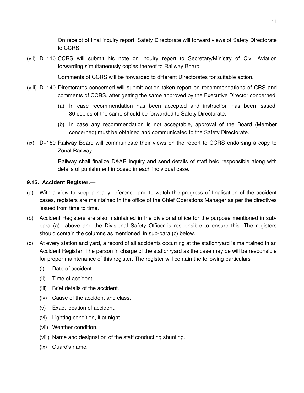On receipt of final inquiry report, Safety Directorate will forward views of Safety Directorate to CCRS.

(vii) D+110 CCRS will submit his note on inquiry report to Secretary/Ministry of Civil Aviation forwarding simultaneously copies thereof to Railway Board.

Comments of CCRS will be forwarded to different Directorates for suitable action.

- (viii) D+140 Directorates concerned will submit action taken report on recommendations of CRS and comments of CCRS, after getting the same approved by the Executive Director concerned.
	- (a) In case recommendation has been accepted and instruction has been issued, 30 copies of the same should be forwarded to Safety Directorate.
	- (b) In case any recommendation is not acceptable, approval of the Board (Member concerned) must be obtained and communicated to the Safety Directorate.
- (ix) D+180 Railway Board will communicate their views on the report to CCRS endorsing a copy to Zonal Railway.

Railway shall finalize D&AR inquiry and send details of staff held responsible along with details of punishment imposed in each individual case.

# **9.15. Accident Register.—**

- (a) With a view to keep a ready reference and to watch the progress of finalisation of the accident cases, registers are maintained in the office of the Chief Operations Manager as per the directives issued from time to time.
- (b) Accident Registers are also maintained in the divisional office for the purpose mentioned in subpara (a) above and the Divisional Safety Officer is responsible to ensure this. The registers should contain the columns as mentioned in sub-para (c) below.
- (c) At every station and yard, a record of all accidents occurring at the station/yard is maintained in an Accident Register. The person in charge of the station/yard as the case may be will be responsible for proper maintenance of this register. The register will contain the following particulars—
	- (i) Date of accident.
	- (ii) Time of accident.
	- (iii) Brief details of the accident.
	- (iv) Cause of the accident and class.
	- (v) Exact location of accident.
	- (vi) Lighting condition, if at night.
	- (vii) Weather condition.
	- (viii) Name and designation of the staff conducting shunting.
	- (ix) Guard's name.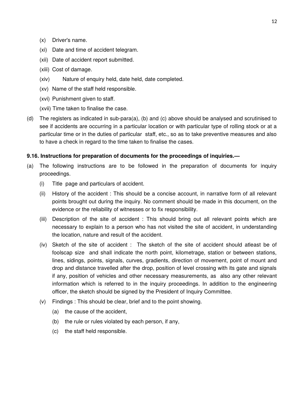- (x) Driver's name.
- (xi) Date and time of accident telegram.
- (xii) Date of accident report submitted.
- (xiii) Cost of damage.
- (xiv) Nature of enquiry held, date held, date completed.
- (xv) Name of the staff held responsible.
- (xvi) Punishment given to staff.
- (xvii) Time taken to finalise the case.
- (d) The registers as indicated in sub-para(a), (b) and (c) above should be analysed and scrutinised to see if accidents are occurring in a particular location or with particular type of rolling stock or at a particular time or in the duties of particular staff, etc., so as to take preventive measures and also to have a check in regard to the time taken to finalise the cases.

# **9.16. Instructions for preparation of documents for the proceedings of inquiries.—**

- (a) The following instructions are to be followed in the preparation of documents for inquiry proceedings.
	- (i) Title page and particulars of accident.
	- (ii) History of the accident : This should be a concise account, in narrative form of all relevant points brought out during the inquiry. No comment should be made in this document, on the evidence or the reliability of witnesses or to fix responsibility.
	- (iii) Description of the site of accident : This should bring out all relevant points which are necessary to explain to a person who has not visited the site of accident, in understanding the location, nature and result of the accident.
	- (iv) Sketch of the site of accident : The sketch of the site of accident should atleast be of foolscap size and shall indicate the north point, kilometrage, station or between stations, lines, sidings, points, signals, curves, gradients, direction of movement, point of mount and drop and distance travelled after the drop, position of level crossing with its gate and signals if any, position of vehicles and other necessary measurements, as also any other relevant information which is referred to in the inquiry proceedings. In addition to the engineering officer, the sketch should be signed by the President of Inquiry Committee.
	- (v) Findings : This should be clear, brief and to the point showing.
		- (a) the cause of the accident,
		- (b) the rule or rules violated by each person, if any,
		- (c) the staff held responsible.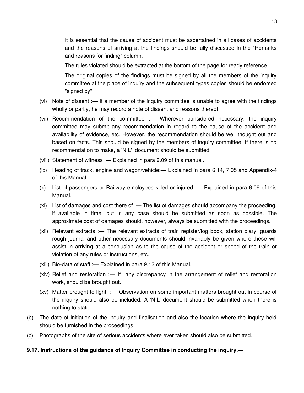It is essential that the cause of accident must be ascertained in all cases of accidents and the reasons of arriving at the findings should be fully discussed in the "Remarks and reasons for finding" column.

The rules violated should be extracted at the bottom of the page for ready reference.

The original copies of the findings must be signed by all the members of the inquiry committee at the place of inquiry and the subsequent types copies should be endorsed "signed by".

- (vi) Note of dissent :— If a member of the inquiry committee is unable to agree with the findings wholly or partly, he may record a note of dissent and reasons thereof.
- (vii) Recommendation of the committee :— Wherever considered necessary, the inquiry committee may submit any recommendation in regard to the cause of the accident and availability of evidence, etc. However, the recommendation should be well thought out and based on facts. This should be signed by the members of inquiry committee. If there is no recommendation to make, a 'NIL' document should be submitted.
- (viii) Statement of witness :— Explained in para 9.09 of this manual.
- (ix) Reading of track, engine and wagon/vehicle:— Explained in para 6.14, 7.05 and Appendix-4 of this Manual.
- (x) List of passengers or Railway employees killed or injured :— Explained in para 6.09 of this Manual.
- (xi) List of damages and cost there of :— The list of damages should accompany the proceeding, if available in time, but in any case should be submitted as soon as possible. The approximate cost of damages should, however, always be submitted with the proceedings.
- (xii) Relevant extracts :— The relevant extracts of train register/log book, station diary, guards rough journal and other necessary documents should invariably be given where these will assist in arriving at a conclusion as to the cause of the accident or speed of the train or violation of any rules or instructions, etc.
- (xiii) Bio-data of staff :— Explained in para 9.13 of this Manual.
- (xiv) Relief and restoration :— If any discrepancy in the arrangement of relief and restoration work, should be brought out.
- (xv) Matter brought to light :— Observation on some important matters brought out in course of the inquiry should also be included. A 'NIL' document should be submitted when there is nothing to state.
- (b) The date of initiation of the inquiry and finalisation and also the location where the inquiry held should be furnished in the proceedings.
- (c) Photographs of the site of serious accidents where ever taken should also be submitted.

### **9.17. Instructions of the guidance of Inquiry Committee in conducting the inquiry.—**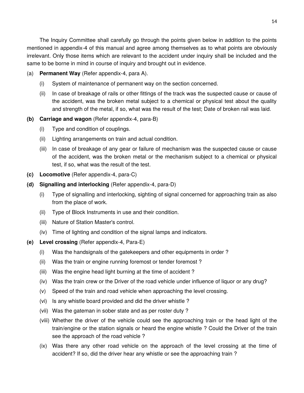The Inquiry Committee shall carefully go through the points given below in addition to the points mentioned in appendix-4 of this manual and agree among themselves as to what points are obviously irrelevant. Only those items which are relevant to the accident under inquiry shall be included and the same to be borne in mind in course of inquiry and brought out in evidence.

# (a) **Permanent Way** (Refer appendix-4, para A).

- (i) System of maintenance of permanent way on the section concerned.
- (ii) In case of breakage of rails or other fittings of the track was the suspected cause or cause of the accident, was the broken metal subject to a chemical or physical test about the quality and strength of the metal, if so, what was the result of the test; Date of broken rail was laid.

# **(b) Carriage and wagon** (Refer appendix-4, para-B)

- (i) Type and condition of couplings.
- (ii) Lighting arrangements on train and actual condition.
- (iii) In case of breakage of any gear or failure of mechanism was the suspected cause or cause of the accident, was the broken metal or the mechanism subject to a chemical or physical test, if so, what was the result of the test.
- **(c) Locomotive** (Refer appendix-4, para-C)
- **(d) Signalling and interlocking** (Refer appendix-4, para-D)
	- (i) Type of signalling and interlocking, sighting of signal concerned for approaching train as also from the place of work.
	- (ii) Type of Block Instruments in use and their condition.
	- (iii) Nature of Station Master's control.
	- (iv) Time of lighting and condition of the signal lamps and indicators.
- **(e) Level crossing** (Refer appendix-4, Para-E)
	- (i) Was the handsignals of the gatekeepers and other equipments in order ?
	- (ii) Was the train or engine running foremost or tender foremost ?
	- (iii) Was the engine head light burning at the time of accident ?
	- (iv) Was the train crew or the Driver of the road vehicle under influence of liquor or any drug?
	- (v) Speed of the train and road vehicle when approaching the level crossing.
	- (vi) Is any whistle board provided and did the driver whistle ?
	- (vii) Was the gateman in sober state and as per roster duty ?
	- (viii) Whether the driver of the vehicle could see the approaching train or the head light of the train/engine or the station signals or heard the engine whistle ? Could the Driver of the train see the approach of the road vehicle ?
	- (ix) Was there any other road vehicle on the approach of the level crossing at the time of accident? If so, did the driver hear any whistle or see the approaching train ?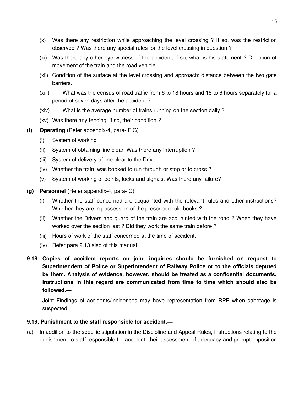- (x) Was there any restriction while approaching the level crossing ? If so, was the restriction observed ? Was there any special rules for the level crossing in question ?
- (xi) Was there any other eye witness of the accident, if so, what is his statement ? Direction of movement of the train and the road vehicle.
- (xii) Condition of the surface at the level crossing and approach; distance between the two gate barriers.
- (xiii) What was the census of road traffic from 6 to 18 hours and 18 to 6 hours separately for a period of seven days after the accident ?
- (xiv) What is the average number of trains running on the section daily ?
- (xv) Was there any fencing, if so, their condition ?
- **(f) Operating** (Refer appendix-4, para- F,G)
	- (i) System of working
	- (ii) System of obtaining line clear. Was there any interruption ?
	- (iii) System of delivery of line clear to the Driver.
	- (iv) Whether the train was booked to run through or stop or to cross ?
	- (v) System of working of points, locks and signals. Was there any failure?
- **(g) Personnel** (Refer appendix-4, para- G)
	- (i) Whether the staff concerned are acquainted with the relevant rules and other instructions? Whether they are in possession of the prescribed rule books ?
	- (ii) Whether the Drivers and guard of the train are acquainted with the road ? When they have worked over the section last ? Did they work the same train before ?
	- (iii) Hours of work of the staff concerned at the time of accident.
	- (iv) Refer para 9.13 also of this manual.
- **9.18. Copies of accident reports on joint inquiries should be furnished on request to Superintendent of Police or Superintendent of Railway Police or to the officials deputed by them. Analysis of evidence, however, should be treated as a confidential documents. Instructions in this regard are communicated from time to time which should also be followed.—**

Joint Findings of accidents/incidences may have representation from RPF when sabotage is suspected.

# **9.19. Punishment to the staff responsible for accident.—**

(a) In addition to the specific stipulation in the Discipline and Appeal Rules, instructions relating to the punishment to staff responsible for accident, their assessment of adequacy and prompt imposition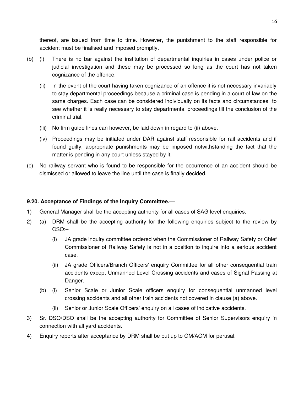thereof, are issued from time to time. However, the punishment to the staff responsible for accident must be finalised and imposed promptly.

- (b) (i) There is no bar against the institution of departmental inquiries in cases under police or judicial investigation and these may be processed so long as the court has not taken cognizance of the offence.
	- (ii) In the event of the court having taken cognizance of an offence it is not necessary invariably to stay departmental proceedings because a criminal case is pending in a court of law on the same charges. Each case can be considered individually on its facts and circumstances to see whether it is really necessary to stay departmental proceedings till the conclusion of the criminal trial.
	- (iii) No firm guide lines can however, be laid down in regard to (ii) above.
	- (iv) Proceedings may be initiated under DAR against staff responsible for rail accidents and if found guilty, appropriate punishments may be imposed notwithstanding the fact that the matter is pending in any court unless stayed by it.
- (c) No railway servant who is found to be responsible for the occurrence of an accident should be dismissed or allowed to leave the line until the case is finally decided.

# **9.20. Acceptance of Findings of the Inquiry Committee.—**

- 1) General Manager shall be the accepting authority for all cases of SAG level enquiries.
- 2) (a) DRM shall be the accepting authority for the following enquiries subject to the review by CSO:–
	- (i) JA grade inquiry committee ordered when the Commissioner of Railway Safety or Chief Commissioner of Railway Safety is not in a position to inquire into a serious accident case.
	- (ii) JA grade Officers/Branch Officers' enquiry Committee for all other consequential train accidents except Unmanned Level Crossing accidents and cases of Signal Passing at Danger.
	- (b) (i) Senior Scale or Junior Scale officers enquiry for consequential unmanned level crossing accidents and all other train accidents not covered in clause (a) above.
		- (ii) Senior or Junior Scale Officers' enquiry on all cases of indicative accidents.
- 3) Sr. DSO/DSO shall be the accepting authority for Committee of Senior Supervisors enquiry in connection with all yard accidents.
- 4) Enquiry reports after acceptance by DRM shall be put up to GM/AGM for perusal.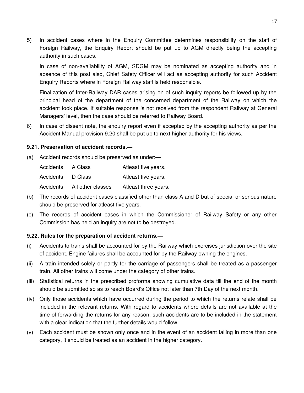5) In accident cases where in the Enquiry Committee determines responsibility on the staff of Foreign Railway, the Enquiry Report should be put up to AGM directly being the accepting authority in such cases.

In case of non-availability of AGM, SDGM may be nominated as accepting authority and in absence of this post also, Chief Safety Officer will act as accepting authority for such Accident Enquiry Reports where in Foreign Railway staff is held responsible.

Finalization of Inter-Railway DAR cases arising on of such inquiry reports be followed up by the principal head of the department of the concerned department of the Railway on which the accident took place. If suitable response is not received from the respondent Railway at General Managers' level, then the case should be referred to Railway Board.

6) In case of dissent note, the enquiry report even if accepted by the accepting authority as per the Accident Manual provision 9.20 shall be put up to next higher authority for his views.

# **9.21. Preservation of accident records.—**

(a) Accident records should be preserved as under:—

| Accidents | A Class           | Atleast five years.  |
|-----------|-------------------|----------------------|
| Accidents | D Class           | Atleast five years.  |
| Accidents | All other classes | Atleast three years. |

- (b) The records of accident cases classified other than class A and D but of special or serious nature should be preserved for atleast five years.
- (c) The records of accident cases in which the Commissioner of Railway Safety or any other Commission has held an inquiry are not to be destroyed.

# **9.22. Rules for the preparation of accident returns.—**

- (i) Accidents to trains shall be accounted for by the Railway which exercises jurisdiction over the site of accident. Engine failures shall be accounted for by the Railway owning the engines.
- (ii) A train intended solely or partly for the carriage of passengers shall be treated as a passenger train. All other trains will come under the category of other trains.
- (iii) Statistical returns in the prescribed proforma showing cumulative data till the end of the month should be submitted so as to reach Board's Office not later than 7th Day of the next month.
- (iv) Only those accidents which have occurred during the period to which the returns relate shall be included in the relevant returns. With regard to accidents where details are not available at the time of forwarding the returns for any reason, such accidents are to be included in the statement with a clear indication that the further details would follow.
- (v) Each accident must be shown only once and in the event of an accident falling in more than one category, it should be treated as an accident in the higher category.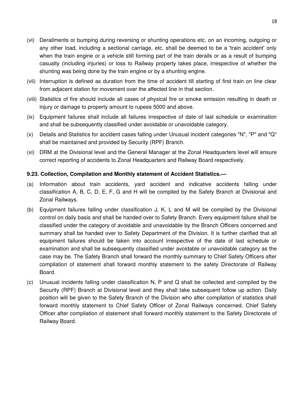- (vi) Derailments or bumping during reversing or shunting operations etc. on an incoming, outgoing or any other load, including a sectional carriage, etc. shall be deemed to be a 'train accident' only when the train engine or a vehicle still forming part of the train derails or as a result of bumping casualty (including injuries) or loss to Railway property takes place, irrespective of whether the shunting was being done by the train engine or by a shunting engine.
- (vii) Interruption is defined as duration from the time of accident till starting of first train on line clear from adjacent station for movement over the affected line in that section.
- (viii) Statistics of fire should include all cases of physical fire or smoke emission resulting in death or injury or damage to property amount to rupees 5000 and above.
- (ix) Equipment failures shall include all failures irrespective of date of last schedule or examination and shall be subsequently classified under avoidable or unavoidable category.
- (x) Details and Statistics for accident cases falling under Unusual incident categories "N", "P" and "Q" shall be maintained and provided by Security (RPF) Branch.
- (xi) DRM at the Divisional level and the General Manager at the Zonal Headquarters level will ensure correct reporting of accidents to Zonal Headquarters and Railway Board respectively.

# **9.23. Collection, Compilation and Monthly statement of Accident Statistics.—**

- (a) Information about train accidents, yard accident and indicative accidents falling under classification A, B, C, D, E, F, G and H will be compiled by the Safety Branch at Divisional and Zonal Railways.
- (b) Equipment failures falling under classification J, K, L and M will be compiled by the Divisional control on daily basis and shall be handed over to Safety Branch. Every equipment failure shall be classified under the category of avoidable and unavoidable by the Branch Officers concerned and summary shall be handed over to Safety Department of the Division. It is further clarified that all equipment failures should be taken into account irrespective of the date of last schedule or examination and shall be subsequently classified under avoidable or unavoidable category as the case may be. The Safety Branch shall forward the monthly summary to Chief Safety Officers after compilation of statement shall forward monthly statement to the safety Directorate of Railway Board.
- (c) Unusual incidents falling under classification N, P and Q shall be collected and compiled by the Security (RPF) Branch at Divisional level and they shall take subsequent follow up action. Daily position will be given to the Safety Branch of the Division who after compilation of statistics shall forward monthly statement to Chief Safety Officer of Zonal Railways concerned. Chief Safety Officer after compilation of statement shall forward monthly statement to the Safety Directorate of Railway Board.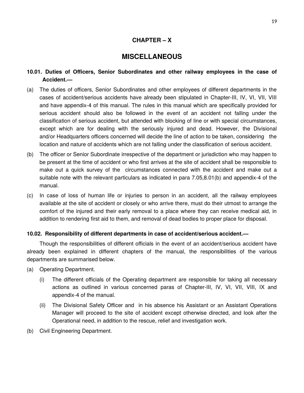# **CHAPTER – X**

# **MISCELLANEOUS**

- **10.01. Duties of Officers, Senior Subordinates and other railway employees in the case of Accident.—**
- (a) The duties of officers, Senior Subordinates and other employees of different departments in the cases of accident/serious accidents have already been stipulated in Chapter-III, IV, VI, VII, VIII and have appendix-4 of this manual. The rules in this manual which are specifically provided for serious accident should also be followed in the event of an accident not falling under the classification of serious accident, but attended with blocking of line or with special circumstances, except which are for dealing with the seriously injured and dead. However, the Divisional and/or Headquarters officers concerned will decide the line of action to be taken, considering the location and nature of accidents which are not falling under the classification of serious accident.
- (b) The officer or Senior Subordinate irrespective of the department or jurisdiction who may happen to be present at the time of accident or who first arrives at the site of accident shall be responsible to make out a quick survey of the circumstances connected with the accident and make out a suitable note with the relevant particulars as indicated in para 7.05,8.01(b) and appendix-4 of the manual.
- (c) In case of loss of human life or injuries to person in an accident, all the railway employees available at the site of accident or closely or who arrive there, must do their utmost to arrange the comfort of the injured and their early removal to a place where they can receive medical aid, in addition to rendering first aid to them, and removal of dead bodies to proper place for disposal.

# **10.02. Responsibility of different departments in case of accident/serious accident.—**

Though the responsibilities of different officials in the event of an accident/serious accident have already been explained in different chapters of the manual, the responsibilities of the various departments are summarised below.

- (a) Operating Department.
	- (i) The different officials of the Operating department are responsible for taking all necessary actions as outlined in various concerned paras of Chapter-III, IV, VI, VII, VIII, IX and appendix-4 of the manual.
	- (ii) The Divisional Safety Officer and in his absence his Assistant or an Assistant Operations Manager will proceed to the site of accident except otherwise directed, and look after the Operational need, in addition to the rescue, relief and investigation work.
- (b) Civil Engineering Department.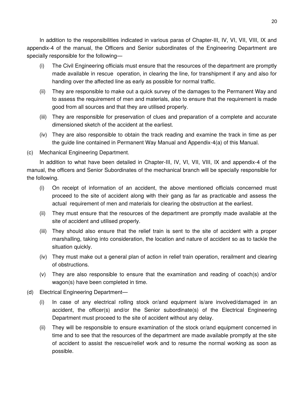In addition to the responsibilities indicated in various paras of Chapter-III, IV, VI, VII, VIII, IX and appendix-4 of the manual, the Officers and Senior subordinates of the Engineering Department are specially responsible for the following—

- (i) The Civil Engineering officials must ensure that the resources of the department are promptly made available in rescue operation, in clearing the line, for transhipment if any and also for handing over the affected line as early as possible for normal traffic.
- (ii) They are responsible to make out a quick survey of the damages to the Permanent Way and to assess the requirement of men and materials, also to ensure that the requirement is made good from all sources and that they are utilised properly.
- (iii) They are responsible for preservation of clues and preparation of a complete and accurate dimensioned sketch of the accident at the earliest.
- (iv) They are also responsible to obtain the track reading and examine the track in time as per the guide line contained in Permanent Way Manual and Appendix-4(a) of this Manual.
- (c) Mechanical Engineering Department.

In addition to what have been detailed in Chapter-III, IV, VI, VII, VIII, IX and appendix-4 of the manual, the officers and Senior Subordinates of the mechanical branch will be specially responsible for the following.

- (i) On receipt of information of an accident, the above mentioned officials concerned must proceed to the site of accident along with their gang as far as practicable and assess the actual requirement of men and materials for clearing the obstruction at the earliest.
- (ii) They must ensure that the resources of the department are promptly made available at the site of accident and utilised properly.
- (iii) They should also ensure that the relief train is sent to the site of accident with a proper marshalling, taking into consideration, the location and nature of accident so as to tackle the situation quickly.
- (iv) They must make out a general plan of action in relief train operation, rerailment and clearing of obstructions.
- (v) They are also responsible to ensure that the examination and reading of coach(s) and/or wagon(s) have been completed in time.
- (d) Electrical Engineering Department—
	- (i) In case of any electrical rolling stock or/and equipment is/are involved/damaged in an accident, the officer(s) and/or the Senior subordinate(s) of the Electrical Engineering Department must proceed to the site of accident without any delay.
	- (ii) They will be responsible to ensure examination of the stock or/and equipment concerned in time and to see that the resources of the department are made available promptly at the site of accident to assist the rescue/relief work and to resume the normal working as soon as possible.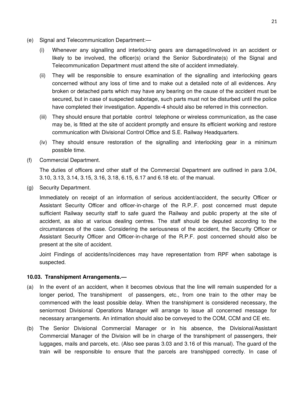- (e) Signal and Telecommunication Department:—
	- (i) Whenever any signalling and interlocking gears are damaged/involved in an accident or likely to be involved, the officer(s) or/and the Senior Subordinate(s) of the Signal and Telecommunication Department must attend the site of accident immediately.
	- (ii) They will be responsible to ensure examination of the signalling and interlocking gears concerned without any loss of time and to make out a detailed note of all evidences. Any broken or detached parts which may have any bearing on the cause of the accident must be secured, but in case of suspected sabotage, such parts must not be disturbed until the police have completed their investigation. Appendix-4 should also be referred in this connection.
	- (iii) They should ensure that portable control telephone or wireless communication, as the case may be, is fitted at the site of accident promptly and ensure its efficient working and restore communication with Divisional Control Office and S.E. Railway Headquarters.
	- (iv) They should ensure restoration of the signalling and interlocking gear in a minimum possible time.
- (f) Commercial Department.

The duties of officers and other staff of the Commercial Department are outlined in para 3.04, 3.10, 3.13, 3.14, 3.15, 3.16, 3.18, 6.15, 6.17 and 6.18 etc. of the manual.

(g) Security Department.

Immediately on receipt of an information of serious accident/accident, the security Officer or Assistant Security Officer and officer-in-charge of the R.P..F. post concerned must depute sufficient Railway security staff to safe guard the Railway and public property at the site of accident, as also at various dealing centres. The staff should be deputed according to the circumstances of the case. Considering the seriousness of the accident, the Security Officer or Assistant Security Officer and Officer-in-charge of the R.P.F. post concerned should also be present at the site of accident.

Joint Findings of accidents/incidences may have representation from RPF when sabotage is suspected.

# **10.03. Transhipment Arrangements.—**

- (a) In the event of an accident, when it becomes obvious that the line will remain suspended for a longer period, The transhipment of passengers, etc., from one train to the other may be commenced with the least possible delay. When the transhipment is considered necessary, the seniormost Divisional Operations Manager will arrange to issue all concerned message for necessary arrangements. An intimation should also be conveyed to the COM, CCM and CE etc.
- (b) The Senior Divisional Commercial Manager or in his absence, the Divisional/Assistant Commercial Manager of the Division will be in charge of the transhipment of passengers, their luggages, mails and parcels, etc. (Also see paras 3.03 and 3.16 of this manual). The guard of the train will be responsible to ensure that the parcels are transhipped correctly. In case of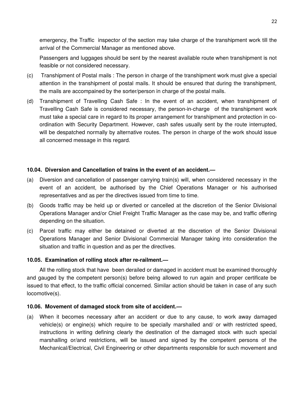emergency, the Traffic inspector of the section may take charge of the transhipment work till the arrival of the Commercial Manager as mentioned above.

Passengers and luggages should be sent by the nearest available route when transhipment is not feasible or not considered necessary.

- (c) Transhipment of Postal mails : The person in charge of the transhipment work must give a special attention in the transhipment of postal mails. It should be ensured that during the transhipment, the mails are accompained by the sorter/person in charge of the postal mails.
- (d) Transhipment of Travelling Cash Safe : In the event of an accident, when transhipment of Travelling Cash Safe is considered necessary, the person-in-charge of the transhipment work must take a special care in regard to its proper arrangement for transhipment and protection in coordination with Security Department. However, cash safes usually sent by the route interrupted, will be despatched normally by alternative routes. The person in charge of the work should issue all concerned message in this regard.

# **10.04. Diversion and Cancellation of trains in the event of an accident.—**

- (a) Diversion and cancellation of passenger carrying train(s) will, when considered necessary in the event of an accident, be authorised by the Chief Operations Manager or his authorised representatives and as per the directives issued from time to time.
- (b) Goods traffic may be held up or diverted or cancelled at the discretion of the Senior Divisional Operations Manager and/or Chief Freight Traffic Manager as the case may be, and traffic offering depending on the situation.
- (c) Parcel traffic may either be detained or diverted at the discretion of the Senior Divisional Operations Manager and Senior Divisional Commercial Manager taking into consideration the situation and traffic in question and as per the directives.

### **10.05. Examination of rolling stock after re-railment.—**

All the rolling stock that have been derailed or damaged in accident must be examined thoroughly and gauged by the competent person(s) before being allowed to run again and proper certificate be issued to that effect, to the traffic official concerned. Similar action should be taken in case of any such locomotive(s).

#### **10.06. Movement of damaged stock from site of accident.—**

(a) When it becomes necessary after an accident or due to any cause, to work away damaged vehicle(s) or engine(s) which require to be specially marshalled and/ or with restricted speed, instructions in writing defining clearly the destination of the damaged stock with such special marshalling or/and restrictions, will be issued and signed by the competent persons of the Mechanical/Electrical, Civil Engineering or other departments responsible for such movement and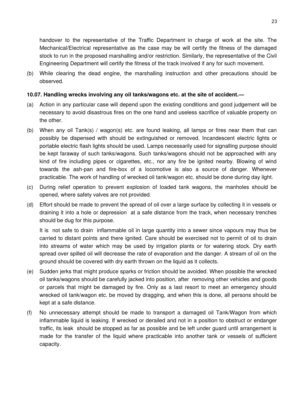handover to the representative of the Traffic Department in charge of work at the site. The Mechanical/Electrical representative as the case may be will certify the fitness of the damaged stock to run in the proposed marshalling and/or restriction. Similarly, the representative of the Civil Engineering Department will certify the fitness of the track involved if any for such movement.

(b) While clearing the dead engine, the marshalling instruction and other precautions should be observed.

# **10.07. Handling wrecks involving any oil tanks/wagons etc. at the site of accident.—**

- (a) Action in any particular case will depend upon the existing conditions and good judgement will be necessary to avoid disastrous fires on the one hand and useless sacrifice of valuable property on the other.
- (b) When any oil Tank(s) / wagon(s) etc. are found leaking, all lamps or fires near them that can possibly be dispensed with should be extinguished or removed. Incandescent electric lights or portable electric flash lights should be used. Lamps necessarily used for signalling purpose should be kept faraway of such tanks/wagons. Such tanks/wagons should not be approached with any kind of fire including pipes or cigarettes, etc., nor any fire be ignited nearby. Blowing of wind towards the ash-pan and fire-box of a locomotive is also a source of danger. Whenever practicable. The work of handling of wrecked oil tank/wagon etc. should be done during day light.
- (c) During relief operation to prevent explosion of loaded tank wagons, the manholes should be opened, where safety valves are not provided.
- (d) Effort should be made to prevent the spread of oil over a large surface by collecting it in vessels or draining it into a hole or depression at a safe distance from the track, when necessary trenches should be dug for this purpose.

It is not safe to drain inflammable oil in large quantity into a sewer since vapours may thus be carried to distant points and there ignited. Care should be exercised not to permit of oil to drain into streams of water which may be used by irrigation plants or for watering stock. Dry earth spread over spilled oil will decrease the rate of evaporation and the danger. A stream of oil on the ground should be covered with dry earth thrown on the liquid as it collects.

- (e) Sudden jerks that might produce sparks or friction should be avoided. When possible the wrecked oil tanks/wagons should be carefully jacked into position, after removing other vehicles and goods or parcels that might be damaged by fire. Only as a last resort to meet an emergency should wrecked oil tank/wagon etc. be moved by dragging, and when this is done, all persons should be kept at a safe distance.
- (f) No unnecessary attempt should be made to transport a damaged oil Tank/Wagon from which inflammable liquid is leaking. If wrecked or derailed and not in a position to obstruct or endanger traffic, its leak should be stopped as far as possible and be left under guard until arrangement is made for the transfer of the liquid where practicable into another tank or vessels of sufficient capacity.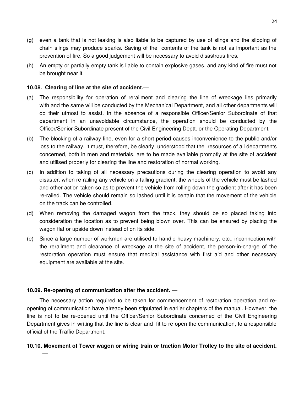- (g) even a tank that is not leaking is also liable to be captured by use of slings and the slipping of chain slings may produce sparks. Saving of the contents of the tank is not as important as the prevention of fire. So a good judgement will be necessary to avoid disastrous fires.
- (h) An empty or partially empty tank is liable to contain explosive gases, and any kind of fire must not be brought near it.

# **10.08. Clearing of line at the site of accident.—**

- (a) The responsibility for operation of rerailment and clearing the line of wreckage lies primarily with and the same will be conducted by the Mechanical Department, and all other departments will do their utmost to assist. In the absence of a responsible Officer/Senior Subordinate of that department in an unavoidable circumstance, the operation should be conducted by the Officer/Senior Subordinate present of the Civil Engineering Deptt. or the Operating Department.
- (b) The blocking of a railway line, even for a short period causes inconvenience to the public and/or loss to the railway. It must, therefore, be clearly understood that the resources of all departments concerned, both in men and materials, are to be made available promptly at the site of accident and utilised properly for clearing the line and restoration of normal working.
- (c) In addition to taking of all necessary precautions during the clearing operation to avoid any disaster, when re-railing any vehicle on a falling gradient, the wheels of the vehicle must be lashed and other action taken so as to prevent the vehicle from rolling down the gradient after it has been re-railed. The vehicle should remain so lashed until it is certain that the movement of the vehicle on the track can be controlled.
- (d) When removing the damaged wagon from the track, they should be so placed taking into consideration the location as to prevent being blown over. This can be ensured by placing the wagon flat or upside down instead of on its side.
- (e) Since a large number of workmen are utilised to handle heavy machinery, etc., inconnection with the rerailment and clearance of wreckage at the site of accident, the person-in-charge of the restoration operation must ensure that medical assistance with first aid and other necessary equipment are available at the site.

# **10.09. Re-opening of communication after the accident. —**

**—**

The necessary action required to be taken for commencement of restoration operation and reopening of communication have already been stipulated in earlier chapters of the manual. However, the line is not to be re-opened until the Officer/Senior Subordinate concerned of the Civil Engineering Department gives in writing that the line is clear and fit to re-open the communication, to a responsible official of the Traffic Department.

### **10.10. Movement of Tower wagon or wiring train or traction Motor Trolley to the site of accident.**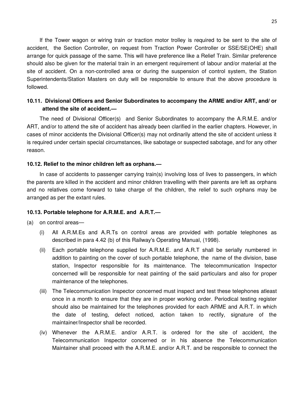If the Tower wagon or wiring train or traction motor trolley is required to be sent to the site of accident, the Section Controller, on request from Traction Power Controller or SSE/SE(OHE) shall arrange for quick passage of the same. This will have preference like a Relief Train. Similar preference should also be given for the material train in an emergent requirement of labour and/or material at the site of accident. On a non-controlled area or during the suspension of control system, the Station Superintendents/Station Masters on duty will be responsible to ensure that the above procedure is followed.

# **10.11. Divisional Officers and Senior Subordinates to accompany the ARME and/or ART, and/ or attend the site of accident.—**

The need of Divisional Officer(s) and Senior Subordinates to accompany the A.R.M.E. and/or ART, and/or to attend the site of accident has already been clarified in the earlier chapters. However, in cases of minor accidents the Divisional Officer(s) may not ordinarily attend the site of accident unless it is required under certain special circumstances, like sabotage or suspected sabotage, and for any other reason.

### **10.12. Relief to the minor children left as orphans.—**

In case of accidents to passenger carrying train(s) involving loss of lives to passengers, in which the parents are killed in the accident and minor children travelling with their parents are left as orphans and no relatives come forward to take charge of the children, the relief to such orphans may be arranged as per the extant rules.

### **10.13. Portable telephone for A.R.M.E. and A.R.T.—**

(a) on control areas—

- (i) All A.R.M.Es and A.R.Ts on control areas are provided with portable telephones as described in para 4.42 (b) of this Railway's Operating Manual, (1998).
- (ii) Each portable telephone supplied for A.R.M.E. and A.R.T shall be serially numbered in addition to painting on the cover of such portable telephone, the name of the division, base station, Inspector responsible for its maintenance. The telecommunication Inspector concerned will be responsible for neat painting of the said particulars and also for proper maintenance of the telephones.
- (iii) The Telecommunication Inspector concerned must inspect and test these telephones atleast once in a month to ensure that they are in proper working order. Periodical testing register should also be maintained for the telephones provided for each ARME and A.R.T. in which the date of testing, defect noticed, action taken to rectify, signature of the maintainer/Inspector shall be recorded.
- (iv) Whenever the A.R.M.E. and/or A.R.T. is ordered for the site of accident, the Telecommunication Inspector concerned or in his absence the Telecommunication Maintainer shall proceed with the A.R.M.E. and/or A.R.T. and be responsible to connect the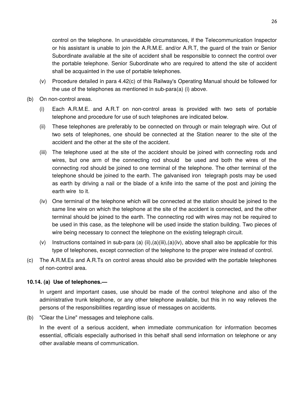control on the telephone. In unavoidable circumstances, if the Telecommunication Inspector or his assistant is unable to join the A.R.M.E. and/or A.R.T, the guard of the train or Senior Subordinate available at the site of accident shall be responsible to connect the control over the portable telephone. Senior Subordinate who are required to attend the site of accident shall be acquainted in the use of portable telephones.

- (v) Procedure detailed in para 4.42(c) of this Railway's Operating Manual should be followed for the use of the telephones as mentioned in sub-para(a) (i) above.
- (b) On non-control areas.
	- (i) Each A.R.M.E. and A.R.T on non-control areas is provided with two sets of portable telephone and procedure for use of such telephones are indicated below.
	- (ii) These telephones are preferably to be connected on through or main telegraph wire. Out of two sets of telephones, one should be connected at the Station nearer to the site of the accident and the other at the site of the accident.
	- (iii) The telephone used at the site of the accident should be joined with connecting rods and wires, but one arm of the connecting rod should be used and both the wires of the connecting rod should be joined to one terminal of the telephone. The other terminal of the telephone should be joined to the earth. The galvanised iron telegraph posts may be used as earth by driving a nail or the blade of a knife into the same of the post and joining the earth wire to it.
	- (iv) One terminal of the telephone which will be connected at the station should be joined to the same line wire on which the telephone at the site of the accident is connected, and the other terminal should be joined to the earth. The connecting rod with wires may not be required to be used in this case, as the telephone will be used inside the station building. Two pieces of wire being necessary to connect the telephone on the existing telegraph circuit.
	- (v) Instructions contained in sub-para (a) (ii),(a)(iii),(a)(iv), above shall also be applicable for this type of telephones, except connection of the telephone to the proper wire instead of control.
- (c) The A.R.M.Es and A.R.Ts on control areas should also be provided with the portable telephones of non-control area.

# **10.14. (a) Use of telephones.—**

In urgent and important cases, use should be made of the control telephone and also of the administrative trunk telephone, or any other telephone available, but this in no way relieves the persons of the responsibilities regarding issue of messages on accidents.

(b) "Clear the Line" messages and telephone calls.

In the event of a serious accident, when immediate communication for information becomes essential, officials especially authorised in this behalf shall send information on telephone or any other available means of communication.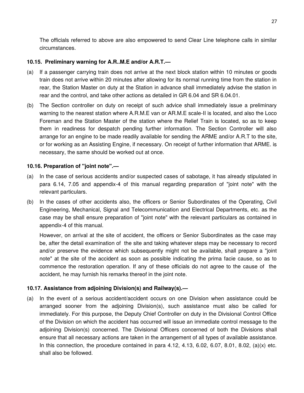The officials referred to above are also empowered to send Clear Line telephone calls in similar circumstances.

### **10.15. Preliminary warning for A.R..M.E and/or A.R.T.—**

- (a) If a passenger carrying train does not arrive at the next block station within 10 minutes or goods train does not arrive within 20 minutes after allowing for its normal running time from the station in rear, the Station Master on duty at the Station in advance shall immediately advise the station in rear and the control, and take other actions as detailed in GR 6.04 and SR 6.04.01.
- (b) The Section controller on duty on receipt of such advice shall immediately issue a preliminary warning to the nearest station where A.R.M.E van or AR.M.E scale-II is located, and also the Loco Foreman and the Station Master of the station where the Relief Train is located, so as to keep them in readiness for despatch pending further information. The Section Controller will also arrange for an engine to be made readily available for sending the ARME and/or A.R.T to the site, or for working as an Assisting Engine, if necessary. On receipt of further information that ARME. is necessary, the same should be worked out at once.

### **10.16. Preparation of "joint note".—**

- (a) In the case of serious accidents and/or suspected cases of sabotage, it has already stipulated in para 6.14, 7.05 and appendix-4 of this manual regarding preparation of "joint note" with the relevant particulars.
- (b) In the cases of other accidents also, the officers or Senior Subordinates of the Operating, Civil Engineering, Mechanical, Signal and Telecommunication and Electrical Departments, etc. as the case may be shall ensure preparation of "joint note" with the relevant particulars as contained in appendix-4 of this manual.

However, on arrival at the site of accident, the officers or Senior Subordinates as the case may be, after the detail examination of the site and taking whatever steps may be necessary to record and/or preserve the evidence which subsequently might not be available, shall prepare a "joint note" at the site of the accident as soon as possible indicating the prima facie cause, so as to commence the restoration operation. If any of these officials do not agree to the cause of the accident, he may furnish his remarks thereof in the joint note.

# **10.17. Assistance from adjoining Division(s) and Railway(s).—**

(a) In the event of a serious accident/accident occurs on one Division when assistance could be arranged sooner from the adjoining Division(s), such assistance must also be called for immediately. For this purpose, the Deputy Chief Controller on duty in the Divisional Control Office of the Division on which the accident has occurred will issue an immediate control message to the adjoining Division(s) concerned. The Divisional Officers concerned of both the Divisions shall ensure that all necessary actions are taken in the arrangement of all types of available assistance. In this connection, the procedure contained in para  $4.12, 4.13, 6.02, 6.07, 8.01, 8.02, (a)(x)$  etc. shall also be followed.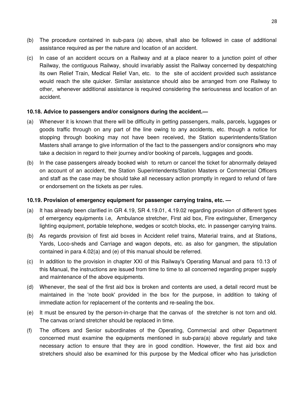- (b) The procedure contained in sub-para (a) above, shall also be followed in case of additional assistance required as per the nature and location of an accident.
- (c) In case of an accident occurs on a Railway and at a place nearer to a junction point of other Railway, the contiguous Railway, should invariably assist the Railway concerned by despatching its own Relief Train, Medical Relief Van, etc. to the site of accident provided such assistance would reach the site quicker. Similar assistance should also be arranged from one Railway to other, whenever additional assistance is required considering the seriousness and location of an accident.

### **10.18. Advice to passengers and/or consignors during the accident.—**

- (a) Whenever it is known that there will be difficulty in getting passengers, mails, parcels, luggages or goods traffic through on any part of the line owing to any accidents, etc. though a notice for stopping through booking may not have been received, the Station superintendents/Station Masters shall arrange to give information of the fact to the passengers and/or consignors who may take a decision in regard to their journey and/or booking of parcels, luggages and goods.
- (b) In the case passengers already booked wish to return or cancel the ticket for abnormally delayed on account of an accident, the Station Superintendents/Station Masters or Commercial Officers and staff as the case may be should take all necessary action promptly in regard to refund of fare or endorsement on the tickets as per rules.

# **10.19. Provision of emergency equipment for passenger carrying trains, etc. —**

- (a) It has already been clarified in GR 4.19, SR 4.19.01, 4.19.02 regarding provision of different types of emergency equipments i.e, Ambulance stretcher, First aid box, Fire extinguisher, Emergency lighting equipment, portable telephone, wedges or scotch blocks, etc. in passenger carrying trains.
- (b) As regards provision of first aid boxes in Accident relief trains, Material trains, and at Stations, Yards, Loco-sheds and Carriage and wagon depots, etc. as also for gangmen, the stipulation contained in para 4.02(a) and (e) of this manual should be referred.
- (c) In addition to the provision in chapter XXI of this Railway's Operating Manual and para 10.13 of this Manual, the instructions are issued from time to time to all concerned regarding proper supply and maintenance of the above equipments.
- (d) Whenever, the seal of the first aid box is broken and contents are used, a detail record must be maintained in the 'note book' provided in the box for the purpose, in addition to taking of immediate action for replacement of the contents and re-sealing the box.
- (e) It must be ensured by the person-in-charge that the canvas of the stretcher is not torn and old. The canvas or/and stretcher should be replaced in time.
- (f) The officers and Senior subordinates of the Operating, Commercial and other Department concerned must examine the equipments mentioned in sub-para(a) above regularly and take necessary action to ensure that they are in good condition. However, the first aid box and stretchers should also be examined for this purpose by the Medical officer who has jurisdiction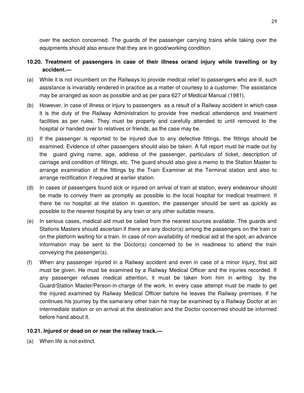over the section concerned. The guards of the passenger carrying trains while taking over the equipments should also ensure that they are in good/working condition.

# **10.20. Treatment of passengers in case of their illness or/and injury while travelling or by accident.—**

- (a) While it is not incumbent on the Railways to provide medical relief to passengers who are ill, such assistance is invariably rendered in practice as a matter of courtesy to a customer. The assistance may be arranged as soon as possible and as per para 627 of Medical Manual (1981).
- (b) However, in case of illness or injury to passengers as a result of a Railway accident in which case it is the duty of the Railway Administration to provide free medical attendence and treatment facilities as per rules. They must be properly and carefully attended to until removed to the hospital or handed over to relatives or friends, as the case may be.
- (c) If the passenger is reported to be injured due to any defective fittings, the fittings should be examined. Evidence of other passengers should also be taken. A full report must be made out by the guard giving name, age, address of the passenger, particulars of ticket, description of carriage and condition of fittings, etc. The guard should also give a memo to the Station Master to arrange examination of the fittings by the Train Examiner at the Terminal station and also to arrange rectification if required at earlier station.
- (d) In cases of passengers found sick or injured on arrival of train at station, every endeavour should be made to convey them as promptly as possible to the local hospital for medical treatment. If there be no hospital at the station in question, the passenger should be sent as quickly as possible to the nearest hospital by any train or any other suitable means.
- (e) In serious cases, medical aid must be called from the nearest sources available. The guards and Stations Masters should ascertain if there are any doctor(s) among the passengers on the train or on the platform waiting for a train. In case of non-availability of medical aid at the spot, an advance information may be sent to the Doctor(s) concerned to be in readiness to attend the train conveying the passenger(s).
- (f) When any passenger injured in a Railway accident and even in case of a minor injury, first aid must be given. He must be examined by a Railway Medical Officer and the injuries recorded. If any passenger refuses medical attention, it must be taken from him in writing by the Guard/Station Master/Person-in-charge of the work. In every case attempt must be made to get the injured examined by Railway Medical Officer before he leaves the Railway premises. If he continues his journey by the same/any other train he may be examined by a Railway Doctor at an intermediate station or on arrival at the destination and the Doctor concerned should be informed before hand about it.

# **10.21. Injured or dead on or near the railway track.—**

(a) When life is not extinct.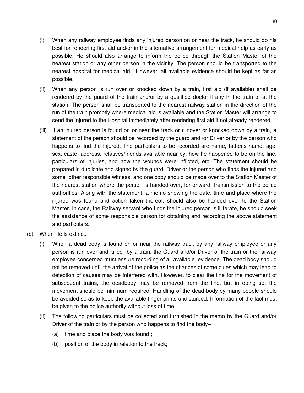- (i) When any railway employee finds any injured person on or near the track, he should do his best for rendering first aid and/or in the alternative arrangement for medical help as early as possible. He should also arrange to inform the police through the Station Master of the nearest station or any other person in the vicinity. The person should be transported to the nearest hospital for medical aid. However, all available evidence should be kept as far as possible.
- (ii) When any person is run over or knocked down by a train, first aid (if available) shall be rendered by the guard of the train and/or by a qualified doctor if any in the train or at the station. The person shall be transported to the nearest railway station in the direction of the run of the train promptly where medical aid is available and the Station Master will arrange to send the injured to the Hospital immediately after rendering first aid if not already rendered.
- (iii) If an injured person is found on or near the track or runover or knocked down by a train, a statement of the person should be recorded by the guard and /or Driver or by the person who happens to find the injured. The particulars to be recorded are name, father's name, age, sex, caste, address, relatives/friends available near-by, how he happened to be on the line, particulars of injuries, and how the wounds were inflicted, etc. The statement should be prepared in duplicate and signed by the guard, Driver or the person who finds the injured and some other responsible witness, and one copy should be made over to the Station Master of the nearest station where the person is handed over, for onward transmission to the police authorities. Along with the statement, a memo showing the date, time and place where the injured was found and action taken thereof, should also be handed over to the Station Master. In case, the Railway servant who finds the injured person is illiterate, he should seek the assistance of some responsible person for obtaining and recording the above statement and particulars.
- (b) When life is extinct.
	- (i) When a dead body is found on or near the railway track by any railway employee or any person is run over and killed by a train, the Guard and/or Driver of the train or the railway employee concerned must ensure recording of all available evidence. The dead body should not be removed until the arrival of the police as the chances of some clues which may lead to detection of causes may be interfered with. However, to clear the line for the movement of subsequent trains, the deadbody may be removed from the line, but in doing so, the movement should be minimum required. Handling of the dead body by many people should be avoided so as to keep the available finger prints undisturbed. Information of the fact must be given to the police authority without loss of time.
	- (ii) The following particulars must be collected and furnished in the memo by the Guard and/or Driver of the train or by the person who happens to find the body–
		- (a) time and place the body was found ;
		- (b) position of the body in relation to the track;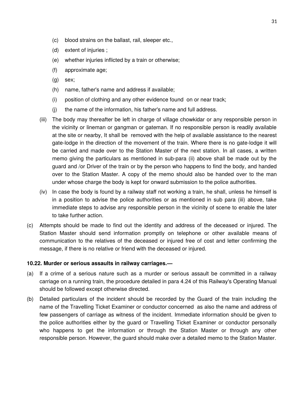- (c) blood strains on the ballast, rail, sleeper etc.,
- (d) extent of injuries ;
- (e) whether injuries inflicted by a train or otherwise;
- (f) approximate age;
- (g) sex;
- (h) name, father's name and address if available;
- (i) position of clothing and any other evidence found on or near track;
- (j) the name of the information, his father's name and full address.
- (iii) The body may thereafter be left in charge of village chowkidar or any responsible person in the vicinity or lineman or gangman or gateman. If no responsible person is readily available at the site or nearby, It shall be removed with the help of available assistance to the nearest gate-lodge in the direction of the movement of the train. Where there is no gate-lodge it will be carried and made over to the Station Master of the next station. In all cases, a written memo giving the particulars as mentioned in sub-para (ii) above shall be made out by the guard and /or Driver of the train or by the person who happens to find the body, and handed over to the Station Master. A copy of the memo should also be handed over to the man under whose charge the body is kept for onward submission to the police authorities.
- (iv) In case the body is found by a railway staff not working a train, he shall, unless he himself is in a position to advise the police authorities or as mentioned in sub para (iii) above, take immediate steps to advise any responsible person in the vicinity of scene to enable the later to take further action.
- (c) Attempts should be made to find out the identity and address of the deceased or injured. The Station Master should send information promptly on telephone or other available means of communication to the relatives of the deceased or injured free of cost and letter confirming the message, if there is no relative or friend with the deceased or injured.

### **10.22. Murder or serious assaults in railway carriages.—**

- (a) If a crime of a serious nature such as a murder or serious assault be committed in a railway carriage on a running train, the procedure detailed in para 4.24 of this Railway's Operating Manual should be followed except otherwise directed.
- (b) Detailed particulars of the incident should be recorded by the Guard of the train including the name of the Travelling Ticket Examiner or conductor concerned as also the name and address of few passengers of carriage as witness of the incident. Immediate information should be given to the police authorities either by the guard or Travelling Ticket Examiner or conductor personally who happens to get the information or through the Station Master or through any other responsible person. However, the guard should make over a detailed memo to the Station Master.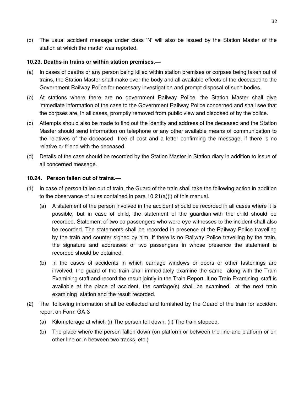(c) The usual accident message under class 'N' will also be issued by the Station Master of the station at which the matter was reported.

### **10.23. Deaths in trains or within station premises.—**

- (a) In cases of deaths or any person being killed within station premises or corpses being taken out of trains, the Station Master shall make over the body and all available effects of the deceased to the Government Railway Police for necessary investigation and prompt disposal of such bodies.
- (b) At stations where there are no government Railway Police, the Station Master shall give immediate information of the case to the Government Railway Police concerned and shall see that the corpses are, in all cases, promptly removed from public view and disposed of by the police.
- (c) Attempts should also be made to find out the identity and address of the deceased and the Station Master should send information on telephone or any other available means of communication to the relatives of the deceased free of cost and a letter confirming the message, if there is no relative or friend with the deceased.
- (d) Details of the case should be recorded by the Station Master in Station diary in addition to issue of all concerned message.

### **10.24. Person fallen out of trains.—**

- (1) In case of person fallen out of train, the Guard of the train shall take the following action in addition to the observance of rules contained in para 10.21(a)(i) of this manual.
	- (a) A statement of the person involved in the accident should be recorded in all cases where it is possible, but in case of child, the statement of the guardian-with the child should be recorded. Statement of two co-passengers who were eye-witnesses to the incident shall also be recorded. The statements shall be recorded in presence of the Railway Police travelling by the train and counter signed by him. If there is no Railway Police travelling by the train, the signature and addresses of two passengers in whose presence the statement is recorded should be obtained.
	- (b) In the cases of accidents in which carriage windows or doors or other fastenings are involved, the guard of the train shall immediately examine the same along with the Train Examining staff and record the result jointly in the Train Report. If no Train Examining staff is available at the place of accident, the carriage(s) shall be examined at the next train examining station and the result recorded.
- (2) The following information shall be collected and furnished by the Guard of the train for accident report on Form GA-3
	- (a) Kilometerage at which (i) The person fell down, (ii) The train stopped.
	- (b) The place where the person fallen down (on platform or between the line and platform or on other line or in between two tracks, etc.)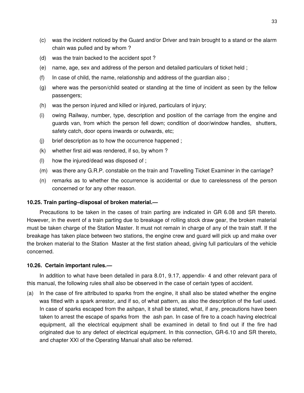- (c) was the incident noticed by the Guard and/or Driver and train brought to a stand or the alarm chain was pulled and by whom ?
- (d) was the train backed to the accident spot ?
- (e) name, age, sex and address of the person and detailed particulars of ticket held ;
- (f) In case of child, the name, relationship and address of the guardian also ;
- (g) where was the person/child seated or standing at the time of incident as seen by the fellow passengers;
- (h) was the person injured and killed or injured, particulars of injury;
- (i) owing Railway, number, type, description and position of the carriage from the engine and guards van, from which the person fell down; condition of door/window handles, shutters, safety catch, door opens inwards or outwards, etc;
- (j) brief description as to how the occurrence happened ;
- (k) whether first aid was rendered, if so, by whom ?
- (l) how the injured/dead was disposed of ;
- (m) was there any G.R.P. constable on the train and Travelling Ticket Examiner in the carriage?
- (n) remarks as to whether the occurrence is accidental or due to carelessness of the person concerned or for any other reason.

#### **10.25. Train parting–disposal of broken material.—**

Precautions to be taken in the cases of train parting are indicated in GR 6.08 and SR thereto. However, in the event of a train parting due to breakage of rolling stock draw gear, the broken material must be taken charge of the Station Master. It must not remain in charge of any of the train staff. If the breakage has taken place between two stations, the engine crew and guard will pick up and make over the broken material to the Station Master at the first station ahead, giving full particulars of the vehicle concerned.

#### **10.26. Certain important rules.—**

In addition to what have been detailed in para 8.01, 9.17, appendix- 4 and other relevant para of this manual, the following rules shall also be observed in the case of certain types of accident.

(a) In the case of fire attributed to sparks from the engine, it shall also be stated whether the engine was fitted with a spark arrestor, and if so, of what pattern, as also the description of the fuel used. In case of sparks escaped from the ashpan, it shall be stated, what, if any, precautions have been taken to arrest the escape of sparks from the ash pan. In case of fire to a coach having electrical equipment, all the electrical equipment shall be examined in detail to find out if the fire had originated due to any defect of electrical equipment. In this connection, GR-6.10 and SR thereto, and chapter XXI of the Operating Manual shall also be referred.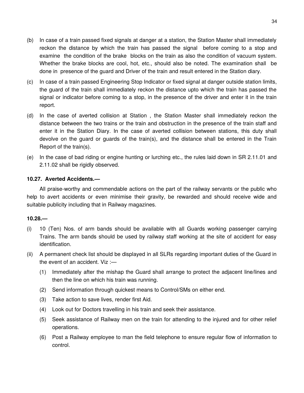- (b) In case of a train passed fixed signals at danger at a station, the Station Master shall immediately reckon the distance by which the train has passed the signal before coming to a stop and examine the condition of the brake blocks on the train as also the condition of vacuum system. Whether the brake blocks are cool, hot, etc., should also be noted. The examination shall be done in presence of the guard and Driver of the train and result entered in the Station diary.
- (c) In case of a train passed Engineering Stop Indicator or fixed signal at danger outside station limits, the guard of the train shall immediately reckon the distance upto which the train has passed the signal or indicator before coming to a stop, in the presence of the driver and enter it in the train report.
- (d) In the case of averted collision at Station , the Station Master shall immediately reckon the distance between the two trains or the train and obstruction in the presence of the train staff and enter it in the Station Diary. In the case of averted collision between stations, this duty shall devolve on the guard or guards of the train(s), and the distance shall be entered in the Train Report of the train(s).
- (e) In the case of bad riding or engine hunting or lurching etc., the rules laid down in SR 2.11.01 and 2.11.02 shall be rigidly observed.

# **10.27. Averted Accidents.—**

All praise-worthy and commendable actions on the part of the railway servants or the public who help to avert accidents or even minimise their gravity, be rewarded and should receive wide and suitable publicity including that in Railway magazines.

### **10.28.—**

- (i) 10 (Ten) Nos. of arm bands should be available with all Guards working passenger carrying Trains. The arm bands should be used by railway staff working at the site of accident for easy identification.
- (ii) A permanent check list should be displayed in all SLRs regarding important duties of the Guard in the event of an accident. Viz :—
	- (1) Immediately after the mishap the Guard shall arrange to protect the adjacent line/lines and then the line on which his train was running.
	- (2) Send information through quickest means to Control/SMs on either end.
	- (3) Take action to save lives, render first Aid.
	- (4) Look out for Doctors travelling in his train and seek their assistance.
	- (5) Seek assistance of Railway men on the train for attending to the injured and for other relief operations.
	- (6) Post a Railway employee to man the field telephone to ensure regular flow of information to control.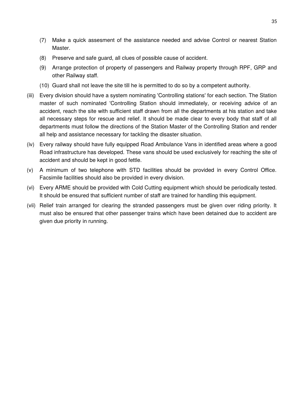- (7) Make a quick assesment of the assistance needed and advise Control or nearest Station Master.
- (8) Preserve and safe guard, all clues of possible cause of accident.
- (9) Arrange protection of property of passengers and Railway property through RPF, GRP and other Railway staff.
- (10) Guard shall not leave the site till he is permitted to do so by a competent authority.
- (iii) Every division should have a system nominating 'Controlling stations' for each section. The Station master of such nominated 'Controlling Station should immediately, or receiving advice of an accident, reach the site with sufficient staff drawn from all the departments at his station and take all necessary steps for rescue and relief. It should be made clear to every body that staff of all departments must follow the directions of the Station Master of the Controlling Station and render all help and assistance necessary for tackling the disaster situation.
- (iv) Every railway should have fully equipped Road Ambulance Vans in identified areas where a good Road infrastructure has developed. These vans should be used exclusively for reaching the site of accident and should be kept in good fettle.
- (v) A minimum of two telephone with STD facilities should be provided in every Control Office. Facsimile facilities should also be provided in every division.
- (vi) Every ARME should be provided with Cold Cutting equipment which should be periodically tested. It should be ensured that sufficient number of staff are trained for handling this equipment.
- (vii) Relief train arranged for clearing the stranded passengers must be given over riding priority. It must also be ensured that other passenger trains which have been detained due to accident are given due priority in running.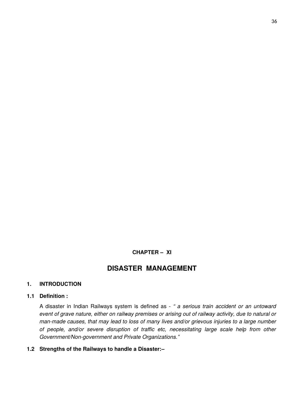# **CHAPTER – XI**

# **DISASTER MANAGEMENT**

# **1. INTRODUCTION**

# **1.1 Definition :**

A disaster in Indian Railways system is defined as - *" a serious train accident or an untoward event of grave nature, either on railway premises or arising out of railway activity, due to natural or man-made causes, that may lead to loss of many lives and/or grievous injuries to a large number of people, and/or severe disruption of traffic etc, necessitating large scale help from other Government/Non-government and Private Organizations."*

# **1.2 Strengths of the Railways to handle a Disaster:–**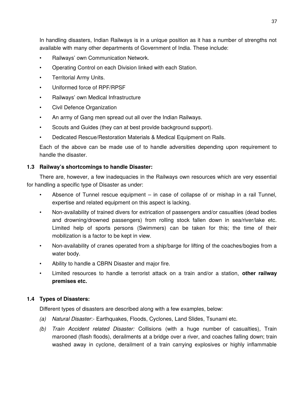In handling disasters, Indian Railways is in a unique position as it has a number of strengths not available with many other departments of Government of India. These include:

- Railways' own Communication Network.
- Operating Control on each Division linked with each Station.
- Territorial Army Units.
- Uniformed force of RPF/RPSF
- Railways' own Medical Infrastructure
- Civil Defence Organization
- An army of Gang men spread out all over the Indian Railways.
- Scouts and Guides (they can at best provide background support).
- Dedicated Rescue/Restoration Materials & Medical Equipment on Rails.

Each of the above can be made use of to handle adversities depending upon requirement to handle the disaster.

# **1.3 Railway's shortcomings to handle Disaster:**

There are, however, a few inadequacies in the Railways own resources which are very essential for handling a specific type of Disaster as under:

- Absence of Tunnel rescue equipment  $-$  in case of collapse of or mishap in a rail Tunnel, expertise and related equipment on this aspect is lacking.
- Non-availability of trained divers for extrication of passengers and/or casualties (dead bodies and drowning/drowned passengers) from rolling stock fallen down in sea/river/lake etc. Limited help of sports persons (Swimmers) can be taken for this; the time of their mobilization is a factor to be kept in view.
- Non-availability of cranes operated from a ship/barge for lifting of the coaches/bogies from a water body.
- Ability to handle a CBRN Disaster and major fire.
- Limited resources to handle a terrorist attack on a train and/or a station, **other railway premises etc.**

# **1.4 Types of Disasters:**

Different types of disasters are described along with a few examples, below:

- *(a) Natural Disaster*:- Earthquakes, Floods, Cyclones, Land Slides, Tsunami etc.
- *(b) Train Accident related Disaster:* Collisions (with a huge number of casualties), Train marooned (flash floods), derailments at a bridge over a river, and coaches falling down; train washed away in cyclone, derailment of a train carrying explosives or highly inflammable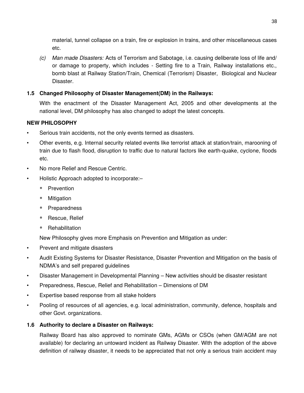material, tunnel collapse on a train, fire or explosion in trains, and other miscellaneous cases etc.

*(c) Man made Disasters:* Acts of Terrorism and Sabotage, i.e. causing deliberate loss of life and/ or damage to property, which includes - Setting fire to a Train, Railway installations etc., bomb blast at Railway Station/Train, Chemical (Terrorism) Disaster, Biological and Nuclear Disaster.

# **1.5 Changed Philosophy of Disaster Management(DM) in the Railways:**

With the enactment of the Disaster Management Act, 2005 and other developments at the national level, DM philosophy has also changed to adopt the latest concepts.

# **NEW PHILOSOPHY**

- Serious train accidents, not the only events termed as disasters.
- Other events, e.g. Internal security related events like terrorist attack at station/train, marooning of train due to flash flood, disruption to traffic due to natural factors like earth-quake, cyclone, floods etc.
- No more Relief and Rescue Centric.
- Holistic Approach adopted to incorporate:–
	- \* Prevention
	- Mitigation
	- \* Preparedness
	- \* Rescue, Relief
	- **\*** Rehabilitation

New Philosophy gives more Emphasis on Prevention and Mitigation as under:

- Prevent and mitigate disasters
- Audit Existing Systems for Disaster Resistance, Disaster Prevention and Mitigation on the basis of NDMA's and self prepared guidelines
- Disaster Management in Developmental Planning New activities should be disaster resistant
- Preparedness, Rescue, Relief and Rehabilitation Dimensions of DM
- Expertise based response from all stake holders
- Pooling of resources of all agencies, e.g. local administration, community, defence, hospitals and other Govt. organizations.

# **1.6 Authority to declare a Disaster on Railways:**

Railway Board has also approved to nominate GMs, AGMs or CSOs (when GM/AGM are not available) for declaring an untoward incident as Railway Disaster. With the adoption of the above definition of railway disaster, it needs to be appreciated that not only a serious train accident may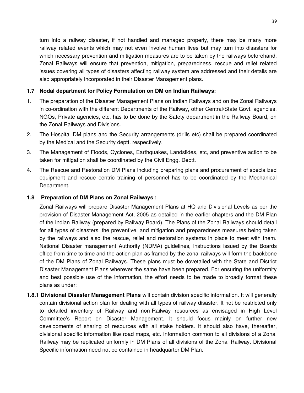turn into a railway disaster, if not handled and managed properly, there may be many more railway related events which may not even involve human lives but may turn into disasters for which necessary prevention and mitigation measures are to be taken by the railways beforehand. Zonal Railways will ensure that prevention, mitigation, preparedness, rescue and relief related issues covering all types of disasters affecting railway system are addressed and their details are also appropriately incorporated in their Disaster Management plans.

# **1.7 Nodal department for Policy Formulation on DM on Indian Railways:**

- 1. The preparation of the Disaster Management Plans on Indian Railways and on the Zonal Railways in co-ordination with the different Departments of the Railway, other Central/State Govt. agencies, NGOs, Private agencies, etc. has to be done by the Safety department in the Railway Board, on the Zonal Railways and Divisions.
- 2. The Hospital DM plans and the Security arrangements (drills etc) shall be prepared coordinated by the Medical and the Security deptt. respectively.
- 3. The Management of Floods, Cyclones, Earthquakes, Landslides, etc, and preventive action to be taken for mitigation shall be coordinated by the Civil Engg. Deptt.
- 4. The Rescue and Restoration DM Plans including preparing plans and procurement of specialized equipment and rescue centric training of personnel has to be coordinated by the Mechanical Department.

# **1.8 Preparation of DM Plans on Zonal Railways :**

Zonal Railways will prepare Disaster Management Plans at HQ and Divisional Levels as per the provision of Disaster Management Act, 2005 as detailed in the earlier chapters and the DM Plan of the Indian Railway (prepared by Railway Board). The Plans of the Zonal Railways should detail for all types of disasters, the preventive, and mitigation and preparedness measures being taken by the railways and also the rescue, relief and restoration systems in place to meet with them. National Disaster management Authority (NDMA) guidelines, instructions issued by the Boards office from time to time and the action plan as framed by the zonal railways will form the backbone of the DM Plans of Zonal Railways. These plans must be dovetailed with the State and District Disaster Management Plans wherever the same have been prepared. For ensuring the uniformity and best possible use of the information, the effort needs to be made to broadly format these plans as under:

**1.8.1 Divisional Disaster Management Plans** will contain division specific information. It will generally contain divisional action plan for dealing with all types of railway disaster. It not be restricted only to detailed inventory of Railway and non-Railway resources as envisaged in High Level Committee's Report on Disaster Management. It should focus mainly on further new developments of sharing of resources with all stake holders. It should also have, thereafter, divisional specific information like road maps, etc. Information common to all divisions of a Zonal Railway may be replicated uniformly in DM Plans of all divisions of the Zonal Railway. Divisional Specific information need not be contained in headquarter DM Plan.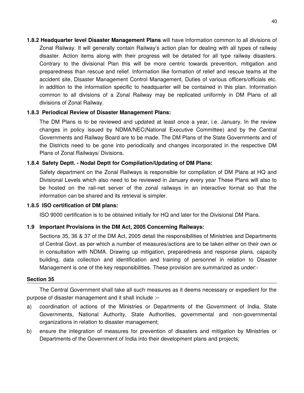**1.8.2 Headquarter level Disaster Management Plans** will have information common to all divisions of Zonal Railway. It will generally contain Railway's action plan for dealing with all types of railway disaster. Action items along with their progress will be detailed for all type railway disasters. Contrary to the divisional Plan this will be more centric towards prevention, mitigation and preparedness than rescue and relief. Information like formation of relief and rescue teams at the accident site, Disaster Management Control Management, Duties of various officers/officials etc. in addition to the information specific to headquarter will be contained in this plan. Information common to all divisions of a Zonal Railway may be replicated uniformly in DM Plans of all divisions of Zonal Railway.

# **1.8.3 Periodical Review of Disaster Management Plans:**

The DM Plans is to be reviewed and updated at least once a year, i.e. January. In the review changes in policy issued by NDMA/NEC(National Executive Committee) and by the Central Governments and Railway Board are to be made. The DM Plans of the State Governments and of the Districts need to be gone into periodically and changes incorporated in the respective DM Plans of Zonal Railways/ Divisions.

# **1.8.4 Safety Deptt. - Nodal Deptt for Compilation/Updating of DM Plans:**

Safety department on the Zonal Railways is responsible for compilation of DM Plans at HQ and Divisional Levels which also need to be reviewed in January every year These Plans will also to be hosted on the rail-net server of the zonal railways in an interactive format so that the information can be shared and its retrieval is simpler.

# **1.8.5 ISO certification of DM plans:**

ISO 9000 certification is to be obtained initially for HQ and later for the Divisional DM Plans.

# **1.9 Important Provisions in the DM Act, 2005 Concerning Railways:**

Sections 35, 36 & 37 of the DM Act, 2005 detail the responsibilities of Ministries and Departments of Central Govt. as per which a number of measures/actions are to be taken either on their own or in consultation with NDMA. Drawing up mitigation, preparedness and response plans, capacity building, data collection and identification and training of personnel in relation to Disaster Management is one of the key responsibilities. These provision are summarized as under:-

# **Section 35**

The Central Government shall take all such measures as it deems necessary or expedient for the purpose of disaster management and it shall include :–

- a) coordination of actions of the Ministries or Departments of the Government of India, State Governments, National Authority, State Authorities, governmental and non-governmental organizations in relation to disaster management;
- b) ensure the integration of measures for prevention of disasters and mitigation by Ministries or Departments of the Government of India into their development plans and projects;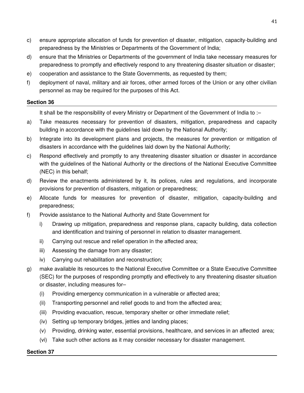- c) ensure appropriate allocation of funds for prevention of disaster, mitigation, capacity-building and preparedness by the Ministries or Departments of the Government of India;
- d) ensure that the Ministries or Departments of the government of India take necessary measures for preparedness to promptly and effectively respond to any threatening disaster situation or disaster;
- e) cooperation and assistance to the State Governments, as requested by them;
- f) deployment of naval, military and air forces, other armed forces of the Union or any other civilian personnel as may be required for the purposes of this Act.

# **Section 36**

It shall be the responsibility of every Ministry or Department of the Government of India to :–

- a) Take measures necessary for prevention of disasters, mitigation, preparedness and capacity building in accordance with the guidelines laid down by the National Authority;
- b) Integrate into its development plans and projects, the measures for prevention or mitigation of disasters in accordance with the guidelines laid down by the National Authority;
- c) Respond effectively and promptly to any threatening disaster situation or disaster in accordance with the guidelines of the National Authority or the directions of the National Executive Committee (NEC) in this behalf;
- d) Review the enactments administered by it, its polices, rules and regulations, and incorporate provisions for prevention of disasters, mitigation or preparedness;
- e) Allocate funds for measures for prevention of disaster, mitigation, capacity-building and preparedness;
- f) Provide assistance to the National Authority and State Government for
	- i) Drawing up mitigation, preparedness and response plans, capacity building, data collection and identification and training of personnel in relation to disaster management.
	- ii) Carrying out rescue and relief operation in the affected area;
	- iii) Assessing the damage from any disaster;
	- iv) Carrying out rehabilitation and reconstruction;
- g) make available its resources to the National Executive Committee or a State Executive Committee (SEC) for the purposes of responding promptly and effectively to any threatening disaster situation or disaster, including measures for–
	- (i) Providing emergency communication in a vulnerable or affected area;
	- (ii) Transporting personnel and relief goods to and from the affected area;
	- (iii) Providing evacuation, rescue, temporary shelter or other immediate relief;
	- (iv) Setting up temporary bridges, jetties and landing places;
	- (v) Providing, drinking water, essential provisions, healthcare, and services in an affected area;
	- (vi) Take such other actions as it may consider necessary for disaster management.

### **Section 37**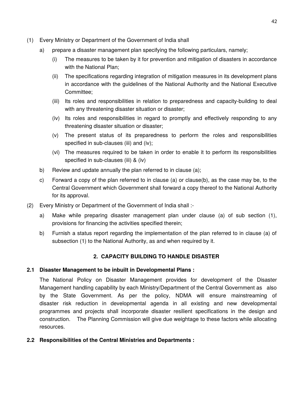- (1) Every Ministry or Department of the Government of India shall
	- a) prepare a disaster management plan specifying the following particulars, namely;
		- (i) The measures to be taken by it for prevention and mitigation of disasters in accordance with the National Plan:
		- (ii) The specifications regarding integration of mitigation measures in its development plans in accordance with the guidelines of the National Authority and the National Executive Committee;
		- (iii) Its roles and responsibilities in relation to preparedness and capacity-building to deal with any threatening disaster situation or disaster;
		- (iv) Its roles and responsibilities in regard to promptly and effectively responding to any threatening disaster situation or disaster;
		- (v) The present status of its preparedness to perform the roles and responsibilities specified in sub-clauses (iii) and (iv);
		- (vi) The measures required to be taken in order to enable it to perform its responsibilities specified in sub-clauses (iii) & (iv)
	- b) Review and update annually the plan referred to in clause (a);
	- c) Forward a copy of the plan referred to in clause (a) or clause(b), as the case may be, to the Central Government which Government shall forward a copy thereof to the National Authority for its approval.
- (2) Every Ministry or Department of the Government of India shall :
	- a) Make while preparing disaster management plan under clause (a) of sub section (1), provisions for financing the activities specified therein;
	- b) Furnish a status report regarding the implementation of the plan referred to in clause (a) of subsection (1) to the National Authority, as and when required by it.

# **2. CAPACITY BUILDING TO HANDLE DISASTER**

# **2.1 Disaster Management to be inbuilt in Developmental Plans :**

The National Policy on Disaster Management provides for development of the Disaster Management handling capability by each Ministry/Department of the Central Government as also by the State Government. As per the policy, NDMA will ensure mainstreaming of disaster risk reduction in developmental agenda in all existing and new developmental programmes and projects shall incorporate disaster resilient specifications in the design and construction. The Planning Commission will give due weightage to these factors while allocating resources.

# **2.2 Responsibilities of the Central Ministries and Departments :**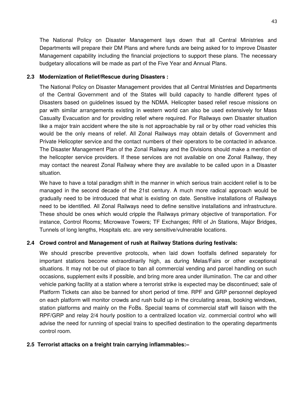The National Policy on Disaster Management lays down that all Central Ministries and Departments will prepare their DM Plans and where funds are being asked for to improve Disaster Management capability including the financial projections to support these plans. The necessary budgetary allocations will be made as part of the Five Year and Annual Plans.

### **2.3 Modernization of Relief/Rescue during Disasters :**

The National Policy on Disaster Management provides that all Central Ministries and Departments of the Central Government and of the States will build capacity to handle different types of Disasters based on guidelines issued by the NDMA. Helicopter based relief rescue missions on par with similar arrangements existing in western world can also be used extensively for Mass Casualty Evacuation and for providing relief where required. For Railways own Disaster situation like a major train accident where the site is not approachable by rail or by other road vehicles this would be the only means of relief. All Zonal Railways may obtain details of Government and Private Helicopter service and the contact numbers of their operators to be contacted in advance. The Disaster Management Plan of the Zonal Railway and the Divisions should make a mention of the helicopter service providers. If these services are not available on one Zonal Railway, they may contact the nearest Zonal Railway where they are available to be called upon in a Disaster situation.

We have to have a total paradigm shift in the manner in which serious train accident relief is to be managed in the second decade of the 21st century. A much more radical approach would be gradually need to be introduced that what is existing on date. Sensitive installations of Railways need to be identified. All Zonal Railways need to define sensitive installations and infrastructure. These should be ones which would cripple the Railways primary objective of transportation. For instance, Control Rooms; Microwave Towers; TF Exchanges; RRI of Jn Stations, Major Bridges, Tunnels of long lengths, Hospitals etc. are very sensitive/vulnerable locations.

# **2.4 Crowd control and Management of rush at Railway Stations during festivals:**

We should prescribe preventive protocols, when laid down footfalls defined separately for important stations become extraordinarily high, as during Melas/Fairs or other exceptional situations. It may not be out of place to ban all commercial vending and parcel handling on such occasions, supplement exits if possible, and bring more area under illumination. The car and other vehicle parking facility at a station where a terrorist strike is expected may be discontinued; sale of Platform Tickets can also be banned for short period of time. RPF and GRP personnel deployed on each platform will monitor crowds and rush build up in the circulating areas, booking windows, station platforms and mainly on the FoBs. Special teams of commercial staff will liaison with the RPF/GRP and relay 2/4 hourly position to a centralized location viz. commercial control who will advise the need for running of special trains to specified destination to the operating departments control room.

### **2.5 Terrorist attacks on a freight train carrying inflammables:–**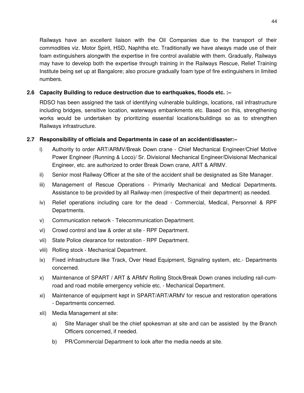Railways have an excellent liaison with the Oil Companies due to the transport of their commodities viz. Motor Spirit, HSD, Naphtha etc. Traditionally we have always made use of their foam extinguishers alongwith the expertise in fire control available with them. Gradually, Railways may have to develop both the expertise through training in the Railways Rescue, Relief Training Institute being set up at Bangalore; also procure gradually foam type of fire extinguishers in limited numbers.

# **2.6 Capacity Building to reduce destruction due to earthquakes, floods etc. :–**

RDSO has been assigned the task of identifying vulnerable buildings, locations, rail infrastructure including bridges, sensitive location, waterways embankments etc. Based on this, strengthening works would be undertaken by prioritizing essential locations/buildings so as to strengthen Railways infrastructure.

### **2.7 Responsibility of officials and Departments in case of an accident/disaster:–**

- i) Authority to order ART/ARMV/Break Down crane Chief Mechanical Engineer/Chief Motive Power Engineer (Running & Loco)/ Sr. Divisional Mechanical Engineer/Divisional Mechanical Engineer, etc. are authorized to order Break Down crane, ART & ARMV.
- ii) Senior most Railway Officer at the site of the accident shall be designated as Site Manager.
- iii) Management of Rescue Operations Primarily Mechanical and Medical Departments. Assistance to be provided by all Railway-men (irrespective of their department) as needed.
- iv) Relief operations including care for the dead Commercial, Medical, Personnel & RPF Departments.
- v) Communication network Telecommunication Department.
- vi) Crowd control and law & order at site RPF Department.
- vii) State Police clearance for restoration RPF Department.
- viii) Rolling stock Mechanical Department.
- ix) Fixed infrastructure like Track, Over Head Equipment, Signaling system, etc.- Departments concerned.
- x) Maintenance of SPART / ART & ARMV Rolling Stock/Break Down cranes including rail-cumroad and road mobile emergency vehicle etc. - Mechanical Department.
- xi) Maintenance of equipment kept in SPART/ART/ARMV for rescue and restoration operations - Departments concerned.
- xii) Media Management at site:
	- a) Site Manager shall be the chief spokesman at site and can be assisted by the Branch Officers concerned, if needed.
	- b) PR/Commercial Department to look after the media needs at site.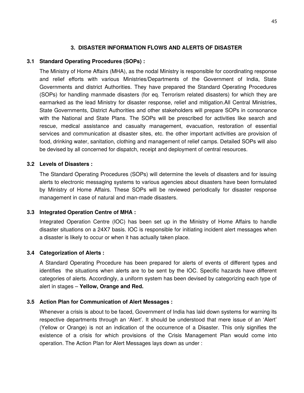# **3. DISASTER INFORMATION FLOWS AND ALERTS OF DISASTER**

### **3.1 Standard Operating Procedures (SOPs) :**

The Ministry of Home Affairs (MHA), as the nodal Ministry is responsible for coordinating response and relief efforts with various Ministries/Departments of the Government of India, State Governments and district Authorities. They have prepared the Standard Operating Procedures (SOPs) for handling manmade disasters (for eq. Terrorism related disasters) for which they are earmarked as the lead Ministry for disaster response, relief and mitigation.All Central Ministries, State Governments, District Authorities and other stakeholders will prepare SOPs in consonance with the National and State Plans. The SOPs will be prescribed for activities like search and rescue, medical assistance and casualty management, evacuation, restoration of essential services and communication at disaster sites, etc. the other important activities are provision of food, drinking water, sanitation, clothing and management of relief camps. Detailed SOPs will also be devised by all concerned for dispatch, receipt and deployment of central resources.

### **3.2 Levels of Disasters :**

The Standard Operating Procedures (SOPs) will determine the levels of disasters and for issuing alerts to electronic messaging systems to various agencies about disasters have been formulated by Ministry of Home Affairs. These SOPs will be reviewed periodically for disaster response management in case of natural and man-made disasters.

### **3.3 Integrated Operation Centre of MHA :**

Integrated Operation Centre (IOC) has been set up in the Ministry of Home Affairs to handle disaster situations on a 24X7 basis. IOC is responsible for initiating incident alert messages when a disaster is likely to occur or when it has actually taken place.

### **3.4 Categorization of Alerts :**

A Standard Operating Procedure has been prepared for alerts of events of different types and identifies the situations when alerts are to be sent by the IOC. Specific hazards have different categories of alerts. Accordingly, a uniform system has been devised by categorizing each type of alert in stages – **Yellow, Orange and Red.**

### **3.5 Action Plan for Communication of Alert Messages :**

Whenever a crisis is about to be faced, Government of India has laid down systems for warning its respective departments through an 'Alert'. It should be understood that mere issue of an 'Alert' (Yellow or Orange) is not an indication of the occurrence of a Disaster. This only signifies the existence of a crisis for which provisions of the Crisis Management Plan would come into operation. The Action Plan for Alert Messages lays down as under :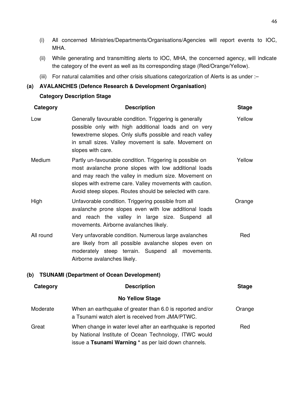- (i) All concerned Ministries/Departments/Organisations/Agencies will report events to IOC, MHA.
- (ii) While generating and transmitting alerts to IOC, MHA, the concerned agency, will indicate the category of the event as well as its corresponding stage (Red/Orange/Yellow).
- (iii) For natural calamities and other crisis situations categorization of Alerts is as under :–

# **(a) AVALANCHES (Defence Research & Development Organisation) Category Description Stage**

| Category                                                                                                                                                                             | <b>Description</b>                                                                                                                                                                                                                                                                                 | <b>Stage</b> |
|--------------------------------------------------------------------------------------------------------------------------------------------------------------------------------------|----------------------------------------------------------------------------------------------------------------------------------------------------------------------------------------------------------------------------------------------------------------------------------------------------|--------------|
| Low                                                                                                                                                                                  | Generally favourable condition. Triggering is generally<br>possible only with high additional loads and on very<br>fewextreme slopes. Only sluffs possible and reach valley<br>in small sizes. Valley movement is safe. Movement on<br>slopes with care.                                           | Yellow       |
| Medium                                                                                                                                                                               | Partly un-favourable condition. Triggering is possible on<br>most avalanche prone slopes with low additional loads<br>and may reach the valley in medium size. Movement on<br>slopes with extreme care. Valley movements with caution.<br>Avoid steep slopes. Routes should be selected with care. |              |
| High                                                                                                                                                                                 | Unfavorable condition. Triggering possible from all<br>avalanche prone slopes even with low additional loads<br>and reach the valley in large size. Suspend all<br>movements. Airborne avalanches likely.                                                                                          |              |
| All round                                                                                                                                                                            | Very unfavorable condition. Numerous large avalanches<br>are likely from all possible avalanche slopes even on<br>moderately steep terrain. Suspend all movements.<br>Airborne avalanches likely.                                                                                                  | Red          |
| (b)                                                                                                                                                                                  | <b>TSUNAMI (Department of Ocean Development)</b>                                                                                                                                                                                                                                                   |              |
| Category                                                                                                                                                                             | <b>Description</b>                                                                                                                                                                                                                                                                                 | <b>Stage</b> |
|                                                                                                                                                                                      | <b>No Yellow Stage</b>                                                                                                                                                                                                                                                                             |              |
| Moderate                                                                                                                                                                             | When an earthquake of greater than 6.0 is reported and/or<br>a Tsunami watch alert is received from JMA/PTWC.                                                                                                                                                                                      | Orange       |
| Great<br>When change in water level after an earthquake is reported<br>by National Institute of Ocean Technology, ITWC would<br>issue a Tsunami Warning * as per laid down channels. |                                                                                                                                                                                                                                                                                                    | Red          |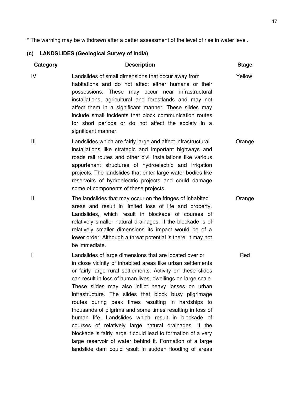\* The warning may be withdrawn after a better assessment of the level of rise in water level.

# **(c) LANDSLIDES (Geological Survey of India)**

| Category     | <b>Description</b>                                                                                                                                                                                                                                                                                                                                                                                                                                                                                                                                                                                                                                                                                                                                                                             | <b>Stage</b> |
|--------------|------------------------------------------------------------------------------------------------------------------------------------------------------------------------------------------------------------------------------------------------------------------------------------------------------------------------------------------------------------------------------------------------------------------------------------------------------------------------------------------------------------------------------------------------------------------------------------------------------------------------------------------------------------------------------------------------------------------------------------------------------------------------------------------------|--------------|
| IV           | Landslides of small dimensions that occur away from<br>habitations and do not affect either humans or their<br>possessions. These may occur near infrastructural<br>installations, agricultural and forestlands and may not<br>affect them in a significant manner. These slides may<br>include small incidents that block communication routes<br>for short periods or do not affect the society in a<br>significant manner.                                                                                                                                                                                                                                                                                                                                                                  | Yellow       |
| Ш            | Landslides which are fairly large and affect infrastructural<br>installations like strategic and important highways and<br>roads rail routes and other civil installations like various<br>appurtenant structures of hydroelectric and irrigation<br>projects. The landslides that enter large water bodies like<br>reservoirs of hydroelectric projects and could damage<br>some of components of these projects.                                                                                                                                                                                                                                                                                                                                                                             | Orange       |
| $\mathsf{I}$ | The landslides that may occur on the fringes of inhabited<br>areas and result in limited loss of life and property.<br>Landslides, which result in blockade of courses of<br>relatively smaller natural drainages. If the blockade is of<br>relatively smaller dimensions its impact would be of a<br>lower order. Although a threat potential is there, it may not<br>be immediate.                                                                                                                                                                                                                                                                                                                                                                                                           | Orange       |
| I            | Landslides of large dimensions that are located over or<br>in close vicinity of inhabited areas like urban settlements<br>or fairly large rural settlements. Activity on these slides<br>can result in loss of human lives, dwellings on large scale.<br>These slides may also inflict heavy losses on urban<br>infrastructure. The slides that block busy pilgrimage<br>routes during peak times resulting in hardships to<br>thousands of pilgrims and some times resulting in loss of<br>human life. Landslides which result in blockade of<br>courses of relatively large natural drainages. If the<br>blockade is fairly large it could lead to formation of a very<br>large reservoir of water behind it. Formation of a large<br>landslide dam could result in sudden flooding of areas | Red          |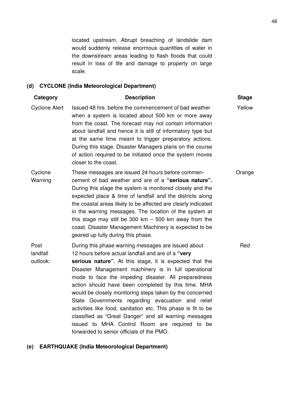located upstream. Abrupt breaching of landslide dam would suddenly release enormous quantities of water in the downstream areas leading to flash floods that could result in loss of life and damage to property on large scale.

# **(d) CYCLONE (India Meteorological Department)**

| Category                     | <b>Description</b>                                                                                                                                                                                                                                                                                                                                                                                                                                                                                                                                                                                                                      | <b>Stage</b> |
|------------------------------|-----------------------------------------------------------------------------------------------------------------------------------------------------------------------------------------------------------------------------------------------------------------------------------------------------------------------------------------------------------------------------------------------------------------------------------------------------------------------------------------------------------------------------------------------------------------------------------------------------------------------------------------|--------------|
| <b>Cyclone Alert</b>         | Issued 48 hrs. before the commencement of bad weather<br>when a system is located about 500 km or more away<br>from the coast. The forecast may not contain information<br>about landfall and hence it is still of informatory type but<br>at the same time meant to trigger preparatory actions.<br>During this stage, Disaster Managers plans on the course<br>of action required to be initiated once the system moves<br>closer to the coast.                                                                                                                                                                                       | Yellow       |
| Cyclone<br>Warning           | These messages are issued 24 hours before commen-<br>cement of bad weather and are of a "serious nature".<br>During this stage the system is monitored closely and the<br>expected place & time of landfall and the districts along<br>the coastal areas likely to be affected are clearly indicated<br>in the warning messages. The location of the system at<br>this stage may still be 300 km $-$ 500 km away from the<br>coast. Disaster Management Machinery is expected to be<br>geared up fully during this phase.                                                                                                               | Orange       |
| Post<br>landfall<br>outlook: | During this phase warning messages are issued about<br>12 hours before actual landfall and are of a "very<br>serious nature". At this stage, it is expected that the<br>Disaster Management machinery is in full operational<br>mode to face the impeding disaster. All preparedness<br>action should have been completed by this time. MHA<br>would be closely monitoring steps taken by the concerned<br>State Governments regarding evacuation and relief<br>activities like food, sanitation etc. This phase is fit to be<br>classified as "Great Danger" and all warning messages<br>issued to MHA Control Room are required to be | Red          |

#### **(e) EARTHQUAKE (India Meteorological Department)**

forwarded to senior officials of the PMO.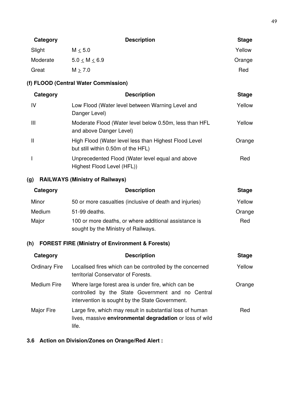| Category |                     | <b>Description</b> | <b>Stage</b> |
|----------|---------------------|--------------------|--------------|
| Slight   | $M \leq 5.0$        |                    | Yellow       |
| Moderate | $5.0 \le M \le 6.9$ |                    | Orange       |
| Great    | M > 7.0             |                    | Red          |

# **(f) FLOOD (Central Water Commission)**

| Category     | <b>Description</b>                                                                          | <b>Stage</b> |
|--------------|---------------------------------------------------------------------------------------------|--------------|
| IV           | Low Flood (Water level between Warning Level and<br>Danger Level)                           | Yellow       |
| Ш            | Moderate Flood (Water level below 0.50m, less than HFL<br>and above Danger Level)           | Yellow       |
| $\mathbf{I}$ | High Flood (Water level less than Highest Flood Level<br>but still within 0.50m of the HFL) | Orange       |
|              | Unprecedented Flood (Water level equal and above<br>Highest Flood Level (HFL))              | Red          |

# **(g) RAILWAYS (Ministry of Railways)**

| Category | <b>Description</b>                                                                           | <b>Stage</b> |
|----------|----------------------------------------------------------------------------------------------|--------------|
| Minor    | 50 or more casualties (inclusive of death and injuries)                                      | Yellow       |
| Medium   | 51-99 deaths.                                                                                | Orange       |
| Major    | 100 or more deaths, or where additional assistance is<br>sought by the Ministry of Railways. | Red          |

# **(h) FOREST FIRE (Ministry of Environment & Forests)**

| Category             | <b>Description</b>                                                                                                                                          | <b>Stage</b> |
|----------------------|-------------------------------------------------------------------------------------------------------------------------------------------------------------|--------------|
| <b>Ordinary Fire</b> | Localised fires which can be controlled by the concerned<br>territorial Conservator of Forests.                                                             | Yellow       |
| Medium Fire          | Where large forest area is under fire, which can be<br>controlled by the State Government and no Central<br>intervention is sought by the State Government. | Orange       |
| Major Fire           | Large fire, which may result in substantial loss of human<br>lives, massive environmental degradation or loss of wild<br>life.                              | Red          |

# **3.6 Action on Division/Zones on Orange/Red Alert :**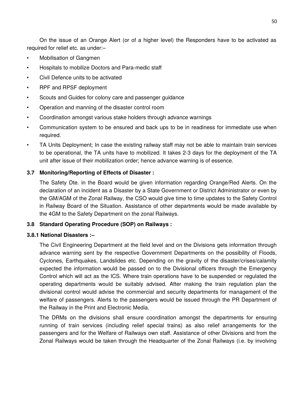On the issue of an Orange Alert (or of a higher level) the Responders have to be activated as required for relief etc. as under:–

- Mobilisation of Gangmen
- Hospitals to mobilize Doctors and Para-medic staff
- Civil Defence units to be activated
- RPF and RPSF deployment
- Scouts and Guides for colony care and passenger guidance
- Operation and manning of the disaster control room
- Coordination amongst various stake holders through advance warnings
- Communication system to be ensured and back ups to be in readiness for immediate use when required.
- TA Units Deployment; In case the existing railway staff may not be able to maintain train services to be operational, the TA units have to mobilized. It takes 2-3 days for the deployment of the TA unit after issue of their mobilization order; hence advance warning is of essence.

### **3.7 Monitoring/Reporting of Effects of Disaster :**

The Safety Dte. in the Board would be given information regarding Orange/Red Alerts. On the declaration of an incident as a Disaster by a State Government or District Administrator or even by the GM/AGM of the Zonal Railway, the CSO would give time to time updates to the Safety Control in Railway Board of the Situation. Assistance of other departments would be made available by the 4GM to the Safety Department on the zonal Railways.

### **3.8 Standard Operating Procedure (SOP) on Railways :**

### **3.8.1 National Disasters :–**

The Civil Engineering Department at the field level and on the Divisions gets information through advance warning sent by the respective Government Departments on the possibility of Floods, Cyclones, Earthquakes, Landslides etc. Depending on the gravity of the disaster/crises/calamity expected the information would be passed on to the Divisional officers through the Emergency Control which will act as the ICS. Where train operations have to be suspended or regulated the operating departments would be suitably advised. After making the train regulation plan the divisional control would advise the commercial and security departments for management of the welfare of passengers. Alerts to the passengers would be issued through the PR Department of the Railway in the Print and Electronic Media.

The DRMs on the divisions shall ensure coordination amongst the departments for ensuring running of train services (including relief special trains) as also relief arrangements for the passengers and for the Welfare of Railways own staff. Assistance of other Divisions and from the Zonal Railways would be taken through the Headquarter of the Zonal Railways (i.e. by involving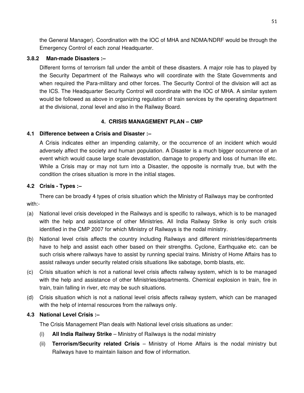the General Manager). Coordination with the IOC of MHA and NDMA/NDRF would be through the Emergency Control of each zonal Headquarter.

### **3.8.2 Man-made Disasters :–**

Different forms of terrorism fall under the ambit of these disasters. A major role has to played by the Security Department of the Railways who will coordinate with the State Governments and when required the Para-military and other forces. The Security Control of the division will act as the ICS. The Headquarter Security Control will coordinate with the IOC of MHA. A similar system would be followed as above in organizing regulation of train services by the operating department at the divisional, zonal level and also in the Railway Board.

# **4. CRISIS MANAGEMENT PLAN – CMP**

# **4.1 Difference between a Crisis and Disaster :–**

A Crisis indicates either an impending calamity, or the occurrence of an incident which would adversely affect the society and human population. A Disaster is a much bigger occurrence of an event which would cause large scale devastation, damage to property and loss of human life etc. While a Crisis may or may not turn into a Disaster, the opposite is normally true, but with the condition the crises situation is more in the initial stages.

### **4.2 Crisis - Types :–**

There can be broadly 4 types of crisis situation which the Ministry of Railways may be confronted with:-

- (a) National level crisis developed in the Railways and is specific to railways, which is to be managed with the help and assistance of other Ministries. All India Railway Strike is only such crisis identified in the CMP 2007 for which Ministry of Railways is the nodal ministry.
- (b) National level crisis affects the country including Railways and different ministries/departments have to help and assist each other based on their strengths. Cyclone, Earthquake etc. can be such crisis where railways have to assist by running special trains. Ministry of Home Affairs has to assist railways under security related crisis situations like sabotage, bomb blasts, etc.
- (c) Crisis situation which is not a national level crisis affects railway system, which is to be managed with the help and assistance of other Ministries/departments. Chemical explosion in train, fire in train, train falling in river, etc may be such situations.
- (d) Crisis situation which is not a national level crisis affects railway system, which can be managed with the help of internal resources from the railways only.

# **4.3 National Level Crisis :–**

The Crisis Management Plan deals with National level crisis situations as under:

- (i) **All India Railway Strike**  Ministry of Railways is the nodal ministry
- (ii) **Terrorism/Security related Crisis**  Ministry of Home Affairs is the nodal ministry but Railways have to maintain liaison and flow of information.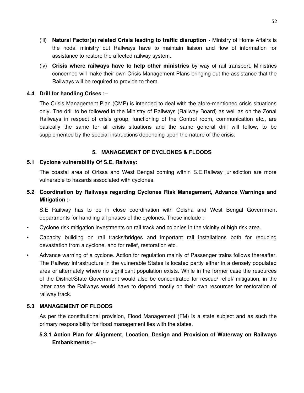- (iii) **Natural Factor(s) related Crisis leading to traffic disruption**  Ministry of Home Affairs is the nodal ministry but Railways have to maintain liaison and flow of information for assistance to restore the affected railway system.
- (iv) **Crisis where railways have to help other ministries** by way of rail transport. Ministries concerned will make their own Crisis Management Plans bringing out the assistance that the Railways will be required to provide to them.

# **4.4 Drill for handling Crises :–**

The Crisis Management Plan (CMP) is intended to deal with the afore-mentioned crisis situations only. The drill to be followed in the Ministry of Railways (Railway Board) as well as on the Zonal Railways in respect of crisis group, functioning of the Control room, communication etc., are basically the same for all crisis situations and the same general drill will follow, to be supplemented by the special instructions depending upon the nature of the crisis.

# **5. MANAGEMENT OF CYCLONES & FLOODS**

# **5.1 Cyclone vulnerability Of S.E. Railway:**

The coastal area of Orissa and West Bengal coming within S.E.Railway jurisdiction are more vulnerable to hazards associated with cyclones.

# **5.2 Coordination by Railways regarding Cyclones Risk Management, Advance Warnings and Mitigation :-**

S.E Railway has to be in close coordination with Odisha and West Bengal Government departments for handling all phases of the cyclones. These include :-

- Cyclone risk mitigation investments on rail track and colonies in the vicinity of high risk area.
- Capacity building on rail tracks/bridges and important rail installations both for reducing devastation from a cyclone, and for relief, restoration etc.
- Advance warning of a cyclone. Action for regulation mainly of Passenger trains follows thereafter. The Railway infrastructure in the vulnerable States is located partly either in a densely populated area or alternately where no significant population exists. While in the former case the resources of the District/State Government would also be concentrated for rescue/ relief/ mitigation, in the latter case the Railways would have to depend mostly on their own resources for restoration of railway track.

# **5.3 MANAGEMENT OF FLOODS**

As per the constitutional provision, Flood Management (FM) is a state subject and as such the primary responsibility for flood management lies with the states.

# **5.3.1 Action Plan for Alignment, Location, Design and Provision of Waterway on Railways Embankments :–**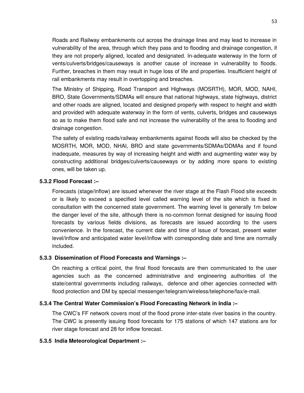Roads and Railway embankments cut across the drainage lines and may lead to increase in vulnerability of the area, through which they pass and to flooding and drainage congestion, if they are not properly aligned, located and designated. In-adequate waterway in the form of vents/culverts/bridges/causeways is another cause of increase in vulnerability to floods. Further, breaches in them may result in huge loss of life and properties. Insufficient height of rail embankments may result in overtopping and breaches.

The Ministry of Shipping, Road Transport and Highways (MOSRTH), MOR, MOD, NAHI, BRO, State Governments/SDMAs will ensure that national highways, state highways, district and other roads are aligned, located and designed properly with respect to height and width and provided with adequate waterway in the form of vents, culverts, bridges and causeways so as to make them flood safe and not increase the vulnerability of the area to flooding and drainage congestion.

The safety of existing roads/railway embankments against floods will also be checked by the MOSRTH, MOR, MOD, NHAI, BRO and state governments/SDMAs/DDMAs and if found inadequate, measures by way of increasing height and width and augmenting water way by constructing additional bridges/culverts/causeways or by adding more spans to existing ones, will be taken up.

### **5.3.2 Flood Forecast :–**

Forecasts (stage/inflow) are issued whenever the river stage at the Flash Flood site exceeds or is likely to exceed a specified level called warning level of the site which is fixed in consultation with the concerned state government. The warning level is generally 1m below the danger level of the site, although there is no-common format designed for issuing flood forecasts by various fields divisions, as forecasts are issued according to the users convenience. In the forecast, the current date and time of issue of forecast, present water level/inflow and anticipated water level/inflow with corresponding date and time are normally included.

### **5.3.3 Dissemination of Flood Forecasts and Warnings :–**

On reaching a critical point, the final flood forecasts are then communicated to the user agencies such as the concerned administrative and engineering authorities of the state/central governments including railways, defence and other agencies connected with flood protection and DM by special messenger/telegram/wireless/telephone/fax/e-mail.

### **5.3.4 The Central Water Commission's Flood Forecasting Network in India :–**

The CWC's FF network covers most of the flood prone inter-state river basins in the country. The CWC is presently issuing flood forecasts for 175 stations of which 147 stations are for river stage forecast and 28 for inflow forecast.

### **5.3.5 India Meteorological Department :–**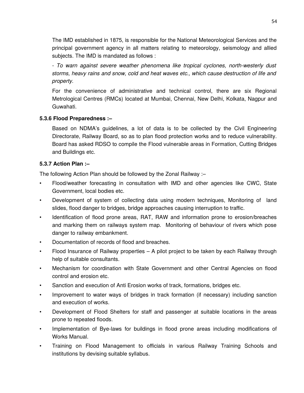The IMD established in 1875, is responsible for the National Meteorological Services and the principal government agency in all matters relating to meteorology, seismology and allied subjects. The IMD is mandated as follows :

- *To warn against severe weather phenomena like tropical cyclones, north-westerly dust storms, heavy rains and snow, cold and heat waves etc., which cause destruction of life and property.*

For the convenience of administrative and technical control, there are six Regional Metrological Centres (RMCs) located at Mumbai, Chennai, New Delhi, Kolkata, Nagpur and Guwahati.

# **5.3.6 Flood Preparedness :–**

Based on NDMA's guidelines, a lot of data is to be collected by the Civil Engineering Directorate, Railway Board, so as to plan flood protection works and to reduce vulnerability. Board has asked RDSO to compile the Flood vulnerable areas in Formation, Cutting Bridges and Buildings etc.

# **5.3.7 Action Plan :–**

The following Action Plan should be followed by the Zonal Railway :–

- Flood/weather forecasting in consultation with IMD and other agencies like CWC, State Government, local bodies etc.
- Development of system of collecting data using modern techniques, Monitoring of land slides, flood danger to bridges, bridge approaches causing interruption to traffic.
- Identification of flood prone areas, RAT, RAW and information prone to erosion/breaches and marking them on railways system map. Monitoring of behaviour of rivers which pose danger to railway embankment.
- Documentation of records of flood and breaches.
- Flood Insurance of Railway properties A pilot project to be taken by each Railway through help of suitable consultants.
- Mechanism for coordination with State Government and other Central Agencies on flood control and erosion etc.
- Sanction and execution of Anti Erosion works of track, formations, bridges etc.
- Improvement to water ways of bridges in track formation (if necessary) including sanction and execution of works.
- Development of Flood Shelters for staff and passenger at suitable locations in the areas prone to repeated floods.
- Implementation of Bye-laws for buildings in flood prone areas including modifications of Works Manual.
- Training on Flood Management to officials in various Railway Training Schools and institutions by devising suitable syllabus.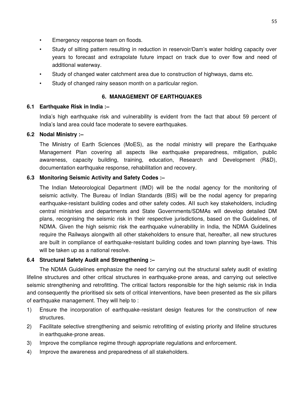- Emergency response team on floods.
- Study of silting pattern resulting in reduction in reservoir/Dam's water holding capacity over years to forecast and extrapolate future impact on track due to over flow and need of additional waterway.
- Study of changed water catchment area due to construction of highways, dams etc.
- Study of changed rainy season month on a particular region.

# **6. MANAGEMENT OF EARTHQUAKES**

# **6.1 Earthquake Risk in India :–**

India's high earthquake risk and vulnerability is evident from the fact that about 59 percent of India's land area could face moderate to severe earthquakes.

# **6.2 Nodal Ministry :–**

The Ministry of Earth Sciences (MoES), as the nodal ministry will prepare the Earthquake Management Plan covering all aspects like earthquake preparedness, mitigation, public awareness, capacity building, training, education, Research and Development (R&D), documentation earthquake response, rehabilitation and recovery.

# **6.3 Monitoring Seismic Activity and Safety Codes :–**

The Indian Meteorological Department (IMD) will be the nodal agency for the monitoring of seismic activity. The Bureau of Indian Standards (BIS) will be the nodal agency for preparing earthquake-resistant building codes and other safety codes. AII such key stakeholders, including central ministries and departments and State Governments/SDMAs will develop detailed DM plans, recognising the seismic risk in their respective jurisdictions, based on the Guidelines, of NDMA. Given the high seismic risk the earthquake vulnerability in India, the NDMA Guidelines require the Railways alongwith all other stakeholders to ensure that, hereafter, all new structures are built in compliance of earthquake-resistant building codes and town planning bye-laws. This will be taken up as a national resolve.

# **6.4 Structural Safety Audit and Strengthening :–**

The NDMA Guidelines emphasize the need for carrying out the structural safety audit of existing lifeline structures and other critical structures in earthquake-prone areas, and carrying out selective seismic strengthening and retrofitting. The critical factors responsible for the high seismic risk in India and consequently the prioritised six sets of critical interventions, have been presented as the six pillars of earthquake management. They will help to :

- 1) Ensure the incorporation of earthquake-resistant design features for the construction of new structures.
- 2) Facilitate selective strengthening and seismic retrofitting of existing priority and lifeline structures in earthquake-prone areas.
- 3) Improve the compliance regime through appropriate regulations and enforcement.
- 4) Improve the awareness and preparedness of all stakeholders.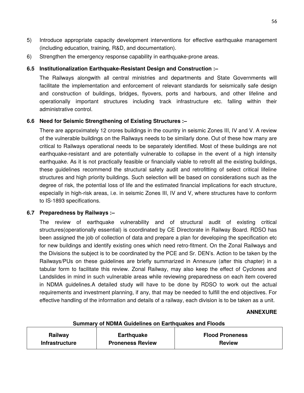- 5) Introduce appropriate capacity development interventions for effective earthquake management (including education, training, R&D, and documentation).
- 6) Strengthen the emergency response capability in earthquake-prone areas.

# **6.5 Institutionalization Earthquake-Resistant Design and Construction :–**

The Railways alongwith all central ministries and departments and State Governments will facilitate the implementation and enforcement of relevant standards for seismically safe design and construction of buildings, bridges, flyovers, ports and harbours, and other lifeline and operationally important structures including track infrastructure etc. falling within their administrative control.

# **6.6 Need for Seismic Strengthening of Existing Structures :–**

There are approximately 12 crores buildings in the country in seismic Zones III, IV and V. A review of the vulnerable buildings on the Railways needs to be similarly done. Out of these how many are critical to Railways operational needs to be separately identified. Most of these buildings are not earthquake-resistant and are potentially vulnerable to collapse in the event of a high intensity earthquake. As it is not practically feasible or financially viable to retrofit all the existing buildings, these guidelines recommend the structural safety audit and retrofitting of select critical lifeline structures and high priority buildings. Such selection will be based on considerations such as the degree of risk, the potential loss of life and the estimated financial implications for each structure, especially in high-risk areas, i.e. in seismic Zones III, IV and V, where structures have to conform to IS-1893 specifications.

### **6.7 Preparedness by Railways :–**

The review of earthquake vulnerability and of structural audit of existing critical structures(operationally essential) is coordinated by CE Directorate in Railway Board. RDSO has been assigned the job of collection of data and prepare a plan for developing the specification etc for new buildings and identify existing ones which need retro-fitment. On the Zonal Railways and the Divisions the subject is to be coordinated by the PCE and Sr. DEN's. Action to be taken by the Railways/PUs on these guidelines are briefly summarized in Annexure (after this chapter) in a tabular form to facilitate this review. Zonal Railway, may also keep the effect of Cyclones and Landslides in mind in such vulnerable areas while reviewing preparedness on each item covered in NDMA guidelines.A detailed study will have to be done by RDSO to work out the actual requirements and investment planning, if any, that may be needed to fulfill the end objectives. For effective handling of the information and details of a railway, each division is to be taken as a unit.

#### **ANNEXURE**

| <b>PRIMING A REPORT OF A PROVINCE ON EXIGINATIVE AND LIBRARY</b> |                         |                        |
|------------------------------------------------------------------|-------------------------|------------------------|
| Railway                                                          | <b>Earthquake</b>       | <b>Flood Proneness</b> |
|                                                                  |                         |                        |
| <b>Infrastructure</b>                                            | <b>Proneness Review</b> | <b>Review</b>          |

# **Summary of NDMA Guidelines on Earthquakes and Floods**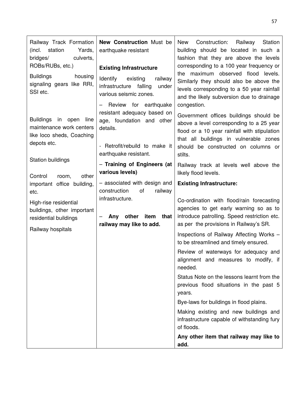| Railway Track Formation<br>(incl. station<br>Yards,<br>bridges/<br>culverts,<br>ROBs/RUBs, etc.)<br><b>Buildings</b><br>housing<br>signaling gears like RRI,<br>SSI etc. | <b>New Construction Must be</b><br>earthquake resistant<br><b>Existing Infrastructure</b><br>Identify<br>existing<br>railway<br>infrastructure falling<br>under<br>various seismic zones.      | Station<br>New<br>Construction:<br>Railway<br>building should be located in such a<br>fashion that they are above the levels<br>corresponding to a 100 year frequency or<br>maximum observed flood levels.<br>the<br>Similarly they should also be above the<br>levels corresponding to a 50 year rainfall                                                                                                                                                                                                                                                                                                                                                                                                                                                        |
|--------------------------------------------------------------------------------------------------------------------------------------------------------------------------|------------------------------------------------------------------------------------------------------------------------------------------------------------------------------------------------|-------------------------------------------------------------------------------------------------------------------------------------------------------------------------------------------------------------------------------------------------------------------------------------------------------------------------------------------------------------------------------------------------------------------------------------------------------------------------------------------------------------------------------------------------------------------------------------------------------------------------------------------------------------------------------------------------------------------------------------------------------------------|
| <b>Buildings</b><br>in open<br>line<br>maintenance work centers<br>like loco sheds, Coaching<br>depots etc.<br>Station buildings                                         | Review for earthquake<br>resistant adequacy based on<br>age, foundation and other<br>details.<br>- Retrofit/rebuild to make it<br>earthquake resistant.                                        | and the likely subversion due to drainage<br>congestion.<br>Government offices buildings should be<br>above a level corresponding to a 25 year<br>flood or a 10 year rainfall with stipulation<br>that all buildings in vulnerable zones<br>should be constructed on columns or<br>stilts.                                                                                                                                                                                                                                                                                                                                                                                                                                                                        |
| Control<br>other<br>room,<br>important office building,<br>etc.<br>High-rise residential<br>buildings, other important<br>residential buildings<br>Railway hospitals     | - Training of Engineers (at<br>various levels)<br>- associated with design and<br>construction<br>οf<br>railway<br>infrastructure.<br>other<br>item<br>that<br>Any<br>railway may like to add. | Railway track at levels well above the<br>likely flood levels.<br><b>Existing Infrastructure:</b><br>Co-ordination with flood/rain forecasting<br>agencies to get early warning so as to<br>introduce patrolling. Speed restriction etc.<br>as per the provisions in Railway's SR.<br>Inspections of Railway Affecting Works -<br>to be streamlined and timely ensured.<br>Review of waterways for adequacy and<br>alignment and measures to modify, if<br>needed.<br>Status Note on the lessons learnt from the<br>previous flood situations in the past 5<br>years.<br>Bye-laws for buildings in flood plains.<br>Making existing and new buildings and<br>infrastructure capable of withstanding fury<br>of floods.<br>Any other item that railway may like to |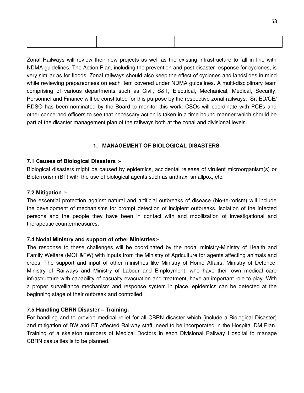Zonal Railways will review their new projects as well as the existing infrastructure to fall in line with NDMA guidelines. The Action Plan, including the prevention and post disaster response for cyclones, is very similar as for floods. Zonal railways should also keep the effect of cyclones and landslides in mind while reviewing preparedness on each item covered under NDMA guidelines. A multi-disciplinary team comprising of various departments such as Civil, S&T, Electrical, Mechanical, Medical, Security, Personnel and Finance will be constituted for this purpose by the respective zonal railways. Sr. ED/CE/ RDSO has been nominated by the Board to monitor this work. CSOs will coordinate with PCEs and other concerned officers to see that necessary action is taken in a time bound manner which should be part of the disaster management plan of the railways both at the zonal and divisional levels.

# **1. MANAGEMENT OF BIOLOGICAL DISASTERS**

### **7.1 Causes of Biological Disasters :-**

Biological disasters might be caused by epidemics, accidental release of virulent microorganism(s) or Bioterrorism (BT) with the use of biological agents such as anthrax, smallpox, etc.

### **7.2 Mitigation :-**

The essential protection against natural and artificial outbreaks of disease (bio-terrorism) will include the development of mechanisms for prompt detection of incipient outbreaks, isolation of the infected persons and the people they have been in contact with and mobilization of investigational and therapeutic countermeasures.

# **7.4 Nodal Ministry and support of other Ministries:-**

The response to these challenges will be coordinated by the nodal ministry-Ministry of Health and Family Welfare (MOH&FW) with inputs from the Ministry of Agriculture for agents affecting animals and crops. The support and input of other ministries like Ministry of Home Affairs, Ministry of Defence, Ministry of Railways and Ministry of Labour and Employment, who have their own medical care infrastructure with capability of casualty evacuation and treatment, have an important role to play. With a proper surveillance mechanism and response system in place, epidemics can be detected at the beginning stage of their outbreak and controlled.

# **7.5 Handling CBRN Disaster – Training:**

For handling and to provide medical relief for all CBRN disaster which (include a Biological Disaster) and mitigation of BW and BT affected Railway staff, need to be incorporated in the Hospital DM Plan. Training of a skeleton numbers of Medical Doctors in each Divisional Railway Hospital to manage CBRN casualties is to be planned.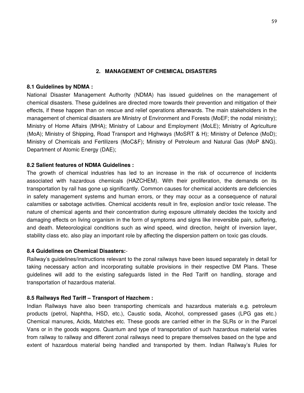### **2. MANAGEMENT OF CHEMICAL DISASTERS**

### **8.1 Guidelines by NDMA :**

National Disaster Management Authority (NDMA) has issued guidelines on the management of chemical disasters. These guidelines are directed more towards their prevention and mitigation of their effects, if these happen than on rescue and relief operations afterwards. The main stakeholders in the management of chemical disasters are Ministry of Environment and Forests (MoEF; the nodal ministry); Ministry of Home Affairs (MHA); Ministry of Labour and Employment (MoLE); Ministry of Agriculture (MoA); Ministry of Shipping, Road Transport and Highways (MoSRT & H); Ministry of Defence (MoD); Ministry of Chemicals and Fertilizers (MoC&F); Ministry of Petroleum and Natural Gas (MoP &NG). Department of Atomic Energy (DAE);

### **8.2 Salient features of NDMA Guidelines :**

The growth of chemical industries has led to an increase in the risk of occurrence of incidents associated with hazardous chemicals (HAZCHEM). With their proliferation, the demands on its transportation by rail has gone up significantly. Common causes for chemical accidents are deficiencies in safety management systems and human errors, or they may occur as a consequence of natural calamities or sabotage activities. Chemical accidents result in fire, explosion and/or toxic release. The nature of chemical agents and their concentration during exposure ultimately decides the toxicity and damaging effects on living organism in the form of symptoms and signs like irreversible pain, suffering, and death. Meteorological conditions such as wind speed, wind direction, height of inversion layer, stability class etc. also play an important role by affecting the dispersion pattern on toxic gas clouds.

### **8.4 Guidelines on Chemical Disasters:**-

Railway's guidelines/instructions relevant to the zonal railways have been issued separately in detail for taking necessary action and incorporating suitable provisions in their respective DM Plans. These guidelines will add to the existing safeguards listed in the Red Tariff on handling, storage and transportation of hazardous material.

# **8.5 Railways Red Tariff – Transport of Hazchem :**

Indian Railways have also been transporting chemicals and hazardous materials e.g. petroleum products (petrol, Naphtha, HSD, etc.), Caustic soda, Alcohol, compressed gases (LPG gas etc.) Chemical manures, Acids, Matches etc. These goods are carried either in the SLRs or in the Parcel Vans or in the goods wagons. Quantum and type of transportation of such hazardous material varies from railway to railway and different zonal railways need to prepare themselves based on the type and extent of hazardous material being handled and transported by them. Indian Railway's Rules for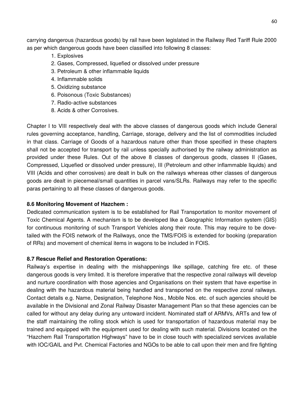carrying dangerous (hazardous goods) by rail have been legislated in the Railway Red Tariff Rule 2000 as per which dangerous goods have been classified into following 8 classes:

- 1. Explosives
- 2. Gases, Compressed, liquefied or dissolved under pressure
- 3. Petroleum & other inflammable liquids
- 4. Inflammable solids
- 5. Oxidizing substance
- 6. Poisonous (Toxic Substances)
- 7. Radio-active substances
- 8. Acids & other Corrosives.

Chapter I to VIII respectively deal with the above classes of dangerous goods which include General rules governing acceptance, handling, Carriage, storage, delivery and the list of commodities included in that class. Carriage of Goods of a hazardous nature other than those specified in these chapters shall not be accepted for transport by rail unless specially authorised by the railway administration as provided under these Rules. Out of the above 8 classes of dangerous goods, classes II (Gases, Compressed, Liquefied or dissolved under pressure), III (Petroleum and other inflammable liquids) and VIII (Acids and other corrosives) are dealt in bulk on the railways whereas other classes of dangerous goods are dealt in piecemeal/small quantities in parcel vans/SLRs. Railways may refer to the specific paras pertaining to all these classes of dangerous goods.

### **8.6 Monitoring Movement of Hazchem :**

Dedicated communication system is to be established for Rail Transportation to monitor movement of Toxic Chemical Agents. A mechanism is to be developed like a Geographic Information system (GIS) for continuous monitoring of such Transport Vehicles along their route. This may require to be dovetailed with the FOIS network of the Railways, once the TMS/FOIS is extended for booking (preparation of RRs) and movement of chemical items in wagons to be included in FOIS.

### **8.7 Rescue Relief and Restoration Operations:**

Railway's expertise in dealing with the mishappenings like spillage, catching fire etc. of these dangerous goods is very limited. It is therefore imperative that the respective zonal railways will develop and nurture coordination with those agencies and Organisations on their system that have expertise in dealing with the hazardous material being handled and transported on the respective zonal railways. Contact details e.g. Name, Designation, Telephone Nos., Mobile Nos. etc. of such agencies should be available in the Divisional and Zonal Railway Disaster Management Plan so that these agencies can be called for without any delay during any untoward incident. Nominated staff of ARMVs, ARTs and few of the staff maintaining the rolling stock which is used for transportation of hazardous material may be trained and equipped with the equipment used for dealing with such material. Divisions located on the "Hazchem Rail Transportation Highways" have to be in close touch with specialized services available with IOC/GAIL and Pvt. Chemical Factories and NGOs to be able to call upon their men and fire fighting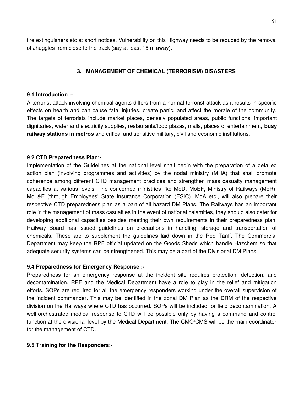fire extinguishers etc at short notices. Vulnerability on this Highway needs to be reduced by the removal of Jhuggies from close to the track (say at least 15 m away).

### **3. MANAGEMENT OF CHEMICAL (TERRORISM) DISASTERS**

#### **9.1 Introduction :-**

A terrorist attack involving chemical agents differs from a normal terrorist attack as it results in specific effects on health and can cause fatal injuries, create panic, and affect the morale of the community. The targets of terrorists include market places, densely populated areas, public functions, important dignitaries, water and electricity supplies, restaurants/food plazas, malls, places of entertainment, **busy railway stations in metros** and critical and sensitive military, civil and economic institutions.

#### **9.2 CTD Preparedness Plan:-**

Implementation of the Guidelines at the national level shall begin with the preparation of a detailed action plan (involving programmes and activities) by the nodal ministry (MHA) that shall promote coherence among different CTD management practices and strengthen mass casualty management capacities at various levels. The concerned ministries like MoD, MoEF, Ministry of Railways (MoR), MoL&E (through Employees' State Insurance Corporation (ESIC), MoA etc., will also prepare their respective CTD preparedness plan as a part of all hazard DM Plans. The Railways has an important role in the management of mass casualties in the event of national calamities, they should also cater for developing additional capacities besides meeting their own requirements in their preparedness plan. Railway Board has issued guidelines on precautions in handling, storage and transportation of chemicals. These are to supplement the guidelines laid down in the Red Tariff. The Commercial Department may keep the RPF official updated on the Goods Sheds which handle Hazchem so that adequate security systems can be strengthened. This may be a part of the Divisional DM Plans.

#### **9.4 Preparedness for Emergency Response :-**

Preparedness for an emergency response at the incident site requires protection, detection, and decontamination. RPF and the Medical Department have a role to play in the relief and mitigation efforts. SOPs are required for all the emergency responders working under the overall supervision of the incident commander. This may be identified in the zonal DM Plan as the DRM of the respective division on the Railways where CTD has occurred. SOPs will be included for field decontamination. A well-orchestrated medical response to CTD will be possible only by having a command and control function at the divisional level by the Medical Department. The CMO/CMS will be the main coordinator for the management of CTD.

#### **9.5 Training for the Responders:-**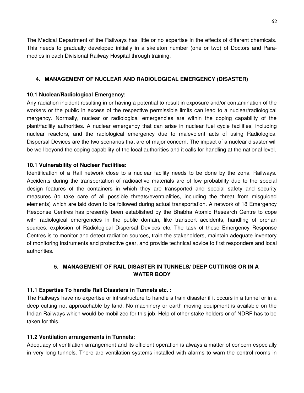The Medical Department of the Railways has little or no expertise in the effects of different chemicals. This needs to gradually developed initially in a skeleton number (one or two) of Doctors and Paramedics in each Divisional Railway Hospital through training.

### **4. MANAGEMENT OF NUCLEAR AND RADIOLOGICAL EMERGENCY (DISASTER)**

### **10.1 Nuclear/Radiological Emergency:**

Any radiation incident resulting in or having a potential to result in exposure and/or contamination of the workers or the public in excess of the respective permissible limits can lead to a nuclear/radiological mergency. Normally, nuclear or radiological emergencies are within the coping capability of the plant/facility authorities. A nuclear emergency that can arise in nuclear fuel cycle facilities, including nuclear reactors, and the radiological emergency due to malevolent acts of using Radiological Dispersal Devices are the two scenarios that are of major concern. The impact of a nuclear disaster will be well beyond the coping capability of the local authorities and it calls for handling at the national level.

### **10.1 Vulnerability of Nuclear Facilities:**

Identification of a Rail network close to a nuclear facility needs to be done by the zonal Railways. Accidents during the transportation of radioactive materials are of low probability due to the special design features of the containers in which they are transported and special safety and security measures (to take care of all possible threats/eventualities, including the threat from misguided elements) which are laid down to be followed during actual transportation. A network of 18 Emergency Response Centres has presently been established by the Bhabha Atomic Research Centre to cope with radiological emergencies in the public domain, like transport accidents, handling of orphan sources, explosion of Radiological Dispersal Devices etc. The task of these Emergency Response Centres is to monitor and detect radiation sources, train the stakeholders, maintain adequate inventory of monitoring instruments and protective gear, and provide technical advice to first responders and local authorities.

# **5. MANAGEMENT OF RAIL DISASTER IN TUNNELS/ DEEP CUTTINGS OR IN A WATER BODY**

### **11.1 Expertise To handle Rail Disasters in Tunnels etc. :**

The Railways have no expertise or infrastructure to handle a train disaster if it occurs in a tunnel or in a deep cutting not approachable by land. No machinery or earth moving equipment is available on the Indian Railways which would be mobilized for this job. Help of other stake holders or of NDRF has to be taken for this.

### **11.2 Ventilation arrangements in Tunnels:**

Adequacy of ventilation arrangement and its efficient operation is always a matter of concern especially in very long tunnels. There are ventilation systems installed with alarms to warn the control rooms in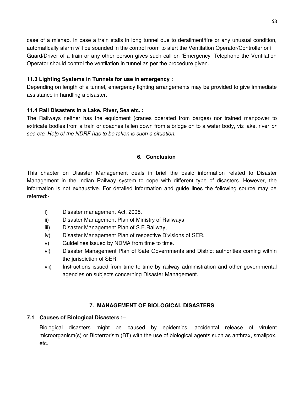case of a mishap. In case a train stalls in long tunnel due to derailment/fire or any unusual condition, automatically alarm will be sounded in the control room to alert the Ventilation Operator/Controller or if Guard/Driver of a train or any other person gives such call on 'Emergency' Telephone the Ventilation Operator should control the ventilation in tunnel as per the procedure given.

### **11.3 Lighting Systems in Tunnels for use in emergency :**

Depending on length of a tunnel, emergency lighting arrangements may be provided to give immediate assistance in handling a disaster.

# **11.4 Rail Disasters in a Lake, River, Sea etc. :**

The Railways neither has the equipment (cranes operated from barges) nor trained manpower to extricate bodies from a train or coaches fallen down from a bridge on to a water body, viz lake, river *or sea etc. Help of the NDRF has to be taken is such a situation.*

# **6. Conclusion**

This chapter on Disaster Management deals in brief the basic information related to Disaster Management in the Indian Railway system to cope with different type of disasters. However, the information is not exhaustive. For detailed information and guide lines the following source may be referred:-

- i) Disaster management Act, 2005.
- ii) Disaster Management Plan of Ministry of Railways
- iii) Disaster Management Plan of S.E.Railway,
- iv) Disaster Management Plan of respective Divisions of SER.
- v) Guidelines issued by NDMA from time to time.
- vi) Disaster Management Plan of Sate Governments and District authorities coming within the jurisdiction of SER.
- vii) Instructions issued from time to time by railway administration and other governmental agencies on subjects concerning Disaster Management.

# **7. MANAGEMENT OF BIOLOGICAL DISASTERS**

# **7.1 Causes of Biological Disasters :–**

Biological disasters might be caused by epidemics, accidental release of virulent microorganism(s) or Bioterrorism (BT) with the use of biological agents such as anthrax, smallpox, etc.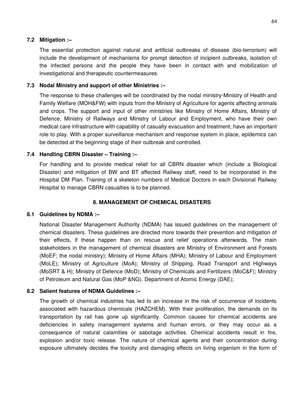### **7.2 Mitigation :–**

The essential protection against natural and artificial outbreaks of disease (bio-terrorism) will include the development of mechanisms for prompt detection of incipient outbreaks, isolation of the infected persons and the people they have been in contact with and mobilization of investigational and therapeutic countermeasures.

### **7.3 Nodal Ministry and support of other Ministries :–**

The response to these challenges will be coordinated by the nodal ministry-Ministry of Health and Family Welfare (MOH&FW) with inputs from the Ministry of Agriculture for agents affecting animals and crops. The support and input of other ministries like Ministry of Home Affairs, Ministry of Defence, Ministry of Railways and Ministry of Labour and Employment, who have their own medical care infrastructure with capability of casualty evacuation and treatment, have an important role to play. With a proper surveillance mechanism and response system in place, epidemics can be detected at the beginning stage of their outbreak and controlled.

## **7.4 Handling CBRN Disaster – Training :–**

For handling and to provide medical relief for all CBRN disaster which (include a Biological Disaster) and mitigation of BW and BT affected Railway staff, need to be incorporated in the Hospital DM Plan. Training of a skeleton numbers of Medical Doctors in each Divisional Railway Hospital to manage CBRN casualties is to be planned.

### **8. MANAGEMENT OF CHEMICAL DISASTERS**

### **8.1 Guidelines by NDMA :–**

National Disaster Management Authority (NDMA) has issued guidelines on the management of chemical disasters. These guidelines are directed more towards their prevention and mitigation of their effects, if these happen than on rescue and relief operations afterwards. The main stakeholders in the management of chemical disasters are Ministry of Environment and Forests (MoEF; the nodal ministry); Ministry of Home Affairs (MHA); Ministry of Labour and Employment (MoLE); Ministry of Agriculture (MoA); Ministry of Shipping, Road Transport and Highways (MoSRT & H); Ministry of Defence (MoD); Ministry of Chemicals and Fertilizers (MoC&F); Ministry of Petroleum and Natural Gas (MoP &NG). Department of Atomic Energy (DAE);

### **8.2 Salient features of NDMA Guidelines :–**

The growth of chemical industries has led to an increase in the risk of occurrence of incidents associated with hazardous chemicals (HAZCHEM). With their proliferation, the demands on its transportation by rail has gone up significantly. Common causes for chemical accidents are deficiencies in safety management systems and human errors, or they may occur as a consequence of natural calamities or sabotage activities. Chemical accidents result in fire, explosion and/or toxic release. The nature of chemical agents and their concentration during exposure ultimately decides the toxicity and damaging effects on living organism in the form of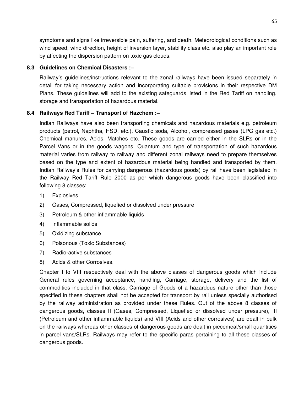symptoms and signs like irreversible pain, suffering, and death. Meteorological conditions such as wind speed, wind direction, height of inversion layer, stability class etc. also play an important role by affecting the dispersion pattern on toxic gas clouds.

#### **8.3 Guidelines on Chemical Disasters :–**

Railway's guidelines/instructions relevant to the zonal railways have been issued separately in detail for taking necessary action and incorporating suitable provisions in their respective DM Plans. These guidelines will add to the existing safeguards listed in the Red Tariff on handling, storage and transportation of hazardous material.

#### **8.4 Railways Red Tariff – Transport of Hazchem :–**

Indian Railways have also been transporting chemicals and hazardous materials e.g. petroleum products (petrol, Naphtha, HSD, etc.), Caustic soda, Alcohol, compressed gases (LPG gas etc.) Chemical manures, Acids, Matches etc. These goods are carried either in the SLRs or in the Parcel Vans or in the goods wagons. Quantum and type of transportation of such hazardous material varies from railway to railway and different zonal railways need to prepare themselves based on the type and extent of hazardous material being handled and transported by them. Indian Railway's Rules for carrying dangerous (hazardous goods) by rail have been legislated in the Railway Red Tariff Rule 2000 as per which dangerous goods have been classified into following 8 classes:

- 1) Explosives
- 2) Gases, Compressed, liquefied or dissolved under pressure
- 3) Petroleum & other inflammable liquids
- 4) Inflammable solids
- 5) Oxidizing substance
- 6) Poisonous (Toxic Substances)
- 7) Radio-active substances
- 8) Acids & other Corrosives.

Chapter I to VIII respectively deal with the above classes of dangerous goods which include General rules governing acceptance, handling, Carriage, storage, delivery and the list of commodities included in that class. Carriage of Goods of a hazardous nature other than those specified in these chapters shall not be accepted for transport by rail unless specially authorised by the railway administration as provided under these Rules. Out of the above 8 classes of dangerous goods, classes II (Gases, Compressed, Liquefied or dissolved under pressure), III (Petroleum and other inflammable liquids) and VIII (Acids and other corrosives) are dealt in bulk on the railways whereas other classes of dangerous goods are dealt in piecemeal/small quantities in parcel vans/SLRs. Railways may refer to the specific paras pertaining to all these classes of dangerous goods.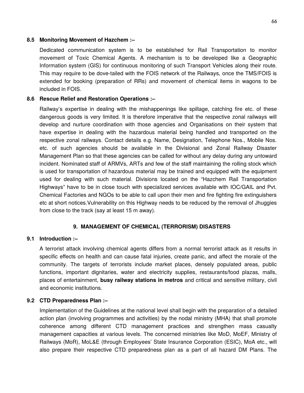### **8.5 Monitoring Movement of Hazchem :–**

Dedicated communication system is to be established for Rail Transportation to monitor movement of Toxic Chemical Agents. A mechanism is to be developed like a Geographic Information system (GIS) for continuous monitoring of such Transport Vehicles along their route. This may require to be dove-tailed with the FOIS network of the Railways, once the TMS/FOIS is extended for booking (preparation of RRs) and movement of chemical items in wagons to be included in FOIS.

### **8.6 Rescue Relief and Restoration Operations :–**

Railway's expertise in dealing with the mishappenings like spillage, catching fire etc. of these dangerous goods is very limited. It is therefore imperative that the respective zonal railways will develop and nurture coordination with those agencies and Organisations on their system that have expertise in dealing with the hazardous material being handled and transported on the respective zonal railways. Contact details e.g. Name, Designation, Telephone Nos., Mobile Nos. etc. of such agencies should be available in the Divisional and Zonal Railway Disaster Management Plan so that these agencies can be called for without any delay during any untoward incident. Nominated staff of ARMVs, ARTs and few of the staff maintaining the rolling stock which is used for transportation of hazardous material may be trained and equipped with the equipment used for dealing with such material. Divisions located on the "Hazchem Rail Transportation Highways" have to be in close touch with specialized services available with IOC/GAIL and Pvt. Chemical Factories and NGOs to be able to call upon their men and fire fighting fire extinguishers etc at short notices.Vulnerability on this Highway needs to be reduced by the removal of Jhuggies from close to the track (say at least 15 m away).

### **9. MANAGEMENT OF CHEMICAL (TERRORISM) DISASTERS**

### **9.1 Introduction :–**

A terrorist attack involving chemical agents differs from a normal terrorist attack as it results in specific effects on health and can cause fatal injuries, create panic, and affect the morale of the community. The targets of terrorists include market places, densely populated areas, public functions, important dignitaries, water and electricity supplies, restaurants/food plazas, malls, places of entertainment, **busy railway stations in metros** and critical and sensitive military, civil and economic institutions.

### **9.2 CTD Preparedness Plan :–**

Implementation of the Guidelines at the national level shall begin with the preparation of a detailed action plan (involving programmes and activities) by the nodal ministry (MHA) that shall promote coherence among different CTD management practices and strengthen mass casualty management capacities at various levels. The concerned ministries like MoD, MoEF, Ministry of Railways (MoR), MoL&E (through Employees' State Insurance Corporation (ESIC), MoA etc., will also prepare their respective CTD preparedness plan as a part of all hazard DM Plans. The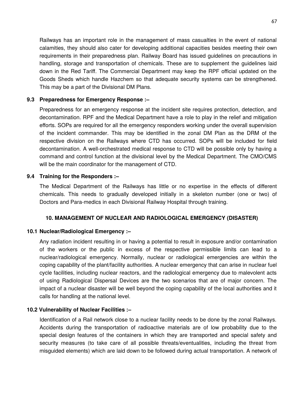Railways has an important role in the management of mass casualties in the event of national calamities, they should also cater for developing additional capacities besides meeting their own requirements in their preparedness plan. Railway Board has issued guidelines on precautions in handling, storage and transportation of chemicals. These are to supplement the guidelines laid down in the Red Tariff. The Commercial Department may keep the RPF official updated on the Goods Sheds which handle Hazchem so that adequate security systems can be strengthened. This may be a part of the Divisional DM Plans.

#### **9.3 Preparedness for Emergency Response :–**

Preparedness for an emergency response at the incident site requires protection, detection, and decontamination. RPF and the Medical Department have a role to play in the relief and mitigation efforts. SOPs are required for all the emergency responders working under the overall supervision of the incident commander. This may be identified in the zonal DM Plan as the DRM of the respective division on the Railways where CTD has occurred. SOPs will be included for field decontamination. A well-orchestrated medical response to CTD will be possible only by having a command and control function at the divisional level by the Medical Department. The CMO/CMS will be the main coordinator for the management of CTD.

#### **9.4 Training for the Responders :–**

The Medical Department of the Railways has little or no expertise in the effects of different chemicals. This needs to gradually developed initially in a skeleton number (one or two) of Doctors and Para-medics in each Divisional Railway Hospital through training.

#### **10. MANAGEMENT OF NUCLEAR AND RADIOLOGICAL EMERGENCY (DISASTER)**

#### **10.1 Nuclear/Radiological Emergency :–**

Any radiation incident resulting in or having a potential to result in exposure and/or contamination of the workers or the public in excess of the respective permissible limits can lead to a nuclear/radiological emergency. Normally, nuclear or radiological emergencies are within the coping capability of the plant/facility authorities. A nuclear emergency that can arise in nuclear fuel cycle facilities, including nuclear reactors, and the radiological emergency due to malevolent acts of using Radiological Dispersal Devices are the two scenarios that are of major concern. The impact of a nuclear disaster will be well beyond the coping capability of the local authorities and it calls for handling at the national level.

#### **10.2 Vulnerability of Nuclear Facilities :–**

Identification of a Rail network close to a nuclear facility needs to be done by the zonal Railways. Accidents during the transportation of radioactive materials are of low probability due to the special design features of the containers in which they are transported and special safety and security measures (to take care of all possible threats/eventualities, including the threat from misguided elements) which are laid down to be followed during actual transportation. A network of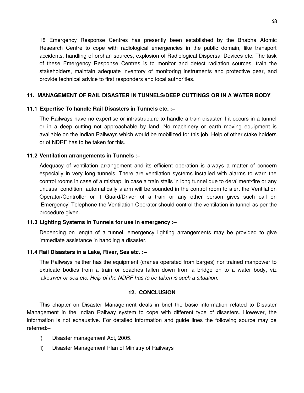18 Emergency Response Centres has presently been established by the Bhabha Atomic Research Centre to cope with radiological emergencies in the public domain, like transport accidents, handling of orphan sources, explosion of Radiological Dispersal Devices etc. The task of these Emergency Response Centres is to monitor and detect radiation sources, train the stakeholders, maintain adequate inventory of monitoring instruments and protective gear, and provide technical advice to first responders and local authorities.

### **11. MANAGEMENT OF RAIL DISASTER IN TUNNELS/DEEP CUTTINGS OR IN A WATER BODY**

### **11.1 Expertise To handle Rail Disasters in Tunnels etc. :–**

The Railways have no expertise or infrastructure to handle a train disaster if it occurs in a tunnel or in a deep cutting not approachable by land. No machinery or earth moving equipment is available on the Indian Railways which would be mobilized for this job. Help of other stake holders or of NDRF has to be taken for this.

#### **11.2 Ventilation arrangements in Tunnels :–**

Adequacy of ventilation arrangement and its efficient operation is always a matter of concern especially in very long tunnels. There are ventilation systems installed with alarms to warn the control rooms in case of a mishap. In case a train stalls in long tunnel due to derailment/fire or any unusual condition, automatically alarm will be sounded in the control room to alert the Ventilation Operator/Controller or if Guard/Driver of a train or any other person gives such call on 'Emergency' Telephone the Ventilation Operator should control the ventilation in tunnel as per the procedure given.

#### **11.3 Lighting Systems in Tunnels for use in emergency :–**

Depending on length of a tunnel, emergency lighting arrangements may be provided to give immediate assistance in handling a disaster.

#### **11.4 Rail Disasters in a Lake, River, Sea etc. :–**

The Railways neither has the equipment (cranes operated from barges) nor trained manpower to extricate bodies from a train or coaches fallen down from a bridge on to a water body, viz lake,*river or sea etc. Help of the NDRF has to be taken is such a situation.*

#### **12. CONCLUSION**

This chapter on Disaster Management deals in brief the basic information related to Disaster Management in the Indian Railway system to cope with different type of disasters. However, the information is not exhaustive. For detailed information and guide lines the following source may be referred:–

- i) Disaster management Act, 2005.
- ii) Disaster Management Plan of Ministry of Railways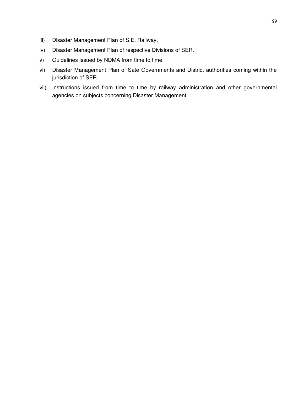- iii) Disaster Management Plan of S.E. Railway,
- iv) Disaster Management Plan of respective Divisions of SER.
- v) Guidelines issued by NDMA from time to time.
- vi) Disaster Management Plan of Sate Governments and District authorities coming within the jurisdiction of SER.
- vii) Instructions issued from time to time by railway administration and other governmental agencies on subjects concerning Disaster Management.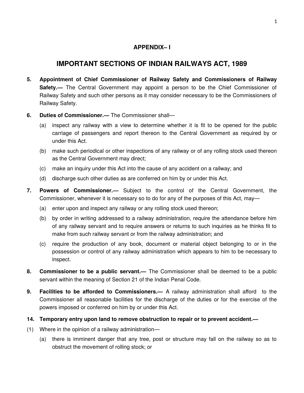# **APPENDIX– I**

# **IMPORTANT SECTIONS OF INDIAN RAILWAYS ACT, 1989**

- **5. Appointment of Chief Commissioner of Railway Safety and Commissioners of Railway** Safety.— The Central Government may appoint a person to be the Chief Commissioner of Railway Safety and such other persons as it may consider necessary to be the Commissioners of Railway Safety.
- **6. Duties of Commissioner.—** The Commissioner shall—
	- (a) inspect any railway with a view to determine whether it is fit to be opened for the public carriage of passengers and report thereon to the Central Government as required by or under this Act.
	- (b) make such periodical or other inspections of any railway or of any rolling stock used thereon as the Central Government may direct;
	- (c) make an inquiry under this Act into the cause of any accident on a railway; and
	- (d) discharge such other duties as are conferred on him by or under this Act.
- **7. Powers of Commissioner.—** Subject to the control of the Central Government, the Commissioner, whenever it is necessary so to do for any of the purposes of this Act, may—
	- (a) enter upon and inspect any railway or any rolling stock used thereon;
	- (b) by order in writing addressed to a railway administration, require the attendance before him of any railway servant and to require answers or returns to such inquiries as he thinks fit to make from such railway servant or from the railway administration; and
	- (c) require the production of any book, document or material object belonging to or in the possession or control of any railway administration which appears to him to be necessary to inspect.
- **8. Commissioner to be a public servant.—** The Commissioner shall be deemed to be a public servant within the meaning of Section 21 of the Indian Penal Code.
- **9. Facilities to be afforded to Commissioners.—** A railway administration shall afford to the Commissioner all reasonable facilities for the discharge of the duties or for the exercise of the powers imposed or conferred on him by or under this Act.
- **14. Temporary entry upon land to remove obstruction to repair or to prevent accident.—**
- (1) Where in the opinion of a railway administration—
	- (a) there is imminent danger that any tree, post or structure may fall on the railway so as to obstruct the movement of rolling stock; or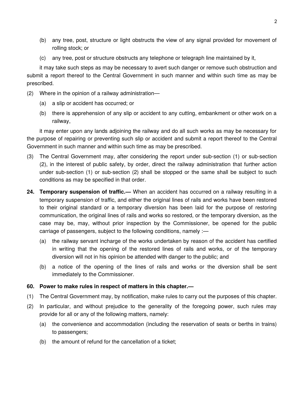- (b) any tree, post, structure or light obstructs the view of any signal provided for movement of rolling stock; or
- (c) any tree, post or structure obstructs any telephone or telegraph line maintained by it,

it may take such steps as may be necessary to avert such danger or remove such obstruction and submit a report thereof to the Central Government in such manner and within such time as may be prescribed.

- (2) Where in the opinion of a railway administration—
	- (a) a slip or accident has occurred; or
	- (b) there is apprehension of any slip or accident to any cutting, embankment or other work on a railway,

it may enter upon any lands adjoining the railway and do all such works as may be necessary for the purpose of repairing or preventing such slip or accident and submit a report thereof to the Central Government in such manner and within such time as may be prescribed.

- (3) The Central Government may, after considering the report under sub-section (1) or sub-section (2), in the interest of public safety, by order, direct the railway administration that further action under sub-section (1) or sub-section (2) shall be stopped or the same shall be subject to such conditions as may be specified in that order.
- **24. Temporary suspension of traffic.—** When an accident has occurred on a railway resulting in a temporary suspension of traffic, and either the original lines of rails and works have been restored to their original standard or a temporary diversion has been laid for the purpose of restoring communication, the original lines of rails and works so restored, or the temporary diversion, as the case may be, may, without prior inspection by the Commissioner, be opened for the public carriage of passengers, subject to the following conditions, namely :—
	- (a) the railway servant incharge of the works undertaken by reason of the accident has certified in writing that the opening of the restored lines of rails and works, or of the temporary diversion will not in his opinion be attended with danger to the public; and
	- (b) a notice of the opening of the lines of rails and works or the diversion shall be sent immediately to the Commissioner.
- **60. Power to make rules in respect of matters in this chapter.—**
- (1) The Central Government may, by notification, make rules to carry out the purposes of this chapter.
- (2) In particular, and without prejudice to the generality of the foregoing power, such rules may provide for all or any of the following matters, namely:
	- (a) the convenience and accommodation (including the reservation of seats or berths in trains) to passengers;
	- (b) the amount of refund for the cancellation of a ticket;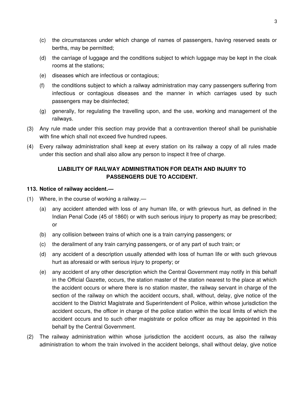- (c) the circumstances under which change of names of passengers, having reserved seats or berths, may be permitted;
- (d) the carriage of luggage and the conditions subject to which luggage may be kept in the cloak rooms at the stations;
- (e) diseases which are infectious or contagious;
- (f) the conditions subject to which a railway administration may carry passengers suffering from infectious or contagious diseases and the manner in which carriages used by such passengers may be disinfected;
- (g) generally, for regulating the travelling upon, and the use, working and management of the railways.
- (3) Any rule made under this section may provide that a contravention thereof shall be punishable with fine which shall not exceed five hundred rupees.
- (4) Every railway administration shall keep at every station on its railway a copy of all rules made under this section and shall also allow any person to inspect it free of charge.

# **LIABILITY OF RAILWAY ADMINISTRATION FOR DEATH AND INJURY TO PASSENGERS DUE TO ACCIDENT.**

#### **113. Notice of railway accident.—**

- (1) Where, in the course of working a railway.—
	- (a) any accident attended with loss of any human life, or with grievous hurt, as defined in the Indian Penal Code (45 of 1860) or with such serious injury to property as may be prescribed; or
	- (b) any collision between trains of which one is a train carrying passengers; or
	- (c) the derailment of any train carrying passengers, or of any part of such train; or
	- (d) any accident of a description usually attended with loss of human life or with such grievous hurt as aforesaid or with serious injury to property; or
	- (e) any accident of any other description which the Central Government may notify in this behalf in the Official Gazette, occurs, the station master of the station nearest to the place at which the accident occurs or where there is no station master, the railway servant in charge of the section of the railway on which the accident occurs, shall, without, delay, give notice of the accident to the District Magistrate and Superintendent of Police, within whose jurisdiction the accident occurs, the officer in charge of the police station within the local limits of which the accident occurs and to such other magistrate or police officer as may be appointed in this behalf by the Central Government.
- (2) The railway administration within whose jurisdiction the accident occurs, as also the railway administration to whom the train involved in the accident belongs, shall without delay, give notice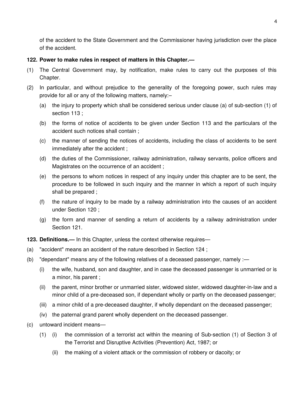of the accident to the State Government and the Commissioner having jurisdiction over the place of the accident.

#### **122. Power to make rules in respect of matters in this Chapter.—**

- (1) The Central Government may, by notification, make rules to carry out the purposes of this Chapter.
- (2) In particular, and without prejudice to the generality of the foregoing power, such rules may provide for all or any of the following matters, namely:–
	- (a) the injury to property which shall be considered serious under clause (a) of sub-section (1) of section 113 ;
	- (b) the forms of notice of accidents to be given under Section 113 and the particulars of the accident such notices shall contain ;
	- (c) the manner of sending the notices of accidents, including the class of accidents to be sent immediately after the accident ;
	- (d) the duties of the Commissioner, railway administration, railway servants, police officers and Magistrates on the occurrence of an accident ;
	- (e) the persons to whom notices in respect of any inquiry under this chapter are to be sent, the procedure to be followed in such inquiry and the manner in which a report of such inquiry shall be prepared ;
	- (f) the nature of inquiry to be made by a railway administration into the causes of an accident under Section 120 ;
	- (g) the form and manner of sending a return of accidents by a railway administration under Section 121.

**123. Definitions.—** In this Chapter, unless the context otherwise requires—

- (a) "accident" means an accident of the nature described in Section 124 ;
- (b) "dependant" means any of the following relatives of a deceased passenger, namely :—
	- (i) the wife, husband, son and daughter, and in case the deceased passenger is unmarried or is a minor, his parent ;
	- (ii) the parent, minor brother or unmarried sister, widowed sister, widowed daughter-in-law and a minor child of a pre-deceased son, if dependant wholly or partly on the deceased passenger;
	- (iii) a minor child of a pre-deceased daughter, if wholly dependant on the deceased passenger;
	- (iv) the paternal grand parent wholly dependent on the deceased passenger.
- (c) untoward incident means—
	- (1) (i) the commission of a terrorist act within the meaning of Sub-section (1) of Section 3 of the Terrorist and Disruptive Activities (Prevention) Act, 1987; or
		- (ii) the making of a violent attack or the commission of robbery or dacoity; or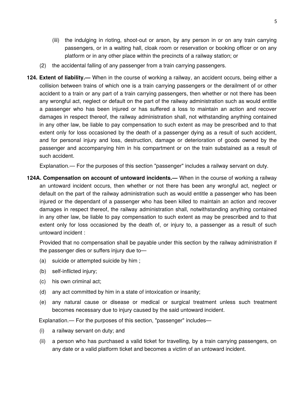- (iii) the indulging in rioting, shoot-out or arson, by any person in or on any train carrying passengers, or in a waiting hall, cloak room or reservation or booking officer or on any platform or in any other place within the precincts of a railway station; or
- (2) the accidental falling of any passenger from a train carrying passengers.
- **124. Extent of liability.—** When in the course of working a railway, an accident occurs, being either a collision between trains of which one is a train carrying passengers or the derailment of or other accident to a train or any part of a train carrying passengers, then whether or not there has been any wrongful act, neglect or default on the part of the railway administration such as would entitle a passenger who has been injured or has suffered a loss to maintain an action and recover damages in respect thereof, the railway administration shall, not withstanding anything contained in any other law, be liable to pay compensation to such extent as may be prescribed and to that extent only for loss occasioned by the death of a passenger dying as a result of such accident, and for personal injury and loss, destruction, damage or deterioration of goods owned by the passenger and accompanying him in his compartment or on the train substained as a result of such accident.

Explanation.— For the purposes of this section "passenger" includes a railway servant on duty.

**124A. Compensation on account of untoward incidents.—** When in the course of working a railway an untoward incident occurs, then whether or not there has been any wrongful act, neglect or default on the part of the railway administration such as would entitle a passenger who has been injured or the dependant of a passenger who has been killed to maintain an action and recover damages in respect thereof, the railway administration shall, notwithstanding anything contained in any other law, be liable to pay compensation to such extent as may be prescribed and to that extent only for loss occasioned by the death of, or injury to, a passenger as a result of such untoward incident :

Provided that no compensation shall be payable under this section by the railway administration if the passenger dies or suffers injury due to—

- (a) suicide or attempted suicide by him ;
- (b) self-inflicted injury;
- (c) his own criminal act;
- (d) any act committed by him in a state of intoxication or insanity;
- (e) any natural cause or disease or medical or surgical treatment unless such treatment becomes necessary due to injury caused by the said untoward incident.

Explanation.— For the purposes of this section, "passenger" includes—

- (i) a railway servant on duty; and
- (ii) a person who has purchased a valid ticket for travelling, by a train carrying passengers, on any date or a valid platform ticket and becomes a victim of an untoward incident.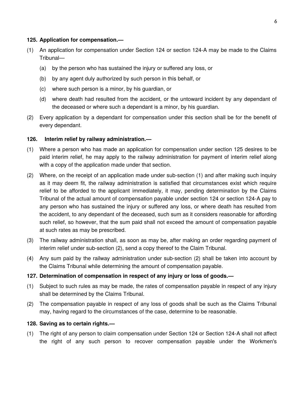### **125. Application for compensation.—**

- (1) An application for compensation under Section 124 or section 124-A may be made to the Claims Tribunal—
	- (a) by the person who has sustained the injury or suffered any loss, or
	- (b) by any agent duly authorized by such person in this behalf, or
	- (c) where such person is a minor, by his guardian, or
	- (d) where death had resulted from the accident, or the untoward incident by any dependant of the deceased or where such a dependant is a minor, by his guardian.
- (2) Every application by a dependant for compensation under this section shall be for the benefit of every dependant.

### **126. Interim relief by railway administration.—**

- (1) Where a person who has made an application for compensation under section 125 desires to be paid interim relief, he may apply to the railway administration for payment of interim relief along with a copy of the application made under that section.
- (2) Where, on the receipt of an application made under sub-section (1) and after making such inquiry as it may deem fit, the railway administration is satisfied that circumstances exist which require relief to be afforded to the applicant immediately, it may, pending determination by the Claims Tribunal of the actual amount of compensation payable under section 124 or section 124-A pay to any person who has sustained the injury or suffered any loss, or where death has resulted from the accident, to any dependant of the deceased, such sum as it considers reasonable for affording such relief, so however, that the sum paid shall not exceed the amount of compensation payable at such rates as may be prescribed.
- (3) The railway administration shall, as soon as may be, after making an order regarding payment of interim relief under sub-section (2), send a copy thereof to the Claim Tribunal.
- (4) Any sum paid by the railway administration under sub-section (2) shall be taken into account by the Claims Tribunal while determining the amount of compensation payable.

### **127. Determination of compensation in respect of any injury or loss of goods.—**

- (1) Subject to such rules as may be made, the rates of compensation payable in respect of any injury shall be determined by the Claims Tribunal.
- (2) The compensation payable in respect of any loss of goods shall be such as the Claims Tribunal may, having regard to the circumstances of the case, determine to be reasonable.

#### **128. Saving as to certain rights.—**

(1) The right of any person to claim compensation under Section 124 or Section 124-A shall not affect the right of any such person to recover compensation payable under the Workmen's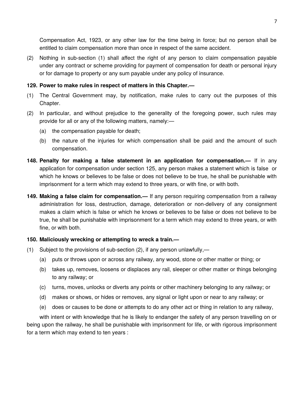Compensation Act, 1923, or any other law for the time being in force; but no person shall be entitled to claim compensation more than once in respect of the same accident.

(2) Nothing in sub-section (1) shall affect the right of any person to claim compensation payable under any contract or scheme providing for payment of compensation for death or personal injury or for damage to property or any sum payable under any policy of insurance.

#### **129. Power to make rules in respect of matters in this Chapter.—**

- (1) The Central Government may, by notification, make rules to carry out the purposes of this Chapter.
- (2) In particular, and without prejudice to the generality of the foregoing power, such rules may provide for all or any of the following matters, namely:—
	- (a) the compensation payable for death;
	- (b) the nature of the injuries for which compensation shall be paid and the amount of such compensation.
- **148. Penalty for making a false statement in an application for compensation.—** If in any application for compensation under section 125, any person makes a statement which is false or which he knows or believes to be false or does not believe to be true, he shall be punishable with imprisonment for a term which may extend to three years, or with fine, or with both.
- **149. Making a false claim for compensation.—** If any person requiring compensation from a railway administration for loss, destruction, damage, deterioration or non-delivery of any consignment makes a claim which is false or which he knows or believes to be false or does not believe to be true, he shall be punishable with imprisonment for a term which may extend to three years, or with fine, or with both.

#### **150. Maliciously wrecking or attempting to wreck a train.—**

- (1) Subject to the provisions of sub-section (2), if any person unlawfully,—
	- (a) puts or throws upon or across any railway, any wood, stone or other matter or thing; or
	- (b) takes up, removes, loosens or displaces any rail, sleeper or other matter or things belonging to any railway; or
	- (c) turns, moves, unlocks or diverts any points or other machinery belonging to any railway; or
	- (d) makes or shows, or hides or removes, any signal or light upon or near to any railway; or
	- (e) does or causes to be done or attempts to do any other act or thing in relation to any railway,

with intent or with knowledge that he is likely to endanger the safety of any person travelling on or being upon the railway, he shall be punishable with imprisonment for life, or with rigorous imprisonment for a term which may extend to ten years :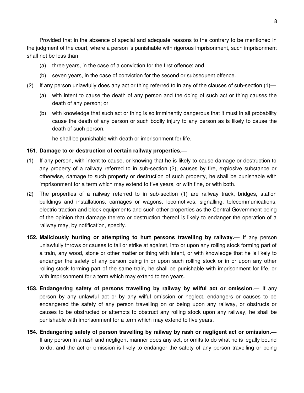Provided that in the absence of special and adequate reasons to the contrary to be mentioned in the judgment of the court, where a person is punishable with rigorous imprisonment, such imprisonment shall not be less than—

- (a) three years, in the case of a conviction for the first offence; and
- (b) seven years, in the case of conviction for the second or subsequent offence.
- (2) If any person unlawfully does any act or thing referred to in any of the clauses of sub-section  $(1)$ 
	- (a) with intent to cause the death of any person and the doing of such act or thing causes the death of any person; or
	- (b) with knowledge that such act or thing is so imminently dangerous that it must in all probability cause the death of any person or such bodily injury to any person as is likely to cause the death of such person,

he shall be punishable with death or imprisonment for life.

#### **151. Damage to or destruction of certain railway properties.—**

- (1) If any person, with intent to cause, or knowing that he is likely to cause damage or destruction to any property of a railway referred to in sub-section (2), causes by fire, explosive substance or otherwise, damage to such property or destruction of such property, he shall be punishable with imprisonment for a term which may extend to five years, or with fine, or with both.
- (2) The properties of a railway referred to in sub-section (1) are railway track, bridges, station buildings and installations, carriages or wagons, locomotives, signalling, telecommunications, electric traction and block equipments and such other properties as the Central Government being of the opinion that damage thereto or destruction thereof is likely to endanger the operation of a railway may, by notification, specify.
- **152. Maliciously hurting or attempting to hurt persons travelling by railway.—** If any person unlawfully throws or causes to fall or strike at against, into or upon any rolling stock forming part of a train, any wood, stone or other matter or thing with intent, or with knowledge that he is likely to endanger the safety of any person being in or upon such rolling stock or in or upon any other rolling stock forming part of the same train, he shall be punishable with imprisonment for life, or with imprisonment for a term which may extend to ten years.
- **153. Endangering safety of persons travelling by railway by wilful act or omission.—** If any person by any unlawful act or by any wilful omission or neglect, endangers or causes to be endangered the safety of any person travelling on or being upon any railway, or obstructs or causes to be obstructed or attempts to obstruct any rolling stock upon any railway, he shall be punishable with imprisonment for a term which may extend to five years.
- **154. Endangering safety of person travelling by railway by rash or negligent act or omission.—** If any person in a rash and negligent manner does any act, or omits to do what he is legally bound to do, and the act or omission is likely to endanger the safety of any person travelling or being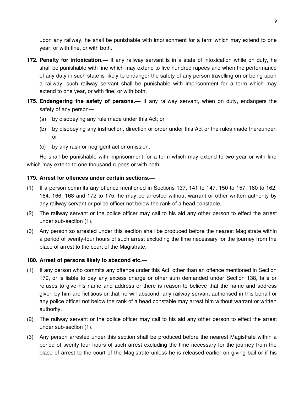upon any railway, he shall be punishable with imprisonment for a term which may extend to one year, or with fine, or with both.

- **172. Penalty for intoxication.—** If any railway servant is in a state of intoxication while on duty, he shall be punishable with fine which may extend to five hundred rupees and when the performance of any duty in such state is likely to endanger the safety of any person travelling on or being upon a railway, such railway servant shall be punishable with imprisonment for a term which may extend to one year, or with fine, or with both.
- **175. Endangering the safety of persons.—** If any railway servant, when on duty, endangers the safety of any person—
	- (a) by disobeying any rule made under this Act; or
	- (b) by disobeying any instruction, direction or order under this Act or the rules made thereunder; or
	- (c) by any rash or negligent act or omission.

He shall be punishable with imprisonment for a term which may extend to two year or with fine which may extend to one thousand rupees or with both.

### **179. Arrest for offences under certain sections.—**

- (1) If a person commits any offence mentioned in Sections 137, 141 to 147, 150 to 157, 160 to 162, 164, 166, 168 and 172 to 175, he may be arrested without warrant or other written authority by any railway servant or police officer not below the rank of a head constable.
- (2) The railway servant or the police officer may call to his aid any other person to effect the arrest under sub-section (1).
- (3) Any person so arrested under this section shall be produced before the nearest Magistrate within a period of twenty-four hours of such arrest excluding the time necessary for the journey from the place of arrest to the court of the Magistrate.

### **180. Arrest of persons likely to abscond etc.—**

- (1) If any person who commits any offence under this Act, other than an offence mentioned in Section 179, or is liable to pay any excess charge or other sum demanded under Section 138, fails or refuses to give his name and address or there is reason to believe that the name and address given by him are fictitious or that he will abscond, any railway servant authorised in this behalf or any police officer not below the rank of a head constable may arrest him without warrant or written authority.
- (2) The railway servant or the police officer may call to his aid any other person to effect the arrest under sub-section (1).
- (3) Any person arrested under this section shall be produced before the nearest Magistrate within a period of twenty-four hours of such arrest excluding the time necessary for the journey from the place of arrest to the court of the Magistrate unless he is released earlier on giving bail or if his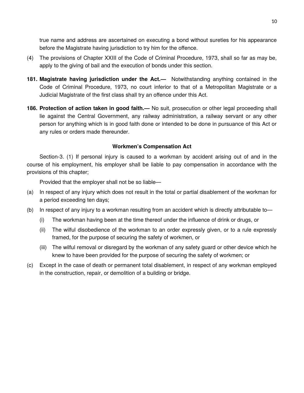true name and address are ascertained on executing a bond without sureties for his appearance before the Magistrate having jurisdiction to try him for the offence.

- (4) The provisions of Chapter XXIII of the Code of Criminal Procedure, 1973, shall so far as may be, apply to the giving of bail and the execution of bonds under this section.
- **181. Magistrate having jurisdiction under the Act.—** Notwithstanding anything contained in the Code of Criminal Procedure, 1973, no court inferior to that of a Metropolitan Magistrate or a Judicial Magistrate of the first class shall try an offence under this Act.
- **186. Protection of action taken in good faith.—** No suit, prosecution or other legal proceeding shall lie against the Central Government, any railway administration, a railway servant or any other person for anything which is in good faith done or intended to be done in pursuance of this Act or any rules or orders made thereunder.

### **Workmen's Compensation Act**

Section-3. (1) If personal injury is caused to a workman by accident arising out of and in the course of his employment, his employer shall be liable to pay compensation in accordance with the provisions of this chapter;

Provided that the employer shall not be so liable—

- (a) In respect of any injury which does not result in the total or partial disablement of the workman for a period exceeding ten days;
- (b) In respect of any injury to a workman resulting from an accident which is directly attributable to—
	- (i) The workman having been at the time thereof under the influence of drink or drugs, or
	- (ii) The wilful disobedience of the workman to an order expressly given, or to a rule expressly framed, for the purpose of securing the safety of workmen, or
	- (iii) The wilful removal or disregard by the workman of any safety guard or other device which he knew to have been provided for the purpose of securing the safety of workmen; or
- (c) Except in the case of death or permanent total disablement, in respect of any workman employed in the construction, repair, or demolition of a building or bridge.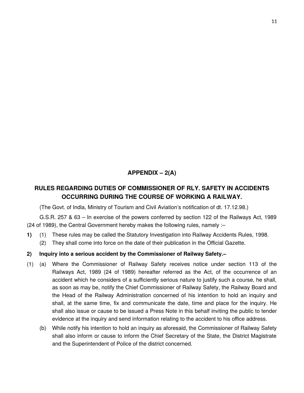# **APPENDIX – 2(A)**

# **RULES REGARDING DUTIES OF COMMISSIONER OF RLY. SAFETY IN ACCIDENTS OCCURRING DURING THE COURSE OF WORKING A RAILWAY.**

(The Govt. of India, Ministry of Tourism and Civil Aviation's notification of dt. 17.12.98.)

G.S.R. 257 & 63 – In exercise of the powers conferred by section 122 of the Railways Act, 1989 (24 of 1989), the Central Government hereby makes the following rules, namely :–

- **1)** (1) These rules may be called the Statutory Investigation into Railway Accidents Rules, 1998.
	- (2) They shall come into force on the date of their publication in the Official Gazette.

# **2) Inquiry into a serious accident by the Commissioner of Railway Safety.–**

- (1) (a) Where the Commissioner of Railway Safety receives notice under section 113 of the Railways Act, 1989 (24 of 1989) hereafter referred as the Act, of the occurrence of an accident which he considers of a sufficiently serious nature to justify such a course, he shall, as soon as may be, notify the Chief Commissioner of Railway Safety, the Railway Board and the Head of the Railway Administration concerned of his intention to hold an inquiry and shall, at the same time, fix and communicate the date, time and place for the inquiry. He shall also issue or cause to be issued a Press Note in this behalf inviting the public to tender evidence at the inquiry and send information relating to the accident to his office address.
	- (b) While notify his intention to hold an inquiry as aforesaid, the Commissioner of Railway Safety shall also inform or cause to inform the Chief Secretary of the State, the District Magistrate and the Superintendent of Police of the district concerned.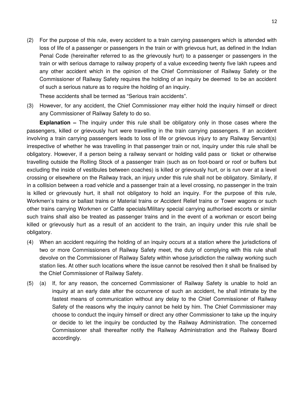(2) For the purpose of this rule, every accident to a train carrying passengers which is attended with loss of life of a passenger or passengers in the train or with grievous hurt, as defined in the Indian Penal Code (hereinafter referred to as the grievously hurt) to a passenger or passengers in the train or with serious damage to railway property of a value exceeding twenty five lakh rupees and any other accident which in the opinion of the Chief Commissioner of Railway Safety or the Commissioner of Railway Safety requires the holding of an inquiry be deemed to be an accident of such a serious nature as to require the holding of an inquiry.

These accidents shall be termed as "Serious train accidents".

(3) However, for any accident, the Chief Commissioner may either hold the inquiry himself or direct any Commissioner of Railway Safety to do so.

**Explanation –** The inquiry under this rule shall be obligatory only in those cases where the passengers, killed or grievously hurt were travelling in the train carrying passengers. If an accident involving a train carrying passengers leads to loss of life or grievous injury to any Railway Servant(s) irrespective of whether he was travelling in that passenger train or not, inquiry under this rule shall be obligatory. However, if a person being a railway servant or holding valid pass or ticket or otherwise travelling outside the Rolling Stock of a passenger train (such as on foot-board or roof or buffers but excluding the inside of vestibules between coaches) is killed or grievously hurt, or is run over at a level crossing or elsewhere on the Railway track, an injury under this rule shall not be obligatory. Similarly, if in a collision between a road vehicle and a passenger train at a level crossing, no passenger in the train is killed or grievously hurt, it shall not obligatory to hold an inquiry. For the purpose of this rule, Workmen's trains or ballast trains or Material trains or Accident Relief trains or Tower wagons or such other trains carrying Workmen or Cattle specials/Military special carrying authorised escorts or similar such trains shall also be treated as passenger trains and in the event of a workman or escort being killed or grievously hurt as a result of an accident to the train, an inquiry under this rule shall be obligatory.

- (4) When an accident requiring the holding of an inquiry occurs at a station where the jurisdictions of two or more Commissioners of Railway Safety meet, the duty of complying with this rule shall devolve on the Commissioner of Railway Safety within whose jurisdiction the railway working such station lies. At other such locations where the issue cannot be resolved then it shall be finalised by the Chief Commissioner of Railway Safety.
- (5) (a) If, for any reason, the concerned Commissioner of Railway Safety is unable to hold an inquiry at an early date after the occurrence of such an accident, he shall intimate by the fastest means of communication without any delay to the Chief Commissioner of Railway Safety of the reasons why the inquiry cannot be held by him. The Chief Commissioner may choose to conduct the inquiry himself or direct any other Commissioner to take up the inquiry or decide to let the inquiry be conducted by the Railway Administration. The concerned Commissioner shall thereafter notify the Railway Administration and the Railway Board accordingly.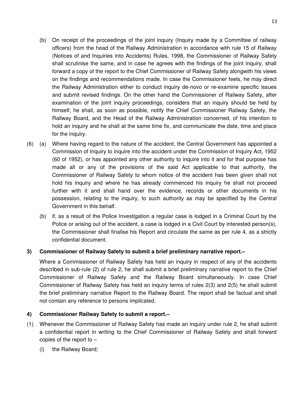- (b) On receipt of the proceedings of the joint inquiry (Inquiry made by a Committee of railway officers) from the head of the Railway Administration in accordance with rule 15 of Railway (Notices of and Inquiries into Accidents) Rules, 1998, the Commissioner of Railway Safety shall scrutinise the same, and in case he agrees with the findings of the joint inquiry, shall forward a copy of the report to the Chief Commissioner of Railway Safety alongwith his views on the findings and recommendations made. In case the Commissioner feels, he may direct the Railway Administration either to conduct inquiry de-novo or re-examine specific issues and submit revised findings. On the other hand the Commissioner of Railway Safety, after examination of the joint inquiry proceedings, considers that an inquiry should be held by himself, he shall, as soon as possible, notify the Chief Commissioner Railway Safety, the Railway Board, and the Head of the Railway Administration concerned, of his intention to hold an inquiry and he shall at the same time fix, and communicate the date, time and place for the inquiry.
- (6) (a) Where having regard to the nature of the accident, the Central Government has appointed a Commission of Inquiry to inquire into the accident under the Commission of Inquiry Act, 1952 (60 of 1952), or has appointed any other authority to inquire into it and for that purpose has made all or any of the provisions of the said Act applicable to that authority, the Commissioner of Railway Safety to whom notice of the accident has been given shall not hold his inquiry and where he has already commenced his inquiry he shall not proceed further with it and shall hand over the evidence, records or other documents in his possession, relating to the inquiry, to such authority as may be specified by the Central Government in this behalf.
	- (b) if, as a result of the Police Investigation a regular case is lodged in a Criminal Court by the Police or arising out of the accident, a case is lodged in a Civil Court by interested person(s), the Commissioner shall finalise his Report and circulate the same as per rule 4, as a strictly confidential document.

### **3) Commissioner of Railway Safety to submit a brief preliminary narrative report.–**

Where a Commissioner of Railway Safety has held an inquiry in respect of any of the accidents described in sub-rule (2) of rule 2, he shall submit a brief preliminary narrative report to the Chief Commissioner of Railway Safety and the Railway Board simultaneously. In case Chief Commissioner of Railway Safety has held an inquiry terms of rules 2(3) and 2(5) he shall submit the brief preliminary narrative Report to the Railway Board. The report shall be factual and shall not contain any reference to persons implicated.

### **4) Commissioner Railway Safety to submit a report.–**

- (1) Whenever the Commissioner of Railway Safety has made an inquiry under rule 2, he shall submit a confidential report in writing to the Chief Commissioner of Railway Safety and shall forward copies of the report to –
	- (i) the Railway Board;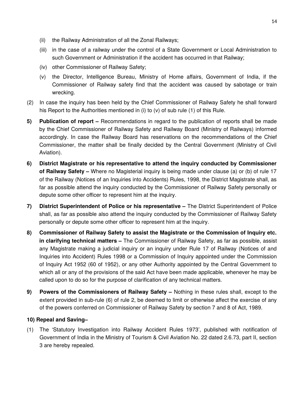- (ii) the Railway Administration of all the Zonal Railways;
- (iii) in the case of a railway under the control of a State Government or Local Administration to such Government or Administration if the accident has occurred in that Railway;
- (iv) other Commissioner of Railway Safety;
- (v) the Director, Intelligence Bureau, Ministry of Home affairs, Government of India, if the Commissioner of Railway safety find that the accident was caused by sabotage or train wrecking.
- (2) In case the inquiry has been held by the Chief Commissioner of Railway Safety he shall forward his Report to the Authorities mentioned in (i) to (v) of sub rule (1) of this Rule.
- **5) Publication of report –** Recommendations in regard to the publication of reports shall be made by the Chief Commissioner of Railway Safety and Railway Board (Ministry of Railways) informed accordingly. In case the Railway Board has reservations on the recommendations of the Chief Commissioner, the matter shall be finally decided by the Central Government (Ministry of Civil Aviation).
- **6) District Magistrate or his representative to attend the inquiry conducted by Commissioner of Railway Safety –** Where no Magisterial inquiry is being made under clause (a) or (b) of rule 17 of the Railway (Notices of an Inquiries into Accidents) Rules, 1998, the District Magistrate shall, as far as possible attend the inquiry conducted by the Commissioner of Railway Safety personally or depute some other officer to represent him at the inquiry.
- **7) District Superintendent of Police or his representative –** The District Superintendent of Police shall, as far as possible also attend the inquiry conducted by the Commissioner of Railway Safety personally or depute some other officer to represent him at the inquiry.
- **8) Commissioner of Railway Safety to assist the Magistrate or the Commission of Inquiry etc. in clarifying technical matters –** The Commissioner of Railway Safety, as far as possible, assist any Magistrate making a judicial inquiry or an inquiry under Rule 17 of Railway (Notices of and Inquiries into Accident) Rules 1998 or a Commission of Inquiry appointed under the Commission of Inquiry Act 1952 (60 of 1952), or any other Authority appointed by the Central Government to which all or any of the provisions of the said Act have been made applicable, whenever he may be called upon to do so for the purpose of clarification of any technical matters.
- **9) Powers of the Commissioners of Railway Safety –** Nothing in these rules shall, except to the extent provided in sub-rule (6) of rule 2, be deemed to limit or otherwise affect the exercise of any of the powers conferred on Commissioner of Railway Safety by section 7 and 8 of Act, 1989.

# **10) Repeal and Saving–**

(1) The 'Statutory Investigation into Railway Accident Rules 1973', published with notification of Government of India in the Ministry of Tourism & Civil Aviation No. 22 dated 2.6.73, part II, section 3 are hereby repealed.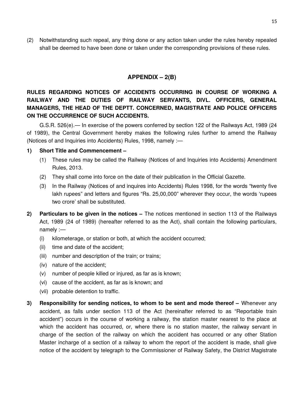(2) Notwithstanding such repeal, any thing done or any action taken under the rules hereby repealed shall be deemed to have been done or taken under the corresponding provisions of these rules.

# **APPENDIX – 2(B)**

**RULES REGARDING NOTICES OF ACCIDENTS OCCURRING IN COURSE OF WORKING A RAILWAY AND THE DUTIES OF RAILWAY SERVANTS, DIVL. OFFICERS, GENERAL MANAGERS, THE HEAD OF THE DEPTT. CONCERNED, MAGISTRATE AND POLICE OFFICERS ON THE OCCURRENCE OF SUCH ACCIDENTS.**

G.S.R. 526(e).— In exercise of the powers conferred by section 122 of the Railways Act, 1989 (24 of 1989), the Central Government hereby makes the following rules further to amend the Railway (Notices of and Inquiries into Accidents) Rules, 1998, namely :—

### **1) Short Title and Commencement –**

- (1) These rules may be called the Railway (Notices of and Inquiries into Accidents) Amendment Rules, 2013.
- (2) They shall come into force on the date of their publication in the Official Gazette.
- (3) In the Railway (Notices of and inquires into Accidents) Rules 1998, for the words "twenty five lakh rupees" and letters and figures "Rs. 25,00,000" wherever they occur, the words 'rupees two crore' shall be substituted.
- **2) Particulars to be given in the notices –** The notices mentioned in section 113 of the Railways Act, 1989 (24 of 1989) (hereafter referred to as the Act), shall contain the following particulars, namely :—
	- (i) kilometerage, or station or both, at which the accident occurred;
	- (ii) time and date of the accident;
	- (iii) number and description of the train; or trains;
	- (iv) nature of the accident;
	- (v) number of people killed or injured, as far as is known;
	- (vi) cause of the accident, as far as is known; and
	- (vii) probable detention to traffic.
- **3) Responsibility for sending notices, to whom to be sent and mode thereof –** Whenever any accident, as falls under section 113 of the Act (hereinafter referred to as "Reportable train accident") occurs in the course of working a railway, the station master nearest to the place at which the accident has occurred, or, where there is no station master, the railway servant in charge of the section of the railway on which the accident has occurred or any other Station Master incharge of a section of a railway to whom the report of the accident is made, shall give notice of the accident by telegraph to the Commissioner of Railway Safety, the District Magistrate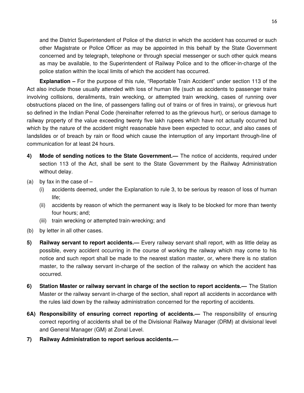and the District Superintendent of Police of the district in which the accident has occurred or such other Magistrate or Police Officer as may be appointed in this behalf by the State Government concerned and by telegraph, telephone or through special messenger or such other quick means as may be available, to the Superintendent of Railway Police and to the officer-in-charge of the police station within the local limits of which the accident has occurred.

**Explanation –** For the purpose of this rule, "Reportable Train Accident" under section 113 of the Act also include those usually attended with loss of human life (such as accidents to passenger trains involving collisions, derailments, train wrecking, or attempted train wrecking, cases of running over obstructions placed on the line, of passengers falling out of trains or of fires in trains), or grievous hurt so defined in the Indian Penal Code (hereinafter referred to as the grievous hurt), or serious damage to railway property of the value exceeding twenty five lakh rupees which have not actually occurred but which by the nature of the accident might reasonable have been expected to occur, and also cases of landslides or of breach by rain or flood which cause the interruption of any important through-line of communication for at least 24 hours.

- **4) Mode of sending notices to the State Government.—** The notice of accidents, required under section 113 of the Act, shall be sent to the State Government by the Railway Administration without delay.
- (a) by fax in the case of  $-$ 
	- (i) accidents deemed, under the Explanation to rule 3, to be serious by reason of loss of human life;
	- (ii) accidents by reason of which the permanent way is likely to be blocked for more than twenty four hours; and;
	- (iii) train wrecking or attempted train-wrecking; and
- (b) by letter in all other cases.
- **5) Railway servant to report accidents.—** Every railway servant shall report, with as little delay as possible, every accident occurring in the course of working the railway which may come to his notice and such report shall be made to the nearest station master, or, where there is no station master, to the railway servant in-charge of the section of the railway on which the accident has occurred.
- **6) Station Master or railway servant in charge of the section to report accidents.—** The Station Master or the railway servant in-charge of the section, shall report all accidents in accordance with the rules laid down by the railway administration concerned for the reporting of accidents.
- **6A) Responsibility of ensuring correct reporting of accidents.—** The responsibility of ensuring correct reporting of accidents shall be of the Divisional Railway Manager (DRM) at divisional level and General Manager (GM) at Zonal Level.
- **7) Railway Administration to report serious accidents.—**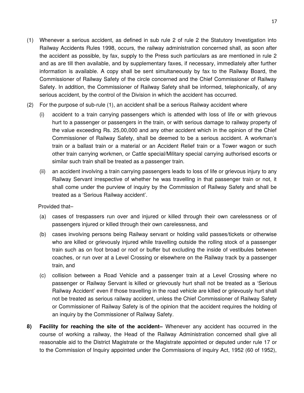- (1) Whenever a serious accident, as defined in sub rule 2 of rule 2 the Statutory Investigation into Railway Accidents Rules 1998, occurs, the railway administration concerned shall, as soon after the accident as possible, by fax, supply to the Press such particulars as are mentioned in rule 2 and as are till then available, and by supplementary faxes, if necessary, immediately after further information is available. A copy shall be sent simultaneously by fax to the Railway Board, the Commissioner of Railway Safety of the circle concerned and the Chief Commissioner of Railway Safety. In addition, the Commissioner of Railway Safety shall be informed, telephonically, of any serious accident, by the control of the Division in which the accident has occurred.
- (2) For the purpose of sub-rule (1), an accident shall be a serious Railway accident where
	- (i) accident to a train carrying passengers which is attended with loss of life or with grievous hurt to a passenger or passengers in the train, or with serious damage to railway property of the value exceeding Rs. 25,00,000 and any other accident which in the opinion of the Chief Commissioner of Railway Safety, shall be deemed to be a serious accident. A workman's train or a ballast train or a material or an Accident Relief train or a Tower wagon or such other train carrying workmen, or Cattle special/Military special carrying authorised escorts or similar such train shall be treated as a passenger train.
	- (ii) an accident involving a train carrying passengers leads to loss of life or grievous injury to any Railway Servant irrespective of whether he was travelling in that passenger train or not, it shall come under the purview of inquiry by the Commission of Railway Safety and shall be treated as a 'Serious Railway accident'.

Provided that–

- (a) cases of trespassers run over and injured or killed through their own carelessness or of passengers injured or killed through their own carelessness, and
- (b) cases involving persons being Railway servant or holding valid passes/tickets or otherwise who are killed or grievously injured while travelling outside the rolling stock of a passenger train such as on foot broad or roof or buffer but excluding the inside of vestibules between coaches, or run over at a Level Crossing or elsewhere on the Railway track by a passenger train, and
- (c) collision between a Road Vehicle and a passenger train at a Level Crossing where no passenger or Railway Servant is killed or grievously hurt shall not be treated as a 'Serious Railway Accident' even if those travelling in the road vehicle are killed or grievously hurt shall not be treated as serious railway accident, unless the Chief Commissioner of Railway Safety or Commissioner of Railway Safety is of the opinion that the accident requires the holding of an inquiry by the Commissioner of Railway Safety.
- **8) Facility for reaching the site of the accident–** Whenever any accident has occurred in the course of working a railway, the Head of the Railway Administration concerned shall give all reasonable aid to the District Magistrate or the Magistrate appointed or deputed under rule 17 or to the Commission of Inquiry appointed under the Commissions of inquiry Act, 1952 (60 of 1952),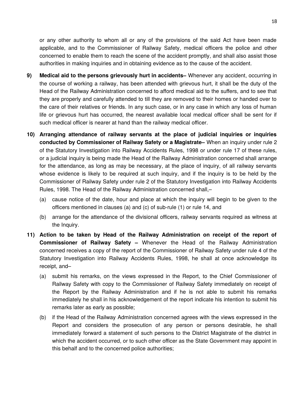or any other authority to whom all or any of the provisions of the said Act have been made applicable, and to the Commissioner of Railway Safety, medical officers the police and other concerned to enable them to reach the scene of the accident promptly, and shall also assist those authorities in making inquiries and in obtaining evidence as to the cause of the accident.

- **9) Medical aid to the persons grievously hurt in accidents–** Whenever any accident, occurring in the course of working a railway, has been attended with grievous hurt, it shall be the duty of the Head of the Railway Administration concerned to afford medical aid to the suffers, and to see that they are properly and carefully attended to till they are removed to their homes or handed over to the care of their relatives or friends. In any such case, or in any case in which any loss of human life or grievous hurt has occurred, the nearest available local medical officer shall be sent for if such medical officer is nearer at hand than the railway medical officer.
- **10) Arranging attendance of railway servants at the place of judicial inquiries or inquiries conducted by Commissioner of Railway Safety or a Magistrate–** When an inquiry under rule 2 of the Statutory Investigation into Railway Accidents Rules, 1998 or under rule 17 of these rules, or a judicial inquiry is being made the Head of the Railway Administration concerned shall arrange for the attendance, as long as may be necessary, at the place of inquiry, of all railway servants whose evidence is likely to be required at such inquiry, and if the inquiry is to be held by the Commissioner of Railway Safety under rule 2 of the Statutory Investigation into Railway Accidents Rules, 1998. The Head of the Railway Administration concerned shall,–
	- (a) cause notice of the date, hour and place at which the inquiry will begin to be given to the officers mentioned in clauses (a) and (c) of sub-rule (1) or rule 14, and
	- (b) arrange for the attendance of the divisional officers, railway servants required as witness at the Inquiry.
- **11) Action to be taken by Head of the Railway Administration on receipt of the report of Commissioner of Railway Safety –** Whenever the Head of the Railway Administration concerned receives a copy of the report of the Commissioner of Railway Safety under rule 4 of the Statutory Investigation into Railway Accidents Rules, 1998, he shall at once acknowledge its receipt, and–
	- (a) submit his remarks, on the views expressed in the Report, to the Chief Commissioner of Railway Safety with copy to the Commissioner of Railway Safety immediately on receipt of the Report by the Railway Administration and if he is not able to submit his remarks immediately he shall in his acknowledgement of the report indicate his intention to submit his remarks later as early as possible;
	- (b) if the Head of the Railway Administration concerned agrees with the views expressed in the Report and considers the prosecution of any person or persons desirable, he shall immediately forward a statement of such persons to the District Magistrate of the district in which the accident occurred, or to such other officer as the State Government may appoint in this behalf and to the concerned police authorities;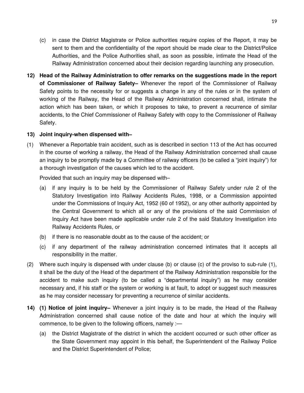- (c) in case the District Magistrate or Police authorities require copies of the Report, it may be sent to them and the confidentiality of the report should be made clear to the District/Police Authorities, and the Police Authorities shall, as soon as possible, intimate the Head of the Railway Administration concerned about their decision regarding launching any prosecution.
- **12) Head of the Railway Administration to offer remarks on the suggestions made in the report of Commissioner of Railway Safety–** Whenever the report of the Commissioner of Railway Safety points to the necessity for or suggests a change in any of the rules or in the system of working of the Railway, the Head of the Railway Administration concerned shall, intimate the action which has been taken, or which it proposes to take, to prevent a recurrence of similar accidents, to the Chief Commissioner of Railway Safety with copy to the Commissioner of Railway Safety.

#### **13) Joint inquiry-when dispensed with–**

(1) Whenever a Reportable train accident, such as is described in section 113 of the Act has occurred in the course of working a railway, the Head of the Railway Administration concerned shall cause an inquiry to be promptly made by a Committee of railway officers (to be called a "joint inquiry") for a thorough investigation of the causes which led to the accident.

Provided that such an inquiry may be dispensed with–

- (a) if any inquiry is to be held by the Commissioner of Railway Safety under rule 2 of the Statutory Investigation into Railway Accidents Rules, 1998, or a Commission appointed under the Commissions of Inquiry Act, 1952 (60 of 1952), or any other authority appointed by the Central Government to which all or any of the provisions of the said Commission of Inquiry Act have been made applicable under rule 2 of the said Statutory Investigation into Railway Accidents Rules, or
- (b) if there is no reasonable doubt as to the cause of the accident; or
- (c) if any department of the railway administration concerned intimates that it accepts all responsibility in the matter.
- (2) Where such inquiry is dispensed with under clause (b) or clause (c) of the proviso to sub-rule (1), it shall be the duty of the Head of the department of the Railway Administration responsible for the accident to make such inquiry (to be called a "departmental inquiry") as he may consider necessary and, if his staff or the system or working is at fault, to adopt or suggest such measures as he may consider necessary for preventing a recurrence of similar accidents.
- **14) (1) Notice of joint inquiry–** Whenever a joint inquiry is to be made, the Head of the Railway Administration concerned shall cause notice of the date and hour at which the inquiry will commence, to be given to the following officers, namely :—
	- (a) the District Magistrate of the district in which the accident occurred or such other officer as the State Government may appoint in this behalf, the Superintendent of the Railway Police and the District Superintendent of Police;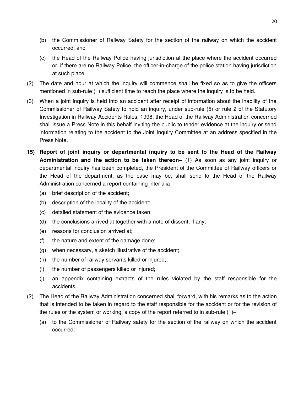- (b) the Commissioner of Railway Safety for the section of the railway on which the accident occurred; and
- (c) the Head of the Railway Police having jurisdiction at the place where the accident occurred or, if there are no Railway Police, the officer-in-charge of the police station having jurisdiction at such place.
- (2) The date and hour at which the inquiry will commence shall be fixed so as to give the officers mentioned in sub-rule (1) sufficient time to reach the place where the inquiry is to be held.
- (3) When a joint inquiry is held into an accident after receipt of information about the inability of the Commissioner of Railway Safety to hold an inquiry, under sub-rule (5) or rule 2 of the Statutory Investigation in Railway Accidents Rules, 1998, the Head of the Railway Administration concerned shall issue a Press Note in this behalf inviting the public to tender evidence at the inquiry or send information relating to the accident to the Joint Inquiry Committee at an address specified in the Press Note.
- **15) Report of joint inquiry or departmental inquiry to be sent to the Head of the Railway Administration and the action to be taken thereon–** (1) As soon as any joint inquiry or departmental inquiry has been completed, the President of the Committee of Railway officers or the Head of the department, as the case may be, shall send to the Head of the Railway Administration concerned a report containing inter alia–
	- (a) brief description of the accident;
	- (b) description of the locality of the accident;
	- (c) detailed statement of the evidence taken;
	- (d) the conclusions arrived at together with a note of dissent, if any;
	- (e) reasons for conclusion arrived at;
	- (f) the nature and extent of the damage done;
	- (g) when necessary, a sketch illustrative of the accident;
	- (h) the number of railway servants killed or injured;
	- (i) the number of passengers killed or injured;
	- (j) an appendix containing extracts of the rules violated by the staff responsible for the accidents.
- (2) The Head of the Railway Administration concerned shall forward, with his remarks as to the action that is intended to be taken in regard to the staff responsible for the accident or for the revision of the rules or the system or working, a copy of the report referred to in sub-rule (1)–
	- (a) to the Commissioner of Railway safety for the section of the railway on which the accident occurred;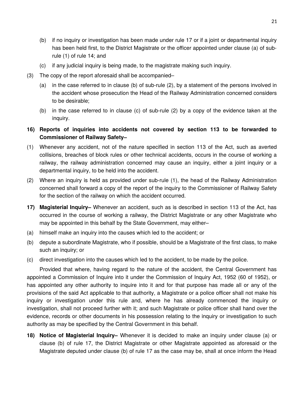- (b) if no inquiry or investigation has been made under rule 17 or if a joint or departmental inquiry has been held first, to the District Magistrate or the officer appointed under clause (a) of subrule (1) of rule 14; and
- (c) if any judicial inquiry is being made, to the magistrate making such inquiry.
- (3) The copy of the report aforesaid shall be accompanied–
	- (a) in the case referred to in clause (b) of sub-rule (2), by a statement of the persons involved in the accident whose prosecution the Head of the Railway Administration concerned considers to be desirable;
	- (b) in the case referred to in clause (c) of sub-rule (2) by a copy of the evidence taken at the inquiry.
- **16) Reports of inquiries into accidents not covered by section 113 to be forwarded to Commissioner of Railway Safety–**
- (1) Whenever any accident, not of the nature specified in section 113 of the Act, such as averted collisions, breaches of block rules or other technical accidents, occurs in the course of working a railway, the railway administration concerned may cause an inquiry, either a joint inquiry or a departmental inquiry, to be held into the accident.
- (2) Where an inquiry is held as provided under sub-rule (1), the head of the Railway Administration concerned shall forward a copy of the report of the inquiry to the Commissioner of Railway Safety for the section of the railway on which the accident occurred.
- **17) Magisterial Inquiry–** Whenever an accident, such as is described in section 113 of the Act, has occurred in the course of working a railway, the District Magistrate or any other Magistrate who may be appointed in this behalf by the State Government, may either–
- (a) himself make an inquiry into the causes which led to the accident; or
- (b) depute a subordinate Magistrate, who if possible, should be a Magistrate of the first class, to make such an inquiry; or
- (c) direct investigation into the causes which led to the accident, to be made by the police.

Provided that where, having regard to the nature of the accident, the Central Government has appointed a Commission of Inquire into it under the Commission of Inquiry Act, 1952 (60 of 1952), or has appointed any other authority to inquire into it and for that purpose has made all or any of the provisions of the said Act applicable to that authority, a Magistrate or a police officer shall not make his inquiry or investigation under this rule and, where he has already commenced the inquiry or investigation, shall not proceed further with it; and such Magistrate or police officer shall hand over the evidence, records or other documents in his possession relating to the inquiry or investigation to such authority as may be specified by the Central Government in this behalf.

**18) Notice of Magisterial Inquiry–** Whenever it is decided to make an inquiry under clause (a) or clause (b) of rule 17, the District Magistrate or other Magistrate appointed as aforesaid or the Magistrate deputed under clause (b) of rule 17 as the case may be, shall at once inform the Head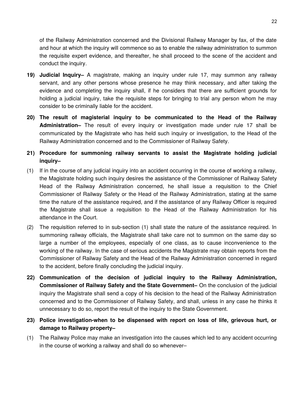of the Railway Administration concerned and the Divisional Railway Manager by fax, of the date and hour at which the inquiry will commence so as to enable the railway administration to summon the requisite expert evidence, and thereafter, he shall proceed to the scene of the accident and conduct the inquiry.

- **19) Judicial Inquiry–** A magistrate, making an inquiry under rule 17, may summon any railway servant, and any other persons whose presence he may think necessary, and after taking the evidence and completing the inquiry shall, if he considers that there are sufficient grounds for holding a judicial inquiry, take the requisite steps for bringing to trial any person whom he may consider to be criminally liable for the accident.
- **20) The result of magisterial inquiry to be communicated to the Head of the Railway Administration–** The result of every inquiry or investigation made under rule 17 shall be communicated by the Magistrate who has held such inquiry or investigation, to the Head of the Railway Administration concerned and to the Commissioner of Railway Safety.
- **21) Procedure for summoning railway servants to assist the Magistrate holding judicial inquiry–**
- (1) If in the course of any judicial inquiry into an accident occurring in the course of working a railway, the Magistrate holding such inquiry desires the assistance of the Commissioner of Railway Safety Head of the Railway Administration concerned, he shall issue a requisition to the Chief Commissioner of Railway Safety or the Head of the Railway Administration, stating at the same time the nature of the assistance required, and if the assistance of any Railway Officer is required the Magistrate shall issue a requisition to the Head of the Railway Administration for his attendance in the Court.
- (2) The requisition referred to in sub-section (1) shall state the nature of the assistance required. In summoning railway officials, the Magistrate shall take care not to summon on the same day so large a number of the employees, especially of one class, as to cause inconvenience to the working of the railway. In the case of serious accidents the Magistrate may obtain reports from the Commissioner of Railway Safety and the Head of the Railway Administration concerned in regard to the accident, before finally concluding the judicial inquiry.
- **22) Communication of the decision of judicial inquiry to the Railway Administration, Commissioner of Railway Safety and the State Government–** On the conclusion of the judicial inquiry the Magistrate shall send a copy of his decision to the head of the Railway Administration concerned and to the Commissioner of Railway Safety, and shall, unless in any case he thinks it unnecessary to do so, report the result of the inquiry to the State Government.
- **23) Police investigation-when to be dispensed with report on loss of life, grievous hurt, or damage to Railway property–**
- (1) The Railway Police may make an investigation into the causes which led to any accident occurring in the course of working a railway and shall do so whenever–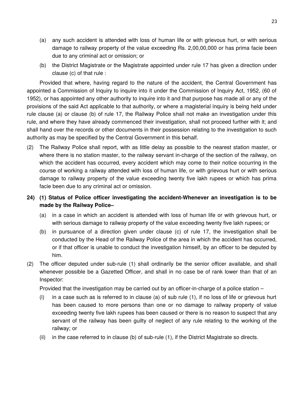- (a) any such accident is attended with loss of human life or with grievous hurt, or with serious damage to railway property of the value exceeding Rs. 2,00,00,000 or has prima facie been due to any criminal act or omission; or
- (b) the District Magistrate or the Magistrate appointed under rule 17 has given a direction under clause (c) of that rule :

Provided that where, having regard to the nature of the accident, the Central Government has appointed a Commission of Inquiry to inquire into it under the Commission of Inquiry Act, 1952, (60 of 1952), or has appointed any other authority to inquire into it and that purpose has made all or any of the provisions of the said Act applicable to that authority, or where a magisterial inquiry is being held under rule clause (a) or clause (b) of rule 17, the Railway Police shall not make an investigation under this rule, and where they have already commenced their investigation, shall not proceed further with it; and shall hand over the records or other documents in their possession relating to the investigation to such authority as may be specified by the Central Government in this behalf.

(2) The Railway Police shall report, with as little delay as possible to the nearest station master, or where there is no station master, to the railway servant in-charge of the section of the railway, on which the accident has occurred, every accident which may come to their notice occurring in the course of working a railway attended with loss of human life, or with grievous hurt or with serious damage to railway property of the value exceeding twenty five lakh rupees or which has prima facie been due to any criminal act or omission.

# **24) (1) Status of Police officer investigating the accident-Whenever an investigation is to be made by the Railway Police–**

- (a) in a case in which an accident is attended with loss of human life or with grievous hurt, or with serious damage to railway property of the value exceeding twenty five lakh rupees; or
- (b) in pursuance of a direction given under clause (c) of rule 17, the investigation shall be conducted by the Head of the Railway Police of the area in which the accident has occurred, or if that officer is unable to conduct the investigation himself, by an officer to be deputed by him.
- (2) The officer deputed under sub-rule (1) shall ordinarily be the senior officer available, and shall whenever possible be a Gazetted Officer, and shall in no case be of rank lower than that of an Inspector:

Provided that the investigation may be carried out by an officer-in-charge of a police station –

- (i) in a case such as is referred to in clause (a) of sub rule (1), if no loss of life or grievous hurt has been caused to more persons than one or no damage to railway property of value exceeding twenty five lakh rupees has been caused or there is no reason to suspect that any servant of the railway has been guilty of neglect of any rule relating to the working of the railway; or
- (ii) in the case referred to in clause (b) of sub-rule (1), if the District Magistrate so directs.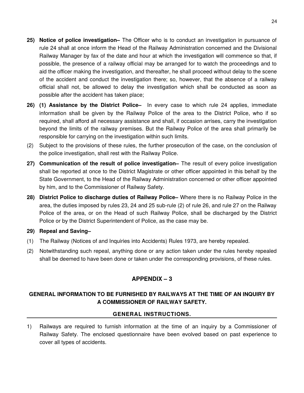- **25) Notice of police investigation–** The Officer who is to conduct an investigation in pursuance of rule 24 shall at once inform the Head of the Railway Administration concerned and the Divisional Railway Manager by fax of the date and hour at which the investigation will commence so that, if possible, the presence of a railway official may be arranged for to watch the proceedings and to aid the officer making the investigation, and thereafter, he shall proceed without delay to the scene of the accident and conduct the investigation there; so, however, that the absence of a railway official shall not, be allowed to delay the investigation which shall be conducted as soon as possible after the accident has taken place;
- **26) (1) Assistance by the District Police–** In every case to which rule 24 applies, immediate information shall be given by the Railway Police of the area to the District Police, who if so required, shall afford all necessary assistance and shall, if occasion arrises, carry the investigation beyond the limits of the railway premises. But the Railway Police of the area shall primarily be responsible for carrying on the investigation within such limits.
- (2) Subject to the provisions of these rules, the further prosecution of the case, on the conclusion of the police investigation, shall rest with the Railway Police.
- **27) Communication of the result of police investigation–** The result of every police investigation shall be reported at once to the District Magistrate or other officer appointed in this behalf by the State Government, to the Head of the Railway Administration concerned or other officer appointed by him, and to the Commissioner of Railway Safety.
- **28) District Police to discharge duties of Railway Police–** Where there is no Railway Police in the area, the duties imposed by rules 23, 24 and 25 sub-rule (2) of rule 26, and rule 27 on the Railway Police of the area, or on the Head of such Railway Police, shall be discharged by the District Police or by the District Superintendent of Police, as the case may be.
- **29) Repeal and Saving–**
- (1) The Railway (Notices of and Inquiries into Accidents) Rules 1973, are hereby repealed.
- (2) Notwithstanding such repeal, anything done or any action taken under the rules hereby repealed shall be deemed to have been done or taken under the corresponding provisions, of these rules.

# **APPENDIX – 3**

# **GENERAL INFORMATION TO BE FURNISHED BY RAILWAYS AT THE TIME OF AN INQUIRY BY A COMMISSIONER OF RAILWAY SAFETY.**

#### **GENERAL INSTRUCTIONS.**

1) Railways are required to furnish information at the time of an inquiry by a Commissioner of Railway Safety. The enclosed questionnaire have been evolved based on past experience to cover all types of accidents.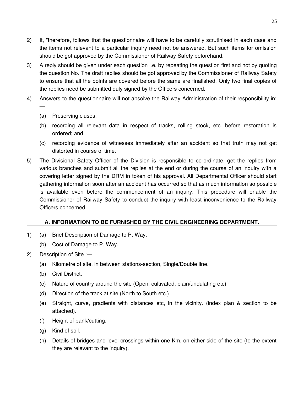- 2) It, "therefore, follows that the questionnaire will have to be carefully scrutinised in each case and the items not relevant to a particular inquiry need not be answered. But such items for omission should be got approved by the Commissioner of Railway Safety beforehand.
- 3) A reply should be given under each question i.e. by repeating the question first and not by quoting the question No. The draft replies should be got approved by the Commissioner of Railway Safety to ensure that all the points are covered before the same are finalished. Only two final copies of the replies need be submitted duly signed by the Officers concerned.
- 4) Answers to the questionnaire will not absolve the Railway Administration of their responsibility in: —
	- (a) Preserving cluses;
	- (b) recording all relevant data in respect of tracks, rolling stock, etc. before restoration is ordered; and
	- (c) recording evidence of witnesses immediately after an accident so that truth may not get distorted in course of time.
- 5) The Divisional Safety Officer of the Division is responsible to co-ordinate, get the replies from various branches and submit all the replies at the end or during the course of an inquiry with a covering letter signed by the DRM in token of his approval. All Departmental Officer should start gathering information soon after an accident has occurred so that as much information so possible is available even before the commencement of an inquiry. This procedure will enable the Commissioner of Railway Safety to conduct the inquiry with least inconvenience to the Railway Officers concerned.

# **A. INFORMATION TO BE FURNISHED BY THE CIVIL ENGINEERING DEPARTMENT.**

- 1) (a) Brief Description of Damage to P. Way.
	- (b) Cost of Damage to P. Way.
- 2) Description of Site :—
	- (a) Kilometre of site, in between stations-section, Single/Double line.
	- (b) Civil District.
	- (c) Nature of country around the site (Open, cultivated, plain/undulating etc)
	- (d) Direction of the track at site (North to South etc.)
	- (e) Straight, curve, gradients with distances etc, in the vicinity. (index plan & section to be attached).
	- (f) Height of bank/cutting.
	- (g) Kind of soil.
	- (h) Details of bridges and level crossings within one Km. on either side of the site (to the extent they are relevant to the inquiry).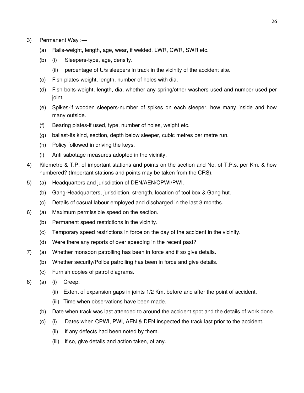- 3) Permanent Way :—
	- (a) Rails-weight, length, age, wear, if welded, LWR, CWR, SWR etc.
	- (b) (i) Sleepers-type, age, density.
		- (ii) percentage of U/s sleepers in track in the vicinity of the accident site.
	- (c) Fish-plates-weight, length, number of holes with dia.
	- (d) Fish bolts-weight, length, dia, whether any spring/other washers used and number used per joint.
	- (e) Spikes-if wooden sleepers-number of spikes on each sleeper, how many inside and how many outside.
	- (f) Bearing plates-if used, type, number of holes, weight etc.
	- (g) ballast-its kind, section, depth below sleeper, cubic metres per metre run.
	- (h) Policy followed in driving the keys.
	- (i) Anti-sabotage measures adopted in the vicinity.
- 4) Kilometre & T.P. of important stations and points on the section and No. of T.P.s. per Km. & how numbered? (Important stations and points may be taken from the CRS).
- 5) (a) Headquarters and jurisdiction of DEN/AEN/CPWI/PWI.
	- (b) Gang-Headquarters, jurisdiction, strength, location of tool box & Gang hut.
	- (c) Details of casual labour employed and discharged in the last 3 months.
- 6) (a) Maximum permissible speed on the section.
	- (b) Permanent speed restrictions in the vicinity.
	- (c) Temporary speed restrictions in force on the day of the accident in the vicinity.
	- (d) Were there any reports of over speeding in the recent past?
- 7) (a) Whether monsoon patrolling has been in force and if so give details.
	- (b) Whether security/Police patrolling has been in force and give details.
	- (c) Furnish copies of patrol diagrams.
- 8) (a) (i) Creep.
	- (ii) Extent of expansion gaps in joints 1/2 Km. before and after the point of accident.
	- (iii) Time when observations have been made.
	- (b) Date when track was last attended to around the accident spot and the details of work done.
	- (c) (i) Dates when CPWI, PWI, AEN & DEN inspected the track last prior to the accident.
		- (ii) if any defects had been noted by them.
		- (iii) if so, give details and action taken, of any.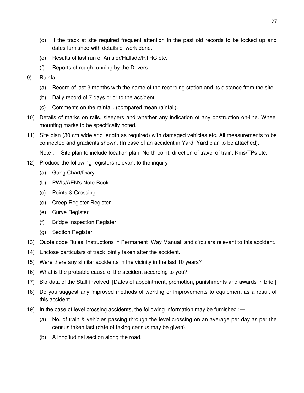- (d) If the track at site required frequent attention in the past old records to be locked up and dates furnished with details of work done.
- (e) Results of last run of Amsler/Hallade/RTRC etc.
- (f) Reports of rough running by the Drivers.
- 9) Rainfall :—
	- (a) Record of last 3 months with the name of the recording station and its distance from the site.
	- (b) Daily record of 7 days prior to the accident.
	- (c) Comments on the rainfall. (compared mean rainfall).
- 10) Details of marks on rails, sleepers and whether any indication of any obstruction on-line. Wheel mounting marks to be specifically noted.
- 11) Site plan (30 cm wide and length as required) with damaged vehicles etc. All measurements to be connected and gradients shown. (In case of an accident in Yard, Yard plan to be attached).

Note :— Site plan to include location plan, North point, direction of travel of train, Kms/TPs etc.

- 12) Produce the following registers relevant to the inquiry :—
	- (a) Gang Chart/Diary
	- (b) PWIs/AEN's Note Book
	- (c) Points & Crossing
	- (d) Creep Register Register
	- (e) Curve Register
	- (f) Bridge Inspection Register
	- (g) Section Register.
- 13) Quote code Rules, instructions in Permanent Way Manual, and circulars relevant to this accident.
- 14) Enclose particulars of track jointly taken after the accident.
- 15) Were there any similar accidents in the vicinity in the last 10 years?
- 16) What is the probable cause of the accident according to you?
- 17) Bio-data of the Staff involved. [Dates of appointment, promotion, punishments and awards-in brief]
- 18) Do you suggest any improved methods of working or improvements to equipment as a result of this accident.
- 19) In the case of level crossing accidents, the following information may be furnished :—
	- (a) No. of train & vehicles passing through the level crossing on an average per day as per the census taken last (date of taking census may be given).
	- (b) A longitudinal section along the road.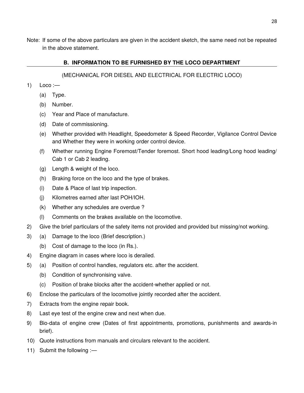Note: If some of the above particulars are given in the accident sketch, the same need not be repeated in the above statement.

## **B. INFORMATION TO BE FURNISHED BY THE LOCO DEPARTMENT**

## (MECHANICAL FOR DIESEL AND ELECTRICAL FOR ELECTRIC LOCO)

- $1)$  Loco :—
	- (a) Type.
	- (b) Number.
	- (c) Year and Place of manufacture.
	- (d) Date of commissioning.
	- (e) Whether provided with Headlight, Speedometer & Speed Recorder, Vigilance Control Device and Whether they were in working order control device.
	- (f) Whether running Engine Foremost/Tender foremost. Short hood leading/Long hood leading/ Cab 1 or Cab 2 leading.
	- (g) Length & weight of the loco.
	- (h) Braking force on the loco and the type of brakes.
	- (i) Date & Place of last trip inspection.
	- (j) Kilometres earned after last POH/IOH.
	- (k) Whether any schedules are overdue ?
	- (l) Comments on the brakes available on the locomotive.
- 2) Give the brief particulars of the safety items not provided and provided but missing/not working.
- 3) (a) Damage to the loco (Brief description.)
	- (b) Cost of damage to the loco (in Rs.).
- 4) Engine diagram in cases where loco is derailed.
- 5) (a) Position of control handles, regulators etc. after the accident.
	- (b) Condition of synchronising valve.
	- (c) Position of brake blocks after the accident-whether applied or not.
- 6) Enclose the particulars of the locomotive jointly recorded after the accident.
- 7) Extracts from the engine repair book.
- 8) Last eye test of the engine crew and next when due.
- 9) Bio-data of engine crew (Dates of first appointments, promotions, punishments and awards-in brief).
- 10) Quote instructions from manuals and circulars relevant to the accident.
- 11) Submit the following :—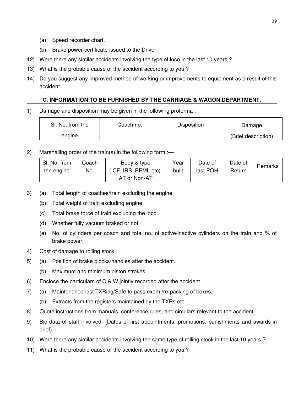- (a) Speed recorder chart.
- (b) Brake power certificate issued to the Driver.
- 12) Were there any similar accidents involving the type of loco in the last 10 years ?
- 13) What is the probable cause of the accident according to you ?
- 14) Do you suggest any improved method of working or improvements to equipment as a result of this accident.

## **C. INFORMATION TO BE FURNISHED BY THE CARRIAGE & WAGON DEPARTMENT.**

1) Damage and disposition may be given in the following proforma :—

| SI. No. from the | Coach no. | <b>Disposition</b> | Damage              |
|------------------|-----------|--------------------|---------------------|
| engine           |           |                    | (Brief description) |

2) Marshalling order of the train(s) in the following form :—

| SI. No. from | Coach | Body & type           | Year | Date of  | Date of | Remarks |
|--------------|-------|-----------------------|------|----------|---------|---------|
| the engine   | No.   | (ICF, IRS, BEML etc). |      | last POH | Return  |         |
|              |       | AT or Non-AT          |      |          |         |         |

- 3) (a) Total length of coaches/train excluding the engine.
	- (b) Total weight of train excluding engine.
	- (c) Total brake force of train excluding the loco.
	- (d) Whether fully vacuum braked or not.
	- (e) No. of cylinders per coach and total no. of active/inactive cylinders on the train and % of brake power.
- 4) Cost of damage to rolling stock
- 5) (a) Position of brake blocks/handles after the accident.
	- (b) Maximum and minimum piston strokes.
- 6) Enclose the particulars of C & W jointly recorded after the accident.
- 7) (a) Maintenance-last TXRing/Safe to pass exam./re-packing of boxes.
	- (b) Extracts from the registers maintained by the TXRs etc.
- 8) Quote instructions from manuals, conference rules, and circulars relevant to the accident.
- 9) Bio-data of staff involved. (Dates of first appointments, promotions, punishments and awards-in brief).
- 10) Were there any similar accidents involving the same type of rolling stock in the last 10 years ?
- 11) What is the probable cause of the accident according to you ?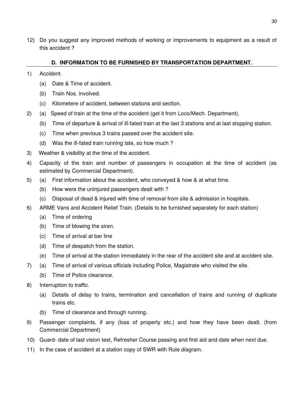12) Do you suggest any improved methods of working or improvements to equipment as a result of this accident ?

## **D. INFORMATION TO BE FURNISHED BY TRANSPORTATION DEPARTMENT.**

- 1) Accident.
	- (a) Date & Time of accident.
	- (b) Train Nos. involved.
	- (c) Kilometere of accident, between stations and section.
- 2) (a) Speed of train at the time of the accident (get it from Loco/Mech. Department).
	- (b) Time of departure & arrival of ill-fated train at the last 3 stations and at last stopping station.
	- (c) Time when previous 3 trains passed over the accident site.
	- (d) Was the ill-fated train running late, so how much ?
- 3) Weather & visibility at the time of the accident.
- 4) Capacity of the train and number of passengers in occupation at the time of accident (as estimated by Commercial Department).
- 5) (a) First information about the accident, who conveyed & how & at what time.
	- (b) How were the uninjured passengers dealt with ?
	- (c) Disposal of dead & injured with time of removal from site & admission in hospitals.
- 6) ARME Vans and Accident Relief Train. (Details to be furnished separately for each station)
	- (a) Time of ordering
	- (b) Time of blowing the siren.
	- (c) Time of arrival at bar line
	- (d) Time of despatch from the station.
	- (e) Time of arrival at the station immediately in the rear of the accident site and at accident site.
- 7) (a) Time of arrival of various officials including Police, Magistrate who visited the site.
	- (b) Time of Police clearance.
- 8) Interruption to traffic.
	- (a) Details of delay to trains, termination and cancellation of trains and running of duplicate trains etc.
	- (b) Time of clearance and through running.
- 9) Passenger complaints, if any (loss of property etc.) and how they have been dealt. (from Commercial Department)
- 10) Guard- date of last vision test, Refresher Course passing and first aid and date when next due.
- 11) In the case of accident at a station copy of SWR with Rule diagram.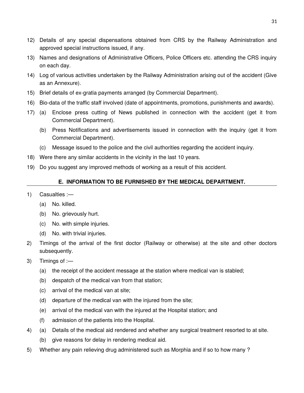- 12) Details of any special dispensations obtained from CRS by the Railway Administration and approved special instructions issued, if any.
- 13) Names and designations of Administrative Officers, Police Officers etc. attending the CRS inquiry on each day.
- 14) Log of various activities undertaken by the Railway Administration arising out of the accident (Give as an Annexure).
- 15) Brief details of ex-gratia payments arranged (by Commercial Department).
- 16) Bio-data of the traffic staff involved (date of appointments, promotions, punishments and awards).
- 17) (a) Enclose press cutting of News published in connection with the accident (get it from Commercial Department).
	- (b) Press Notifications and advertisements issued in connection with the inquiry (get it from Commercial Department).
	- (c) Message issued to the police and the civil authorities regarding the accident inquiry.
- 18) Were there any similar accidents in the vicinity in the last 10 years.
- 19) Do you suggest any improved methods of working as a result of this accident.

## **E. INFORMATION TO BE FURNISHED BY THE MEDICAL DEPARTMENT.**

- 1) Casualties :—
	- (a) No. killed.
	- (b) No. grievously hurt.
	- (c) No. with simple injuries.
	- (d) No. with trivial injuries.
- 2) Timings of the arrival of the first doctor (Railway or otherwise) at the site and other doctors subsequently.
- 3) Timings of :—
	- (a) the receipt of the accident message at the station where medical van is stabled;
	- (b) despatch of the medical van from that station;
	- (c) arrival of the medical van at site;
	- (d) departure of the medical van with the injured from the site;
	- (e) arrival of the medical van with the injured at the Hospital station; and
	- (f) admission of the patients into the Hospital.
- 4) (a) Details of the medical aid rendered and whether any surgical treatment resorted to at site.
	- (b) give reasons for delay in rendering medical aid.
- 5) Whether any pain relieving drug administered such as Morphia and if so to how many ?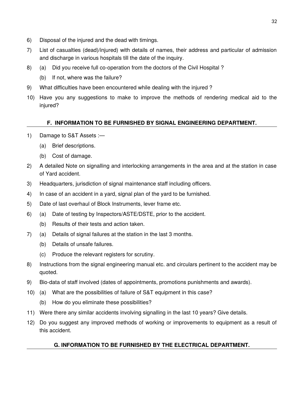- 6) Disposal of the injured and the dead with timings.
- 7) List of casualties (dead)/injured) with details of names, their address and particular of admission and discharge in various hospitals till the date of the inquiry.
- 8) (a) Did you receive full co-operation from the doctors of the Civil Hospital ?
	- (b) If not, where was the failure?
- 9) What difficulties have been encountered while dealing with the injured ?
- 10) Have you any suggestions to make to improve the methods of rendering medical aid to the injured?

## **F. INFORMATION TO BE FURNISHED BY SIGNAL ENGINEERING DEPARTMENT.**

- 1) Damage to S&T Assets :—
	- (a) Brief descriptions.
	- (b) Cost of damage.
- 2) A detailed Note on signalling and interlocking arrangements in the area and at the station in case of Yard accident.
- 3) Headquarters, jurisdiction of signal maintenance staff including officers.
- 4) In case of an accident in a yard, signal plan of the yard to be furnished.
- 5) Date of last overhaul of Block Instruments, lever frame etc.
- 6) (a) Date of testing by Inspectors/ASTE/DSTE, prior to the accident.
	- (b) Results of their tests and action taken.
- 7) (a) Details of signal failures at the station in the last 3 months.
	- (b) Details of unsafe failures.
	- (c) Produce the relevant registers for scrutiny.
- 8) Instructions from the signal engineering manual etc. and circulars pertinent to the accident may be quoted.
- 9) Bio-data of staff involved (dates of appointments, promotions punishments and awards).
- 10) (a) What are the possibilities of failure of S&T equipment in this case?
	- (b) How do you eliminate these possibilities?
- 11) Were there any similar accidents involving signalling in the last 10 years? Give details.
- 12) Do you suggest any improved methods of working or improvements to equipment as a result of this accident.

## **G. INFORMATION TO BE FURNISHED BY THE ELECTRICAL DEPARTMENT.**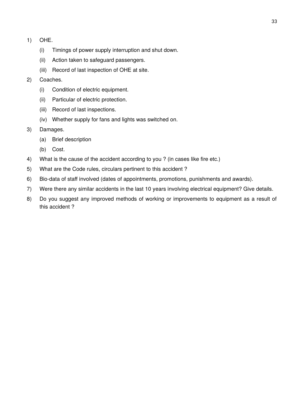- 1) OHE.
	- (i) Timings of power supply interruption and shut down.
	- (ii) Action taken to safeguard passengers.
	- (iii) Record of last inspection of OHE at site.
- 2) Coaches.
	- (i) Condition of electric equipment.
	- (ii) Particular of electric protection.
	- (iii) Record of last inspections.
	- (iv) Whether supply for fans and lights was switched on.
- 3) Damages.
	- (a) Brief description
	- (b) Cost.
- 4) What is the cause of the accident according to you ? (in cases like fire etc.)
- 5) What are the Code rules, circulars pertinent to this accident ?
- 6) Bio-data of staff involved (dates of appointments, promotions, punishments and awards).
- 7) Were there any similar accidents in the last 10 years involving electrical equipment? Give details.
- 8) Do you suggest any improved methods of working or improvements to equipment as a result of this accident ?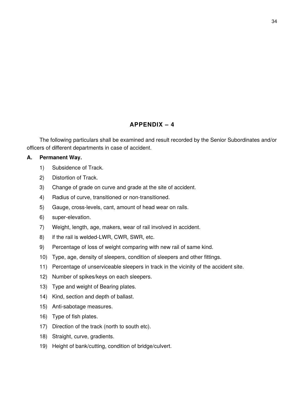# **APPENDIX – 4**

The following particulars shall be examined and result recorded by the Senior Subordinates and/or officers of different departments in case of accident.

### **A. Permanent Way.**

- 1) Subsidence of Track.
- 2) Distortion of Track.
- 3) Change of grade on curve and grade at the site of accident.
- 4) Radius of curve, transitioned or non-transitioned.
- 5) Gauge, cross-levels, cant, amount of head wear on rails.
- 6) super-elevation.
- 7) Weight, length, age, makers, wear of rail involved in accident.
- 8) if the rail is welded-LWR, CWR, SWR, etc.
- 9) Percentage of loss of weight comparing with new rail of same kind.
- 10) Type, age, density of sleepers, condition of sleepers and other fittings.
- 11) Percentage of unserviceable sleepers in track in the vicinity of the accident site.
- 12) Number of spikes/keys on each sleepers.
- 13) Type and weight of Bearing plates.
- 14) Kind, section and depth of ballast.
- 15) Anti-sabotage measures.
- 16) Type of fish plates.
- 17) Direction of the track (north to south etc).
- 18) Straight, curve, gradients.
- 19) Height of bank/cutting, condition of bridge/culvert.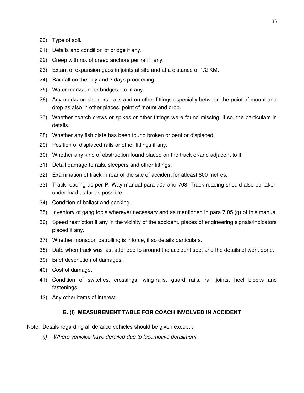- 20) Type of soil.
- 21) Details and condition of bridge if any.
- 22) Creep with no. of creep anchors per rail if any.
- 23) Extant of expansion gaps in joints at site and at a distance of 1/2 KM.
- 24) Rainfall on the day and 3 days proceeding.
- 25) Water marks under bridges etc. if any.
- 26) Any marks on sleepers, rails and on other fittings especially between the point of mount and drop as also in other places, point of mount and drop.
- 27) Whether coarch crews or spikes or other fittings were found missing, if so, the particulars in details.
- 28) Whether any fish plate has been found broken or bent or displaced.
- 29) Position of displaced rails or other fittings if any.
- 30) Whether any kind of obstruction found placed on the track or/and adjacent to it.
- 31) Detail damage to rails, sleepers and other fittings.
- 32) Examination of track in rear of the site of accident for atleast 800 metres.
- 33) Track reading as per P. Way manual para 707 and 708; Track reading should also be taken under load as far as possible.
- 34) Condition of ballast and packing.
- 35) Inventory of gang tools wherever necessary and as mentioned in para 7.05 (g) of this manual
- 36) Speed restriction if any in the vicinity of the accident, places of engineering signals/indicators placed if any.
- 37) Whether monsoon patrolling is inforce, if so details particulars.
- 38) Date when track was last attended to around the accident spot and the details of work done.
- 39) Brief description of damages.
- 40) Cost of damage.
- 41) Condition of switches, crossings, wing-rails, guard rails, rail joints, heel blocks and fastenings.
- 42) Any other items of interest.

#### **B. (I) MEASUREMENT TABLE FOR COACH INVOLVED IN ACCIDENT**

Note: Details regarding all derailed vehicles should be given except :–

*(i) Where vehicles have derailed due to locomotive derailment.*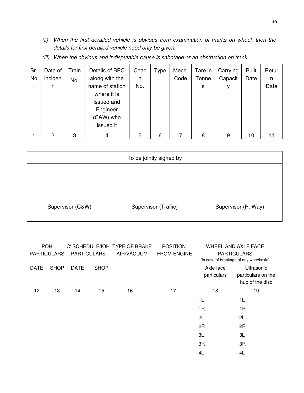*(ii) When the first derailed vehicle is obvious from examination of marks on wheel, then the details for first derailed vehicle need only be given.*

| Sr.<br>No<br>٠. | Date of<br>inciden | Train<br>No. | Details of BPC<br>along with the<br>name of station<br>where it is<br>issued and<br>Engineer<br>(C&W) who | Coac<br>h<br>No. | Type | Mech.<br>Code | Tare in<br>Tonne<br>s | Carrying<br>Capacit<br>۷ | <b>Built</b><br>Date | Retur<br>n<br>Date |
|-----------------|--------------------|--------------|-----------------------------------------------------------------------------------------------------------|------------------|------|---------------|-----------------------|--------------------------|----------------------|--------------------|
|                 |                    |              | issued it                                                                                                 |                  |      |               |                       |                          |                      |                    |
|                 | 2                  | 3            | 4                                                                                                         | 5                | 6    |               | 8                     | 9                        | 10                   |                    |

*(iii) When the obvious and indisputable cause is sabotage or an obstruction on track.*

| To be jointly signed by |                      |                     |  |  |  |
|-------------------------|----------------------|---------------------|--|--|--|
|                         |                      |                     |  |  |  |
|                         |                      |                     |  |  |  |
|                         |                      |                     |  |  |  |
| Supervisor (C&W)        | Supervisor (Traffic) | Supervisor (P. Way) |  |  |  |
|                         |                      |                     |  |  |  |

| <b>POH</b>         |             |                    |             | 'C' SCHEDULE/IOH TYPE OF BRAKE | <b>POSITION</b>    |             | WHEEL AND AXLE FACE                     |
|--------------------|-------------|--------------------|-------------|--------------------------------|--------------------|-------------|-----------------------------------------|
| <b>PARTICULARS</b> |             | <b>PARTICULARS</b> |             | AIR/VACUUM                     | <b>FROM ENGINE</b> |             | <b>PARTICULARS</b>                      |
|                    |             |                    |             |                                |                    |             | (In case of breakage of any wheel/axle) |
| <b>DATE</b>        | <b>SHOP</b> | <b>DATE</b>        | <b>SHOP</b> |                                |                    | Axle face   | Ultrasonic                              |
|                    |             |                    |             |                                |                    | particulars | particulars on the                      |
|                    |             |                    |             |                                |                    |             | hub of the disc                         |
| 12                 | 13          | 14                 | 15          | 16                             | 17                 | 18          | 19                                      |
|                    |             |                    |             |                                |                    | 1L          | 1L                                      |
|                    |             |                    |             |                                |                    | 1R          | 1R                                      |
|                    |             |                    |             |                                |                    | 2L          | 2L                                      |
|                    |             |                    |             |                                |                    | 2R          | 2R                                      |
|                    |             |                    |             |                                |                    | 3L          | 3L                                      |
|                    |             |                    |             |                                |                    | 3R          | 3R                                      |
|                    |             |                    |             |                                |                    | 4L          | 4L                                      |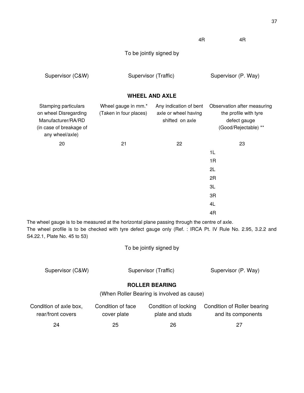4R 4R

| Supervisor (C&W) | Supervisor (Traffic) | Supervisor (P. Way) |
|------------------|----------------------|---------------------|
|------------------|----------------------|---------------------|

## **WHEEL AND AXLE**

| Stamping particulars<br>on wheel Disregarding<br>Manufacturer/RA/RD<br>(in case of breakage of<br>any wheel/axle) | Wheel gauge in mm.*<br>(Taken in four places) | Any indication of bent<br>axle or wheel having<br>shifted on axle | Observation after measuring<br>the profile with tyre<br>defect gauge<br>(Good/Rejectable) ** |
|-------------------------------------------------------------------------------------------------------------------|-----------------------------------------------|-------------------------------------------------------------------|----------------------------------------------------------------------------------------------|
| 20                                                                                                                | 21                                            | 22                                                                | 23                                                                                           |
|                                                                                                                   |                                               |                                                                   | 1L                                                                                           |
|                                                                                                                   |                                               |                                                                   | 1R                                                                                           |
|                                                                                                                   |                                               |                                                                   | 2L                                                                                           |
|                                                                                                                   |                                               |                                                                   | 2R                                                                                           |
|                                                                                                                   |                                               |                                                                   | 3L                                                                                           |
|                                                                                                                   |                                               |                                                                   | 3R                                                                                           |
|                                                                                                                   |                                               |                                                                   | 4L                                                                                           |
|                                                                                                                   |                                               |                                                                   | 4R                                                                                           |

The wheel gauge is to be measured at the horizontal plane passing through the centre of axle. The wheel profile is to be checked with tyre defect gauge only (Ref. : IRCA Pt. IV Rule No. 2.95, 3.2.2 and S4.22.1, Plate No. 45 to 53)

To be jointly signed by

| Supervisor (C&W) | Supervisor (Traffic) | Supervisor (P. Way) |  |  |
|------------------|----------------------|---------------------|--|--|
|                  |                      |                     |  |  |

## **ROLLER BEARING**

(When Roller Bearing is involved as cause)

| Condition of axle box, | Condition of face | Condition of locking | Condition of Roller bearing |
|------------------------|-------------------|----------------------|-----------------------------|
| rear/front covers      | cover plate       | plate and studs      | and its components          |
| 24                     | 25                | 26                   | 27                          |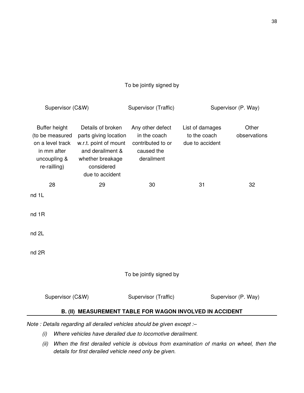## To be jointly signed by

| Supervisor (C&W)                                                                                    |                                                                                                                                              | Supervisor (Traffic)                                                              |                                                    | Supervisor (P. Way)   |  |  |  |
|-----------------------------------------------------------------------------------------------------|----------------------------------------------------------------------------------------------------------------------------------------------|-----------------------------------------------------------------------------------|----------------------------------------------------|-----------------------|--|--|--|
| Buffer height<br>(to be measured<br>on a level track<br>in mm after<br>uncoupling &<br>re-railling) | Details of broken<br>parts giving location<br>w.r.t. point of mount<br>and derailment &<br>whether breakage<br>considered<br>due to accident | Any other defect<br>in the coach<br>contributed to or<br>caused the<br>derailment | List of damages<br>to the coach<br>due to accident | Other<br>observations |  |  |  |
| 28                                                                                                  | 29                                                                                                                                           | 30                                                                                | 31                                                 | 32                    |  |  |  |
| nd 1L                                                                                               |                                                                                                                                              |                                                                                   |                                                    |                       |  |  |  |
| nd 1R                                                                                               |                                                                                                                                              |                                                                                   |                                                    |                       |  |  |  |
| nd 2L                                                                                               |                                                                                                                                              |                                                                                   |                                                    |                       |  |  |  |
| nd 2R                                                                                               |                                                                                                                                              |                                                                                   |                                                    |                       |  |  |  |
| To be jointly signed by                                                                             |                                                                                                                                              |                                                                                   |                                                    |                       |  |  |  |
| Supervisor (C&W)<br>Supervisor (Traffic)<br>Supervisor (P. Way)                                     |                                                                                                                                              |                                                                                   |                                                    |                       |  |  |  |
| B. (II) MEASUREMENT TABLE FOR WAGON INVOLVED IN ACCIDENT                                            |                                                                                                                                              |                                                                                   |                                                    |                       |  |  |  |
| Note : Details regarding all derailed vehicles should be given except :-                            |                                                                                                                                              |                                                                                   |                                                    |                       |  |  |  |

- *(i) Where vehicles have derailed due to locomotive derailment.*
- *(ii) When the first derailed vehicle is obvious from examination of marks on wheel, then the details for first derailed vehicle need only be given.*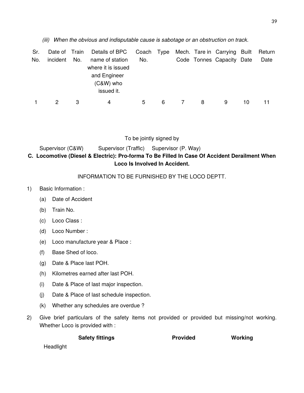*(iii) When the obvious and indisputable cause is sabotage or an obstruction on track.*

| Sr. | Date of Train |     | Details of BPC                                                                     |     |   |   | Coach Type Mech. Tare in Carrying Built |    | Return |
|-----|---------------|-----|------------------------------------------------------------------------------------|-----|---|---|-----------------------------------------|----|--------|
| No. | incident      | No. | name of station<br>where it is issued<br>and Engineer<br>$(C&W)$ who<br>issued it. | No. |   |   | Code Tonnes Capacity Date               |    | Date   |
|     |               |     | 4                                                                                  | 5   | 6 | 8 | 9                                       | 10 |        |

To be jointly signed by

| Supervisor (C&W) | Supervisor (Traffic) Supervisor (P. Way) |                                                                                                |
|------------------|------------------------------------------|------------------------------------------------------------------------------------------------|
|                  |                                          | C.  Locomotive (Diesel & Electric): Pro-forma To Be Filled In Case Of Accident Derailment When |
|                  |                                          | Loco Is Involved In Accident.                                                                  |

## INFORMATION TO BE FURNISHED BY THE LOCO DEPTT.

- 1) Basic Information :
	- (a) Date of Accident
	- (b) Train No.
	- (c) Loco Class :
	- (d) Loco Number :
	- (e) Loco manufacture year & Place :
	- (f) Base Shed of loco.
	- (g) Date & Place last POH.
	- (h) Kilometres earned after last POH.
	- (i) Date & Place of last major inspection.
	- (j) Date & Place of last schedule inspection.
	- (k) Whether any schedules are overdue ?
- 2) Give brief particulars of the safety items not provided or provided but missing/not working. Whether Loco is provided with :

**Safety fittings The Safety of the Safety fittings and Safety fittings** and Denomination Provided Working

Headlight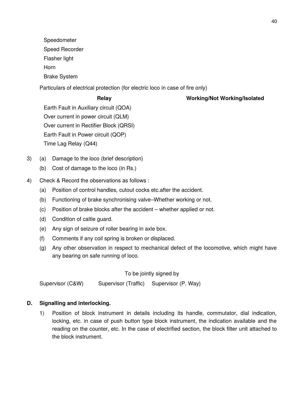Speedometer

Speed Recorder

Flasher light

Horn

Brake System

Particulars of electrical protection (for electric loco in case of fire only)

# **Relay Working/Not Working/Isolated**

Earth Fault in Auxiliary circuit (QOA) Over current in power circuit (QLM) Over current in Rectifier Block (QRSI) Earth Fault in Power circuit (QOP) Time Lag Relay (Q44)

- 3) (a) Damage to the loco (brief description)
	- (b) Cost of damage to the loco (in Rs.)
- 4) Check & Record the observations as follows :
	- (a) Position of control handles, cutout cocks etc.after the accident.
	- (b) Functioning of brake synchronising valve–Whether working or not.
	- (c) Position of brake blocks after the accident whether applied or not.
	- (d) Condition of caltle guard.
	- (e) Any sign of seizure of roller bearing in axle box.
	- (f) Comments if any coil spring is broken or displaced.
	- (g) Any other observation in respect to mechanical defect of the locomotive, which might have any bearing on safe running of loco.

To be jointly signed by

Supervisor (C&W) Supervisor (Traffic) Supervisor (P. Way)

# **D. Signalling and interlocking.**

1) Position of block instrument in details including its handle, commutator, dial indication, locking, etc. in case of push button type block instrument, the indication available and the reading on the counter, etc. In the case of electrified section, the block filter unit attached to the block instrument.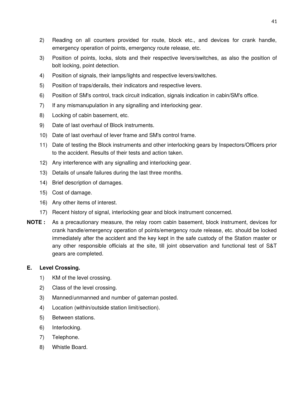- 2) Reading on all counters provided for route, block etc., and devices for crank handle, emergency operation of points, emergency route release, etc.
- 3) Position of points, locks, slots and their respective levers/switches, as also the position of bolt locking, point detection.
- 4) Position of signals, their lamps/lights and respective levers/switches.
- 5) Position of traps/derails, their indicators and respective levers.
- 6) Position of SM's control, track circuit indication, signals indication in cabin/SM's office.
- 7) If any mismanupulation in any signalling and interlocking gear.
- 8) Locking of cabin basement, etc.
- 9) Date of last overhaul of Block instruments.
- 10) Date of last overhaul of lever frame and SM's control frame.
- 11) Date of testing the Block instruments and other interlocking gears by Inspectors/Officers prior to the accident. Results of their tests and action taken.
- 12) Any interference with any signalling and interlocking gear.
- 13) Details of unsafe failures during the last three months.
- 14) Brief description of damages.
- 15) Cost of damage.
- 16) Any other items of interest.
- 17) Recent history of signal, interlocking gear and block instrument concerned.
- **NOTE :** As a precautionary measure, the relay room cabin basement, block instrument, devices for crank handle/emergency operation of points/emergency route release, etc. should be locked immediately after the accident and the key kept in the safe custody of the Station master or any other responsible officials at the site, till joint observation and functional test of S&T gears are completed.

## **E. Level Crossing.**

- 1) KM of the level crossing.
- 2) Class of the level crossing.
- 3) Manned/unmanned and number of gateman posted.
- 4) Location (within/outside station limit/section).
- 5) Between stations.
- 6) Interlocking.
- 7) Telephone.
- 8) Whistle Board.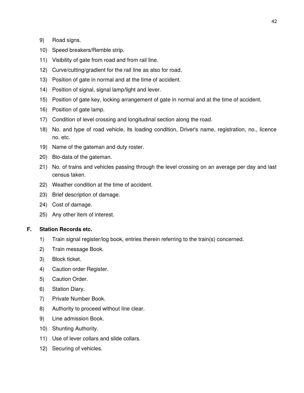- 9) Road signs.
- 10) Speed breakers/Remble strip.
- 11) Visibility of gate from road and from rail line.
- 12) Curve/cutting/gradient for the rail line as also for road.
- 13) Position of gate in normal and at the time of accident.
- 14) Position of signal, signal lamp/light and lever.
- 15) Position of gate key, locking arrangement of gate in normal and at the time of accident.
- 16) Position of gate lamp.
- 17) Condition of level crossing and longitudinal section along the road.
- 18) No. and type of road vehicle, its loading condition, Driver's name, registration, no., licence no. etc.
- 19) Name of the gateman and duty roster.
- 20) Bio-data of the gateman.
- 21) No. of trains and vehicles passing through the level crossing on an average per day and last census taken.
- 22) Weather condition at the time of accident.
- 23) Brief description of damage.
- 24) Cost of damage.
- 25) Any other item of interest.

### **F. Station Records etc.**

- 1) Train signal register/log book, entries therein referring to the train(s) concerned.
- 2) Train message Book.
- 3) Block ticket.
- 4) Caution order Register.
- 5) Caution Order.
- 6) Station Diary.
- 7) Private Number Book.
- 8) Authority to proceed without line clear.
- 9) Line admission Book.
- 10) Shunting Authority.
- 11) Use of lever collars and slide collars.
- 12) Securing of vehicles.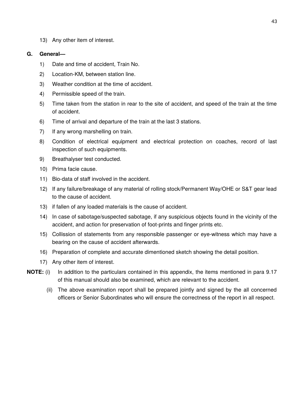13) Any other item of interest.

#### **G. General—**

- 1) Date and time of accident, Train No.
- 2) Location-KM, between station line.
- 3) Weather condition at the time of accident.
- 4) Permissible speed of the train.
- 5) Time taken from the station in rear to the site of accident, and speed of the train at the time of accident.
- 6) Time of arrival and departure of the train at the last 3 stations.
- 7) If any wrong marshelling on train.
- 8) Condition of electrical equipment and electrical protection on coaches, record of last inspection of such equipments.
- 9) Breathalyser test conducted.
- 10) Prima facie cause.
- 11) Bio-data of staff involved in the accident.
- 12) If any failure/breakage of any material of rolling stock/Permanent Way/OHE or S&T gear lead to the cause of accident.
- 13) if fallen of any loaded materials is the cause of accident.
- 14) In case of sabotage/suspected sabotage, if any suspicious objects found in the vicinity of the accident, and action for preservation of foot-prints and finger prints etc.
- 15) Collission of statements from any responsible passenger or eye-witness which may have a bearing on the cause of accident afterwards.
- 16) Preparation of complete and accurate dimentioned sketch showing the detail position.
- 17) Any other item of interest.
- **NOTE:** (i) In addition to the particulars contained in this appendix, the items mentioned in para 9.17 of this manual should also be examined, which are relevant to the accident.
	- (ii) The above examination report shall be prepared jointly and signed by the all concerned officers or Senior Subordinates who will ensure the correctness of the report in all respect.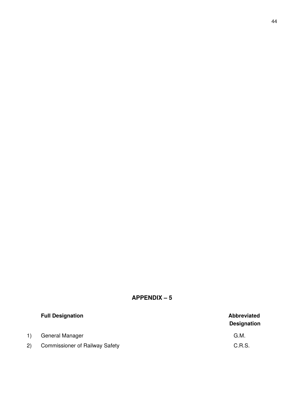# **APPENDIX – 5**

|     | <b>Full Designation</b>               | <b>Abbreviated</b><br><b>Designation</b> |
|-----|---------------------------------------|------------------------------------------|
| 1)  | General Manager                       | G.M.                                     |
| 2). | <b>Commissioner of Railway Safety</b> | C.R.S.                                   |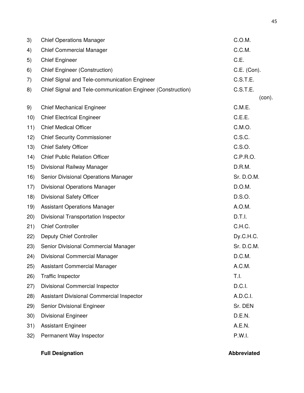| 3)   | <b>Chief Operations Manager</b>                             | C.O.M.      |
|------|-------------------------------------------------------------|-------------|
| 4)   | <b>Chief Commercial Manager</b>                             | C.C.M.      |
| 5)   | <b>Chief Engineer</b>                                       | C.E.        |
| 6)   | <b>Chief Engineer (Construction)</b>                        | C.E. (Con). |
| 7)   | Chief Signal and Tele-communication Engineer                | C.S.T.E.    |
| 8)   | Chief Signal and Tele-communication Engineer (Construction) | C.S.T.E.    |
|      |                                                             | (con).      |
| 9)   | <b>Chief Mechanical Engineer</b>                            | C.M.E.      |
| 10)  | <b>Chief Electrical Engineer</b>                            | C.E.E.      |
| 11)  | <b>Chief Medical Officer</b>                                | C.M.O.      |
| 12)  | <b>Chief Security Commissioner</b>                          | C.S.C.      |
| 13)  | <b>Chief Safety Officer</b>                                 | C.S.O.      |
| 14)  | <b>Chief Public Relation Officer</b>                        | C.P.R.O.    |
| 15)  | Divisional Railway Manager                                  | D.R.M.      |
| 16)  | Senior Divisional Operations Manager                        | Sr. D.O.M.  |
| 17)  | <b>Divisional Operations Manager</b>                        | D.O.M.      |
| 18)  | Divisional Safety Officer                                   | D.S.O.      |
| 19)  | <b>Assistant Operations Manager</b>                         | A.O.M.      |
| (20) | Divisional Transportation Inspector                         | D.T.l.      |
| 21)  | <b>Chief Controller</b>                                     | C.H.C.      |
| 22)  | Deputy Chief Controller                                     | Dy.C.H.C.   |
| 23)  | Senior Divisional Commercial Manager                        | Sr. D.C.M.  |
| (24) | Divisional Commercial Manager                               | D.C.M.      |
| 25)  | Assistant Commercial Manager                                | A.C.M.      |
| (26) | <b>Traffic Inspector</b>                                    | T.I.        |
| (27) | Divisional Commercial Inspector                             | D.C.I.      |
| (28) | Assistant Divisional Commercial Inspector                   | A.D.C.I.    |
| 29)  | Senior Divisional Engineer                                  | Sr. DEN     |
| 30)  | <b>Divisional Engineer</b>                                  | D.E.N.      |
| 31)  | <b>Assistant Engineer</b>                                   | A.E.N.      |
| 32)  | Permanent Way Inspector                                     | P.W.I.      |
|      |                                                             |             |

# **Full Designation Contract Contract Contract Contract Contract Contract Contract Contract Contract Contract Contract Contract Contract Contract Contract Contract Contract Contract Contract Contract Contract Contract Contra**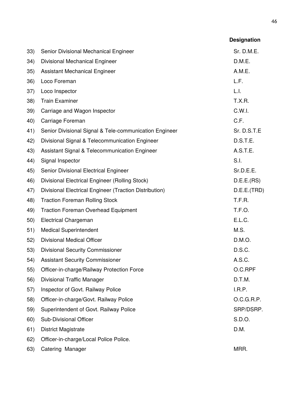|     |                                                        | <b>Designation</b> |
|-----|--------------------------------------------------------|--------------------|
| 33) | Senior Divisional Mechanical Engineer                  | Sr. D.M.E.         |
| 34) | Divisional Mechanical Engineer                         | D.M.E.             |
| 35) | <b>Assistant Mechanical Engineer</b>                   | A.M.E.             |
| 36) | Loco Foreman                                           | L.F.               |
| 37) | Loco Inspector                                         | L.I.               |
| 38) | <b>Train Examiner</b>                                  | T.X.R.             |
| 39) | Carriage and Wagon Inspector                           | C.W.I.             |
| 40) | Carriage Foreman                                       | C.F.               |
| 41) | Senior Divisional Signal & Tele-communication Engineer | Sr. D.S.T.E        |
| 42) | Divisional Signal & Telecommunication Engineer         | D.S.T.E.           |
| 43) | Assistant Signal & Telecommunication Engineer          | A.S.T.E.           |
| 44) | Signal Inspector                                       | S.I.               |
| 45) | Senior Divisional Electrical Engineer                  | Sr.D.E.E.          |
| 46) | Divisional Electrical Engineer (Rolling Stock)         | D.E.E.(RS)         |
| 47) | Divisional Electrical Engineer (Traction Distribution) | D.E.E.(TRD)        |
| 48) | <b>Traction Foreman Rolling Stock</b>                  | T.F.R.             |
| 49) | <b>Traction Foreman Overhead Equipment</b>             | T.F.O.             |
| 50) | <b>Electrical Chargeman</b>                            | E.L.C.             |
| 51) | <b>Medical Superintendent</b>                          | M.S.               |
| 52) | Divisional Medical Officer                             | D.M.O.             |
| 53) | <b>Divisional Security Commissioner</b>                | D.S.C.             |
| 54) | <b>Assistant Security Commissioner</b>                 | A.S.C.             |
| 55) | Officer-in-charge/Railway Protection Force             | O.C.RPF            |
| 56) | Divisional Traffic Manager                             | D.T.M.             |
| 57) | Inspector of Govt. Railway Police                      | I.R.P.             |
| 58) | Officer-in-charge/Govt. Railway Police                 | O.C.G.R.P.         |
| 59) | Superintendent of Govt. Railway Police                 | SRP/DSRP.          |
| 60) | Sub-Divisional Officer                                 | S.D.O.             |
| 61) | District Magistrate                                    | D.M.               |
| 62) | Officer-in-charge/Local Police Police.                 |                    |
| 63) | Catering Manager                                       | MRR.               |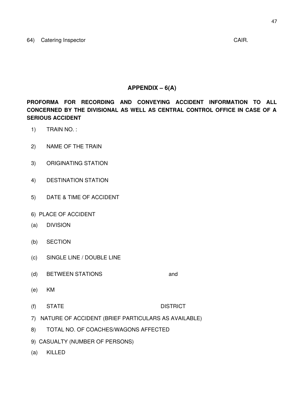## **APPENDIX – 6(A)**

**PROFORMA FOR RECORDING AND CONVEYING ACCIDENT INFORMATION TO ALL CONCERNED BY THE DIVISIONAL AS WELL AS CENTRAL CONTROL OFFICE IN CASE OF A SERIOUS ACCIDENT**

- 1) TRAIN NO. :
- 2) NAME OF THE TRAIN
- 3) ORIGINATING STATION
- 4) DESTINATION STATION
- 5) DATE & TIME OF ACCIDENT
- 6) PLACE OF ACCIDENT
- (a) DIVISION
- (b) SECTION
- (c) SINGLE LINE / DOUBLE LINE
- (d) BETWEEN STATIONS and
- (e) KM
- (f) STATE DISTRICT
- 7) NATURE OF ACCIDENT (BRIEF PARTICULARS AS AVAILABLE)
- 8) TOTAL NO. OF COACHES/WAGONS AFFECTED
- 9) CASUALTY (NUMBER OF PERSONS)
- (a) KILLED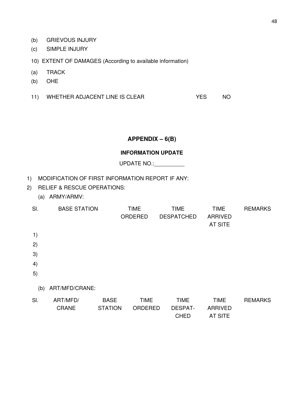- (b) GRIEVOUS INJURY
- (c) SIMPLE INJURY
- 10) EXTENT OF DAMAGES (According to available information)
- (a) TRACK
- (b) OHE
- 11) WHETHER ADJACENT LINE IS CLEAR YES NO

## **APPENDIX – 6(B)**

#### **INFORMATION UPDATE**

UPDATE NO.: \_\_\_\_\_\_\_\_\_\_

- 1) MODIFICATION OF FIRST INFORMATION REPORT IF ANY:
- 2) RELIEF & RESCUE OPERATIONS:
	- (a) ARMY/ARMV:

| SI. | <b>BASE STATION</b>      |                               | <b>TIME</b><br>ORDERED        | <b>TIME</b><br><b>DESPATCHED</b> | <b>TIME</b><br><b>ARRIVED</b><br><b>AT SITE</b> | <b>REMARKS</b> |
|-----|--------------------------|-------------------------------|-------------------------------|----------------------------------|-------------------------------------------------|----------------|
| 1)  |                          |                               |                               |                                  |                                                 |                |
| 2)  |                          |                               |                               |                                  |                                                 |                |
| 3)  |                          |                               |                               |                                  |                                                 |                |
| 4)  |                          |                               |                               |                                  |                                                 |                |
| 5)  |                          |                               |                               |                                  |                                                 |                |
| (b) | ART/MFD/CRANE:           |                               |                               |                                  |                                                 |                |
| SI. | ART/MFD/<br><b>CRANE</b> | <b>BASE</b><br><b>STATION</b> | <b>TIME</b><br><b>ORDERED</b> | <b>TIME</b><br><b>DESPAT-</b>    | <b>TIME</b><br><b>ARRIVED</b>                   | <b>REMARKS</b> |

CHED AT SITE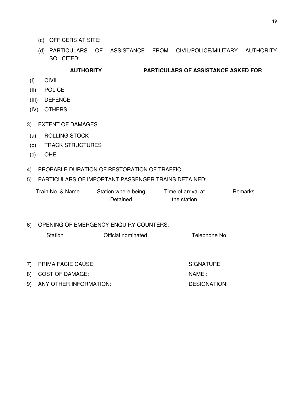- (c) OFFICERS AT SITE:
- (d) PARTICULARS OF ASSISTANCE FROM CIVIL/POLICE/MILITARY AUTHORITY SOLICITED:

## **AUTHORITY PARTICULARS OF ASSISTANCE ASKED FOR**

- (I) CIVIL
- (II) POLICE
- (III) DEFENCE
- (IV) OTHERS
- 3) EXTENT OF DAMAGES
- (a) ROLLING STOCK
- (b) TRACK STRUCTURES
- (c) OHE
- 4) PROBABLE DURATION OF RESTORATION OF TRAFFIC:

## 5) PARTICULARS OF IMPORTANT PASSENGER TRAINS DETAINED:

| Train No. & Name | Station where being | Time of arrival at | Remarks |
|------------------|---------------------|--------------------|---------|
|                  | Detained            | the station        |         |
|                  |                     |                    |         |

### 6) OPENING OF EMERGENCY ENQUIRY COUNTERS:

Station **Official nominated** Telephone No.

- 7) PRIMA FACIE CAUSE: SIGNATURE
- 8) COST OF DAMAGE: NAME :
- 9) ANY OTHER INFORMATION: DESIGNATION: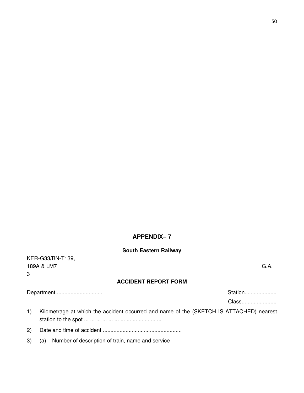## **APPENDIX– 7**

#### **South Eastern Railway**

KER-G33/BN-T139, 189A & LM7 G.A. 3

## **ACCIDENT REPORT FORM**

Department............................... Station.....................

Class.......................

- 1) Kilometrage at which the accident occurred and name of the (SKETCH IS ATTACHED) nearest station to the spot ... ... ... ... ... ... ... ... ... ... ... ... ...
- 2) Date and time of accident ....................................................
- 3) (a) Number of description of train, name and service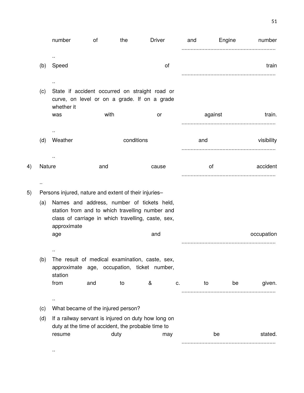|    |        | number                                                                                                                                                             | of   | the        | <b>Driver</b>                                                                                  |    | and | Engine  | number     |
|----|--------|--------------------------------------------------------------------------------------------------------------------------------------------------------------------|------|------------|------------------------------------------------------------------------------------------------|----|-----|---------|------------|
|    |        |                                                                                                                                                                    |      |            |                                                                                                |    |     |         |            |
|    | (b)    | Speed                                                                                                                                                              |      |            | of                                                                                             |    |     |         | train      |
|    |        |                                                                                                                                                                    |      |            |                                                                                                |    |     |         |            |
|    | (c)    | whether it                                                                                                                                                         |      |            | State if accident occurred on straight road or<br>curve, on level or on a grade. If on a grade |    |     |         |            |
|    |        | was                                                                                                                                                                | with |            | or                                                                                             |    |     | against | train.     |
|    |        |                                                                                                                                                                    |      |            |                                                                                                |    |     |         |            |
|    | (d)    | Weather                                                                                                                                                            |      | conditions |                                                                                                |    | and |         | visibility |
|    |        |                                                                                                                                                                    |      |            |                                                                                                |    |     |         |            |
| 4) | Nature |                                                                                                                                                                    | and  |            | cause                                                                                          |    |     | of      | accident   |
|    |        |                                                                                                                                                                    |      |            |                                                                                                |    |     |         |            |
|    |        |                                                                                                                                                                    |      |            |                                                                                                |    |     |         |            |
| 5) |        | Persons injured, nature and extent of their injuries-                                                                                                              |      |            |                                                                                                |    |     |         |            |
|    | (a)    | Names and address, number of tickets held,<br>station from and to which travelling number and<br>class of carriage in which travelling, caste, sex,<br>approximate |      |            |                                                                                                |    |     |         |            |
|    |        | age                                                                                                                                                                |      |            | and                                                                                            |    |     |         | occupation |
|    |        |                                                                                                                                                                    |      |            |                                                                                                |    |     |         |            |
|    | (b)    | station                                                                                                                                                            |      |            | The result of medical examination, caste, sex,<br>approximate age, occupation, ticket number,  |    |     |         |            |
|    |        | from                                                                                                                                                               | and  | to         | &                                                                                              | c. | to  | be      | given.     |
|    |        | $\cdot$ .                                                                                                                                                          |      |            |                                                                                                |    |     |         |            |
|    | (c)    | What became of the injured person?                                                                                                                                 |      |            |                                                                                                |    |     |         |            |
|    | (d)    |                                                                                                                                                                    |      |            | If a railway servant is injured on duty how long on                                            |    |     |         |            |
|    |        | resume                                                                                                                                                             |      | duty       | duty at the time of accident, the probable time to                                             |    |     | be      | stated.    |
|    |        |                                                                                                                                                                    |      |            | may                                                                                            |    |     |         |            |

..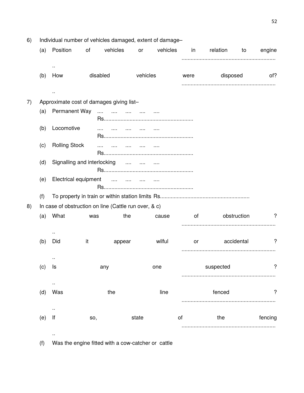| 6) |     | Individual number of vehicles damaged, extent of damage-  |          |            |            |          |        |           |             |         |  |  |  |
|----|-----|-----------------------------------------------------------|----------|------------|------------|----------|--------|-----------|-------------|---------|--|--|--|
|    | (a) | Position                                                  | of       | vehicles   | or         | vehicles | in     | relation  | to          | engine  |  |  |  |
|    |     |                                                           |          |            |            |          |        |           |             |         |  |  |  |
|    | (b) | How                                                       | disabled |            | vehicles   |          | were   | disposed  |             | of?     |  |  |  |
|    |     |                                                           |          |            |            |          |        |           |             |         |  |  |  |
| 7) |     | Approximate cost of damages giving list-                  |          |            |            |          |        |           |             |         |  |  |  |
|    | (a) | <b>Permanent Way</b>                                      | $\ldots$ |            |            |          |        |           |             |         |  |  |  |
|    | (b) | Locomotive                                                | $\cdots$ | $\ldots$ . |            |          |        |           |             |         |  |  |  |
|    | (c) | <b>Rolling Stock</b>                                      | .        |            | $\ldots$ . |          |        |           |             |         |  |  |  |
|    | (d) | Signalling and interlocking<br>المتبادر المتبدر المتبدرات |          |            |            |          |        |           |             |         |  |  |  |
|    | (e) | Electrical equipment<br>                                  |          |            |            |          |        |           |             |         |  |  |  |
|    | (f) |                                                           |          |            |            |          |        |           |             |         |  |  |  |
| 8) |     | In case of obstruction on line (Cattle run over, & c)     |          |            |            |          |        |           |             |         |  |  |  |
|    | (a) | What                                                      | was      | the        |            | cause    | of     |           | obstruction | ?       |  |  |  |
|    |     | $\cdot$ .                                                 |          |            |            |          |        |           |             |         |  |  |  |
|    | (b) | Did                                                       | it       | appear     |            | wilful   | or     |           | accidental  | ?       |  |  |  |
|    |     | ٠.                                                        |          |            |            |          |        |           |             |         |  |  |  |
|    | (c) | ls                                                        |          | any        |            | one      |        | suspected |             | ?       |  |  |  |
|    |     |                                                           |          |            |            |          |        |           |             |         |  |  |  |
|    | (d) | Was                                                       |          | the        |            | line     | fenced |           |             | ?       |  |  |  |
|    | (e) | $\cdot$ .<br>lf<br>SO,                                    |          |            | state      |          | of     | the       |             | fencing |  |  |  |
|    |     |                                                           |          |            |            |          |        |           |             |         |  |  |  |
|    |     |                                                           |          |            |            |          |        |           |             |         |  |  |  |

(f) Was the engine fitted with a cow-catcher or cattle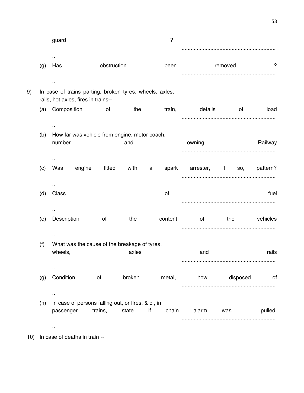|          |          |         |         |                                 | ?       |    |        |                                                                                                                |                                                                                                | guard                         |     |    |
|----------|----------|---------|---------|---------------------------------|---------|----|--------|----------------------------------------------------------------------------------------------------------------|------------------------------------------------------------------------------------------------|-------------------------------|-----|----|
| ?        |          | removed |         |                                 | been    |    |        | obstruction                                                                                                    |                                                                                                | Has                           | (g) |    |
|          |          |         |         |                                 |         |    |        |                                                                                                                | In case of trains parting, broken tyres, wheels, axles,<br>rails, hot axles, fires in trains-- |                               |     | 9) |
| load     | of       |         | details |                                 | train,  |    | the    | and the contract of the contract of the contract of the contract of the contract of the contract of the contra |                                                                                                | Composition                   | (a) |    |
| Railway  |          |         |         | owning                          |         |    | and    |                                                                                                                | How far was vehicle from engine, motor coach,                                                  | number                        | (b) |    |
|          |          |         |         | spark arrester, if so, pattern? |         | a  | with   | fitted                                                                                                         | engine                                                                                         | $\sim$<br>Was                 | (c) |    |
| fuel     |          |         |         |                                 | of      |    |        |                                                                                                                |                                                                                                | Class                         | (d) |    |
| vehicles |          | the     |         | of                              | content |    | the    | of                                                                                                             |                                                                                                | Description                   | (e) |    |
| rails    |          |         |         | and                             |         |    | axles  |                                                                                                                | What was the cause of the breakage of tyres,                                                   | wheels,                       | (f) |    |
| of       | disposed |         |         | how                             | metal,  |    | broken | of                                                                                                             |                                                                                                | Condition                     | (g) |    |
| pulled.  |          | was     |         | alarm                           | chain   | if | state  | trains,                                                                                                        | In case of persons falling out, or fires, & c., in                                             | $\sim$<br>passenger<br>$\sim$ | (h) |    |

10) In case of deaths in train --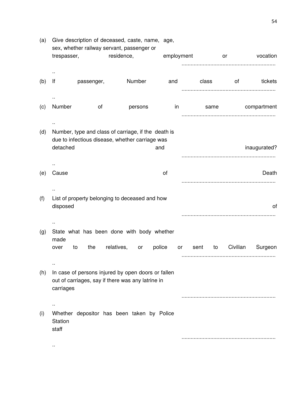| trespasser,      |          |                   |                                    |                                                                                                                                                                                                                                                                                                                                                                                                                                                                                   |            | vocation     |
|------------------|----------|-------------------|------------------------------------|-----------------------------------------------------------------------------------------------------------------------------------------------------------------------------------------------------------------------------------------------------------------------------------------------------------------------------------------------------------------------------------------------------------------------------------------------------------------------------------|------------|--------------|
|                  |          |                   |                                    |                                                                                                                                                                                                                                                                                                                                                                                                                                                                                   |            |              |
| lf               |          |                   | and                                | class                                                                                                                                                                                                                                                                                                                                                                                                                                                                             | of         | tickets      |
| Number           | of       | persons           | in                                 | same                                                                                                                                                                                                                                                                                                                                                                                                                                                                              |            | compartment  |
|                  |          |                   |                                    |                                                                                                                                                                                                                                                                                                                                                                                                                                                                                   |            |              |
|                  |          |                   |                                    |                                                                                                                                                                                                                                                                                                                                                                                                                                                                                   |            | inaugurated? |
|                  |          |                   |                                    |                                                                                                                                                                                                                                                                                                                                                                                                                                                                                   |            |              |
| Cause            |          |                   | of                                 |                                                                                                                                                                                                                                                                                                                                                                                                                                                                                   |            | Death        |
|                  |          |                   |                                    |                                                                                                                                                                                                                                                                                                                                                                                                                                                                                   |            |              |
| disposed         |          |                   |                                    |                                                                                                                                                                                                                                                                                                                                                                                                                                                                                   |            | οf           |
|                  |          |                   |                                    |                                                                                                                                                                                                                                                                                                                                                                                                                                                                                   |            |              |
| made             |          |                   |                                    |                                                                                                                                                                                                                                                                                                                                                                                                                                                                                   |            |              |
| to<br>over       |          | or                | or                                 | to<br>sent                                                                                                                                                                                                                                                                                                                                                                                                                                                                        | Civilian   | Surgeon      |
| carriages        |          |                   |                                    |                                                                                                                                                                                                                                                                                                                                                                                                                                                                                   |            |              |
|                  |          |                   |                                    |                                                                                                                                                                                                                                                                                                                                                                                                                                                                                   |            |              |
| Station<br>staff |          |                   |                                    |                                                                                                                                                                                                                                                                                                                                                                                                                                                                                   |            |              |
|                  |          |                   |                                    |                                                                                                                                                                                                                                                                                                                                                                                                                                                                                   |            |              |
|                  | detached | passenger,<br>the | residence,<br>Number<br>relatives, | Give description of deceased, caste, name, age,<br>sex, whether railway servant, passenger or<br>Number, type and class of carriage, if the death is<br>due to infectious disease, whether carriage was<br>and<br>List of property belonging to deceased and how<br>State what has been done with body whether<br>police<br>In case of persons injured by open doors or fallen<br>out of carriages, say if there was any latrine in<br>Whether depositor has been taken by Police | employment | or           |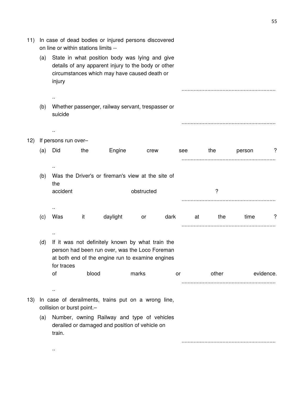| 11) |     | In case of dead bodies or injured persons discovered<br>on line or within stations limits -- |       |                                                                                                                                                        |            |      |           |       |        |           |  |  |  |
|-----|-----|----------------------------------------------------------------------------------------------|-------|--------------------------------------------------------------------------------------------------------------------------------------------------------|------------|------|-----------|-------|--------|-----------|--|--|--|
|     | (a) | injury                                                                                       |       | State in what position body was lying and give<br>details of any apparent injury to the body or other<br>circumstances which may have caused death or  |            |      |           |       |        |           |  |  |  |
|     |     |                                                                                              |       |                                                                                                                                                        |            |      |           |       |        |           |  |  |  |
|     | (b) | suicide                                                                                      |       | Whether passenger, railway servant, trespasser or                                                                                                      |            |      |           |       |        |           |  |  |  |
|     |     |                                                                                              |       |                                                                                                                                                        |            |      |           |       |        |           |  |  |  |
|     |     |                                                                                              |       |                                                                                                                                                        |            |      |           |       |        |           |  |  |  |
| 12) | (a) | If persons run over-<br>Did                                                                  | the   | Engine                                                                                                                                                 |            |      | see       | the   | person | ?         |  |  |  |
|     |     |                                                                                              |       |                                                                                                                                                        | crew       |      |           |       |        |           |  |  |  |
|     |     |                                                                                              |       |                                                                                                                                                        |            |      |           |       |        |           |  |  |  |
|     | (b) |                                                                                              |       | Was the Driver's or fireman's view at the site of                                                                                                      |            |      |           |       |        |           |  |  |  |
|     |     | the                                                                                          |       |                                                                                                                                                        |            |      |           |       |        |           |  |  |  |
|     |     | accident                                                                                     |       |                                                                                                                                                        | obstructed |      |           | ?     |        |           |  |  |  |
|     |     |                                                                                              |       |                                                                                                                                                        |            |      |           |       |        |           |  |  |  |
|     | (c) | Was                                                                                          | it    | daylight                                                                                                                                               | or         | dark | at        | the   | time   | ?         |  |  |  |
|     |     |                                                                                              |       |                                                                                                                                                        |            |      |           |       |        |           |  |  |  |
|     |     |                                                                                              |       |                                                                                                                                                        |            |      |           |       |        |           |  |  |  |
|     | (d) |                                                                                              |       | If it was not definitely known by what train the<br>person had been run over, was the Loco Foreman<br>at both end of the engine run to examine engines |            |      |           |       |        |           |  |  |  |
|     |     | for traces<br>of                                                                             | blood |                                                                                                                                                        | marks      |      | <b>or</b> | other |        | evidence. |  |  |  |
|     |     |                                                                                              |       |                                                                                                                                                        |            |      |           |       |        |           |  |  |  |
|     |     | $\sim$                                                                                       |       |                                                                                                                                                        |            |      |           |       |        |           |  |  |  |
| 13) |     | collision or burst point.-                                                                   |       | In case of derailments, trains put on a wrong line,                                                                                                    |            |      |           |       |        |           |  |  |  |
|     | (a) | train.                                                                                       |       | Number, owning Railway and type of vehicles<br>derailed or damaged and position of vehicle on                                                          |            |      |           |       |        |           |  |  |  |
|     |     |                                                                                              |       |                                                                                                                                                        |            |      |           |       |        |           |  |  |  |

..

55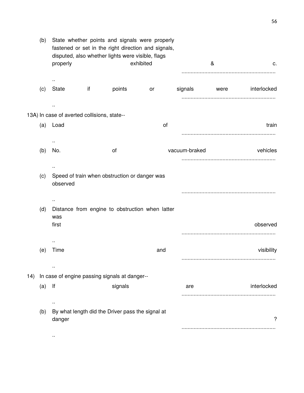| c.               | & |               | State whether points and signals were properly<br>fastened or set in the right direction and signals,<br>exhibited | disputed, also whether lights were visible, flags |    | properly                                    | (b) |     |
|------------------|---|---------------|--------------------------------------------------------------------------------------------------------------------|---------------------------------------------------|----|---------------------------------------------|-----|-----|
| were interlocked |   | signals       | or                                                                                                                 | points                                            | if | State                                       | (c) |     |
|                  |   |               |                                                                                                                    |                                                   |    |                                             |     |     |
|                  |   |               |                                                                                                                    |                                                   |    | 13A) In case of averted collisions, state-- |     |     |
| train            |   |               | of                                                                                                                 |                                                   |    | Load                                        | (a) |     |
|                  |   |               |                                                                                                                    |                                                   |    |                                             |     |     |
| vehicles         |   | vacuum-braked |                                                                                                                    | οf                                                |    | No.                                         | (b) |     |
|                  |   |               |                                                                                                                    |                                                   |    |                                             |     |     |
|                  |   |               |                                                                                                                    | Speed of train when obstruction or danger was     |    | observed                                    | (c) |     |
|                  |   |               |                                                                                                                    |                                                   |    |                                             |     |     |
|                  |   |               | Distance from engine to obstruction when latter                                                                    |                                                   |    |                                             | (d) |     |
|                  |   |               |                                                                                                                    |                                                   |    | was                                         |     |     |
| observed         |   |               |                                                                                                                    |                                                   |    | first                                       |     |     |
|                  |   |               |                                                                                                                    |                                                   |    | $\ddot{\phantom{a}}$                        |     |     |
| visibility       |   |               | and                                                                                                                |                                                   |    | Time                                        | (e) |     |
|                  |   |               |                                                                                                                    |                                                   |    |                                             |     |     |
|                  |   |               |                                                                                                                    |                                                   |    |                                             |     |     |
|                  |   |               |                                                                                                                    | In case of engine passing signals at danger--     |    |                                             |     | 14) |
| interlocked      |   | are           |                                                                                                                    | signals                                           |    | lf                                          | (a) |     |
|                  |   |               |                                                                                                                    |                                                   |    |                                             |     |     |
| ?                |   |               |                                                                                                                    | By what length did the Driver pass the signal at  |    | danger                                      | (b) |     |
|                  |   |               |                                                                                                                    |                                                   |    |                                             |     |     |
|                  |   |               |                                                                                                                    |                                                   |    |                                             |     |     |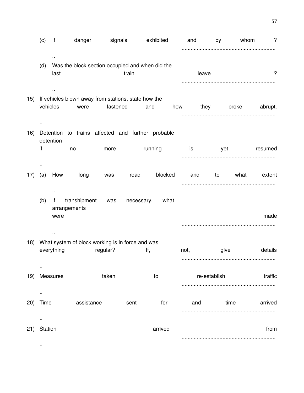|     | (c)                          | lf           | danger                                                      | signals  |            | exhibited |      | and   | by           | whom  | ?       |
|-----|------------------------------|--------------|-------------------------------------------------------------|----------|------------|-----------|------|-------|--------------|-------|---------|
|     | (d)                          | last         | Was the block section occupied and when did the             |          | train      |           |      | leave |              |       | ?       |
| 15) | vehicles                     |              | If vehicles blown away from stations, state how the<br>were | fastened |            | and       | how  |       | they         | broke | abrupt. |
| 16) | if                           | detention    | Detention to trains affected and further probable<br>no     | more     |            | running   |      | is is | yet          |       | resumed |
| 17) | (a)                          | How<br>٠.    | long                                                        | was      | road       | blocked   |      | and   | to           | what  | extent  |
|     | (b)                          | lf<br>were   | transhipment<br>arrangements                                | was      | necessary, | what      |      |       |              |       | made    |
| 18) |                              | everything   | What system of block working is in force and was            | regular? |            | lf,       | not, |       | give         |       | details |
|     |                              | 19) Measures |                                                             | taken    |            | to        |      |       | re-establish |       | traffic |
| 20) | $\ddot{\phantom{1}}$<br>Time |              | assistance                                                  |          | sent       | for       |      | and   |              | time  | arrived |
| 21) | $\sim$<br>Station            |              |                                                             |          |            | arrived   |      |       |              |       | from    |
|     | $\cdot$ .                    |              |                                                             |          |            |           |      |       |              |       |         |

57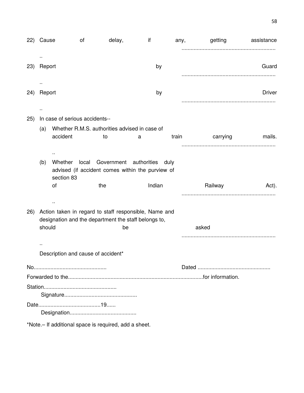| (22) | Cause  |                                                                                                                      | of | delay,                                                     | if     | any,  |       | getting  | assistance    |  |
|------|--------|----------------------------------------------------------------------------------------------------------------------|----|------------------------------------------------------------|--------|-------|-------|----------|---------------|--|
|      |        |                                                                                                                      |    |                                                            |        |       |       |          |               |  |
| 23)  | Report |                                                                                                                      |    |                                                            | by     |       |       |          | Guard         |  |
|      |        |                                                                                                                      |    |                                                            |        |       |       |          |               |  |
| 24)  | Report |                                                                                                                      |    |                                                            | by     |       |       |          | <b>Driver</b> |  |
|      |        |                                                                                                                      |    |                                                            |        |       |       |          |               |  |
| 25)  |        | In case of serious accidents--                                                                                       |    |                                                            |        |       |       |          |               |  |
|      | (a)    |                                                                                                                      |    | Whether R.M.S. authorities advised in case of              |        |       |       |          |               |  |
|      |        | accident                                                                                                             |    | to                                                         | a      | train |       | carrying | mails.        |  |
|      |        | $\ddot{\phantom{a}}$                                                                                                 |    |                                                            |        |       |       |          |               |  |
|      | (b)    | Government authorities<br>Whether<br>local<br>duly<br>advised (if accident comes within the purview of<br>section 83 |    |                                                            |        |       |       |          |               |  |
|      |        | of                                                                                                                   |    | the                                                        | Indian |       |       | Railway  | Act).         |  |
|      |        | Ω,                                                                                                                   |    |                                                            |        |       |       |          |               |  |
| (26) |        |                                                                                                                      |    | Action taken in regard to staff responsible, Name and      |        |       |       |          |               |  |
|      | should |                                                                                                                      |    | designation and the department the staff belongs to,<br>be |        |       | asked |          |               |  |
|      |        |                                                                                                                      |    |                                                            |        |       |       |          |               |  |
|      |        |                                                                                                                      |    |                                                            |        |       |       |          |               |  |
|      |        | Description and cause of accident*                                                                                   |    |                                                            |        |       |       |          |               |  |
|      |        |                                                                                                                      |    |                                                            |        |       |       |          |               |  |
|      |        |                                                                                                                      |    |                                                            |        |       |       |          |               |  |
|      |        |                                                                                                                      |    |                                                            |        |       |       |          |               |  |
|      |        |                                                                                                                      |    |                                                            |        |       |       |          |               |  |
|      |        |                                                                                                                      |    |                                                            |        |       |       |          |               |  |
|      |        |                                                                                                                      |    |                                                            |        |       |       |          |               |  |

\*Note.– If additional space is required, add a sheet.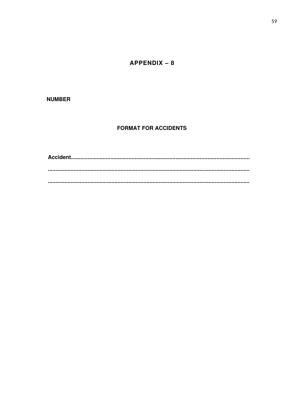$APPENDIX - 8$ 

### **NUMBER**

## **FORMAT FOR ACCIDENTS**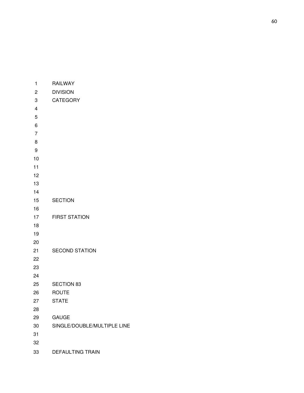| 1                       | <b>RAILWAY</b>              |
|-------------------------|-----------------------------|
| 2                       | <b>DIVISION</b>             |
| 3                       | <b>CATEGORY</b>             |
| $\overline{\mathbf{4}}$ |                             |
| 5                       |                             |
| 6                       |                             |
| $\overline{7}$          |                             |
| 8                       |                             |
| 9                       |                             |
| 10                      |                             |
| 11                      |                             |
| 12                      |                             |
| 13                      |                             |
| 14                      |                             |
| 15                      | <b>SECTION</b>              |
| 16                      |                             |
| 17                      | <b>FIRST STATION</b>        |
| 18                      |                             |
| 19                      |                             |
| 20                      |                             |
| 21                      | <b>SECOND STATION</b>       |
| 22                      |                             |
| 23                      |                             |
| 24                      |                             |
| 25                      | <b>SECTION 83</b>           |
| 26                      | <b>ROUTE</b>                |
| 27                      | <b>STATE</b>                |
| 28                      |                             |
| 29                      | <b>GAUGE</b>                |
| 30                      | SINGLE/DOUBLE/MULTIPLE LINE |
| 31                      |                             |
| 32                      |                             |
| 33                      | DEFAULTING TRAIN            |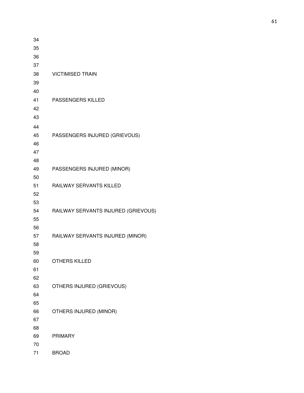| 34 |                                     |
|----|-------------------------------------|
| 35 |                                     |
| 36 |                                     |
| 37 |                                     |
| 38 | <b>VICTIMISED TRAIN</b>             |
| 39 |                                     |
| 40 |                                     |
| 41 | PASSENGERS KILLED                   |
| 42 |                                     |
| 43 |                                     |
| 44 |                                     |
| 45 | PASSENGERS INJURED (GRIEVOUS)       |
| 46 |                                     |
| 47 |                                     |
| 48 |                                     |
| 49 | PASSENGERS INJURED (MINOR)          |
| 50 |                                     |
| 51 | RAILWAY SERVANTS KILLED             |
| 52 |                                     |
| 53 |                                     |
| 54 | RAILWAY SERVANTS INJURED (GRIEVOUS) |
| 55 |                                     |
| 56 |                                     |
| 57 | RAILWAY SERVANTS INJURED (MINOR)    |
| 58 |                                     |
| 59 |                                     |
| 60 | <b>OTHERS KILLED</b>                |
| 61 |                                     |
| 62 |                                     |
| 63 | OTHERS INJURED (GRIEVOUS)           |
| 64 |                                     |
| 65 |                                     |
| 66 | OTHERS INJURED (MINOR)              |
| 67 |                                     |
| 68 |                                     |
| 69 | <b>PRIMARY</b>                      |
| 70 |                                     |
| 71 | <b>BROAD</b>                        |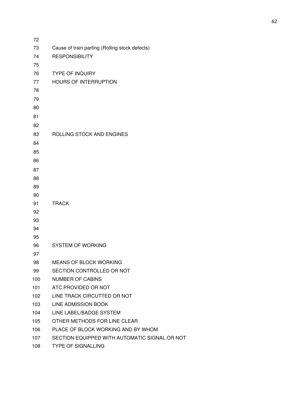| 72  |                                                |
|-----|------------------------------------------------|
| 73  | Cause of train parting (Rolling stock defects) |
| 74  | <b>RESPONSIBILITY</b>                          |
| 75  |                                                |
| 76  | <b>TYPE OF INQUIRY</b>                         |
| 77  | <b>HOURS OF INTERRUPTION</b>                   |
| 78  |                                                |
| 79  |                                                |
| 80  |                                                |
| 81  |                                                |
| 82  |                                                |
| 83  | ROLLING STOCK AND ENGINES                      |
| 84  |                                                |
| 85  |                                                |
| 86  |                                                |
| 87  |                                                |
| 88  |                                                |
| 89  |                                                |
| 90  |                                                |
| 91  | <b>TRACK</b>                                   |
| 92  |                                                |
| 93  |                                                |
| 94  |                                                |
| 95  |                                                |
| 96  | <b>SYSTEM OF WORKING</b>                       |
| 97  |                                                |
| 98  | <b>MEANS OF BLOCK WORKING</b>                  |
| 99  | SECTION CONTROLLED OR NOT                      |
| 100 | <b>NUMBER OF CABINS</b>                        |
| 101 | ATC PROVIDED OR NOT                            |
| 102 | LINE TRACK CIRCUTTED OR NOT                    |
| 103 | <b>LINE ADMISSION BOOK</b>                     |
| 104 | LINE LABEL/BADGE SYSTEM                        |
| 105 | OTHER METHODS FOR LINE CLEAR                   |
| 106 | PLACE OF BLOCK WORKING AND BY WHOM             |
| 107 | SECTION EQUIPPED WITH AUTOMATIC SIGNAL OR NOT  |
| 108 | <b>TYPE OF SIGNALLING</b>                      |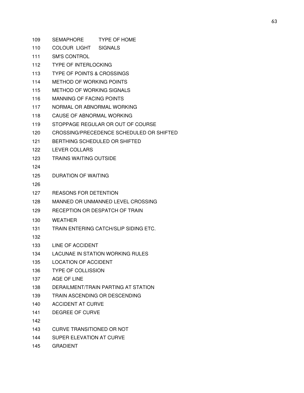| 109 | <b>TYPE OF HOME</b><br><b>SEMAPHORE</b>  |  |  |  |  |  |
|-----|------------------------------------------|--|--|--|--|--|
| 110 | COLOUR LIGHT<br><b>SIGNALS</b>           |  |  |  |  |  |
| 111 | <b>SM'S CONTROL</b>                      |  |  |  |  |  |
| 112 | <b>TYPE OF INTERLOCKING</b>              |  |  |  |  |  |
| 113 | <b>TYPE OF POINTS &amp; CROSSINGS</b>    |  |  |  |  |  |
| 114 | METHOD OF WORKING POINTS                 |  |  |  |  |  |
| 115 | <b>METHOD OF WORKING SIGNALS</b>         |  |  |  |  |  |
| 116 | <b>MANNING OF FACING POINTS</b>          |  |  |  |  |  |
| 117 | NORMAL OR ABNORMAL WORKING               |  |  |  |  |  |
| 118 | CAUSE OF ABNORMAL WORKING                |  |  |  |  |  |
| 119 | STOPPAGE REGULAR OR OUT OF COURSE        |  |  |  |  |  |
| 120 | CROSSING/PRECEDENCE SCHEDULED OR SHIFTED |  |  |  |  |  |
| 121 | BERTHING SCHEDULED OR SHIFTED            |  |  |  |  |  |
| 122 | <b>LEVER COLLARS</b>                     |  |  |  |  |  |
| 123 | <b>TRAINS WAITING OUTSIDE</b>            |  |  |  |  |  |
| 124 |                                          |  |  |  |  |  |
| 125 | DURATION OF WAITING                      |  |  |  |  |  |
| 126 |                                          |  |  |  |  |  |
| 127 | <b>REASONS FOR DETENTION</b>             |  |  |  |  |  |
| 128 | MANNED OR UNMANNED LEVEL CROSSING        |  |  |  |  |  |
| 129 | RECEPTION OR DESPATCH OF TRAIN           |  |  |  |  |  |
| 130 | <b>WEATHER</b>                           |  |  |  |  |  |
| 131 | TRAIN ENTERING CATCH/SLIP SIDING ETC.    |  |  |  |  |  |
| 132 |                                          |  |  |  |  |  |
| 133 | LINE OF ACCIDENT                         |  |  |  |  |  |
| 134 | LACUNAE IN STATION WORKING RULES         |  |  |  |  |  |
| 135 | LOCATION OF ACCIDENT                     |  |  |  |  |  |
| 136 | <b>TYPE OF COLLISSION</b>                |  |  |  |  |  |
| 137 | AGE OF LINE                              |  |  |  |  |  |
| 138 | DERAILMENT/TRAIN PARTING AT STATION      |  |  |  |  |  |
| 139 | TRAIN ASCENDING OR DESCENDING            |  |  |  |  |  |
| 140 | <b>ACCIDENT AT CURVE</b>                 |  |  |  |  |  |
| 141 | DEGREE OF CURVE                          |  |  |  |  |  |
| 142 |                                          |  |  |  |  |  |
| 143 | <b>CURVE TRANSITIONED OR NOT</b>         |  |  |  |  |  |
| 144 | SUPER ELEVATION AT CURVE                 |  |  |  |  |  |
| 145 | <b>GRADIENT</b>                          |  |  |  |  |  |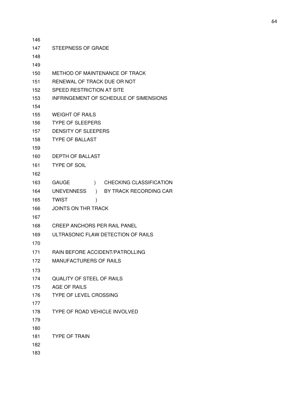| 146 |                                               |
|-----|-----------------------------------------------|
| 147 | <b>STEEPNESS OF GRADE</b>                     |
| 148 |                                               |
| 149 |                                               |
| 150 | METHOD OF MAINTENANCE OF TRACK                |
| 151 | RENEWAL OF TRACK DUE OR NOT                   |
| 152 | SPEED RESTRICTION AT SITE                     |
| 153 | INFRINGEMENT OF SCHEDULE OF SIMENSIONS        |
| 154 |                                               |
| 155 | <b>WEIGHT OF RAILS</b>                        |
| 156 | <b>TYPE OF SLEEPERS</b>                       |
| 157 | <b>DENSITY OF SLEEPERS</b>                    |
| 158 | <b>TYPE OF BALLAST</b>                        |
| 159 |                                               |
| 160 | <b>DEPTH OF BALLAST</b>                       |
| 161 | <b>TYPE OF SOIL</b>                           |
| 162 |                                               |
| 163 | ) CHECKING CLASSIFICATION<br><b>GAUGE</b>     |
| 164 | ) BY TRACK RECORDING CAR<br><b>UNEVENNESS</b> |
| 165 | <b>TWIST</b><br>)                             |
| 166 | <b>JOINTS ON THR TRACK</b>                    |
| 167 |                                               |
| 168 | <b>CREEP ANCHORS PER RAIL PANEL</b>           |
| 169 | ULTRASONIC FLAW DETECTION OF RAILS            |
| 170 |                                               |
| 171 | RAIN BEFORE ACCIDENT/PATROLLING               |
| 172 | <b>MANUFACTURERS OF RAILS</b>                 |
| 173 |                                               |
| 174 | <b>QUALITY OF STEEL OF RAILS</b>              |
| 175 | AGE OF RAILS                                  |
| 176 | <b>TYPE OF LEVEL CROSSING</b>                 |
| 177 |                                               |
| 178 | <b>TYPE OF ROAD VEHICLE INVOLVED</b>          |
| 179 |                                               |
| 180 |                                               |
| 181 | <b>TYPE OF TRAIN</b>                          |
| 182 |                                               |
| 183 |                                               |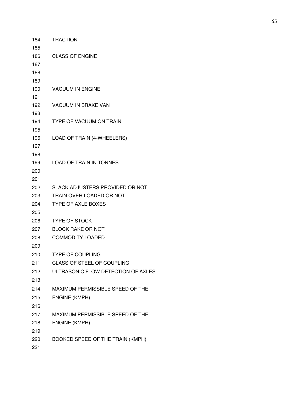| 184        | <b>TRACTION</b>                    |
|------------|------------------------------------|
| 185        |                                    |
| 186        | <b>CLASS OF ENGINE</b>             |
| 187        |                                    |
| 188        |                                    |
| 189        |                                    |
| 190        | <b>VACUUM IN ENGINE</b>            |
| 191        |                                    |
| 192        | VACUUM IN BRAKE VAN                |
| 193        |                                    |
| 194        | TYPE OF VACUUM ON TRAIN            |
| 195        |                                    |
| 196        | LOAD OF TRAIN (4-WHEELERS)         |
| 197        |                                    |
| 198        | <b>LOAD OF TRAIN IN TONNES</b>     |
| 199<br>200 |                                    |
| 201        |                                    |
| 202        | SLACK ADJUSTERS PROVIDED OR NOT    |
| 203        | TRAIN OVER LOADED OR NOT           |
| 204        | <b>TYPE OF AXLE BOXES</b>          |
| 205        |                                    |
| 206        | <b>TYPE OF STOCK</b>               |
| 207        | <b>BLOCK RAKE OR NOT</b>           |
| 208        | <b>COMMODITY LOADED</b>            |
| 209        |                                    |
| 210        | <b>TYPE OF COUPLING</b>            |
| 211        | CLASS OF STEEL OF COUPLING         |
| 212        | ULTRASONIC FLOW DETECTION OF AXLES |
| 213        |                                    |
| 214        | MAXIMUM PERMISSIBLE SPEED OF THE   |
| 215        | <b>ENGINE (KMPH)</b>               |
| 216        |                                    |
| 217        | MAXIMUM PERMISSIBLE SPEED OF THE   |
| 218        | <b>ENGINE (KMPH)</b>               |
| 219        |                                    |
| 220        | BOOKED SPEED OF THE TRAIN (KMPH)   |
| 221        |                                    |
|            |                                    |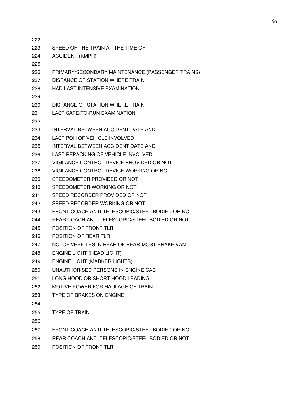| SPEED OF THE TRAIN AT THE TIME OF<br>223<br><b>ACCIDENT (KMPH)</b><br>224<br>225<br>PRIMARY/SECONDARY MAINTENANCE (PASSENGER TRAINS)<br>226<br><b>DISTANCE OF STATION WHERE TRAIN</b><br>227<br><b>HAD LAST INTENSIVE EXAMINATION</b><br>228<br>229<br>DISTANCE OF STATION WHERE TRAIN<br>230 |
|-----------------------------------------------------------------------------------------------------------------------------------------------------------------------------------------------------------------------------------------------------------------------------------------------|
|                                                                                                                                                                                                                                                                                               |
|                                                                                                                                                                                                                                                                                               |
|                                                                                                                                                                                                                                                                                               |
|                                                                                                                                                                                                                                                                                               |
|                                                                                                                                                                                                                                                                                               |
|                                                                                                                                                                                                                                                                                               |
|                                                                                                                                                                                                                                                                                               |
|                                                                                                                                                                                                                                                                                               |
| <b>LAST SAFE-TO-RUN EXAMINATION</b><br>231                                                                                                                                                                                                                                                    |
| 232                                                                                                                                                                                                                                                                                           |
| INTERVAL BETWEEN ACCIDENT DATE AND<br>233                                                                                                                                                                                                                                                     |
| 234<br>LAST POH OF VEHICLE INVOLVED                                                                                                                                                                                                                                                           |
| INTERVAL BETWEEN ACCIDENT DATE AND<br>235                                                                                                                                                                                                                                                     |
| LAST REPACKING OF VEHICLE INVOLVED<br>236                                                                                                                                                                                                                                                     |
| VIGILANCE CONTROL DEVICE PROVIDED OR NOT<br>237                                                                                                                                                                                                                                               |
| VIGILANCE CONTROL DEVICE WORKING OR NOT<br>238                                                                                                                                                                                                                                                |
| SPEEDOMETER PROVIDED OR NOT<br>239                                                                                                                                                                                                                                                            |
| SPEEDOMETER WORKING OR NOT<br>240                                                                                                                                                                                                                                                             |
| SPEED RECORDER PROVIDED OR NOT<br>241                                                                                                                                                                                                                                                         |
| SPEED RECORDER WORKING OR NOT<br>242                                                                                                                                                                                                                                                          |
| FRONT COACH ANTI-TELESCOPIC/STEEL BODIED OR NOT<br>243                                                                                                                                                                                                                                        |
| REAR COACH ANTI-TELESCOPIC/STEEL BODIED OR NOT<br>244                                                                                                                                                                                                                                         |
| POSITION OF FRONT TLR<br>245                                                                                                                                                                                                                                                                  |
| POSITION OF REAR TLR<br>246                                                                                                                                                                                                                                                                   |
| NO. OF VEHICLES IN REAR OF REAR-MOST BRAKE VAN<br>247                                                                                                                                                                                                                                         |
| <b>ENGINE LIGHT (HEAD LIGHT)</b><br>248                                                                                                                                                                                                                                                       |
| <b>ENGINE LIGHT (MARKER LIGHTS)</b><br>249                                                                                                                                                                                                                                                    |
| UNAUTHORISED PERSONS IN ENGINE CAB<br>250                                                                                                                                                                                                                                                     |
| LONG HOOD OR SHORT HOOD LEADING<br>251                                                                                                                                                                                                                                                        |
| MOTIVE POWER FOR HAULAGE OF TRAIN<br>252                                                                                                                                                                                                                                                      |
| TYPE OF BRAKES ON ENGINE<br>253                                                                                                                                                                                                                                                               |
| 254                                                                                                                                                                                                                                                                                           |
| 255<br><b>TYPE OF TRAIN</b>                                                                                                                                                                                                                                                                   |
| 256                                                                                                                                                                                                                                                                                           |
| FRONT COACH ANTI-TELESCOPIC/STEEL BODIED OR NOT<br>257                                                                                                                                                                                                                                        |
| REAR COACH ANTI-TELESCOPIC/STEEL BODIED OR NOT<br>258                                                                                                                                                                                                                                         |
| POSITION OF FRONT TLR<br>259                                                                                                                                                                                                                                                                  |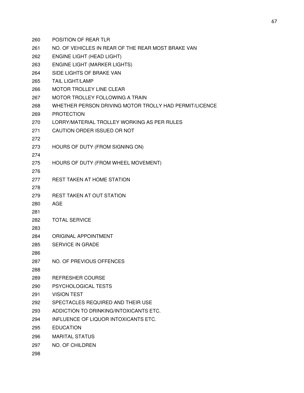POSITION OF REAR TLR NO. OF VEHICLES IN REAR OF THE REAR MOST BRAKE VAN ENGINE LIGHT (HEAD LIGHT) ENGINE LIGHT (MARKER LIGHTS) SIDE LIGHTS OF BRAKE VAN TAIL LIGHT/LAMP MOTOR TROLLEY LINE CLEAR MOTOR TROLLEY FOLLOWING A TRAIN WHETHER PERSON DRIVING MOTOR TROLLY HAD PERMIT/LICENCE PROTECTION LORRY/MATERIAL TROLLEY WORKING AS PER RULES CAUTION ORDER ISSUED OR NOT HOURS OF DUTY (FROM SIGNING ON) HOURS OF DUTY (FROM WHEEL MOVEMENT) REST TAKEN AT HOME STATION REST TAKEN AT OUT STATION AGE TOTAL SERVICE ORIGINAL APPOINTMENT SERVICE IN GRADE NO. OF PREVIOUS OFFENCES REFRESHER COURSE PSYCHOLOGICAL TESTS VISION TEST SPECTACLES REQUIRED AND THEIR USE ADDICTION TO DRINKING/INTOXICANTS ETC. INFLUENCE OF LIQUOR INTOXICANTS ETC. EDUCATION MARITAL STATUS NO. OF CHILDREN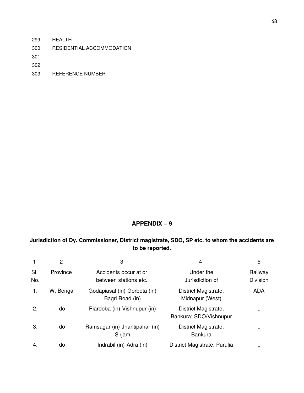- 299 HEALTH
- 300 RESIDENTIAL ACCOMMODATION

301

302

303 REFERENCE NUMBER

# **APPENDIX – 9**

# **Jurisdiction of Dy. Commissioner, District magistrate, SDO, SP etc. to whom the accidents are to be reported.**

|            | $\overline{2}$ | 3                                               | 4                                              | 5                          |
|------------|----------------|-------------------------------------------------|------------------------------------------------|----------------------------|
| SI.<br>No. | Province       | Accidents occur at or<br>between stations etc.  | Under the<br>Jurisdiction of                   | Railway<br><b>Division</b> |
| 1.         | W. Bengal      | Godapiasal (in)-Gorbeta (in)<br>Bagri Road (in) | District Magistrate,<br>Midnapur (West)        | <b>ADA</b>                 |
| 2.         | -do-           | Piardoba (in)-Vishnupur (in)                    | District Magistrate,<br>Bankura; SDO/Vishnupur | 5.5                        |
| 3.         | -do-           | Ramsagar (in)-Jhantipahar (in)<br>Sirjam        | District Magistrate,<br><b>Bankura</b>         | 5.5                        |
| 4.         | -do-           | Indrabil (in)-Adra (in)                         | District Magistrate, Purulia                   | , ,                        |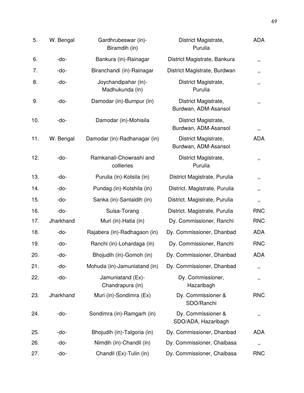| 5.  | W. Bengal | Gardhrubeswar (in)-<br>Biramdih (in)    | District Magistrate,<br>Purulia              | <b>ADA</b>  |
|-----|-----------|-----------------------------------------|----------------------------------------------|-------------|
| 6.  | -do-      | Bankura (in)-Rainagar                   | District Magistrate, Bankura                 | ,,          |
| 7.  | -do-      | Biranchandi (in)-Rainagar               | District Magistrate, Burdwan                 | ,,          |
| 8.  | -do-      | Joychandipahar (in)-<br>Madhukunda (in) | District Magistrate,<br>Purulia              | ,,          |
| 9.  | -do-      | Damodar (in)-Burnpur (in)               | District Magistrate,<br>Burdwan, ADM-Asansol | ,,          |
| 10. | -do-      | Damodar (in)-Mohisila                   | District Magistrate,<br>Burdwan, ADM-Asansol | $\,$ , $\,$ |
| 11. | W. Bengal | Damodar (in)-Radhanagar (in)            | District Magistrate,<br>Burdwan, ADM-Asansol | <b>ADA</b>  |
| 12. | -do-      | Ramkanali-Chowrashi and<br>collieries   | District Magistrate,<br>Purulia              | ,,          |
| 13. | -do-      | Purulia (in)-Kotsila (in)               | District Magistrate, Purulia                 | ,,          |
| 14. | -do-      | Pundag (in)-Kotshila (in)               | District. Magistrate, Purulia                | ,,          |
| 15. | -do-      | Sanka (in)-Santaldih (in)               | District. Magistrate, Purulia                | $\,$ , $\,$ |
| 16. | -do-      | Suisa-Torang                            | District. Magistrate, Purulia                | <b>RNC</b>  |
| 17. | Jharkhand | Muri (in)-Hatia (in)                    | Dy. Commissioner, Ranchi                     | <b>RNC</b>  |
| 18. | -do-      | Rajabera (in)-Radhagaon (in)            | Dy. Commissioner, Dhanbad                    | <b>ADA</b>  |
| 19. | -do-      | Ranchi (in)-Lohardaga (in)              | Dy. Commissioner, Ranchi                     | <b>RNC</b>  |
| 20. | -do-      | Bhojudih (in)-Gomoh (in)                | Dy. Commissioner, Dhanbad                    | <b>ADA</b>  |
| 21. | -do-      | Mohuda (in)-Jamuniatand (in)            | Dy. Commissioner, Dhanbad                    | ,,          |
| 22. | -do-      | Jamuniatand (Ex)-<br>Chandrapura (in)   | Dy. Commissioner,<br>Hazaribagh              | ,,          |
| 23. | Jharkhand | Muri (in)-Sondimra (Ex)                 | Dy. Commissioner &<br>SDO/Ranchi             | <b>RNC</b>  |
| 24. | -do-      | Sondimra (in)-Ramgarh (in)              | Dy. Commissioner &<br>SDO/ADA, Hazaribagh    | ,,          |
| 25. | -do-      | Bhojudih (in)-Talgoria (in)             | Dy. Commissioner, Dhanbad                    | <b>ADA</b>  |
| 26. | -do-      | Nimdih (in)-Chandil (in)                | Dy. Commissioner, Chaibasa                   | ,,          |
| 27. | -do-      | Chandil (Ex)-Tulin (in)                 | Dy. Commissioner, Chaibasa                   | <b>RNC</b>  |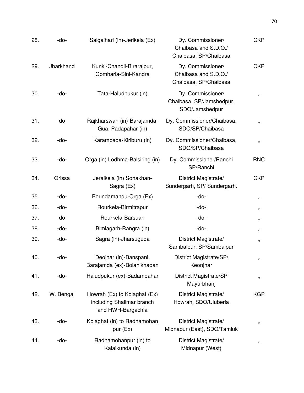| 28. | Salgajhari (in)-Jerikela (Ex)<br>-do- |                                                                                | Dy. Commissioner/<br>Chaibasa and S.D.O./<br>Chaibasa, SP/Chaibasa | <b>CKP</b>  |
|-----|---------------------------------------|--------------------------------------------------------------------------------|--------------------------------------------------------------------|-------------|
| 29. | Jharkhand                             | Kunki-Chandil-Birarajpur,<br>Gomharia-Sini-Kandra                              | Dy. Commissioner/<br>Chaibasa and S.D.O./<br>Chaibasa, SP/Chaibasa | <b>CKP</b>  |
| 30. | -do-                                  | Tata-Haludpukur (in)                                                           | Dy. Commissioner/<br>Chaibasa, SP/Jamshedpur,<br>SDO/Jamshedpur    | ,,          |
| 31. | -do-                                  | Rajkharswan (in)-Barajamda-<br>Gua, Padapahar (in)                             | Dy. Commissioner/Chaibasa,<br>SDO/SP/Chaibasa                      | ,,          |
| 32. | -do-                                  | Karampada-Kiriburu (in)                                                        | Dy. Commissioner/Chaibasa,<br>SDO/SP/Chaibasa                      | ,,          |
| 33. | -do-                                  | Orga (in) Lodhma-Balsiring (in)                                                | Dy. Commissioner/Ranchi<br>SP/Ranchi                               | <b>RNC</b>  |
| 34. | Orissa                                | Jeraikela (in) Sonakhan-<br>Sagra (Ex)                                         | District Magistrate/<br>Sundergarh, SP/ Sundergarh.                | <b>CKP</b>  |
| 35. | -do-                                  | Boundamandu-Orga (Ex)                                                          | -do-                                                               | ,,          |
| 36. | -do-                                  | Rourkela-Birmitrapur                                                           | -do-                                                               | ,,          |
| 37. | -do-                                  | Rourkela-Barsuan                                                               | -do-                                                               | ,,          |
| 38. | -do-                                  | Bimlagarh-Rangra (in)                                                          | -do-                                                               | ,,          |
| 39. | -do-                                  | Sagra (in)-Jharsuguda                                                          | District Magistrate/<br>Sambalpur, SP/Sambalpur                    | ,,          |
| 40. | -do-                                  | Deojhar (in)-Banspani,<br>Barajamda (ex)-Bolanikhadan                          | District Magistrate/SP/<br>Keonjhar                                | ,,          |
| 41. | -do-                                  | Haludpukur (ex)-Badampahar                                                     | District Magistrate/SP<br>Mayurbhanj                               | ,,          |
| 42. | W. Bengal                             | Howrah (Ex) to Kolaghat (Ex)<br>including Shalimar branch<br>and HWH-Bargachia | District Magistrate/<br>Howrah, SDO/Uluberia                       | <b>KGP</b>  |
| 43. | -do-                                  | Kolaghat (in) to Radhamohan<br>pur (Ex)                                        | District Magistrate/<br>Midnapur (East), SDO/Tamluk                | $\,$ , $\,$ |
| 44. | -do-                                  | Radhamohanpur (in) to<br>Kalaikunda (in)                                       | District Magistrate/<br>Midnapur (West)                            | ,,          |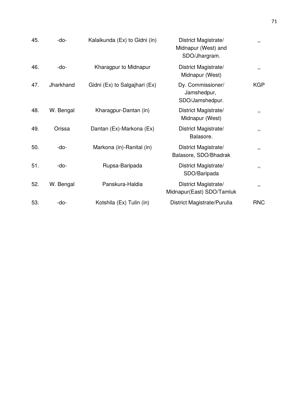| 45. | -do-      | Kalaikunda (Ex) to Gidni (in) | District Magistrate/<br>Midnapur (West) and<br>SDO/Jhargram. | ,,         |
|-----|-----------|-------------------------------|--------------------------------------------------------------|------------|
| 46. | -do-      | Kharagpur to Midnapur         | District Magistrate/<br>Midnapur (West)                      | ,,         |
| 47. | Jharkhand | Gidni (Ex) to Salgajhari (Ex) | Dy. Commissioner/<br>Jamshedpur,<br>SDO/Jamshedpur.          | <b>KGP</b> |
| 48. | W. Bengal | Kharagpur-Dantan (in)         | District Magistrate/<br>Midnapur (West)                      | ,,         |
| 49. | Orissa    | Dantan (Ex)-Markona (Ex)      | District Magistrate/<br>Balasore.                            | ,,         |
| 50. | -do-      | Markona (in)-Ranital (in)     | District Magistrate/<br>Balasore, SDO/Bhadrak                | ,,         |
| 51. | -do-      | Rupsa-Baripada                | District Magistrate/<br>SDO/Baripada                         | ,,         |
| 52. | W. Bengal | Panskura-Haldia               | District Magistrate/<br>Midnapur(East) SDO/Tamluk            | ,,         |
| 53. | -do-      | Kotshila (Ex) Tulin (in)      | District Magistrate/Purulia                                  | <b>RNC</b> |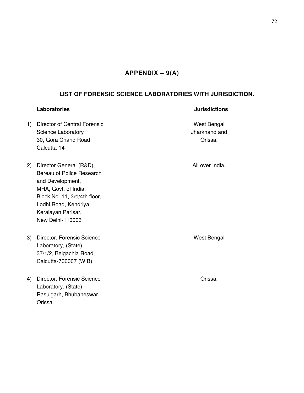# **APPENDIX – 9(A)**

## **LIST OF FORENSIC SCIENCE LABORATORIES WITH JURISDICTION.**

### **Laboratories Jurisdictions**

- 1) Director of Central Forensic West Bengal Science Laboratory **Science Laboratory Jharkhand and** 30, Gora Chand Road **Orissa**. Calcutta-14
- 2) Director General (R&D), and the control of the All over India. Bereau of Police Research and Development, MHA, Govt. of India, Block No. 11, 3rd/4th floor, Lodhi Road, Kendriya Keralayan Parisar, New Delhi-110003
- 3) Director, Forensic Science West Bengal Laboratory, (State) 37/1/2, Belgachia Road, Calcutta-700007 (W.B)
- 4) Director, Forensic Science **Canadian Construction** Orissa. Laboratory. (State) Rasulgarh, Bhubaneswar, Orissa.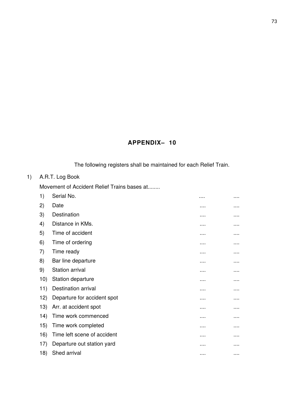# **APPENDIX– 10**

The following registers shall be maintained for each Relief Train.

# 1) A.R.T. Log Book

Movement of Accident Relief Trains bases at........

| 1)  | Serial No.                  | . |          |
|-----|-----------------------------|---|----------|
| 2)  | Date                        |   |          |
| 3)  | Destination                 |   |          |
| 4)  | Distance in KMs.            |   |          |
| 5)  | Time of accident            | . |          |
| 6)  | Time of ordering            |   | .        |
| 7)  | Time ready                  |   | .        |
| 8)  | Bar line departure          |   |          |
| 9)  | Station arrival             |   | .        |
| 10) | Station departure           | . | .        |
| 11) | Destination arrival         |   |          |
| 12) | Departure for accident spot |   |          |
| 13) | Arr. at accident spot       | . | .        |
| 14) | Time work commenced         |   |          |
| 15) | Time work completed         |   | .        |
| 16) | Time left scene of accident |   |          |
| 17) | Departure out station yard  | . | .        |
| 18) | Shed arrival                |   | $\cdots$ |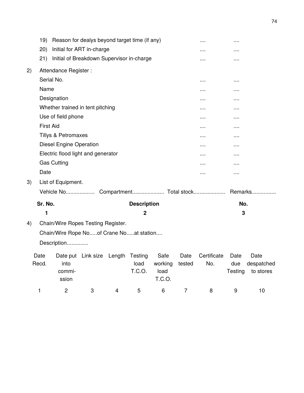|               | 19)              |                                | Reason for dealys beyond target time (if any) |        |                    |                 |                | $\cdots$           | $\cdots$    |                         |
|---------------|------------------|--------------------------------|-----------------------------------------------|--------|--------------------|-----------------|----------------|--------------------|-------------|-------------------------|
|               | (20)             |                                | Initial for ART in-charge                     |        |                    |                 |                |                    |             |                         |
|               | 21)              |                                | Initial of Breakdown Supervisor in-charge     |        |                    |                 |                | $\cdots$           | .           |                         |
| 2)            |                  | Attendance Register:           |                                               |        |                    |                 |                |                    |             |                         |
|               | Serial No.       |                                |                                               |        |                    |                 |                | $\cdots$           | $\cdots$    |                         |
|               | Name             |                                |                                               |        |                    |                 |                | .                  | $\cdots$    |                         |
|               |                  | Designation                    |                                               |        |                    |                 |                |                    | $\cdots$    |                         |
|               |                  |                                | Whether trained in tent pitching              |        |                    |                 |                | .                  | $\cdots$    |                         |
|               |                  | Use of field phone             |                                               |        |                    |                 |                |                    | $\cdots$    |                         |
|               | <b>First Aid</b> |                                |                                               |        |                    |                 |                | $\cdots$           | .           |                         |
|               |                  | <b>Tillys &amp; Petromaxes</b> |                                               |        |                    |                 |                |                    | .           |                         |
|               |                  | <b>Diesel Engine Operation</b> |                                               |        |                    |                 |                | $\cdots$           | $\cdots$    |                         |
|               |                  |                                | Electric flood light and generator            |        |                    |                 |                | $\cdots$           | $\cdots$    |                         |
|               |                  | <b>Gas Cutting</b>             |                                               |        |                    |                 |                | .                  | .           |                         |
|               | Date             |                                |                                               |        |                    |                 |                | .                  | $\cdots$    |                         |
| 3)            |                  | List of Equipment.             |                                               |        |                    |                 |                |                    |             |                         |
|               |                  | <b>Vehicle No</b>              |                                               |        |                    |                 |                |                    |             | Remarks                 |
|               | Sr. No.          |                                |                                               |        | <b>Description</b> |                 |                |                    | No.         |                         |
|               | 1                |                                |                                               |        | $\mathbf{2}$       |                 |                |                    | 3           |                         |
| 4)            |                  |                                | Chain/Wire Ropes Testing Register.            |        |                    |                 |                |                    |             |                         |
|               |                  |                                | Chain/Wire Rope Noof Crane Noat station       |        |                    |                 |                |                    |             |                         |
|               |                  | Description                    |                                               |        |                    |                 |                |                    |             |                         |
|               |                  |                                |                                               |        |                    |                 |                |                    |             |                         |
| Date<br>Recd. |                  | into                           | Date put Link size                            | Length | Testing<br>load    | Safe            | Date<br>tested | Certificate<br>No. | Date<br>due | Date                    |
|               |                  | commi-                         |                                               |        | T.C.O.             | working<br>load |                |                    | Testing     | despatched<br>to stores |
|               |                  | ssion                          |                                               |        |                    | T.C.O.          |                |                    |             |                         |
| 1             |                  | $\overline{c}$                 | 3                                             | 4      | 5                  | 6               | $\overline{7}$ | 8                  | 9           | 10                      |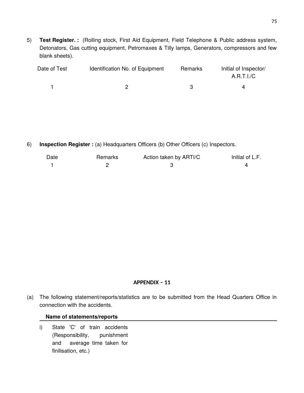5) **Test Register. :** (Rolling stock, First Aid Equipment, Field Telephone & Public address system, Detonators, Gas cutting equipment, Petromaxes & Tilly lamps, Generators, compressors and few blank sheets).

| Date of Test | Identification No. of Equipment | Remarks | Initial of Inspector/ |
|--------------|---------------------------------|---------|-----------------------|
|              |                                 |         | A.R.T.I./C            |
|              |                                 |         |                       |

6) **Inspection Register :** (a) Headquarters Officers (b) Other Officers (c) Inspectors.

| Date | Remarks | Action taken by ARTI/C | Initial of L.F. |
|------|---------|------------------------|-----------------|
|      |         |                        |                 |

#### **APPENDIX – 11**

(a) The following statement/reports/statistics are to be submitted from the Head Quarters Office in connection with the accidents.

#### **Name of statements/reports**

i) State 'C' of train accidents (Responsibility, punishment and average time taken for finilisation, etc.)